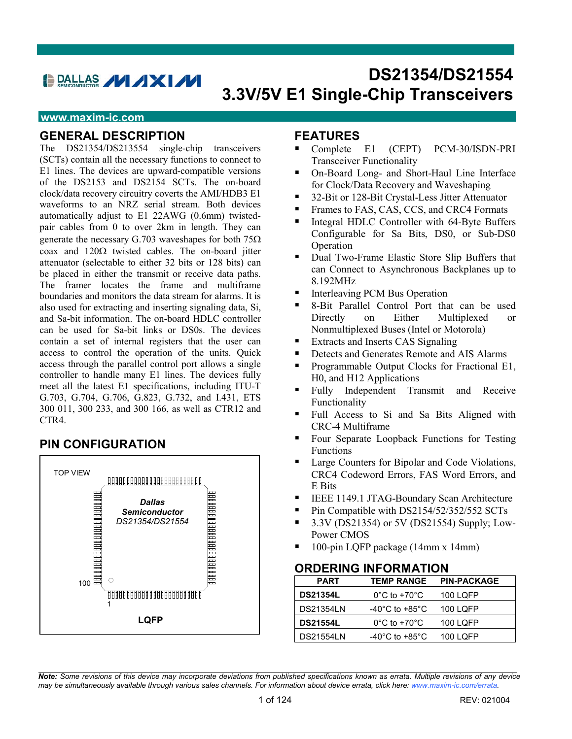# **DALLAS / / / XI//**

# **DS21354/DS21554 3.3V/5V E1 Single-Chip Transceivers**

#### **www.maxim-ic.com**

#### **GENERAL DESCRIPTION**

The DS21354/DS213554 single-chip transceivers (SCTs) contain all the necessary functions to connect to E1 lines. The devices are upward-compatible versions of the DS2153 and DS2154 SCTs. The on-board clock/data recovery circuitry coverts the AMI/HDB3 E1 waveforms to an NRZ serial stream. Both devices automatically adjust to E1 22AWG (0.6mm) twistedpair cables from 0 to over 2km in length. They can generate the necessary G.703 waveshapes for both  $75\Omega$ coax and  $120\Omega$  twisted cables. The on-board jitter attenuator (selectable to either 32 bits or 128 bits) can be placed in either the transmit or receive data paths. The framer locates the frame and multiframe boundaries and monitors the data stream for alarms. It is also used for extracting and inserting signaling data, Si, and Sa-bit information. The on-board HDLC controller can be used for Sa-bit links or DS0s. The devices contain a set of internal registers that the user can access to control the operation of the units. Quick access through the parallel control port allows a single controller to handle many E1 lines. The devices fully meet all the latest E1 specifications, including ITU-T G.703, G.704, G.706, G.823, G.732, and I.431, ETS 300 011, 300 233, and 300 166, as well as CTR12 and CTR4.

### **PIN CONFIGURATION**



#### **FEATURES**

- -Complete E1 (CEPT) PCM-30/ISDN-PRI Transceiver Functionality
- -On-Board Long- and Short-Haul Line Interface for Clock/Data Recovery and Waveshaping
- -32-Bit or 128-Bit Crystal-Less Jitter Attenuator
- -Frames to FAS, CAS, CCS, and CRC4 Formats
- -Integral HDLC Controller with 64-Byte Buffers Configurable for Sa Bits, DS0, or Sub-DS0 Operation
- -Dual Two-Frame Elastic Store Slip Buffers that can Connect to Asynchronous Backplanes up to 8.192MHz
- -Interleaving PCM Bus Operation
- -8-Bit Parallel Control Port that can be used Directly on Either Multiplexed or Nonmultiplexed Buses (Intel or Motorola)
- -Extracts and Inserts CAS Signaling
- -Detects and Generates Remote and AIS Alarms
- -Programmable Output Clocks for Fractional E1, H0, and H12 Applications
- -Fully Independent Transmit and Receive Functionality
- -Full Access to Si and Sa Bits Aligned with CRC-4 Multiframe
- -Four Separate Loopback Functions for Testing Functions
- -Large Counters for Bipolar and Code Violations, CRC4 Codeword Errors, FAS Word Errors, and E Bits
- -IEEE 1149.1 JTAG-Boundary Scan Architecture
- -Pin Compatible with DS2154/52/352/552 SCTs
- -3.3V (DS21354) or 5V (DS21554) Supply; Low-Power CMOS
- -100-pin LQFP package (14mm x 14mm)

#### **ORDERING INFORMATION**

| <b>PART</b>      | <b>TEMP RANGE</b>                 | <b>PIN-PACKAGE</b> |
|------------------|-----------------------------------|--------------------|
| <b>DS21354L</b>  | $0^{\circ}$ C to +70 $^{\circ}$ C | 100 LQFP           |
| <b>DS21354LN</b> | -40°C to +85°C                    | <b>100 LQFP</b>    |
| <b>DS21554L</b>  | $0^{\circ}$ C to +70 $^{\circ}$ C | 100 LQFP           |
| <b>DS21554LN</b> | -40°C to +85°C                    | <b>100 LQFP</b>    |

 *Note: Some revisions of this device may incorporate deviations from published specifications known as errata. Multiple revisions of any device may be simultaneously available through various sales channels. For information about device errata, click here: [www.maxim-ic.com/errata.](http://www.maxim-ic.com/errata)*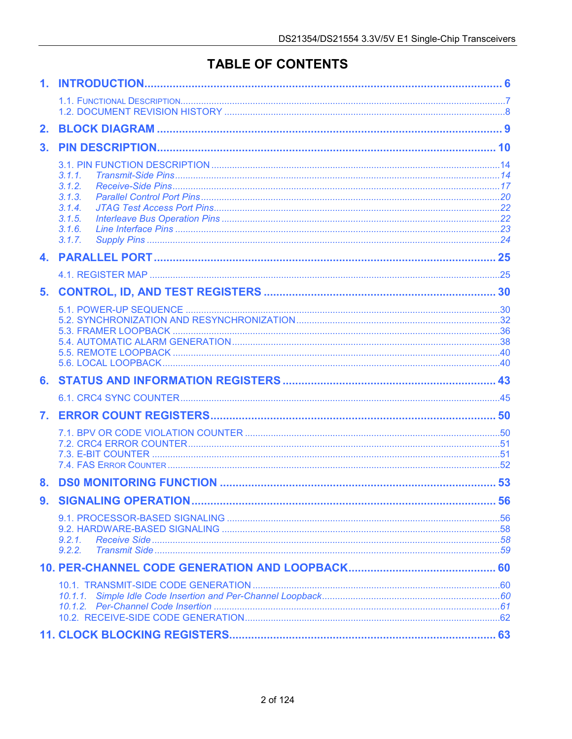# **TABLE OF CONTENTS**

| 2.             |                                                                    |  |
|----------------|--------------------------------------------------------------------|--|
| 3 <sub>1</sub> |                                                                    |  |
|                | 3.1.1.<br>3.1.2.<br>3.1.3.<br>3.1.4.<br>3.1.5.<br>3.1.6.<br>3.1.7. |  |
|                |                                                                    |  |
|                |                                                                    |  |
|                |                                                                    |  |
|                |                                                                    |  |
|                |                                                                    |  |
|                |                                                                    |  |
| 7.             |                                                                    |  |
|                |                                                                    |  |
| 8.             |                                                                    |  |
|                | SIGNALING OPERATION                                                |  |
|                | 9.2.1                                                              |  |
|                |                                                                    |  |
|                |                                                                    |  |
|                |                                                                    |  |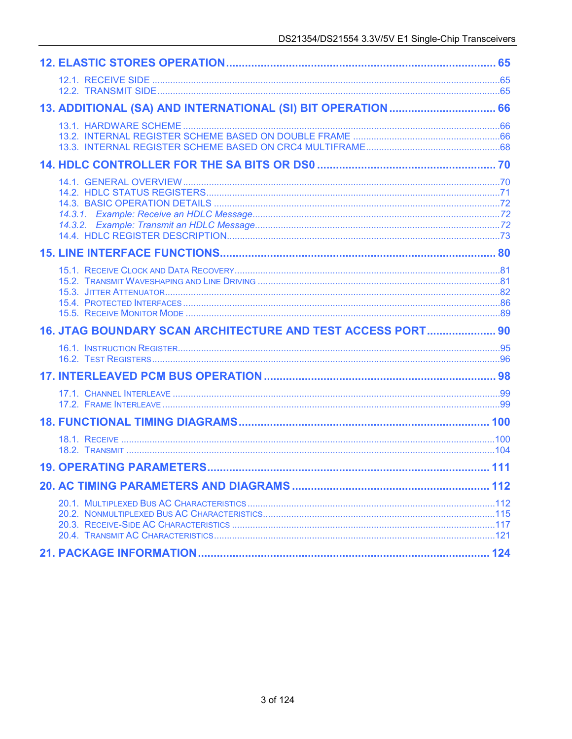| 13. ADDITIONAL (SA) AND INTERNATIONAL (SI) BIT OPERATION  66 |  |
|--------------------------------------------------------------|--|
|                                                              |  |
|                                                              |  |
|                                                              |  |
|                                                              |  |
|                                                              |  |
| 16. JTAG BOUNDARY SCAN ARCHITECTURE AND TEST ACCESS PORT 90  |  |
|                                                              |  |
|                                                              |  |
|                                                              |  |
|                                                              |  |
|                                                              |  |
|                                                              |  |
|                                                              |  |
|                                                              |  |
|                                                              |  |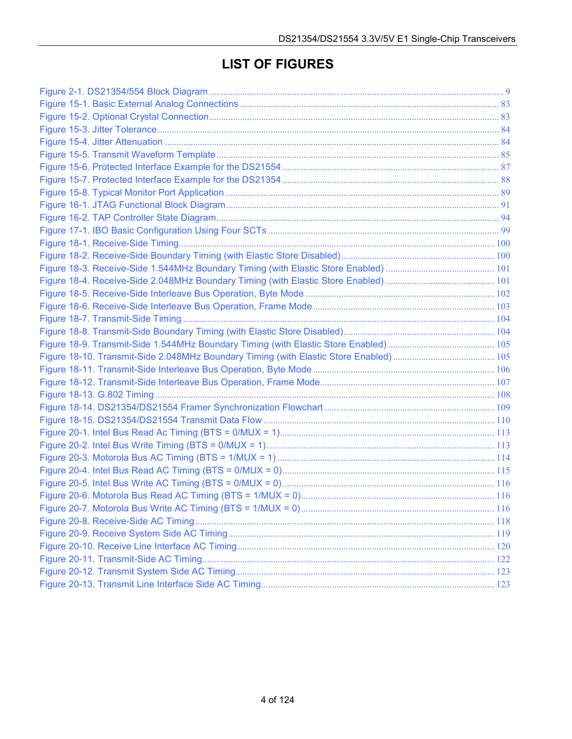# **LIST OF FIGURES**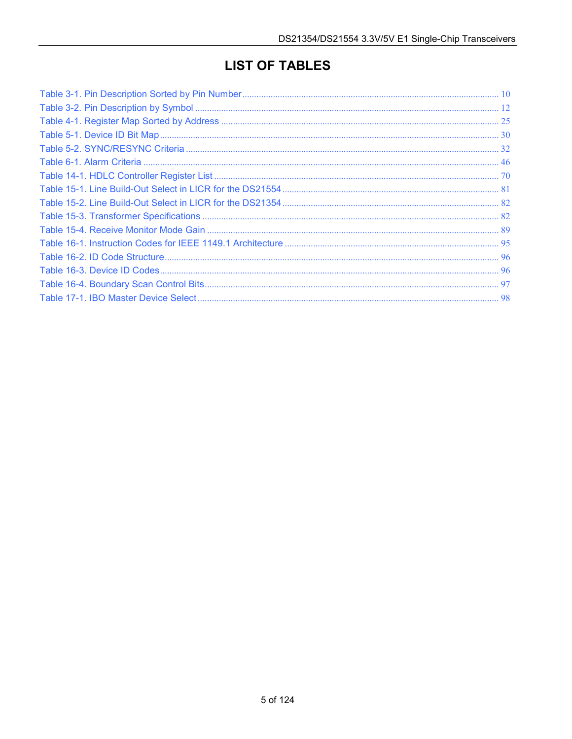# **LIST OF TABLES**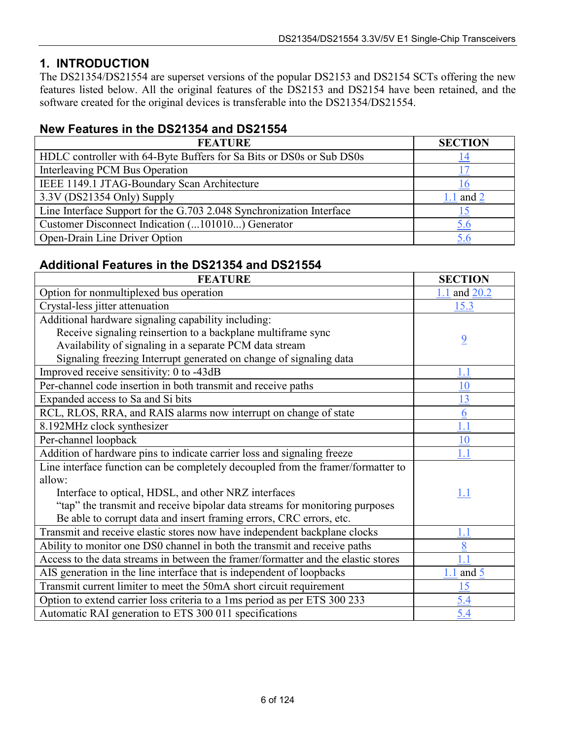# <span id="page-5-0"></span>**1. INTRODUCTION**

The DS21354/DS21554 are superset versions of the popular DS2153 and DS2154 SCTs offering the new features listed below. All the original features of the DS2153 and DS2154 have been retained, and the software created for the original devices is transferable into the DS21354/DS21554.

## **New Features in the DS21354 and DS21554**

| <b>FEATURE</b>                                                       | <b>SECTION</b> |
|----------------------------------------------------------------------|----------------|
| HDLC controller with 64-Byte Buffers for Sa Bits or DS0s or Sub DS0s | 14             |
| Interleaving PCM Bus Operation                                       |                |
| IEEE 1149.1 JTAG-Boundary Scan Architecture                          |                |
| $3.3V$ (DS21354 Only) Supply                                         | $1.1$ and $2$  |
| Line Interface Support for the G.703 2.048 Synchronization Interface |                |
| Customer Disconnect Indication (101010) Generator                    | <u>5.6</u>     |
| Open-Drain Line Driver Option                                        |                |

# **Additional Features in the DS21354 and DS21554**

| <b>FEATURE</b>                                                                    | <b>SECTION</b>   |
|-----------------------------------------------------------------------------------|------------------|
| Option for nonmultiplexed bus operation                                           | $1.1$ and $20.2$ |
| Crystal-less jitter attenuation                                                   | 15.3             |
| Additional hardware signaling capability including:                               |                  |
| Receive signaling reinsertion to a backplane multiframe sync                      | <u>9</u>         |
| Availability of signaling in a separate PCM data stream                           |                  |
| Signaling freezing Interrupt generated on change of signaling data                |                  |
| Improved receive sensitivity: 0 to -43dB                                          | $1.1\,$          |
| Per-channel code insertion in both transmit and receive paths                     | 10               |
| Expanded access to Sa and Si bits                                                 | 13               |
| RCL, RLOS, RRA, and RAIS alarms now interrupt on change of state                  | $\underline{6}$  |
| 8.192MHz clock synthesizer                                                        | 1.1              |
| Per-channel loopback                                                              | 10               |
| Addition of hardware pins to indicate carrier loss and signaling freeze           | 1.1              |
| Line interface function can be completely decoupled from the framer/formatter to  |                  |
| allow:                                                                            |                  |
| Interface to optical, HDSL, and other NRZ interfaces                              | 1.1              |
| "tap" the transmit and receive bipolar data streams for monitoring purposes       |                  |
| Be able to corrupt data and insert framing errors, CRC errors, etc.               |                  |
| Transmit and receive elastic stores now have independent backplane clocks         | 1.1              |
| Ability to monitor one DS0 channel in both the transmit and receive paths         | 8                |
| Access to the data streams in between the framer/formatter and the elastic stores | 1.1              |
| AIS generation in the line interface that is independent of loopbacks             | 1.1 and $5$      |
| Transmit current limiter to meet the 50mA short circuit requirement               | 15               |
| Option to extend carrier loss criteria to a 1ms period as per ETS 300 233         | 5.4              |
| Automatic RAI generation to ETS 300 011 specifications                            | 5.4              |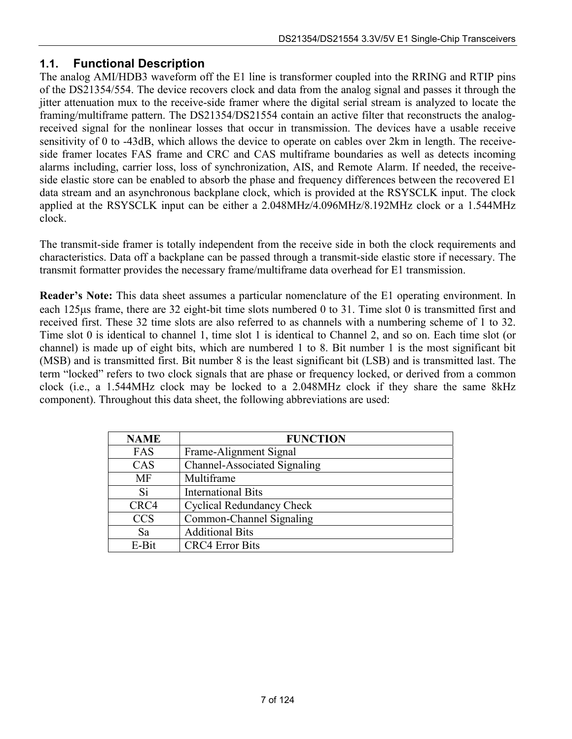# <span id="page-6-0"></span>**1.1. Functional Description**

The analog AMI/HDB3 waveform off the E1 line is transformer coupled into the RRING and RTIP pins of the DS21354/554. The device recovers clock and data from the analog signal and passes it through the jitter attenuation mux to the receive-side framer where the digital serial stream is analyzed to locate the framing/multiframe pattern. The DS21354/DS21554 contain an active filter that reconstructs the analogreceived signal for the nonlinear losses that occur in transmission. The devices have a usable receive sensitivity of 0 to -43dB, which allows the device to operate on cables over 2km in length. The receiveside framer locates FAS frame and CRC and CAS multiframe boundaries as well as detects incoming alarms including, carrier loss, loss of synchronization, AIS, and Remote Alarm. If needed, the receiveside elastic store can be enabled to absorb the phase and frequency differences between the recovered E1 data stream and an asynchronous backplane clock, which is provided at the RSYSCLK input. The clock applied at the RSYSCLK input can be either a 2.048MHz/4.096MHz/8.192MHz clock or a 1.544MHz clock.

The transmit-side framer is totally independent from the receive side in both the clock requirements and characteristics. Data off a backplane can be passed through a transmit-side elastic store if necessary. The transmit formatter provides the necessary frame/multiframe data overhead for E1 transmission.

**Reader's Note:** This data sheet assumes a particular nomenclature of the E1 operating environment. In each 125 $\mu$ s frame, there are 32 eight-bit time slots numbered 0 to 31. Time slot 0 is transmitted first and received first. These 32 time slots are also referred to as channels with a numbering scheme of 1 to 32. Time slot 0 is identical to channel 1, time slot 1 is identical to Channel 2, and so on. Each time slot (or channel) is made up of eight bits, which are numbered 1 to 8. Bit number 1 is the most significant bit (MSB) and is transmitted first. Bit number 8 is the least significant bit (LSB) and is transmitted last. The term "locked" refers to two clock signals that are phase or frequency locked, or derived from a common clock (i.e., a 1.544MHz clock may be locked to a 2.048MHz clock if they share the same 8kHz component). Throughout this data sheet, the following abbreviations are used:

| <b>NAME</b> | <b>FUNCTION</b>                  |  |  |  |
|-------------|----------------------------------|--|--|--|
| FAS         | Frame-Alignment Signal           |  |  |  |
| CAS         | Channel-Associated Signaling     |  |  |  |
| <b>MF</b>   | Multiframe                       |  |  |  |
| Si          | <b>International Bits</b>        |  |  |  |
| CRC4        | <b>Cyclical Redundancy Check</b> |  |  |  |
| <b>CCS</b>  | Common-Channel Signaling         |  |  |  |
| Sa          | <b>Additional Bits</b>           |  |  |  |
| E-Bit       | <b>CRC4 Error Bits</b>           |  |  |  |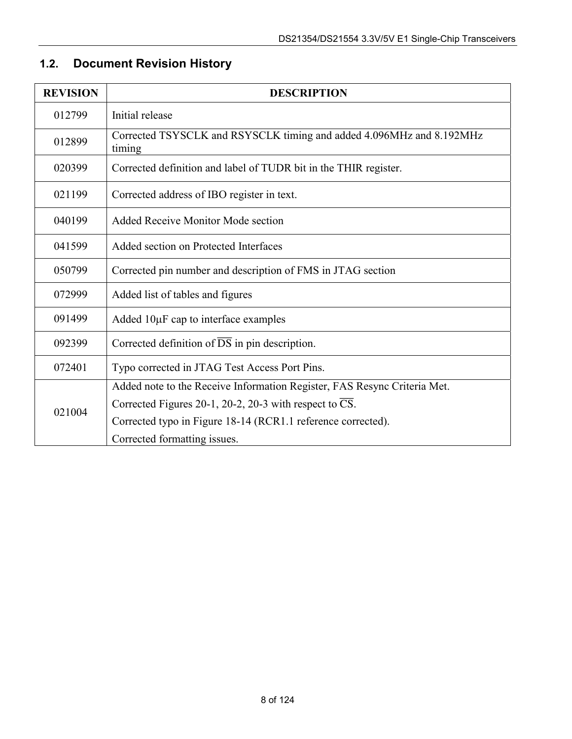# <span id="page-7-0"></span>**1.2. Document Revision History**

| <b>REVISION</b> | <b>DESCRIPTION</b>                                                             |  |  |
|-----------------|--------------------------------------------------------------------------------|--|--|
| 012799          | Initial release                                                                |  |  |
| 012899          | Corrected TSYSCLK and RSYSCLK timing and added 4.096MHz and 8.192MHz<br>timing |  |  |
| 020399          | Corrected definition and label of TUDR bit in the THIR register.               |  |  |
| 021199          | Corrected address of IBO register in text.                                     |  |  |
| 040199          | Added Receive Monitor Mode section                                             |  |  |
| 041599          | Added section on Protected Interfaces                                          |  |  |
| 050799          | Corrected pin number and description of FMS in JTAG section                    |  |  |
| 072999          | Added list of tables and figures                                               |  |  |
| 091499          | Added $10\mu$ F cap to interface examples                                      |  |  |
| 092399          | Corrected definition of $\overline{DS}$ in pin description.                    |  |  |
| 072401          | Typo corrected in JTAG Test Access Port Pins.                                  |  |  |
|                 | Added note to the Receive Information Register, FAS Resync Criteria Met.       |  |  |
| 021004          | Corrected Figures 20-1, 20-2, 20-3 with respect to CS.                         |  |  |
|                 | Corrected typo in Figure 18-14 (RCR1.1 reference corrected).                   |  |  |
|                 | Corrected formatting issues.                                                   |  |  |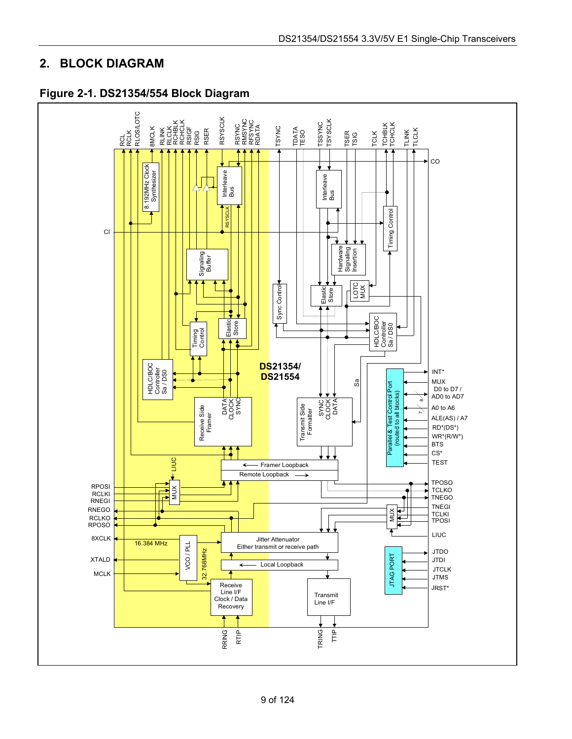# <span id="page-8-0"></span>**2. BLOCK DIAGRAM**

<span id="page-8-1"></span>

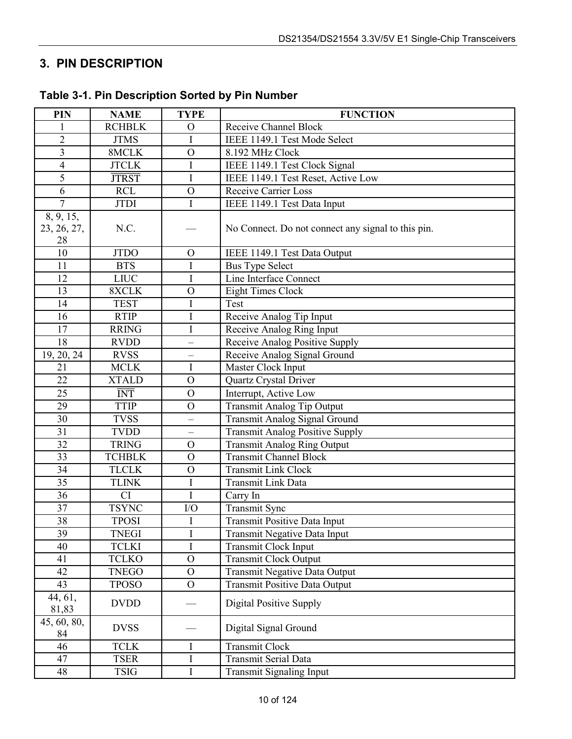# <span id="page-9-0"></span>**3. PIN DESCRIPTION**

| <b>PIN</b>                     | <b>NAME</b>   | <b>TYPE</b>              | <b>FUNCTION</b>                                    |  |
|--------------------------------|---------------|--------------------------|----------------------------------------------------|--|
| 1                              | <b>RCHBLK</b> | $\mathcal{O}$            | <b>Receive Channel Block</b>                       |  |
| $\overline{2}$                 | <b>JTMS</b>   | I                        | IEEE 1149.1 Test Mode Select                       |  |
| $\overline{3}$                 | 8MCLK         | $\mathcal{O}$            | 8.192 MHz Clock                                    |  |
| $\overline{4}$                 | <b>JTCLK</b>  | $\overline{I}$           | IEEE 1149.1 Test Clock Signal                      |  |
| 5                              | <b>JTRST</b>  | $\mathbf I$              | IEEE 1149.1 Test Reset, Active Low                 |  |
| 6                              | <b>RCL</b>    | $\mathbf{O}$             | <b>Receive Carrier Loss</b>                        |  |
| 7                              | <b>JTDI</b>   | I                        | IEEE 1149.1 Test Data Input                        |  |
| 8, 9, 15,<br>23, 26, 27,<br>28 | N.C.          |                          | No Connect. Do not connect any signal to this pin. |  |
| 10                             | <b>JTDO</b>   | $\mathbf{O}$             | IEEE 1149.1 Test Data Output                       |  |
| 11                             | <b>BTS</b>    | $\rm I$                  | <b>Bus Type Select</b>                             |  |
| 12                             | <b>LIUC</b>   | $\mathbf I$              | Line Interface Connect                             |  |
| 13                             | 8XCLK         | $\mathbf{O}$             | <b>Eight Times Clock</b>                           |  |
| 14                             | <b>TEST</b>   | I                        | Test                                               |  |
| 16                             | <b>RTIP</b>   | I                        | Receive Analog Tip Input                           |  |
| 17                             | <b>RRING</b>  | I                        | Receive Analog Ring Input                          |  |
| 18                             | <b>RVDD</b>   | -                        | Receive Analog Positive Supply                     |  |
| 19, 20, 24                     | <b>RVSS</b>   | —                        | Receive Analog Signal Ground                       |  |
| 21                             | <b>MCLK</b>   | I                        | Master Clock Input                                 |  |
| 22                             | <b>XTALD</b>  | $\mathcal{O}$            | Quartz Crystal Driver                              |  |
| 25                             | <b>INT</b>    | $\mathcal{O}$            | Interrupt, Active Low                              |  |
| 29                             | <b>TTIP</b>   | $\mathbf{O}$             | Transmit Analog Tip Output                         |  |
| 30                             | <b>TVSS</b>   | $\overline{\phantom{0}}$ | Transmit Analog Signal Ground                      |  |
| 31                             | <b>TVDD</b>   | -                        | <b>Transmit Analog Positive Supply</b>             |  |
| 32                             | <b>TRING</b>  | $\mathcal{O}$            | <b>Transmit Analog Ring Output</b>                 |  |
| 33                             | <b>TCHBLK</b> | $\mathcal{O}$            | <b>Transmit Channel Block</b>                      |  |
| 34                             | <b>TLCLK</b>  | $\overline{O}$           | <b>Transmit Link Clock</b>                         |  |
| 35                             | <b>TLINK</b>  | I                        | <b>Transmit Link Data</b>                          |  |
| 36                             | CI            | I                        | Carry In                                           |  |
| 37                             | <b>TSYNC</b>  | I/O                      | <b>Transmit Sync</b>                               |  |
| 38                             | <b>TPOSI</b>  | $\rm I$                  | <b>Transmit Positive Data Input</b>                |  |
| 39                             | <b>TNEGI</b>  | I                        | <b>Transmit Negative Data Input</b>                |  |
| 40                             | <b>TCLKI</b>  | I                        | Transmit Clock Input                               |  |
| 41                             | <b>TCLKO</b>  | $\mathcal{O}$            | <b>Transmit Clock Output</b>                       |  |
| 42                             | <b>TNEGO</b>  | $\mathbf{O}$             | Transmit Negative Data Output                      |  |
| 43                             | <b>TPOSO</b>  | $\overline{O}$           | <b>Transmit Positive Data Output</b>               |  |
| 44, 61,<br>81,83               | <b>DVDD</b>   |                          | <b>Digital Positive Supply</b>                     |  |
| 45, 60, 80,<br>84              | <b>DVSS</b>   |                          | Digital Signal Ground                              |  |
| 46                             | <b>TCLK</b>   | $\bf{I}$                 | <b>Transmit Clock</b>                              |  |
| 47                             | <b>TSER</b>   | I                        | <b>Transmit Serial Data</b>                        |  |
| 48                             | <b>TSIG</b>   | $\rm I$                  | <b>Transmit Signaling Input</b>                    |  |

<span id="page-9-1"></span>**Table 3-1. Pin Description Sorted by Pin Number**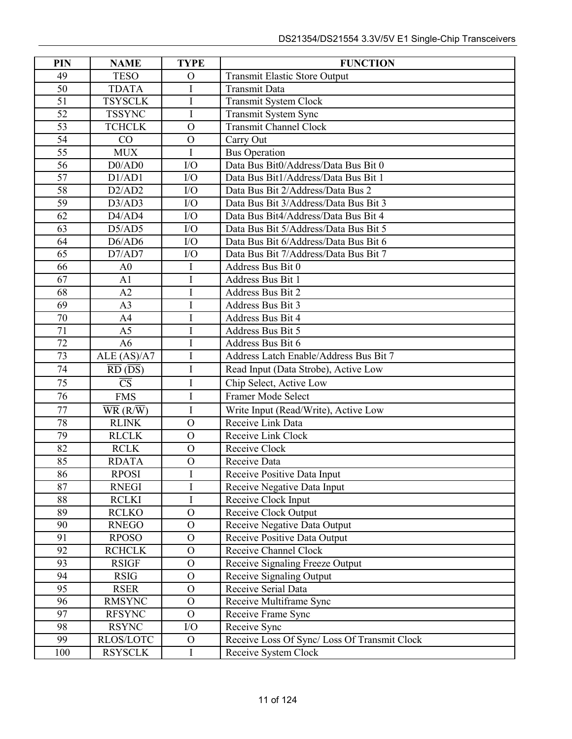| PIN | <b>NAME</b>                                        | <b>TYPE</b>    | <b>FUNCTION</b>                              |  |
|-----|----------------------------------------------------|----------------|----------------------------------------------|--|
| 49  | <b>TESO</b>                                        | $\mathcal{O}$  | <b>Transmit Elastic Store Output</b>         |  |
| 50  | <b>TDATA</b>                                       | $\mathbf I$    | <b>Transmit Data</b>                         |  |
| 51  | <b>TSYSCLK</b>                                     | I              | <b>Transmit System Clock</b>                 |  |
| 52  | <b>TSSYNC</b>                                      | $\mathbf I$    | Transmit System Sync                         |  |
| 53  | <b>TCHCLK</b>                                      | $\mathcal{O}$  | <b>Transmit Channel Clock</b>                |  |
| 54  | CO                                                 | $\mathbf{O}$   | Carry Out                                    |  |
| 55  | <b>MUX</b>                                         | I              | <b>Bus Operation</b>                         |  |
| 56  | D0/AD0                                             | I/O            | Data Bus Bit0/Address/Data Bus Bit 0         |  |
| 57  | D1/AD1                                             | $IO$           | Data Bus Bit1/Address/Data Bus Bit 1         |  |
| 58  | D2/AD2                                             | $IO$           | Data Bus Bit 2/Address/Data Bus 2            |  |
| 59  | D3/AD3                                             | $VO$           | Data Bus Bit 3/Address/Data Bus Bit 3        |  |
| 62  | D4/AD4                                             | $IO$           | Data Bus Bit4/Address/Data Bus Bit 4         |  |
| 63  | D5/AD5                                             | ${\rm I/O}$    | Data Bus Bit 5/Address/Data Bus Bit 5        |  |
| 64  | D6/AD6                                             | $VO$           | Data Bus Bit 6/Address/Data Bus Bit 6        |  |
| 65  | D7/AD7                                             | $\rm I/O$      | Data Bus Bit 7/Address/Data Bus Bit 7        |  |
| 66  | A <sub>0</sub>                                     | $\mathbf I$    | Address Bus Bit 0                            |  |
| 67  | A <sub>1</sub>                                     | $\rm I$        | Address Bus Bit 1                            |  |
| 68  | A2                                                 | $\rm I$        | Address Bus Bit 2                            |  |
| 69  | A <sub>3</sub>                                     | I              | Address Bus Bit 3                            |  |
| 70  | A <sub>4</sub>                                     | $\mathbf I$    | Address Bus Bit 4                            |  |
| 71  | A <sub>5</sub>                                     | $\rm I$        | Address Bus Bit 5                            |  |
| 72  | A <sub>6</sub>                                     | I              | Address Bus Bit 6                            |  |
| 73  | ALE (AS)/A7                                        | $\mathbf I$    | Address Latch Enable/Address Bus Bit 7       |  |
| 74  | $\overline{RD}$ ( $\overline{DS}$ )                | $\rm I$        | Read Input (Data Strobe), Active Low         |  |
| 75  | $\overline{\text{CS}}$                             | I              | Chip Select, Active Low                      |  |
| 76  | <b>FMS</b>                                         | I              | Framer Mode Select                           |  |
| 77  | $\overline{\text{WR}}$ (R/ $\overline{\text{W}}$ ) | I              | Write Input (Read/Write), Active Low         |  |
| 78  | <b>RLINK</b>                                       | $\mathcal{O}$  | Receive Link Data                            |  |
| 79  | <b>RLCLK</b>                                       | $\mathcal{O}$  | Receive Link Clock                           |  |
| 82  | <b>RCLK</b>                                        | $\mathbf{O}$   | Receive Clock                                |  |
| 85  | <b>RDATA</b>                                       | $\mathcal{O}$  | Receive Data                                 |  |
| 86  | <b>RPOSI</b>                                       | I              | Receive Positive Data Input                  |  |
| 87  | <b>RNEGI</b>                                       | $\mathbf I$    | Receive Negative Data Input                  |  |
| 88  | <b>RCLKI</b>                                       | I              | Receive Clock Input                          |  |
| 89  | <b>RCLKO</b>                                       | $\mathbf{O}$   | Receive Clock Output                         |  |
| 90  | <b>RNEGO</b>                                       | $\mathbf{O}$   | Receive Negative Data Output                 |  |
| 91  | <b>RPOSO</b>                                       | $\mathcal{O}$  | Receive Positive Data Output                 |  |
| 92  | <b>RCHCLK</b>                                      | $\mathbf{O}$   | Receive Channel Clock                        |  |
| 93  | <b>RSIGF</b>                                       | $\Omega$       | Receive Signaling Freeze Output              |  |
| 94  | <b>RSIG</b>                                        | $\mathbf O$    | Receive Signaling Output                     |  |
| 95  | <b>RSER</b>                                        | $\mathcal{O}$  | Receive Serial Data                          |  |
| 96  | <b>RMSYNC</b>                                      | $\mathcal{O}$  | Receive Multiframe Sync                      |  |
| 97  | <b>RFSYNC</b>                                      | $\overline{O}$ | Receive Frame Sync                           |  |
| 98  | <b>RSYNC</b>                                       | ${\rm I/O}$    | Receive Sync                                 |  |
| 99  | RLOS/LOTC                                          | $\mathcal{O}$  | Receive Loss Of Sync/ Loss Of Transmit Clock |  |
| 100 | <b>RSYSCLK</b>                                     | $\bf{I}$       | Receive System Clock                         |  |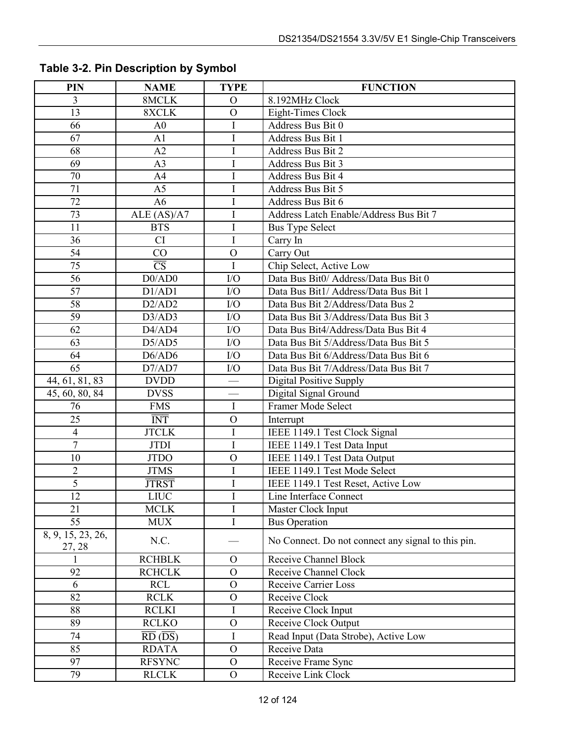| <b>PIN</b>                  | <b>NAME</b>                         | <b>TYPE</b>    | <b>FUNCTION</b>                                    |
|-----------------------------|-------------------------------------|----------------|----------------------------------------------------|
| 3                           | 8MCLK                               | $\overline{O}$ | 8.192MHz Clock                                     |
| 13                          | 8XCLK                               | $\mathcal{O}$  | Eight-Times Clock                                  |
| 66                          | A <sub>0</sub>                      | I              | Address Bus Bit 0                                  |
| 67                          | A1                                  | I              | Address Bus Bit 1                                  |
| 68                          | A2                                  | I              | <b>Address Bus Bit 2</b>                           |
| 69                          | A <sub>3</sub>                      | I              | Address Bus Bit 3                                  |
| $\overline{70}$             | A4                                  | I              | Address Bus Bit 4                                  |
| 71                          | A <sub>5</sub>                      | I              | Address Bus Bit 5                                  |
| 72                          | A6                                  | I              | <b>Address Bus Bit 6</b>                           |
| 73                          | ALE $(AS)/A7$                       | I              | Address Latch Enable/Address Bus Bit 7             |
| 11                          | <b>BTS</b>                          | I              | <b>Bus Type Select</b>                             |
| 36                          | CI                                  | I              | Carry In                                           |
| $\overline{54}$             | CO                                  | $\mathcal{O}$  | Carry Out                                          |
| 75                          | $\overline{\overline{\text{CS}}}$   | I              | Chip Select, Active Low                            |
| 56                          | D0/AD0                              | I/O            | Data Bus Bit0/ Address/Data Bus Bit 0              |
| 57                          | D1/AD1                              | I/O            | Data Bus Bit1/ Address/Data Bus Bit 1              |
| 58                          | D2/AD2                              | $\rm I/O$      | Data Bus Bit 2/Address/Data Bus 2                  |
| 59                          | D3/AD3                              | $\rm I/O$      | Data Bus Bit 3/Address/Data Bus Bit 3              |
| 62                          | D4/AD4                              | $\rm I/O$      | Data Bus Bit4/Address/Data Bus Bit 4               |
| 63                          | D5/AD5                              | $\rm I/O$      | Data Bus Bit 5/Address/Data Bus Bit 5              |
| 64                          | D6/AD6                              | I/O            | Data Bus Bit 6/Address/Data Bus Bit 6              |
| 65                          | D7/AD7                              | I/O            | Data Bus Bit 7/Address/Data Bus Bit 7              |
| 44, 61, 81, 83              | <b>DVDD</b>                         |                | <b>Digital Positive Supply</b>                     |
| 45, 60, 80, 84              | <b>DVSS</b>                         |                | Digital Signal Ground                              |
| 76                          | <b>FMS</b>                          | $\mathbf I$    | Framer Mode Select                                 |
| 25                          | <b>INT</b>                          | $\overline{O}$ | Interrupt                                          |
| $\overline{4}$              | <b>JTCLK</b>                        | I              | IEEE 1149.1 Test Clock Signal                      |
| 7                           | <b>JTDI</b>                         | I              | IEEE 1149.1 Test Data Input                        |
| 10                          | <b>JTDO</b>                         | $\overline{O}$ | IEEE 1149.1 Test Data Output                       |
| $\overline{2}$              | <b>JTMS</b>                         | I              | IEEE 1149.1 Test Mode Select                       |
| $\overline{5}$              | <b>JTRST</b>                        | I              | IEEE 1149.1 Test Reset, Active Low                 |
| 12                          | <b>LIUC</b>                         | I              | Line Interface Connect                             |
| 21                          | <b>MCLK</b>                         | I              | Master Clock Input                                 |
| 55                          | <b>MUX</b>                          | Ι              | <b>Bus Operation</b>                               |
| 8, 9, 15, 23, 26,<br>27, 28 | N.C.                                |                | No Connect. Do not connect any signal to this pin. |
| $\mathbf{1}$                | <b>RCHBLK</b>                       | $\overline{O}$ | <b>Receive Channel Block</b>                       |
| 92                          | <b>RCHCLK</b>                       | $\mathbf{O}$   | <b>Receive Channel Clock</b>                       |
| 6                           | <b>RCL</b>                          | $\overline{O}$ | <b>Receive Carrier Loss</b>                        |
| 82                          | <b>RCLK</b>                         | $\mathcal{O}$  | Receive Clock                                      |
| 88                          | <b>RCLKI</b>                        | I              | Receive Clock Input                                |
| 89                          | <b>RCLKO</b>                        | $\mathcal{O}$  | Receive Clock Output                               |
| 74                          | $\overline{RD}$ ( $\overline{DS}$ ) | I              | Read Input (Data Strobe), Active Low               |
| 85                          | <b>RDATA</b>                        | $\mathcal{O}$  | Receive Data                                       |
| 97                          | <b>RFSYNC</b>                       | $\mathbf{O}$   | Receive Frame Sync                                 |
| 79                          | <b>RLCLK</b>                        | $\mathcal{O}$  | Receive Link Clock                                 |

<span id="page-11-0"></span>**Table 3-2. Pin Description by Symbol**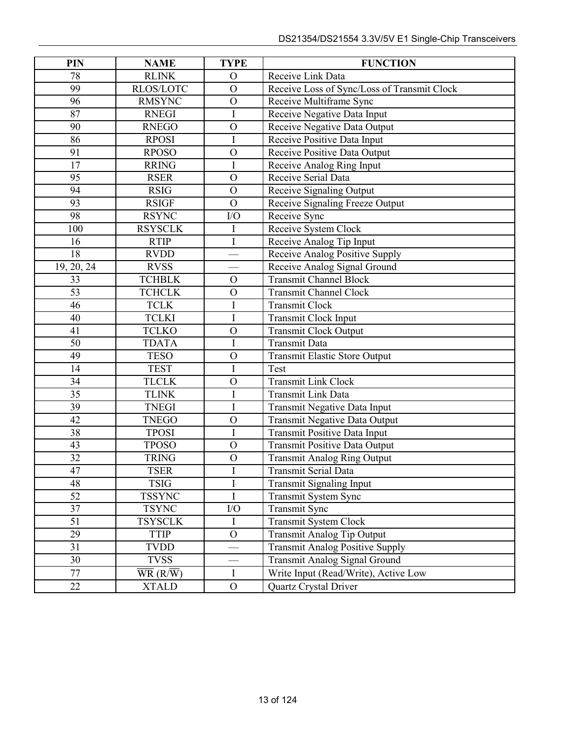| PIN             | <b>NAME</b>                                        | <b>TYPE</b>              | <b>FUNCTION</b>                             |
|-----------------|----------------------------------------------------|--------------------------|---------------------------------------------|
| 78              | <b>RLINK</b>                                       | $\overline{O}$           | Receive Link Data                           |
| 99              | RLOS/LOTC                                          | $\overline{O}$           | Receive Loss of Sync/Loss of Transmit Clock |
| 96              | <b>RMSYNC</b>                                      | $\mathbf{O}$             | Receive Multiframe Sync                     |
| 87              | <b>RNEGI</b>                                       | I                        | Receive Negative Data Input                 |
| 90              | <b>RNEGO</b>                                       | $\overline{O}$           | Receive Negative Data Output                |
| 86              | <b>RPOSI</b>                                       | I                        | Receive Positive Data Input                 |
| 91              | <b>RPOSO</b>                                       | $\overline{O}$           | Receive Positive Data Output                |
| 17              | <b>RRING</b>                                       | I                        | Receive Analog Ring Input                   |
| 95              | <b>RSER</b>                                        | $\overline{O}$           | Receive Serial Data                         |
| 94              | <b>RSIG</b>                                        | $\mathbf{O}$             | Receive Signaling Output                    |
| 93              | <b>RSIGF</b>                                       | $\overline{O}$           | Receive Signaling Freeze Output             |
| 98              | <b>RSYNC</b>                                       | ${\rm I/O}$              | Receive Sync                                |
| 100             | <b>RSYSCLK</b>                                     | I                        | Receive System Clock                        |
| 16              | <b>RTIP</b>                                        | $\mathbf I$              | Receive Analog Tip Input                    |
| 18              | <b>RVDD</b>                                        |                          | <b>Receive Analog Positive Supply</b>       |
| 19, 20, 24      | <b>RVSS</b>                                        | $\overline{\phantom{0}}$ | Receive Analog Signal Ground                |
| 33              | <b>TCHBLK</b>                                      | $\mathcal{O}$            | <b>Transmit Channel Block</b>               |
| 53              | <b>TCHCLK</b>                                      | $\overline{O}$           | <b>Transmit Channel Clock</b>               |
| 46              | <b>TCLK</b>                                        | I                        | <b>Transmit Clock</b>                       |
| 40              | <b>TCLKI</b>                                       | I                        | <b>Transmit Clock Input</b>                 |
| 41              | <b>TCLKO</b>                                       | $\mathcal{O}$            | Transmit Clock Output                       |
| 50              | <b>TDATA</b>                                       | I                        | <b>Transmit Data</b>                        |
| 49              | <b>TESO</b>                                        | $\mathbf{O}$             | <b>Transmit Elastic Store Output</b>        |
| 14              | <b>TEST</b>                                        | I                        | Test                                        |
| 34              | <b>TLCLK</b>                                       | $\overline{O}$           | <b>Transmit Link Clock</b>                  |
| 35              | <b>TLINK</b>                                       | I                        | Transmit Link Data                          |
| 39              | <b>TNEGI</b>                                       | Ī                        | <b>Transmit Negative Data Input</b>         |
| 42              | <b>TNEGO</b>                                       | $\overline{O}$           | Transmit Negative Data Output               |
| 38              | <b>TPOSI</b>                                       | I                        | Transmit Positive Data Input                |
| 43              | <b>TPOSO</b>                                       | $\overline{O}$           | <b>Transmit Positive Data Output</b>        |
| 32              | <b>TRING</b>                                       | $\overline{O}$           | <b>Transmit Analog Ring Output</b>          |
| 47              | <b>TSER</b>                                        | T                        | Transmit Serial Data                        |
| 48              | <b>TSIG</b>                                        | I                        | <b>Transmit Signaling Input</b>             |
| 52              | <b>TSSYNC</b>                                      | I                        | <b>Transmit System Sync</b>                 |
| 37              | <b>TSYNC</b>                                       | ${\rm I/O}$              | <b>Transmit Sync</b>                        |
| 51              | <b>TSYSCLK</b>                                     | I                        | <b>Transmit System Clock</b>                |
| 29              | <b>TTIP</b>                                        | $\mathbf{O}$             | Transmit Analog Tip Output                  |
| $\overline{31}$ | <b>TVDD</b>                                        |                          | <b>Transmit Analog Positive Supply</b>      |
| 30              | <b>TVSS</b>                                        |                          | Transmit Analog Signal Ground               |
| 77              | $\overline{\text{WR}}$ (R/ $\overline{\text{W}}$ ) | $\bf I$                  | Write Input (Read/Write), Active Low        |
| $\overline{22}$ | <b>XTALD</b>                                       | $\overline{O}$           | Quartz Crystal Driver                       |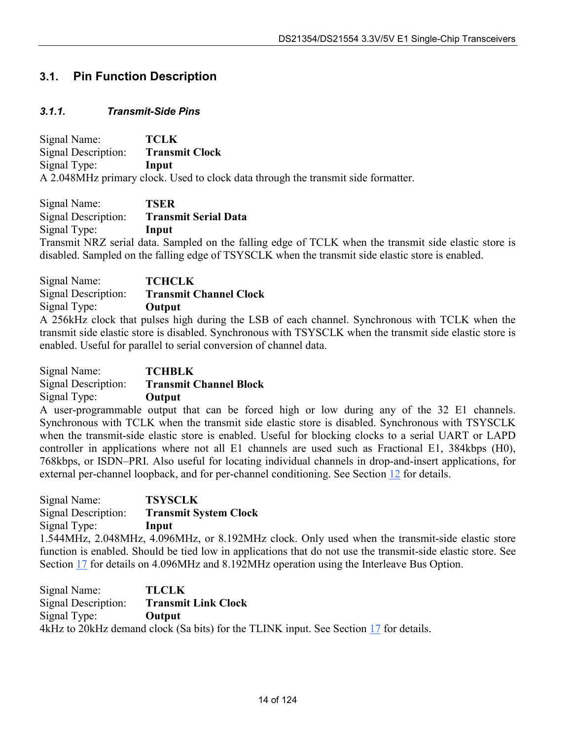# <span id="page-13-0"></span>**3.1. Pin Function Description**

#### <span id="page-13-1"></span>*3.1.1. Transmit-Side Pins*

Signal Name: **TCLK**  Signal Description: **Transmit Clock**  Signal Type: **Input**  A 2.048MHz primary clock. Used to clock data through the transmit side formatter.

Signal Name: **TSER**  Signal Description: **Transmit Serial Data**  Signal Type: **Input** 

Transmit NRZ serial data. Sampled on the falling edge of TCLK when the transmit side elastic store is disabled. Sampled on the falling edge of TSYSCLK when the transmit side elastic store is enabled.

| Signal Name:        | <b>TCHCLK</b>                                  |
|---------------------|------------------------------------------------|
| Signal Description: | <b>Transmit Channel Clock</b>                  |
| Signal Type:        | Output                                         |
|                     | A 256kHz clock that pulses high during the LSR |

A 256kHz clock that pulses high during the LSB of each channel. Synchronous with TCLK when the transmit side elastic store is disabled. Synchronous with TSYSCLK when the transmit side elastic store is enabled. Useful for parallel to serial conversion of channel data.

| Signal Name:        | <b>TCHBLK</b>                 |
|---------------------|-------------------------------|
| Signal Description: | <b>Transmit Channel Block</b> |
| Signal Type:        | Output                        |

A user-programmable output that can be forced high or low during any of the 32 E1 channels. Synchronous with TCLK when the transmit side elastic store is disabled. Synchronous with TSYSCLK when the transmit-side elastic store is enabled. Useful for blocking clocks to a serial UART or LAPD controller in applications where not all E1 channels are used such as Fractional E1, 384kbps (H0), 768kbps, or ISDN–PRI. Also useful for locating individual channels in drop-and-insert applications, for external per-channel loopback, and for per-channel conditioning. See Section [12](#page-64-0) for details.

Signal Name: **TSYSCLK**  Signal Description: **Transmit System Clock**  Signal Type: **Input** 

1.544MHz, 2.048MHz, 4.096MHz, or 8.192MHz clock. Only used when the transmit-side elastic store function is enabled. Should be tied low in applications that do not use the transmit-side elastic store. See Section [17](#page-97-0) for details on 4.096MHz and 8.192MHz operation using the Interleave Bus Option.

Signal Name: **TLCLK**  Signal Description: **Transmit Link Clock**  Signal Type: **Output**  4kHz to 20kHz demand clock (Sa bits) for the TLINK input. See Section [17](#page-97-0) for details.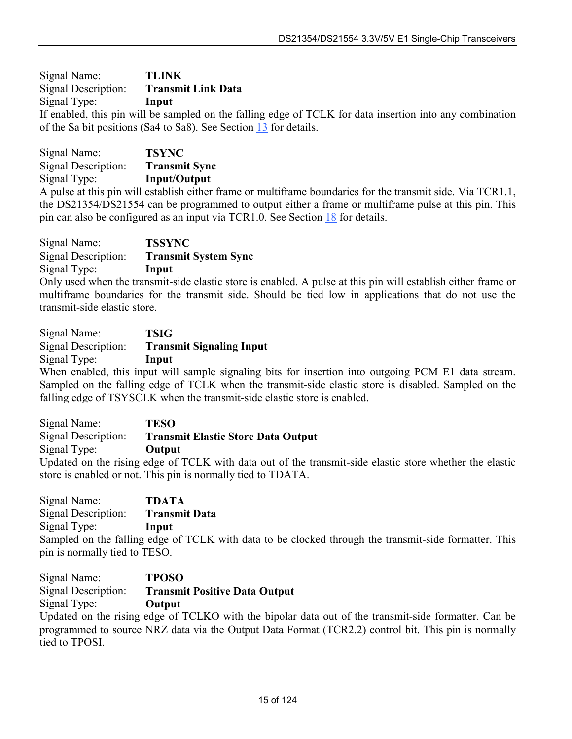Signal Name: **TLINK**  Signal Description: **Transmit Link Data**  Signal Type: **Input** 

If enabled, this pin will be sampled on the falling edge of TCLK for data insertion into any combination of the Sa bit positions (Sa4 to Sa8). See Section [13](#page-65-0) for details.

| Signal Name:        | <b>TSYNC</b>         |
|---------------------|----------------------|
| Signal Description: | <b>Transmit Sync</b> |
| Signal Type:        | <b>Input/Output</b>  |

A pulse at this pin will establish either frame or multiframe boundaries for the transmit side. Via TCR1.1, the DS21354/DS21554 can be programmed to output either a frame or multiframe pulse at this pin. This pin can also be configured as an input via TCR1.0. See Section [18](#page-99-0) for details.

Signal Name: **TSSYNC**  Signal Description: **Transmit System Sync**  Signal Type: **Input** 

Only used when the transmit-side elastic store is enabled. A pulse at this pin will establish either frame or multiframe boundaries for the transmit side. Should be tied low in applications that do not use the transmit-side elastic store.

Signal Name: **TSIG**  Signal Description: **Transmit Signaling Input**  Signal Type: **Input** 

When enabled, this input will sample signaling bits for insertion into outgoing PCM E1 data stream. Sampled on the falling edge of TCLK when the transmit-side elastic store is disabled. Sampled on the falling edge of TSYSCLK when the transmit-side elastic store is enabled.

Signal Name: **TESO**  Signal Description: **Transmit Elastic Store Data Output**  Signal Type: **Output**  Updated on the rising edge of TCLK with data out of the transmit-side elastic store whether the elastic store is enabled or not. This pin is normally tied to TDATA.

Signal Name: **TDATA**  Signal Description: **Transmit Data**  Signal Type: **Input**  Sampled on the falling edge of TCLK with data to be clocked through the transmit-side formatter. This pin is normally tied to TESO.

Signal Name: **TPOSO**  Signal Description: **Transmit Positive Data Output**  Signal Type: **Output** 

Updated on the rising edge of TCLKO with the bipolar data out of the transmit-side formatter. Can be programmed to source NRZ data via the Output Data Format (TCR2.2) control bit. This pin is normally tied to TPOSI.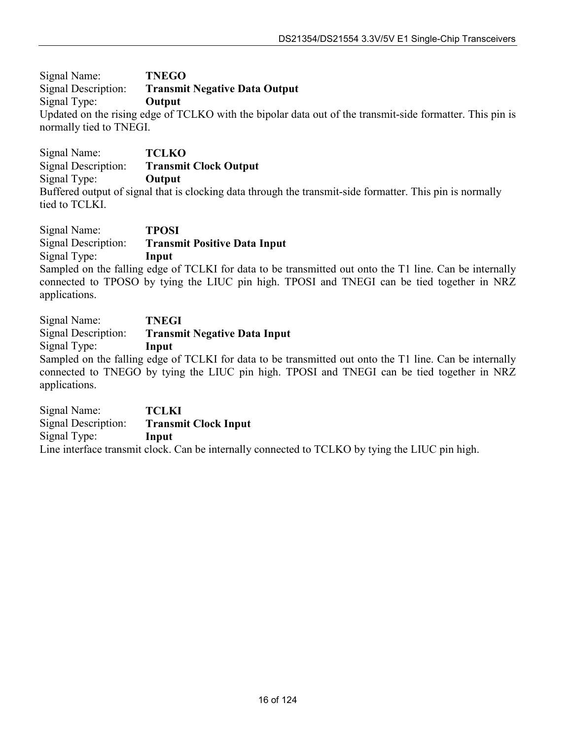Signal Name: **TNEGO**  Signal Description: **Transmit Negative Data Output**  Signal Type: **Output**  Updated on the rising edge of TCLKO with the bipolar data out of the transmit-side formatter. This pin is normally tied to TNEGI.

Signal Name: **TCLKO**  Signal Description: **Transmit Clock Output**  Signal Type: **Output**  Buffered output of signal that is clocking data through the transmit-side formatter. This pin is normally tied to TCLKI.

Signal Name: **TPOSI**  Signal Description: **Transmit Positive Data Input**  Signal Type: **Input** 

Sampled on the falling edge of TCLKI for data to be transmitted out onto the T1 line. Can be internally connected to TPOSO by tying the LIUC pin high. TPOSI and TNEGI can be tied together in NRZ applications.

Signal Name: **TNEGI**  Signal Description: **Transmit Negative Data Input**  Signal Type: **Input**  Sampled on the falling edge of TCLKI for data to be transmitted out onto the T1 line. Can be internally connected to TNEGO by tying the LIUC pin high. TPOSI and TNEGI can be tied together in NRZ applications.

Signal Name: **TCLKI**  Signal Description: **Transmit Clock Input**  Signal Type: **Input**  Line interface transmit clock. Can be internally connected to TCLKO by tying the LIUC pin high.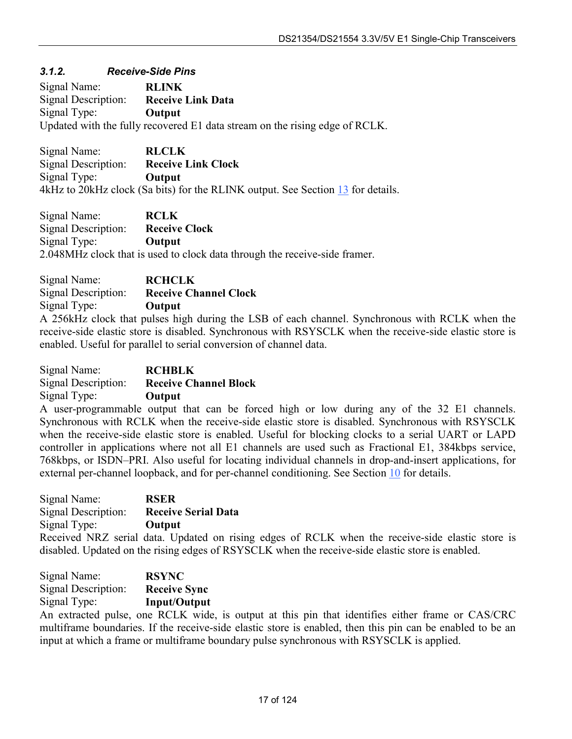#### <span id="page-16-0"></span>*3.1.2. Receive-Side Pins*

Signal Name: **RLINK**  Signal Description: **Receive Link Data**  Signal Type: **Output**  Updated with the fully recovered E1 data stream on the rising edge of RCLK.

Signal Name: **RLCLK**  Signal Description: **Receive Link Clock**  Signal Type: **Output**  4kHz to 20kHz clock (Sa bits) for the RLINK output. See Section [13](#page-65-0) for details.

Signal Name: **RCLK**  Signal Description: **Receive Clock**  Signal Type: **Output**  2.048MHz clock that is used to clock data through the receive-side framer.

| Signal Name:        | <b>RCHCLK</b>                           |
|---------------------|-----------------------------------------|
| Signal Description: | <b>Receive Channel Clock</b>            |
| Signal Type:        | Output                                  |
|                     | $T \cap$<br>$1 \quad 1 \quad 1 \quad 1$ |

A 256kHz clock that pulses high during the LSB of each channel. Synchronous with RCLK when the receive-side elastic store is disabled. Synchronous with RSYSCLK when the receive-side elastic store is enabled. Useful for parallel to serial conversion of channel data.

### Signal Name: **RCHBLK**  Signal Description: **Receive Channel Block**  Signal Type: **Output**

A user-programmable output that can be forced high or low during any of the 32 E1 channels. Synchronous with RCLK when the receive-side elastic store is disabled. Synchronous with RSYSCLK when the receive-side elastic store is enabled. Useful for blocking clocks to a serial UART or LAPD controller in applications where not all E1 channels are used such as Fractional E1, 384kbps service, 768kbps, or ISDN–PRI. Also useful for locating individual channels in drop-and-insert applications, for external per-channel loopback, and for per-channel conditioning. See Section [10](#page-59-0) for details.

| Signal Name:               | <b>RSER</b>                                                                                                                                                                                          |
|----------------------------|------------------------------------------------------------------------------------------------------------------------------------------------------------------------------------------------------|
| <b>Signal Description:</b> | <b>Receive Serial Data</b>                                                                                                                                                                           |
| Signal Type:               | <b>Output</b>                                                                                                                                                                                        |
|                            | Received NRZ serial data. Updated on rising edges of RCLK when the receive-side elastic store is<br>disabled. Updated on the rising edges of RSYSCLK when the receive-side elastic store is enabled. |

| Signal Name:        | <b>RSYNC</b>        |
|---------------------|---------------------|
| Signal Description: | <b>Receive Sync</b> |
| Signal Type:        | <b>Input/Output</b> |

An extracted pulse, one RCLK wide, is output at this pin that identifies either frame or CAS/CRC multiframe boundaries. If the receive-side elastic store is enabled, then this pin can be enabled to be an input at which a frame or multiframe boundary pulse synchronous with RSYSCLK is applied.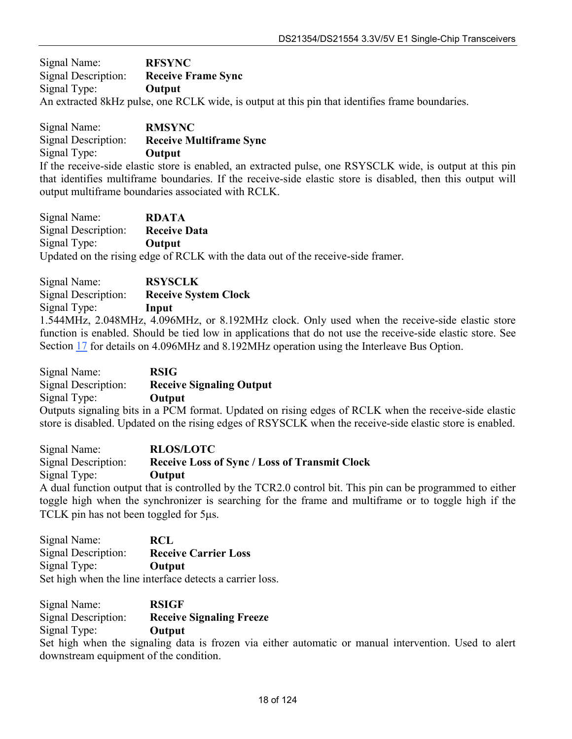Signal Name: **RFSYNC**  Signal Description: **Receive Frame Sync**  Signal Type: **Output**  An extracted 8kHz pulse, one RCLK wide, is output at this pin that identifies frame boundaries.

#### Signal Name: **RMSYNC**  Signal Description: **Receive Multiframe Sync**  Signal Type: **Output**

If the receive-side elastic store is enabled, an extracted pulse, one RSYSCLK wide, is output at this pin that identifies multiframe boundaries. If the receive-side elastic store is disabled, then this output will output multiframe boundaries associated with RCLK.

Signal Name: **RDATA**  Signal Description: **Receive Data**  Signal Type: **Output**  Updated on the rising edge of RCLK with the data out of the receive-side framer.

Signal Name: **RSYSCLK**  Signal Description: **Receive System Clock**  Signal Type: **Input**  1.544MHz, 2.048MHz, 4.096MHz, or 8.192MHz clock. Only used when the receive-side elastic store function is enabled. Should be tied low in applications that do not use the receive-side elastic store. See Section [17](#page-97-0) for details on 4.096MHz and 8.192MHz operation using the Interleave Bus Option.

| Signal Name:        | <b>RSIG</b>                                                                                               |
|---------------------|-----------------------------------------------------------------------------------------------------------|
| Signal Description: | <b>Receive Signaling Output</b>                                                                           |
| Signal Type:        | Output                                                                                                    |
|                     | Outputs signaling bits in a PCM format. Updated on rising edges of RCLK when the receive-side elastic     |
|                     | store is disabled. Updated on the rising edges of RSYSCLK when the receive-side elastic store is enabled. |

Signal Name: **RLOS/LOTC**  Signal Description: **Receive Loss of Sync / Loss of Transmit Clock**  Signal Type: **Output** 

A dual function output that is controlled by the TCR2.0 control bit. This pin can be programmed to either toggle high when the synchronizer is searching for the frame and multiframe or to toggle high if the TCLK pin has not been toggled for 5us.

Signal Name: **RCL**  Signal Description: **Receive Carrier Loss**  Signal Type: **Output**  Set high when the line interface detects a carrier loss.

Signal Name: **RSIGF**  Signal Description: **Receive Signaling Freeze**  Signal Type: **Output** 

Set high when the signaling data is frozen via either automatic or manual intervention. Used to alert downstream equipment of the condition.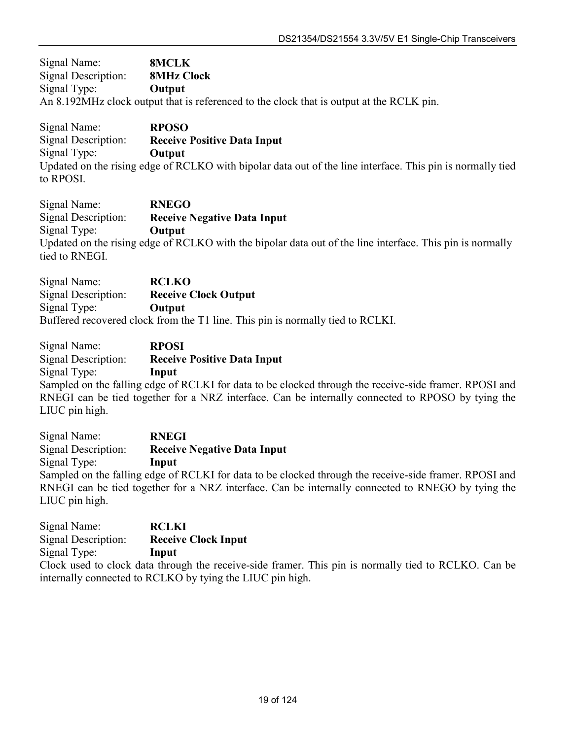Signal Name: **8MCLK**  Signal Description: **8MHz Clock**  Signal Type: **Output**  An 8.192MHz clock output that is referenced to the clock that is output at the RCLK pin.

Signal Name: **RPOSO**  Signal Description: **Receive Positive Data Input**  Signal Type: **Output**  Updated on the rising edge of RCLKO with bipolar data out of the line interface. This pin is normally tied to RPOSI.

Signal Name: **RNEGO**  Signal Description: **Receive Negative Data Input**  Signal Type: **Output**  Updated on the rising edge of RCLKO with the bipolar data out of the line interface. This pin is normally tied to RNEGI.

Signal Name: **RCLKO**  Signal Description: **Receive Clock Output**  Signal Type: **Output**  Buffered recovered clock from the T1 line. This pin is normally tied to RCLKI.

Signal Name: **RPOSI**  Signal Description: **Receive Positive Data Input**  Signal Type: **Input**  Sampled on the falling edge of RCLKI for data to be clocked through the receive-side framer. RPOSI and RNEGI can be tied together for a NRZ interface. Can be internally connected to RPOSO by tying the LIUC pin high.

Signal Name: **RNEGI**  Signal Description: **Receive Negative Data Input**  Signal Type: **Input**  Sampled on the falling edge of RCLKI for data to be clocked through the receive-side framer. RPOSI and RNEGI can be tied together for a NRZ interface. Can be internally connected to RNEGO by tying the LIUC pin high.

| Signal Name:        | <b>RCLKI</b>                                    |
|---------------------|-------------------------------------------------|
| Signal Description: | <b>Receive Clock Input</b>                      |
| Signal Type:        | Input                                           |
|                     | Clock used to clock data through the receive si |

Clock used to clock data through the receive-side framer. This pin is normally tied to RCLKO. Can be internally connected to RCLKO by tying the LIUC pin high.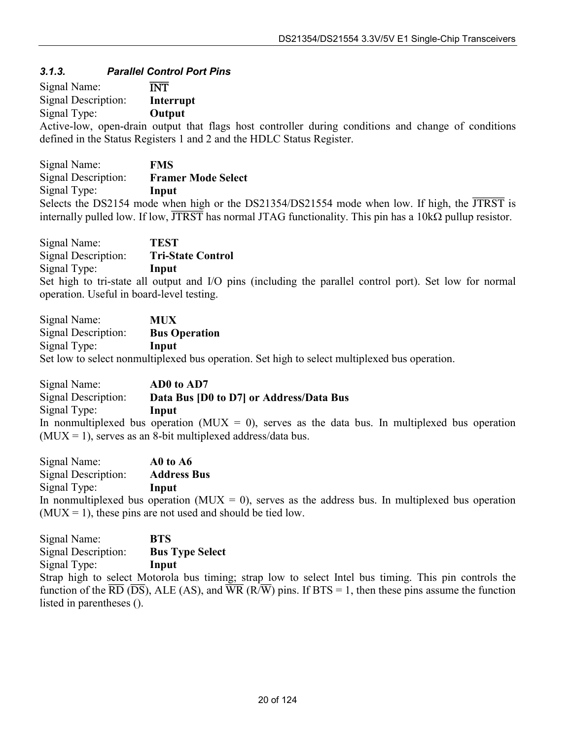#### <span id="page-19-0"></span>*3.1.3. Parallel Control Port Pins*

| Signal Name:        | <b>INT</b> |
|---------------------|------------|
| Signal Description: | Interrupt  |
| Signal Type:        | Output     |

Active-low, open-drain output that flags host controller during conditions and change of conditions defined in the Status Registers 1 and 2 and the HDLC Status Register.

| Signal Name:        | <b>FMS</b>                                                                                                      |
|---------------------|-----------------------------------------------------------------------------------------------------------------|
| Signal Description: | <b>Framer Mode Select</b>                                                                                       |
| Signal Type:        | Input                                                                                                           |
|                     | Selects the DS2154 mode when high or the DS21354/DS21554 mode when low. If high, the JTRST is                   |
|                     | internally pulled low. If low, JTRST has normal JTAG functionality. This pin has a $10k\Omega$ pullup resistor. |

Signal Name: **TEST**  Signal Description: **Tri-State Control**  Signal Type: **Input**  Set high to tri-state all output and I/O pins (including the parallel control port). Set low for normal operation. Useful in board-level testing.

| Signal Name:        | <b>MUX</b>                                                                                    |
|---------------------|-----------------------------------------------------------------------------------------------|
| Signal Description: | <b>Bus Operation</b>                                                                          |
| Signal Type:        | Input                                                                                         |
|                     | Set low to select nonmultiplexed bus operation. Set high to select multiplexed bus operation. |

Signal Name: **AD0 to AD7**  Signal Description: **Data Bus [D0 to D7] or Address/Data Bus**  Signal Type: **Input**  In nonmultiplexed bus operation ( $MUX = 0$ ), serves as the data bus. In multiplexed bus operation  $(MUX = 1)$ , serves as an 8-bit multiplexed address/data bus.

Signal Name: **A0 to A6**  Signal Description: **Address Bus**  Signal Type: **Input**  In nonmultiplexed bus operation ( $MUX = 0$ ), serves as the address bus. In multiplexed bus operation  $(MUX = 1)$ , these pins are not used and should be tied low.

| Signal Name:              | <b>BTS</b>                                                                                                                                                    |
|---------------------------|---------------------------------------------------------------------------------------------------------------------------------------------------------------|
| Signal Description:       | <b>Bus Type Select</b>                                                                                                                                        |
| Signal Type:              | Input                                                                                                                                                         |
|                           | Strap high to select Motorola bus timing; strap low to select Intel bus timing. This pin controls the                                                         |
|                           | function of the $\overline{RD}$ ( $\overline{DS}$ ), ALE (AS), and $\overline{WR}$ ( $R/\overline{W}$ ) pins. If BTS = 1, then these pins assume the function |
| listed in parentheses (). |                                                                                                                                                               |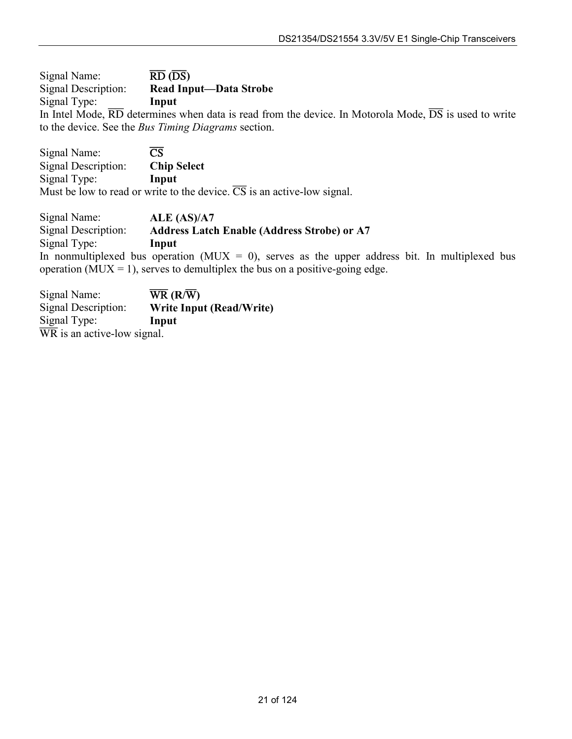Signal Name:  $\overline{RD} (\overline{DS})$ Signal Description: **Read Input—Data Strobe** Signal Type: **Input**  In Intel Mode,  $\overline{RD}$  determines when data is read from the device. In Motorola Mode,  $\overline{DS}$  is used to write to the device. See the *Bus Timing Diagrams* section.

Signal Name:  $\overline{CS}$ Signal Description: **Chip Select**  Signal Type: **Input**  Must be low to read or write to the device.  $\overline{CS}$  is an active-low signal.

Signal Name: **ALE (AS)/A7**  Signal Description: **Address Latch Enable (Address Strobe) or A7**  Signal Type: **Input**  In nonmultiplexed bus operation (MUX = 0), serves as the upper address bit. In multiplexed bus operation ( $MUX = 1$ ), serves to demultiplex the bus on a positive-going edge.

Signal Name: WR **(R/**W**)**  Signal Description: **Write Input (Read/Write)**  Signal Type: **Input**   $\overline{WR}$  is an active-low signal.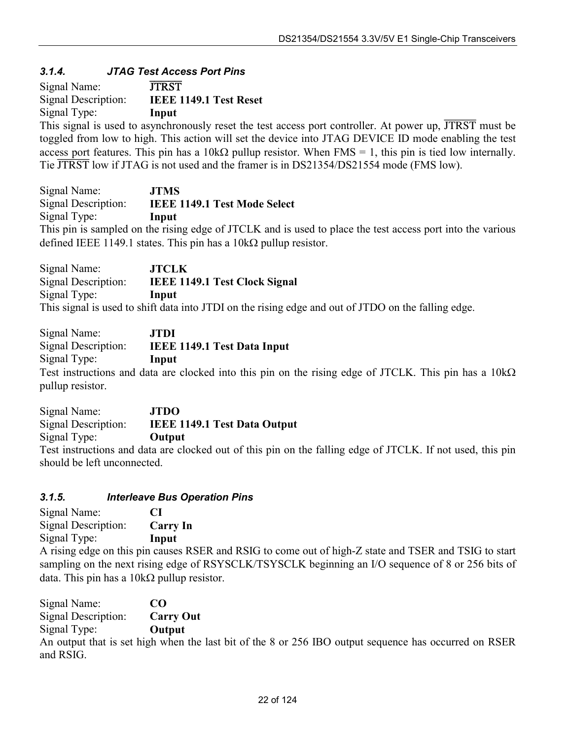#### <span id="page-21-0"></span>*3.1.4. JTAG Test Access Port Pins*

| Signal Name:        | <b>JTRST</b>                  |
|---------------------|-------------------------------|
| Signal Description: | <b>IEEE 1149.1 Test Reset</b> |
| Signal Type:        | Input                         |

This signal is used to asynchronously reset the test access port controller. At power up, JTRST must be toggled from low to high. This action will set the device into JTAG DEVICE ID mode enabling the test access port features. This pin has a  $10k\Omega$  pullup resistor. When FMS = 1, this pin is tied low internally. Tie JTRST low if JTAG is not used and the framer is in DS21354/DS21554 mode (FMS low).

Signal Name: **JTMS**  Signal Description: **IEEE 1149.1 Test Mode Select**  Signal Type: **Input**  This pin is sampled on the rising edge of JTCLK and is used to place the test access port into the various defined IEEE 1149.1 states. This pin has a  $10k\Omega$  pullup resistor.

Signal Name: **JTCLK**  Signal Description: **IEEE 1149.1 Test Clock Signal**  Signal Type: **Input**  This signal is used to shift data into JTDI on the rising edge and out of JTDO on the falling edge.

| Signal Name:        | JTDI                                                                                                     |
|---------------------|----------------------------------------------------------------------------------------------------------|
| Signal Description: | <b>IEEE 1149.1 Test Data Input</b>                                                                       |
| Signal Type:        | Input                                                                                                    |
|                     | Toot instructions and data are clooked into this pin on the rising adop of ITCLK. This pin has a $10\nu$ |

Test instructions and data are clocked into this pin on the rising edge of JTCLK. This pin has a  $10k\Omega$ pullup resistor.

| Signal Name:                | JTDO.                                                                                                      |
|-----------------------------|------------------------------------------------------------------------------------------------------------|
| Signal Description:         | <b>IEEE 1149.1 Test Data Output</b>                                                                        |
| Signal Type:                | Output                                                                                                     |
|                             | Test instructions and data are clocked out of this pin on the falling edge of JTCLK. If not used, this pin |
| should be left unconnected. |                                                                                                            |

#### <span id="page-21-1"></span>*3.1.5. Interleave Bus Operation Pins*

| Signal Name:        | C I             |
|---------------------|-----------------|
| Signal Description: | <b>Carry In</b> |
| Signal Type:        | Input           |

A rising edge on this pin causes RSER and RSIG to come out of high-Z state and TSER and TSIG to start sampling on the next rising edge of RSYSCLK/TSYSCLK beginning an I/O sequence of 8 or 256 bits of data. This pin has a  $10k\Omega$  pullup resistor.

| Signal Name:        | CO               |
|---------------------|------------------|
| Signal Description: | <b>Carry Out</b> |
| Signal Type:        | Output           |

An output that is set high when the last bit of the 8 or 256 IBO output sequence has occurred on RSER and RSIG.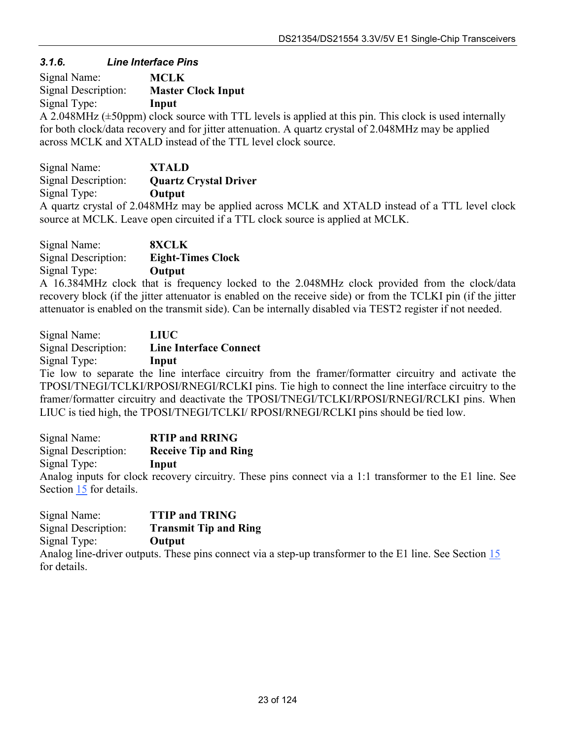#### <span id="page-22-0"></span>*3.1.6. Line Interface Pins*

Signal Name: **MCLK**  Signal Description: **Master Clock Input**  Signal Type: **Input** 

A 2.048MHz (±50ppm) clock source with TTL levels is applied at this pin. This clock is used internally for both clock/data recovery and for jitter attenuation. A quartz crystal of 2.048MHz may be applied across MCLK and XTALD instead of the TTL level clock source.

| Signal Name:        | <b>XTALD</b>                                  |
|---------------------|-----------------------------------------------|
| Signal Description: | <b>Quartz Crystal Driver</b>                  |
| Signal Type:        | Output                                        |
|                     | A quartz crystal of 2.048MHz may be applied a |

cross MCLK and XTALD instead of a TTL level clock source at MCLK. Leave open circuited if a TTL clock source is applied at MCLK.

| Signal Name:        | <b>8XCLK</b>                               |
|---------------------|--------------------------------------------|
| Signal Description: | <b>Eight-Times Clock</b>                   |
| Signal Type:        | Output                                     |
|                     | A 16.384MHz clock that is frequency locked |

d to the 2.048MHz clock provided from the clock/data recovery block (if the jitter attenuator is enabled on the receive side) or from the TCLKI pin (if the jitter attenuator is enabled on the transmit side). Can be internally disabled via TEST2 register if not needed.

| Signal Name:                                                                                      | <b>LIUC</b>                                                                                           |  |  |
|---------------------------------------------------------------------------------------------------|-------------------------------------------------------------------------------------------------------|--|--|
| Signal Description:                                                                               | <b>Line Interface Connect</b>                                                                         |  |  |
| Signal Type:                                                                                      | Input                                                                                                 |  |  |
|                                                                                                   | The low to separate the line interface circuitry from the framer/formatter circuitry and activate the |  |  |
| TPOSI/TNEGI/TCLKI/RPOSI/RNEGI/RCLKI pins. Tie high to connect the line interface circuitry to the |                                                                                                       |  |  |
| framer/formatter circuitry and deactivate the TPOSI/TNEGI/TCLKI/RPOSI/RNEGI/RCLKI pins. When      |                                                                                                       |  |  |
|                                                                                                   | LIUC is tied high, the TPOSI/TNEGI/TCLKI/ RPOSI/RNEGI/RCLKI pins should be tied low.                  |  |  |
|                                                                                                   |                                                                                                       |  |  |

Signal Name: **RTIP and RRING**  Signal Description: **Receive Tip and Ring**  Signal Type: **Input**  Analog inputs for clock recovery circuitry. These pins connect via a 1:1 transformer to the E1 line. See Section [15](#page-79-0) for details.

| Signal Name:        | <b>TTIP and TRING</b>                                                                                   |
|---------------------|---------------------------------------------------------------------------------------------------------|
| Signal Description: | <b>Transmit Tip and Ring</b>                                                                            |
| Signal Type:        | Output                                                                                                  |
|                     | Analog line-driver outputs. These pins connect via a step-up transformer to the E1 line. See Section 15 |
| for details.        |                                                                                                         |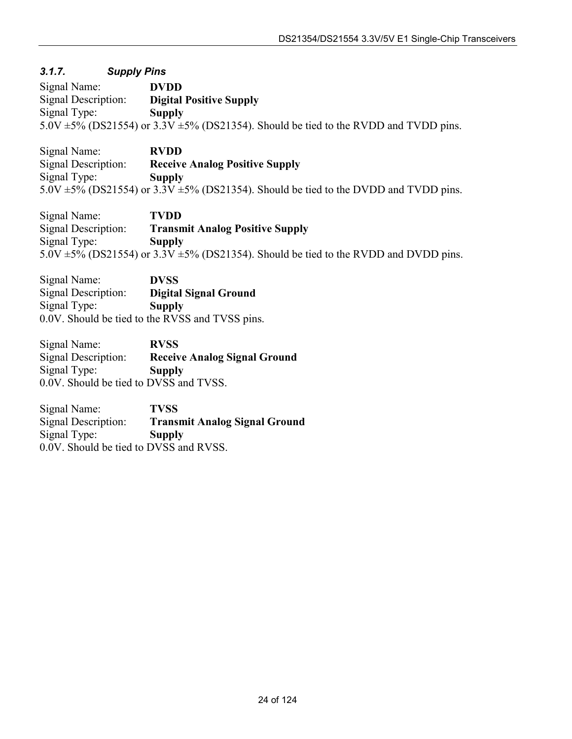#### <span id="page-23-0"></span>*3.1.7. Supply Pins*

Signal Name: **DVDD**  Signal Description: **Digital Positive Supply**  Signal Type: **Supply**   $5.0V \pm 5\%$  (DS21554) or  $3.3V \pm 5\%$  (DS21354). Should be tied to the RVDD and TVDD pins.

Signal Name: **RVDD**  Signal Description: **Receive Analog Positive Supply**  Signal Type: **Supply**   $5.0V \pm 5\%$  (DS21554) or  $3.3V \pm 5\%$  (DS21354). Should be tied to the DVDD and TVDD pins.

Signal Name: **TVDD**  Signal Description: **Transmit Analog Positive Supply**  Signal Type: **Supply**   $5.0V \pm 5\%$  (DS21554) or  $3.3V \pm 5\%$  (DS21354). Should be tied to the RVDD and DVDD pins.

Signal Name: **DVSS**  Signal Description: **Digital Signal Ground**  Signal Type: **Supply**  0.0V. Should be tied to the RVSS and TVSS pins.

Signal Name: **RVSS**  Signal Description: **Receive Analog Signal Ground**  Signal Type: **Supply**  0.0V. Should be tied to DVSS and TVSS.

Signal Name: **TVSS**  Signal Description: **Transmit Analog Signal Ground**  Signal Type: **Supply**  0.0V. Should be tied to DVSS and RVSS.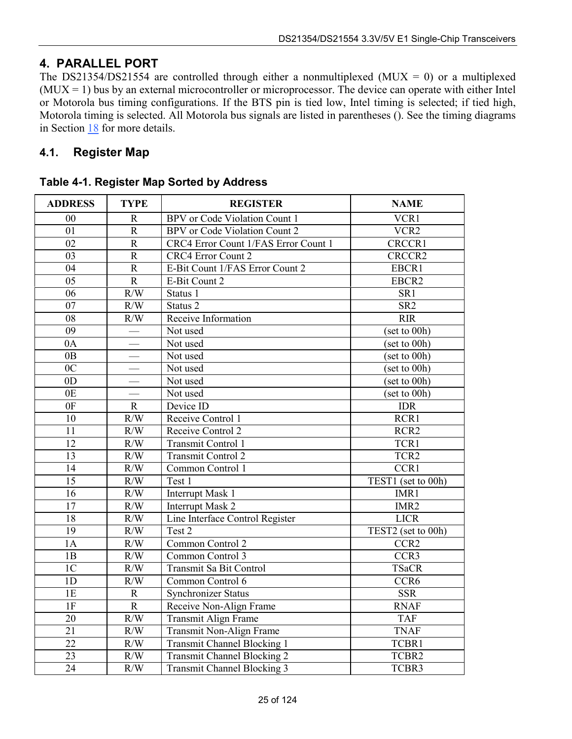# <span id="page-24-0"></span>**4. PARALLEL PORT**

The DS21354/DS21554 are controlled through either a nonmultiplexed (MUX = 0) or a multiplexed  $(MUX = 1)$  bus by an external microcontroller or microprocessor. The device can operate with either Intel or Motorola bus timing configurations. If the BTS pin is tied low, Intel timing is selected; if tied high, Motorola timing is selected. All Motorola bus signals are listed in parentheses (). See the timing diagrams in Section [18](#page-99-0) for more details.

# <span id="page-24-1"></span>**4.1. Register Map**

| <b>ADDRESS</b>  | <b>TYPE</b>             | <b>REGISTER</b>                      | <b>NAME</b>        |
|-----------------|-------------------------|--------------------------------------|--------------------|
| 00              | $\mathbf R$             | <b>BPV</b> or Code Violation Count 1 | VCR1               |
| 01              | ${\bf R}$               | <b>BPV</b> or Code Violation Count 2 | VCR <sub>2</sub>   |
| 02              | $\overline{\mathrm{R}}$ | CRC4 Error Count 1/FAS Error Count 1 | CRCCR1             |
| $\overline{03}$ | $\overline{R}$          | <b>CRC4 Error Count 2</b>            | CRCCR2             |
| 04              | $\mathbf R$             | E-Bit Count 1/FAS Error Count 2      | EBCR1              |
| $\overline{05}$ | $\overline{R}$          | E-Bit Count 2                        | EBCR2              |
| 06              | R/W                     | Status 1                             | SR1                |
| $\overline{07}$ | R/W                     | Status 2                             | SR <sub>2</sub>    |
| 08              | R/W                     | Receive Information                  | <b>RIR</b>         |
| $\overline{09}$ |                         | Not used                             | (set to 00h)       |
| $0\overline{A}$ |                         | Not used                             | (set to 00h)       |
| 0B              |                         | Not used                             | (set to 00h)       |
| 0 <sup>C</sup>  |                         | Not used                             | (set to 00h)       |
| 0 <sub>D</sub>  |                         | Not used                             | (set to 00h)       |
| 0E              |                         | Not used                             | (set to 00h)       |
| 0F              | $\mathbf R$             | Device ID                            | <b>IDR</b>         |
| 10              | R/W                     | Receive Control 1                    | RCR <sub>1</sub>   |
| 11              | R/W                     | Receive Control 2                    | RCR <sub>2</sub>   |
| $\overline{12}$ | R/W                     | Transmit Control 1                   | TCR1               |
| $\overline{13}$ | R/W                     | <b>Transmit Control 2</b>            | TCR <sub>2</sub>   |
| $\overline{14}$ | R/W                     | Common Control 1                     | CCR1               |
| $\overline{15}$ | R/W                     | Test 1                               | TEST1 (set to 00h) |
| $\overline{16}$ | R/W                     | <b>Interrupt Mask 1</b>              | IMR1               |
| $\overline{17}$ | R/W                     | Interrupt Mask 2                     | IMR <sub>2</sub>   |
| $\overline{18}$ | R/W                     | Line Interface Control Register      | <b>LICR</b>        |
| 19              | R/W                     | $\overline{T}$ est 2                 | TEST2 (set to 00h) |
| 1A              | R/W                     | Common Control 2                     | CCR <sub>2</sub>   |
| 1B              | R/W                     | Common Control 3                     | CCR3               |
| 1 <sup>C</sup>  | R/W                     | Transmit Sa Bit Control              | <b>TSaCR</b>       |
| 1D              | R/W                     | Common Control 6                     | CCR6               |
| 1E              | $\overline{R}$          | <b>Synchronizer Status</b>           | <b>SSR</b>         |
| 1F              | $\mathbf R$             | Receive Non-Align Frame              | <b>RNAF</b>        |
| 20              | R/W                     | <b>Transmit Align Frame</b>          | <b>TAF</b>         |
| $\overline{21}$ | R/W                     | Transmit Non-Align Frame             | <b>TNAF</b>        |
| $\overline{22}$ | R/W                     | <b>Transmit Channel Blocking 1</b>   | TCBR1              |
| 23              | R/W                     | <b>Transmit Channel Blocking 2</b>   | TCBR2              |
| $\overline{24}$ | R/W                     | <b>Transmit Channel Blocking 3</b>   | TCBR3              |

<span id="page-24-2"></span>**Table 4-1. Register Map Sorted by Address**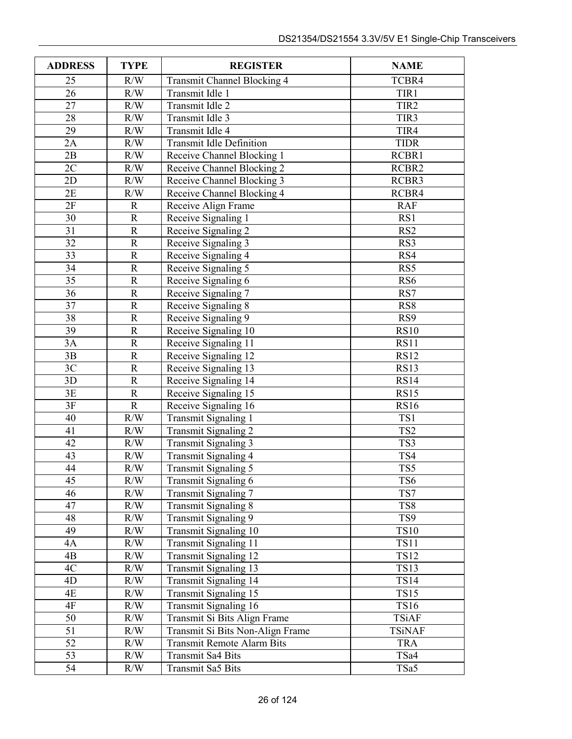| <b>ADDRESS</b>  | <b>TYPE</b>             | <b>REGISTER</b>                   | <b>NAME</b>     |
|-----------------|-------------------------|-----------------------------------|-----------------|
| 25              | R/W                     | Transmit Channel Blocking 4       | TCBR4           |
| 26              | R/W                     | Transmit Idle 1                   | TIR1            |
| 27              | R/W                     | Transmit Idle 2                   | TIR2            |
| 28              | R/W                     | Transmit Idle 3                   | TIR3            |
| 29              | R/W                     | Transmit Idle 4                   | TIR4            |
| 2A              | R/W                     | <b>Transmit Idle Definition</b>   | <b>TIDR</b>     |
| 2B              | R/W                     | Receive Channel Blocking 1        | RCBR1           |
| 2C              | R/W                     | Receive Channel Blocking 2        | RCBR2           |
| 2D              | R/W                     | Receive Channel Blocking 3        | RCBR3           |
| 2E              | R/W                     | Receive Channel Blocking 4        | RCBR4           |
| 2F              | $\mathbf R$             | Receive Align Frame               | <b>RAF</b>      |
| 30              | $\mathbf R$             | Receive Signaling 1               | RS1             |
| 31              | ${\bf R}$               | Receive Signaling 2               | RS <sub>2</sub> |
| 32              | ${\bf R}$               | Receive Signaling 3               | RS3             |
| $\overline{33}$ | $\mathbf R$             | Receive Signaling 4               | RS4             |
| 34              | $\mathbf R$             | Receive Signaling 5               | RS5             |
| $\overline{35}$ | ${\bf R}$               | Receive Signaling 6               | RS <sub>6</sub> |
| 36              | $\overline{\mathrm{R}}$ | Receive Signaling 7               | RS7             |
| 37              | $\mathbf R$             | Receive Signaling 8               | RS8             |
| 38              | ${\bf R}$               | Receive Signaling 9               | RS9             |
| 39              | ${\bf R}$               | Receive Signaling 10              | <b>RS10</b>     |
| $\overline{3A}$ | $\overline{\mathbf{R}}$ | Receive Signaling 11              | <b>RS11</b>     |
| 3B              | $\mathbf R$             | Receive Signaling 12              | <b>RS12</b>     |
| $\overline{3C}$ | ${\bf R}$               | Receive Signaling 13              | <b>RS13</b>     |
| 3D              | $\mathbf R$             | Receive Signaling 14              | <b>RS14</b>     |
| 3E              | $\mathbf R$             | Receive Signaling 15              | <b>RS15</b>     |
| 3F              | ${\bf R}$               | Receive Signaling 16              | <b>RS16</b>     |
| 40              | R/W                     | <b>Transmit Signaling 1</b>       | TS1             |
| 41              | R/W                     | Transmit Signaling 2              | TS <sub>2</sub> |
| 42              | R/W                     | Transmit Signaling 3              | TS3             |
| 43              | R/W                     | Transmit Signaling 4              | TS4             |
| 44              | R/W                     | <b>Transmit Signaling 5</b>       | TS5             |
| 45              | R/W                     | Transmit Signaling 6              | TS6             |
| 46              | R/W                     | Transmit Signaling 7              | TS7             |
| 47              | R/W                     | <b>Transmit Signaling 8</b>       | TS8             |
| 48              | R/W                     | Transmit Signaling 9              | TS9             |
| 49              | R/W                     | Transmit Signaling 10             | <b>TS10</b>     |
| 4A              | R/W                     | <b>Transmit Signaling 11</b>      | <b>TS11</b>     |
| 4B              | R/W                     | Transmit Signaling 12             | <b>TS12</b>     |
| 4C              | R/W                     | Transmit Signaling 13             | <b>TS13</b>     |
| 4D              | R/W                     | <b>Transmit Signaling 14</b>      | <b>TS14</b>     |
| 4E              | R/W                     | Transmit Signaling 15             | <b>TS15</b>     |
| 4F              | R/W                     | Transmit Signaling 16             | <b>TS16</b>     |
| 50              | R/W                     | Transmit Si Bits Align Frame      | <b>TSiAF</b>    |
| 51              | R/W                     | Transmit Si Bits Non-Align Frame  | <b>TSiNAF</b>   |
| 52              | R/W                     | <b>Transmit Remote Alarm Bits</b> | <b>TRA</b>      |
| 53              | R/W                     | Transmit Sa4 Bits                 | TSa4            |
| 54              | R/W                     | Transmit Sa5 Bits                 | TSa5            |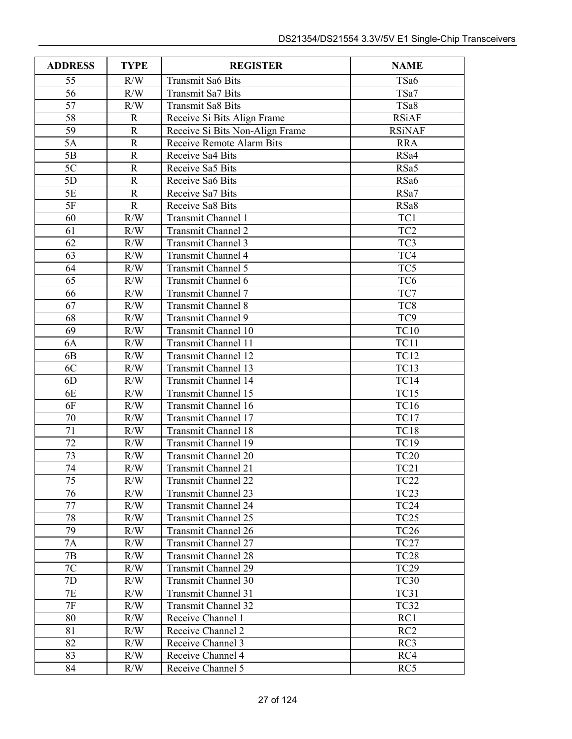| <b>ADDRESS</b>  | <b>TYPE</b>    | <b>REGISTER</b>                 | <b>NAME</b>      |
|-----------------|----------------|---------------------------------|------------------|
| 55              | R/W            | <b>Transmit Sa6 Bits</b>        | TSa6             |
| 56              | R/W            | <b>Transmit Sa7 Bits</b>        | TSa7             |
| 57              | R/W            | <b>Transmit Sa8 Bits</b>        | TSa8             |
| 58              | $\mathbf R$    | Receive Si Bits Align Frame     | <b>RSiAF</b>     |
| $\overline{59}$ | $\overline{R}$ | Receive Si Bits Non-Align Frame | <b>RSiNAF</b>    |
| 5A              | $\mathbf R$    | Receive Remote Alarm Bits       | <b>RRA</b>       |
| 5B              | $\mathbf R$    | Receive Sa4 Bits                | RSa4             |
| 5C              | $\mathbf R$    | Receive Sa5 Bits                | RSa5             |
| 5D              | $\overline{R}$ | Receive Sa6 Bits                | RSa6             |
| 5E              | ${\bf R}$      | Receive Sa7 Bits                | RSa7             |
| 5F              | ${\bf R}$      | Receive Sa8 Bits                | RSa8             |
| 60              | R/W            | <b>Transmit Channel 1</b>       | TC1              |
| 61              | R/W            | <b>Transmit Channel 2</b>       | TC <sub>2</sub>  |
| 62              | R/W            | <b>Transmit Channel 3</b>       | TC3              |
| 63              | R/W            | <b>Transmit Channel 4</b>       | TC4              |
| 64              | R/W            | Transmit Channel 5              | TC5              |
| 65              | R/W            | Transmit Channel 6              | TC <sub>6</sub>  |
| 66              | R/W            | Transmit Channel 7              | TC7              |
| 67              | R/W            | <b>Transmit Channel 8</b>       | TC8              |
| 68              | R/W            | Transmit Channel 9              | TC <sub>9</sub>  |
| 69              | R/W            | <b>Transmit Channel 10</b>      | <b>TC10</b>      |
| 6A              | R/W            | <b>Transmit Channel 11</b>      | <b>TC11</b>      |
| 6 <sub>B</sub>  | R/W            | <b>Transmit Channel 12</b>      | <b>TC12</b>      |
| 6C              | R/W            | <b>Transmit Channel 13</b>      | TC13             |
| 6 <sub>D</sub>  | R/W            | <b>Transmit Channel 14</b>      | <b>TC14</b>      |
| 6E              | R/W            | Transmit Channel 15             | <b>TC15</b>      |
| 6F              | R/W            | Transmit Channel 16             | <b>TC16</b>      |
| 70              | R/W            | Transmit Channel 17             | <b>TC17</b>      |
| 71              | R/W            | <b>Transmit Channel 18</b>      | <b>TC18</b>      |
| 72              | R/W            | <b>Transmit Channel 19</b>      | <b>TC19</b>      |
| $\overline{73}$ | R/W            | <b>Transmit Channel 20</b>      | <b>TC20</b>      |
| 74              | R/W            | <b>Transmit Channel 21</b>      | <b>TC21</b>      |
| 75              | R/W            | <b>Transmit Channel 22</b>      | <b>TC22</b>      |
| 76              | R/W            | <b>Transmit Channel 23</b>      | TC <sub>23</sub> |
| 77              | R/W            | <b>Transmit Channel 24</b>      | TC <sub>24</sub> |
| 78              | R/W            | <b>Transmit Channel 25</b>      | TC <sub>25</sub> |
| 79              | R/W            | <b>Transmit Channel 26</b>      | <b>TC26</b>      |
| 7A              | R/W            | <b>Transmit Channel 27</b>      | TC <sub>27</sub> |
| 7B              | R/W            | <b>Transmit Channel 28</b>      | <b>TC28</b>      |
| 7C              | R/W            | <b>Transmit Channel 29</b>      | TC <sub>29</sub> |
| 7D              | R/W            | Transmit Channel 30             | TC30             |
| 7E              | R/W            | <b>Transmit Channel 31</b>      | TC31             |
| 7F              | R/W            | <b>Transmit Channel 32</b>      | TC32             |
| 80              | R/W            | Receive Channel 1               | RC1              |
| 81              | R/W            | Receive Channel 2               | RC2              |
| 82              | R/W            | Receive Channel 3               | RC3              |
| 83              | R/W            | Receive Channel 4               | RC4              |
| 84              | R/W            | Receive Channel 5               | RC5              |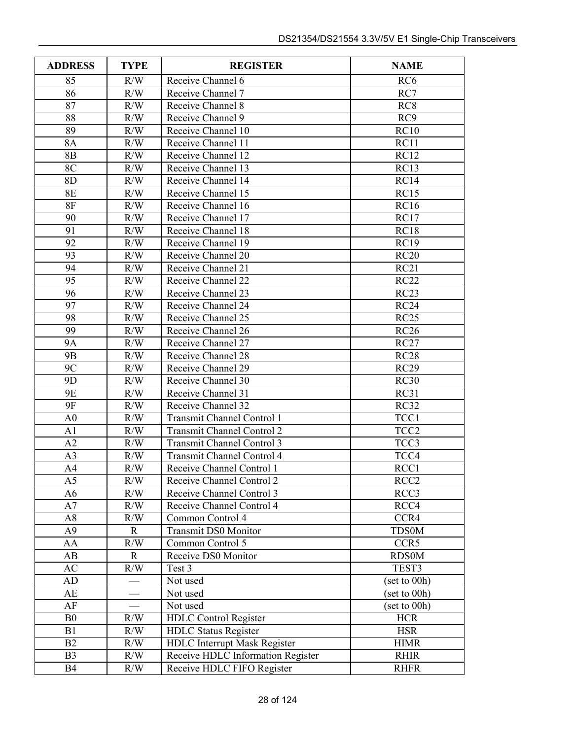| <b>ADDRESS</b>  | <b>TYPE</b> | <b>REGISTER</b><br><b>NAME</b>    |                  |
|-----------------|-------------|-----------------------------------|------------------|
| 85              | R/W         | Receive Channel 6                 | RC <sub>6</sub>  |
| 86              | R/W         | Receive Channel 7                 | RC7              |
| 87              | R/W         | Receive Channel 8                 | RC8              |
| 88              | R/W         | Receive Channel 9                 | RC9              |
| 89              | R/W         | Receive Channel 10                | <b>RC10</b>      |
| <b>8A</b>       | R/W         | Receive Channel 11                | RC11             |
| 8B              | R/W         | Receive Channel 12                | <b>RC12</b>      |
| 8C              | R/W         | Receive Channel 13                | RC13             |
| 8D              | R/W         | Receive Channel 14                | <b>RC14</b>      |
| <b>8E</b>       | R/W         | Receive Channel 15                | <b>RC15</b>      |
| <b>8F</b>       | R/W         | Receive Channel 16                | <b>RC16</b>      |
| 90              | R/W         | Receive Channel 17                | <b>RC17</b>      |
| 91              | R/W         | Receive Channel 18                | <b>RC18</b>      |
| 92              | R/W         | Receive Channel 19                | <b>RC19</b>      |
| 93              | R/W         | Receive Channel 20                | <b>RC20</b>      |
| 94              | R/W         | Receive Channel 21                | RC21             |
| $\overline{95}$ | R/W         | Receive Channel 22                | RC22             |
| 96              | R/W         | Receive Channel 23                | RC23             |
| 97              | R/W         | Receive Channel 24                | <b>RC24</b>      |
| 98              | R/W         | Receive Channel 25                | RC25             |
| 99              | R/W         | Receive Channel 26                | <b>RC26</b>      |
| <b>9A</b>       | R/W         | Receive Channel 27                | RC27             |
| 9 <sub>B</sub>  | R/W         | Receive Channel 28                | <b>RC28</b>      |
| 9C              | R/W         | Receive Channel 29                | <b>RC29</b>      |
| 9 <sub>D</sub>  | R/W         | Receive Channel 30                | <b>RC30</b>      |
| 9E              | R/W         | Receive Channel 31                | RC31             |
| 9F              | R/W         | Receive Channel 32                | RC32             |
| A <sub>0</sub>  | R/W         | Transmit Channel Control 1        | TCC1             |
| A1              | R/W         | <b>Transmit Channel Control 2</b> | TCC <sub>2</sub> |
| A2              | R/W         | <b>Transmit Channel Control 3</b> | TCC3             |
| A <sub>3</sub>  | R/W         | Transmit Channel Control 4        | TCC4             |
| A4              | R/W         | Receive Channel Control 1         | RCC1             |
| A <sub>5</sub>  | R/W         | Receive Channel Control 2         | RCC <sub>2</sub> |
| A6              | R/W         | Receive Channel Control 3         | RCC3             |
| A7              | R/W         | Receive Channel Control 4         | RCC4             |
| A8              | R/W         | Common Control 4                  | CCR4             |
| A <sub>9</sub>  | $\mathbf R$ | Transmit DS0 Monitor              | <b>TDS0M</b>     |
| AA              | R/W         | Common Control 5                  | CCR5             |
| AB              | $\mathbf R$ | Receive DS0 Monitor               | <b>RDS0M</b>     |
| AC              | R/W         | Test 3                            | TEST3            |
| AD              |             | Not used                          | (set to 00h)     |
| AE              |             | Not used                          | (set to 00h)     |
| AF              |             | Not used                          | (set to 00h)     |
| B <sub>0</sub>  | R/W         | <b>HDLC</b> Control Register      | <b>HCR</b>       |
| B1              | R/W         | <b>HDLC</b> Status Register       | <b>HSR</b>       |
| B2              | R/W         | HDLC Interrupt Mask Register      | <b>HIMR</b>      |
| B <sub>3</sub>  | $\rm R/W$   | Receive HDLC Information Register | <b>RHIR</b>      |
| <b>B4</b>       | R/W         | Receive HDLC FIFO Register        | <b>RHFR</b>      |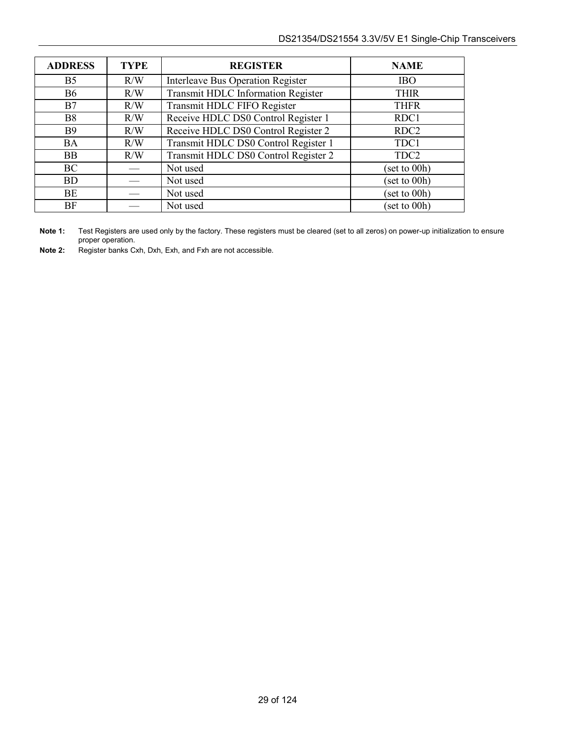| <b>ADDRESS</b> | <b>TYPE</b> | <b>REGISTER</b>                           | <b>NAME</b>      |
|----------------|-------------|-------------------------------------------|------------------|
| B <sub>5</sub> | R/W         | <b>Interleave Bus Operation Register</b>  | <b>IBO</b>       |
| <b>B6</b>      | R/W         | <b>Transmit HDLC Information Register</b> | <b>THIR</b>      |
| B7             | R/W         | Transmit HDLC FIFO Register               | <b>THFR</b>      |
| <b>B8</b>      | R/W         | Receive HDLC DS0 Control Register 1       | RDC1             |
| <b>B9</b>      | R/W         | Receive HDLC DS0 Control Register 2       | RDC <sub>2</sub> |
| <b>BA</b>      | R/W         | Transmit HDLC DS0 Control Register 1      | TDC1             |
| <b>BB</b>      | R/W         | Transmit HDLC DS0 Control Register 2      | TDC <sub>2</sub> |
| <b>BC</b>      |             | Not used                                  | (set to 00h)     |
| <b>BD</b>      |             | Not used                                  | (set to 00h)     |
| BE             |             | Not used                                  | (set to 00h)     |
| BF             |             | Not used                                  | (set to 00h)     |

Note 1: Test Registers are used only by the factory. These registers must be cleared (set to all zeros) on power-up initialization to ensure proper operation.

**Note 2:** Register banks Cxh, Dxh, Exh, and Fxh are not accessible.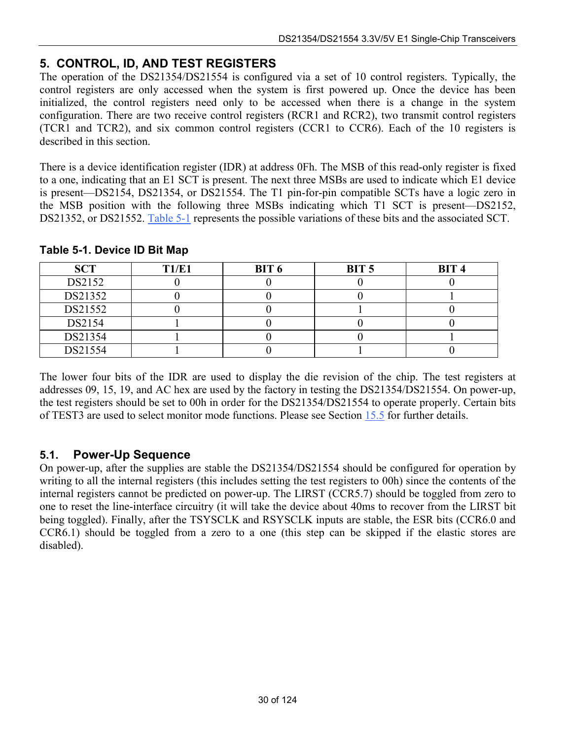# <span id="page-29-0"></span>**5. CONTROL, ID, AND TEST REGISTERS**

The operation of the DS21354/DS21554 is configured via a set of 10 control registers. Typically, the control registers are only accessed when the system is first powered up. Once the device has been initialized, the control registers need only to be accessed when there is a change in the system configuration. There are two receive control registers (RCR1 and RCR2), two transmit control registers (TCR1 and TCR2), and six common control registers (CCR1 to CCR6). Each of the 10 registers is described in this section.

There is a device identification register (IDR) at address 0Fh. The MSB of this read-only register is fixed to a one, indicating that an E1 SCT is present. The next three MSBs are used to indicate which E1 device is present—DS2154, DS21354, or DS21554. The T1 pin-for-pin compatible SCTs have a logic zero in the MSB position with the following three MSBs indicating which  $T1$  SCT is present—DS2152, DS21352, or DS21552. [Table 5-1](#page-29-2) represents the possible variations of these bits and the associated SCT.

| <b>SCT</b> | <b>T1/E1</b> | BIT <sub>6</sub> | BIT <sub>5</sub> | BIT <sub>4</sub> |
|------------|--------------|------------------|------------------|------------------|
| DS2152     |              |                  |                  |                  |
| DS21352    |              |                  |                  |                  |
| DS21552    |              |                  |                  |                  |
| DS2154     |              |                  |                  |                  |
| DS21354    |              |                  |                  |                  |
| DS21554    |              |                  |                  |                  |

### <span id="page-29-2"></span>**Table 5-1. Device ID Bit Map**

The lower four bits of the IDR are used to display the die revision of the chip. The test registers at addresses 09, 15, 19, and AC hex are used by the factory in testing the DS21354/DS21554. On power-up, the test registers should be set to 00h in order for the DS21354/DS21554 to operate properly. Certain bits of TEST3 are used to select monitor mode functions. Please see Section [15.5](#page-88-0) for further details.

# <span id="page-29-1"></span>**5.1. Power-Up Sequence**

On power-up, after the supplies are stable the DS21354/DS21554 should be configured for operation by writing to all the internal registers (this includes setting the test registers to 00h) since the contents of the internal registers cannot be predicted on power-up. The LIRST (CCR5.7) should be toggled from zero to one to reset the line-interface circuitry (it will take the device about 40ms to recover from the LIRST bit being toggled). Finally, after the TSYSCLK and RSYSCLK inputs are stable, the ESR bits (CCR6.0 and CCR6.1) should be toggled from a zero to a one (this step can be skipped if the elastic stores are disabled).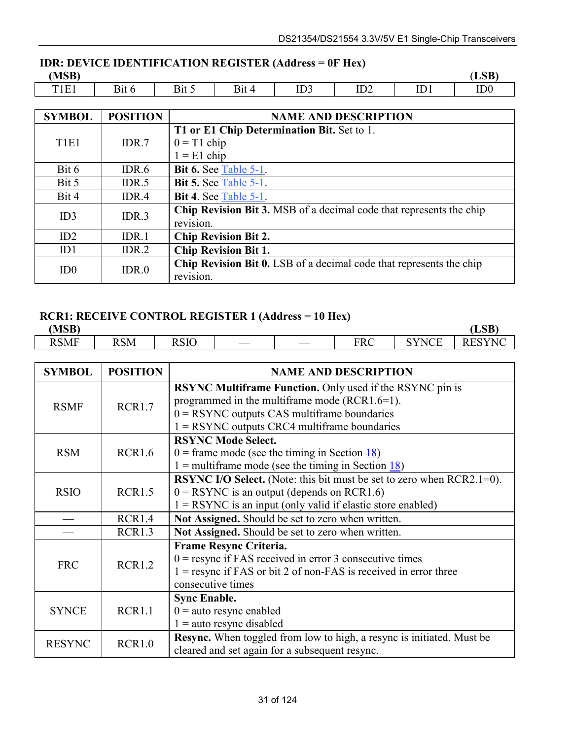## **IDR: DEVICE IDENTIFICATION REGISTER (Address = 0F Hex)**

**(MSB)** (**LSB)**

T1E1 | Bit 6 | Bit 5 | Bit 4 | ID3 | ID2 | ID1 | ID0

| <b>SYMBOL</b>                 | <b>POSITION</b> | <b>NAME AND DESCRIPTION</b>                                                |
|-------------------------------|-----------------|----------------------------------------------------------------------------|
|                               |                 | T1 or E1 Chip Determination Bit. Set to 1.                                 |
| T <sub>1</sub> E <sub>1</sub> | IDR.7           | $0 = T1$ chip                                                              |
|                               |                 | $1 = E1$ chip                                                              |
| Bit 6                         | IDR.6           | Bit 6. See Table 5-1.                                                      |
| Bit 5                         | IDR.5           | Bit 5. See Table 5-1.                                                      |
| Bit 4                         | IDR.4           | Bit 4. See Table 5-1.                                                      |
| ID3                           | IDR.3           | <b>Chip Revision Bit 3.</b> MSB of a decimal code that represents the chip |
|                               |                 | revision.                                                                  |
| ID2                           | IDR.1           | <b>Chip Revision Bit 2.</b>                                                |
| ID1                           | IDR.2           | <b>Chip Revision Bit 1.</b>                                                |
| ID <sub>0</sub>               | IDR.0           | <b>Chip Revision Bit 0.</b> LSB of a decimal code that represents the chip |
|                               |                 | revision.                                                                  |

## **RCR1: RECEIVE CONTROL REGISTER 1 (Address = 10 Hex)**

| (MSB)       |            |             |                          |            |                        | <b>LSB</b>               |
|-------------|------------|-------------|--------------------------|------------|------------------------|--------------------------|
| <b>RSMF</b> | <b>RSM</b> | <b>RSIO</b> | $\overline{\phantom{a}}$ | <b>FRC</b> | YNCE <sup></sup><br>ΠT | 7NC<br>$\sim$<br>у н<br> |

| <b>SYMBOL</b> | <b>POSITION</b> | <b>NAME AND DESCRIPTION</b>                                                  |
|---------------|-----------------|------------------------------------------------------------------------------|
|               |                 | <b>RSYNC Multiframe Function.</b> Only used if the RSYNC pin is              |
| <b>RSMF</b>   | RCR1.7          | programmed in the multiframe mode (RCR1.6=1).                                |
|               |                 | $0 =$ RSYNC outputs CAS multiframe boundaries                                |
|               |                 | $1 =$ RSYNC outputs CRC4 multiframe boundaries                               |
|               |                 | <b>RSYNC Mode Select.</b>                                                    |
| <b>RSM</b>    | RCR1.6          | $0 =$ frame mode (see the timing in Section 18)                              |
|               |                 | 1 = multiframe mode (see the timing in Section $\frac{18}{2}$ )              |
|               |                 | <b>RSYNC I/O Select.</b> (Note: this bit must be set to zero when RCR2.1=0). |
| <b>RSIO</b>   | RCR1.5          | $0 = RSYNC$ is an output (depends on RCR1.6)                                 |
|               |                 | $1 = RSYNC$ is an input (only valid if elastic store enabled)                |
|               | RCR1.4          | Not Assigned. Should be set to zero when written.                            |
|               | RCR1.3          | Not Assigned. Should be set to zero when written.                            |
|               |                 | Frame Resync Criteria.                                                       |
| <b>FRC</b>    | RCR1.2          | $0 =$ resync if FAS received in error 3 consecutive times                    |
|               |                 | $1 =$ resync if FAS or bit 2 of non-FAS is received in error three           |
|               |                 | consecutive times                                                            |
|               |                 | <b>Sync Enable.</b>                                                          |
| <b>SYNCE</b>  | RCR1.1          | $0 =$ auto resync enabled                                                    |
|               |                 | $1 =$ auto resync disabled                                                   |
| <b>RESYNC</b> | RCR1.0          | Resync. When toggled from low to high, a resync is initiated. Must be        |
|               |                 | cleared and set again for a subsequent resync.                               |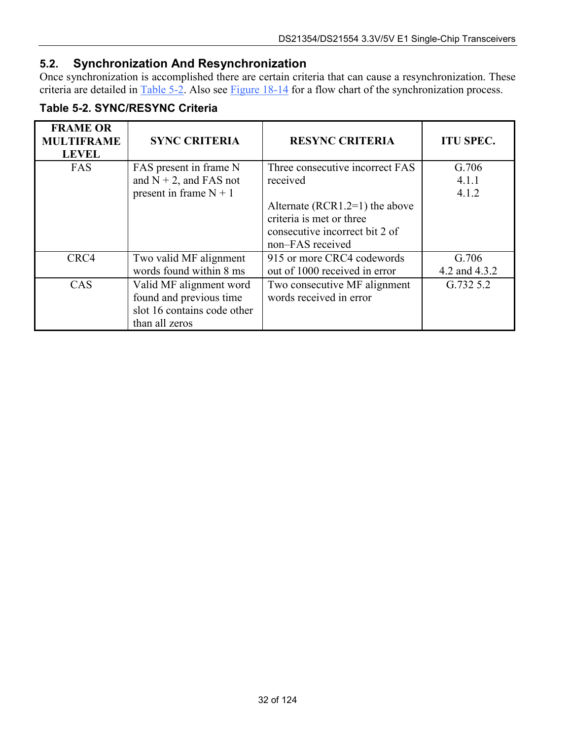# <span id="page-31-0"></span>**5.2. Synchronization And Resynchronization**

Once synchronization is accomplished there are certain criteria that can cause a resynchronization. These criteria are detailed in  $Table 5-2$ . Also see [Figure 18-14](#page-108-0) for a flow chart of the synchronization process.

| <b>FRAME OR</b><br><b>MULTIFRAME</b><br><b>LEVEL</b> | <b>SYNC CRITERIA</b>                                                                                | <b>RESYNC CRITERIA</b>                                                                                                                                              | <b>ITU SPEC.</b>        |
|------------------------------------------------------|-----------------------------------------------------------------------------------------------------|---------------------------------------------------------------------------------------------------------------------------------------------------------------------|-------------------------|
| FAS                                                  | FAS present in frame N<br>and $N + 2$ , and FAS not<br>present in frame $N + 1$                     | Three consecutive incorrect FAS<br>received<br>Alternate ( $RCR1.2=1$ ) the above<br>criteria is met or three<br>consecutive incorrect bit 2 of<br>non-FAS received | G.706<br>4.1.1<br>4.1.2 |
| CRC4                                                 | Two valid MF alignment<br>words found within 8 ms                                                   | 915 or more CRC4 codewords<br>out of 1000 received in error                                                                                                         | G.706<br>4.2 and 4.3.2  |
| <b>CAS</b>                                           | Valid MF alignment word<br>found and previous time<br>slot 16 contains code other<br>than all zeros | Two consecutive MF alignment<br>words received in error                                                                                                             | G.732 5.2               |

## <span id="page-31-1"></span>**Table 5-2. SYNC/RESYNC Criteria**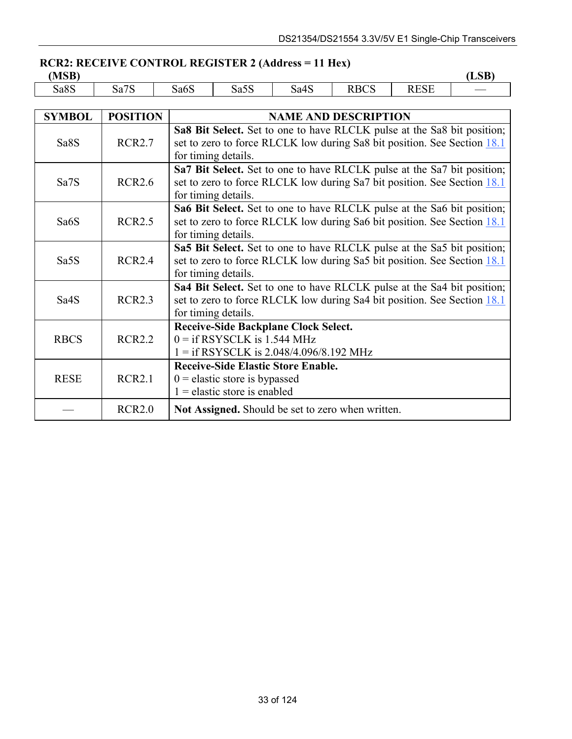# **RCR2: RECEIVE CONTROL REGISTER 2 (Address = 11 Hex)**

**(MSB) (LSB)** 

Sa8S | Sa7S | Sa6S | Sa5S | Sa4S | RBCS | RESE | —

| <b>SYMBOL</b>     | <b>POSITION</b> | <b>NAME AND DESCRIPTION</b>                                                                                                                                                |
|-------------------|-----------------|----------------------------------------------------------------------------------------------------------------------------------------------------------------------------|
| Sa8S              | RCR2.7          | Sa8 Bit Select. Set to one to have RLCLK pulse at the Sa8 bit position;<br>set to zero to force RLCLK low during Sa8 bit position. See Section 18.1<br>for timing details. |
| Sa <sub>7</sub> S | RCR2.6          | Sa7 Bit Select. Set to one to have RLCLK pulse at the Sa7 bit position;<br>set to zero to force RLCLK low during Sa7 bit position. See Section 18.1<br>for timing details. |
| Sa <sub>6</sub> S | <b>RCR2.5</b>   | Sa6 Bit Select. Set to one to have RLCLK pulse at the Sa6 bit position;<br>set to zero to force RLCLK low during Sa6 bit position. See Section 18.1<br>for timing details. |
| Sa <sub>5</sub> S | <b>RCR2.4</b>   | Sa5 Bit Select. Set to one to have RLCLK pulse at the Sa5 bit position;<br>set to zero to force RLCLK low during Sa5 bit position. See Section 18.1<br>for timing details. |
| Sa <sub>4</sub> S | RCR2.3          | Sa4 Bit Select. Set to one to have RLCLK pulse at the Sa4 bit position;<br>set to zero to force RLCLK low during Sa4 bit position. See Section 18.1<br>for timing details. |
| <b>RBCS</b>       | <b>RCR2.2</b>   | Receive-Side Backplane Clock Select.<br>$0 =$ if RSYSCLK is 1.544 MHz<br>$1 =$ if RSYSCLK is 2.048/4.096/8.192 MHz                                                         |
| <b>RESE</b>       | RCR2.1          | <b>Receive-Side Elastic Store Enable.</b><br>$0$ = elastic store is bypassed<br>$1$ = elastic store is enabled                                                             |
|                   | RCR2.0          | Not Assigned. Should be set to zero when written.                                                                                                                          |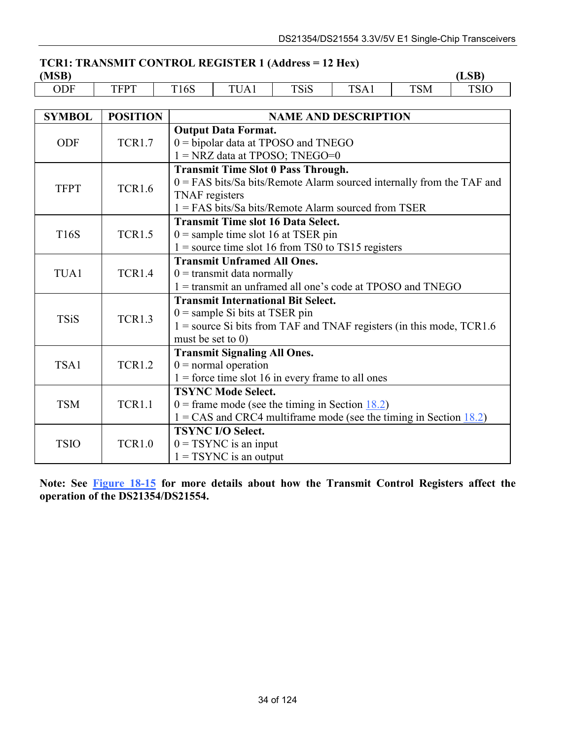|               | TCR1: TRANSMIT CONTROL REGISTER 1 (Address = 12 Hex) |                                       |                                     |                                                     |                                                                        |            |             |
|---------------|------------------------------------------------------|---------------------------------------|-------------------------------------|-----------------------------------------------------|------------------------------------------------------------------------|------------|-------------|
| (MSB)         |                                                      |                                       |                                     |                                                     |                                                                        |            | (LSB)       |
| <b>ODF</b>    | <b>TFPT</b>                                          | <b>T16S</b>                           | TUA1                                | <b>TSiS</b>                                         | TSA1                                                                   | <b>TSM</b> | <b>TSIO</b> |
|               |                                                      |                                       |                                     |                                                     |                                                                        |            |             |
| <b>SYMBOL</b> | <b>POSITION</b>                                      |                                       |                                     |                                                     | <b>NAME AND DESCRIPTION</b>                                            |            |             |
|               |                                                      |                                       | <b>Output Data Format.</b>          |                                                     |                                                                        |            |             |
| ODF           | <b>TCR1.7</b>                                        |                                       |                                     | $0 =$ bipolar data at TPOSO and TNEGO               |                                                                        |            |             |
|               |                                                      |                                       |                                     | $1 = NRZ$ data at TPOSO; TNEGO=0                    |                                                                        |            |             |
|               |                                                      |                                       |                                     | <b>Transmit Time Slot 0 Pass Through.</b>           |                                                                        |            |             |
| <b>TFPT</b>   | <b>TCR1.6</b>                                        |                                       |                                     |                                                     | 0 = FAS bits/Sa bits/Remote Alarm sourced internally from the TAF and  |            |             |
|               |                                                      | <b>TNAF</b> registers                 |                                     |                                                     |                                                                        |            |             |
|               |                                                      |                                       |                                     |                                                     | $1 = FAS$ bits/Sa bits/Remote Alarm sourced from TSER                  |            |             |
|               |                                                      |                                       |                                     | <b>Transmit Time slot 16 Data Select.</b>           |                                                                        |            |             |
| <b>T16S</b>   | <b>TCR1.5</b>                                        | $0 =$ sample time slot 16 at TSER pin |                                     |                                                     |                                                                        |            |             |
|               |                                                      |                                       |                                     |                                                     | $1 =$ source time slot 16 from TS0 to TS15 registers                   |            |             |
|               |                                                      |                                       | <b>Transmit Unframed All Ones.</b>  |                                                     |                                                                        |            |             |
| TUA1          | <b>TCR1.4</b>                                        |                                       | $0 =$ transmit data normally        |                                                     |                                                                        |            |             |
|               |                                                      |                                       |                                     |                                                     | $1 =$ transmit an unframed all one's code at TPOSO and TNEGO           |            |             |
|               |                                                      |                                       |                                     | <b>Transmit International Bit Select.</b>           |                                                                        |            |             |
| <b>TSiS</b>   | <b>TCR1.3</b>                                        |                                       | $0 =$ sample Si bits at TSER pin    |                                                     |                                                                        |            |             |
|               |                                                      |                                       |                                     |                                                     | $1 =$ source Si bits from TAF and TNAF registers (in this mode, TCR1.6 |            |             |
|               |                                                      | must be set to $0$ )                  |                                     |                                                     |                                                                        |            |             |
|               |                                                      |                                       | <b>Transmit Signaling All Ones.</b> |                                                     |                                                                        |            |             |
| TSA1          | <b>TCR1.2</b>                                        |                                       | $0 = normal operation$              |                                                     |                                                                        |            |             |
|               |                                                      |                                       |                                     | $1 =$ force time slot 16 in every frame to all ones |                                                                        |            |             |
| <b>TSM</b>    |                                                      |                                       | <b>TSYNC Mode Select.</b>           |                                                     |                                                                        |            |             |
|               | <b>TCR1.1</b>                                        |                                       |                                     | $0 =$ frame mode (see the timing in Section 18.2)   |                                                                        |            |             |
|               |                                                      |                                       |                                     |                                                     | $1 = CAS$ and CRC4 multiframe mode (see the timing in Section 18.2)    |            |             |
|               |                                                      |                                       | <b>TSYNC I/O Select.</b>            |                                                     |                                                                        |            |             |
| <b>TSIO</b>   | <b>TCR1.0</b>                                        |                                       | $0 = TSYNC$ is an input             |                                                     |                                                                        |            |             |
|               |                                                      |                                       | $1 = TSYNC$ is an output            |                                                     |                                                                        |            |             |

#### **Note: See [Figure 18-15](#page-109-0) for more details about how the Transmit Control Registers affect the operation of the DS21354/DS21554.**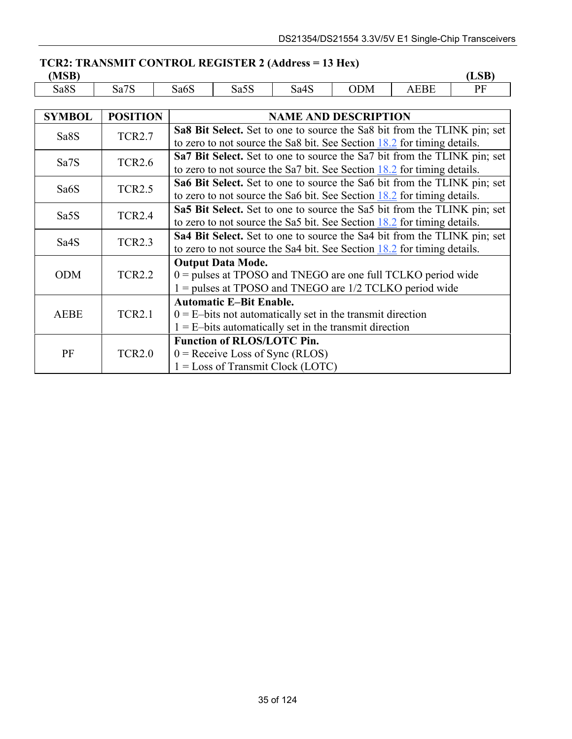# **TCR2: TRANSMIT CONTROL REGISTER 2 (Address = 13 Hex)**

**(MSB) (LSB)**  Sa8S Sa7S Sa6S Sa5S Sa4S ODM AEBE PF

| <b>SYMBOL</b>     | <b>POSITION</b>    | <b>NAME AND DESCRIPTION</b>                                               |
|-------------------|--------------------|---------------------------------------------------------------------------|
| Sa8S              | <b>TCR2.7</b>      | Sa8 Bit Select. Set to one to source the Sa8 bit from the TLINK pin; set  |
|                   |                    | to zero to not source the Sa8 bit. See Section $18.2$ for timing details. |
| Sa7S              | <b>TCR2.6</b>      | Sa7 Bit Select. Set to one to source the Sa7 bit from the TLINK pin; set  |
|                   |                    | to zero to not source the Sa7 bit. See Section $18.2$ for timing details. |
| Sa <sub>6</sub> S | <b>TCR2.5</b>      | Sa6 Bit Select. Set to one to source the Sa6 bit from the TLINK pin; set  |
|                   |                    | to zero to not source the Sa6 bit. See Section $18.2$ for timing details. |
| Sa <sub>5</sub> S | <b>TCR2.4</b>      | Sa5 Bit Select. Set to one to source the Sa5 bit from the TLINK pin; set  |
|                   |                    | to zero to not source the Sa5 bit. See Section $18.2$ for timing details. |
| Sa <sub>4</sub> S | TCR <sub>2.3</sub> | Sa4 Bit Select. Set to one to source the Sa4 bit from the TLINK pin; set  |
|                   |                    | to zero to not source the Sa4 bit. See Section $18.2$ for timing details. |
|                   |                    | <b>Output Data Mode.</b>                                                  |
| <b>ODM</b>        | <b>TCR2.2</b>      | $0 =$ pulses at TPOSO and TNEGO are one full TCLKO period wide            |
|                   |                    | $1 =$ pulses at TPOSO and TNEGO are $1/2$ TCLKO period wide               |
|                   |                    | <b>Automatic E-Bit Enable.</b>                                            |
| <b>AEBE</b>       | <b>TCR2.1</b>      | $0 = E$ -bits not automatically set in the transmit direction             |
|                   |                    | $1 = E$ -bits automatically set in the transmit direction                 |
|                   |                    | <b>Function of RLOS/LOTC Pin.</b>                                         |
| PF                | <b>TCR2.0</b>      | $0$ = Receive Loss of Sync (RLOS)                                         |
|                   |                    | $1 = Loss of Transmit Clock (LOTC)$                                       |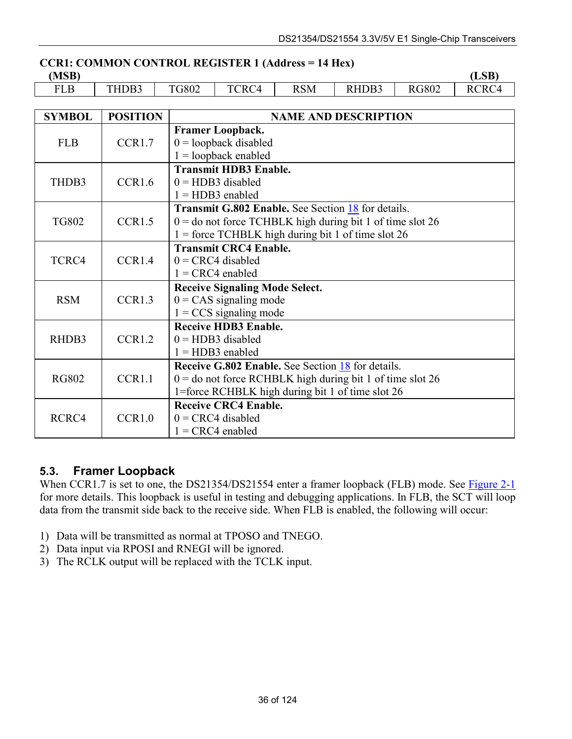### **CCR1: COMMON CONTROL REGISTER 1 (Address = 14 Hex)**

**(MSB) (LSB)**  FLB | THDB3 | TG802 | TCRC4 | RSM | RHDB3 | RG802 | RCRC4

| <b>SYMBOL</b> | <b>POSITION</b> | <b>NAME AND DESCRIPTION</b>                                 |
|---------------|-----------------|-------------------------------------------------------------|
|               |                 | <b>Framer Loopback.</b>                                     |
| <b>FLB</b>    | CCR1.7          | $0 =$ loopback disabled                                     |
|               |                 | $1 =$ loopback enabled                                      |
| THDB3         | CCR1.6          | <b>Transmit HDB3 Enable.</b>                                |
|               |                 | $0 = HDB3$ disabled                                         |
|               |                 | $1 = HDB3$ enabled                                          |
| <b>TG802</b>  | CCR1.5          | <b>Transmit G.802 Enable.</b> See Section 18 for details.   |
|               |                 | $0 =$ do not force TCHBLK high during bit 1 of time slot 26 |
|               |                 | $1 =$ force TCHBLK high during bit 1 of time slot 26        |
| TCRC4         | CCR1.4          | <b>Transmit CRC4 Enable.</b>                                |
|               |                 | $0 = CRC4$ disabled                                         |
|               |                 | $1 = CRC4$ enabled                                          |
| <b>RSM</b>    | CCR1.3          | <b>Receive Signaling Mode Select.</b>                       |
|               |                 | $0 = CAS$ signaling mode                                    |
|               |                 | $1 = CCS$ signaling mode                                    |
|               |                 | <b>Receive HDB3 Enable.</b>                                 |
| RHDB3         | CCR1.2          | $0 = HDB3$ disabled                                         |
|               |                 | $1 = HDB3$ enabled                                          |
| <b>RG802</b>  | CCR1.1          | Receive G.802 Enable. See Section 18 for details.           |
|               |                 | $0 =$ do not force RCHBLK high during bit 1 of time slot 26 |
|               |                 | 1=force RCHBLK high during bit 1 of time slot 26            |
| RCRC4         | CCR1.0          | <b>Receive CRC4 Enable.</b>                                 |
|               |                 | $0 = CRC4$ disabled                                         |
|               |                 | $1 = CRC4$ enabled                                          |

### <span id="page-35-0"></span>**5.3. Framer Loopback**

When CCR1.7 is set to one, the DS21354/DS21554 enter a framer loopback (FLB) mode. See [Figure 2-1](#page-8-1) for more details. This loopback is useful in testing and debugging applications. In FLB, the SCT will loop data from the transmit side back to the receive side. When FLB is enabled, the following will occur:

- 1) Data will be transmitted as normal at TPOSO and TNEGO.
- 2) Data input via RPOSI and RNEGI will be ignored.
- 3) The RCLK output will be replaced with the TCLK input.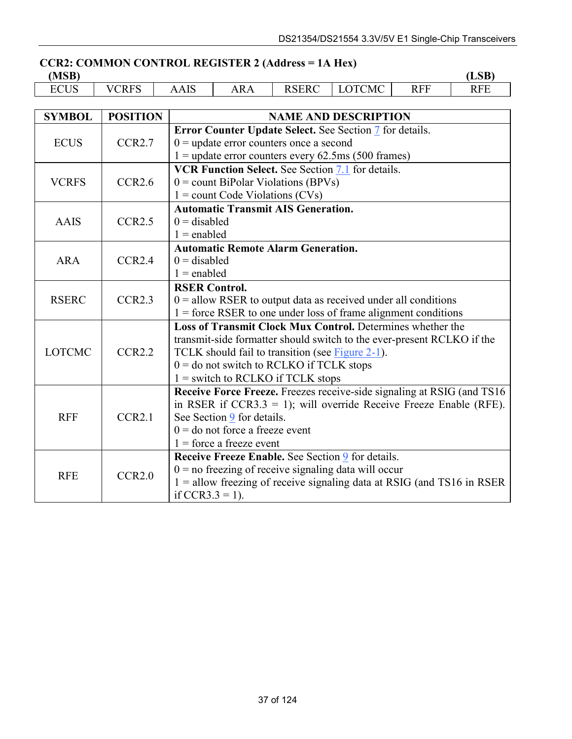# **CCR2: COMMON CONTROL REGISTER 2 (Address = 1A Hex)**

**(MSB) (LSB)**  ECUS VCRFS AAIS ARA RSERC LOTCMC RFF RFE

| <b>SYMBOL</b> | <b>POSITION</b>    | <b>NAME AND DESCRIPTION</b>                                               |
|---------------|--------------------|---------------------------------------------------------------------------|
|               |                    | <b>Error Counter Update Select. See Section 7 for details.</b>            |
| <b>ECUS</b>   | CCR2.7             | $0 =$ update error counters once a second                                 |
|               |                    | $1 =$ update error counters every 62.5ms (500 frames)                     |
|               |                    | <b>VCR Function Select.</b> See Section 7.1 for details.                  |
| <b>VCRFS</b>  | CCR2.6             | $0 =$ count BiPolar Violations (BPVs)                                     |
|               |                    | $1 =$ count Code Violations (CVs)                                         |
|               |                    | <b>Automatic Transmit AIS Generation.</b>                                 |
| <b>AAIS</b>   | CCR2.5             | $0 =$ disabled                                                            |
|               |                    | $1 =$ enabled                                                             |
|               |                    | <b>Automatic Remote Alarm Generation.</b>                                 |
| <b>ARA</b>    | CCR <sub>2.4</sub> | $0 =$ disabled                                                            |
|               |                    | $1 =$ enabled                                                             |
|               | CCR2.3             | <b>RSER Control.</b>                                                      |
| <b>RSERC</b>  |                    | $0 =$ allow RSER to output data as received under all conditions          |
|               |                    | $1 =$ force RSER to one under loss of frame alignment conditions          |
|               |                    | Loss of Transmit Clock Mux Control. Determines whether the                |
|               |                    | transmit-side formatter should switch to the ever-present RCLKO if the    |
| <b>LOTCMC</b> | CCR2.2             | TCLK should fail to transition (see Figure 2-1).                          |
|               |                    | $0 =$ do not switch to RCLKO if TCLK stops                                |
|               |                    | $1 =$ switch to RCLKO if TCLK stops                                       |
|               |                    | Receive Force Freeze. Freezes receive-side signaling at RSIG (and TS16    |
|               |                    | in RSER if $CCR3.3 = 1$ ); will override Receive Freeze Enable (RFE).     |
| <b>RFF</b>    | CCR2.1             | See Section 9 for details.                                                |
|               |                    | $0 =$ do not force a freeze event                                         |
|               |                    | $1 =$ force a freeze event                                                |
|               |                    | Receive Freeze Enable. See Section 9 for details.                         |
|               |                    | $0 =$ no freezing of receive signaling data will occur                    |
| <b>RFE</b>    | CCR2.0             | $1 =$ allow freezing of receive signaling data at RSIG (and TS16 in RSER) |
|               |                    | if CCR3.3 = 1).                                                           |
|               |                    |                                                                           |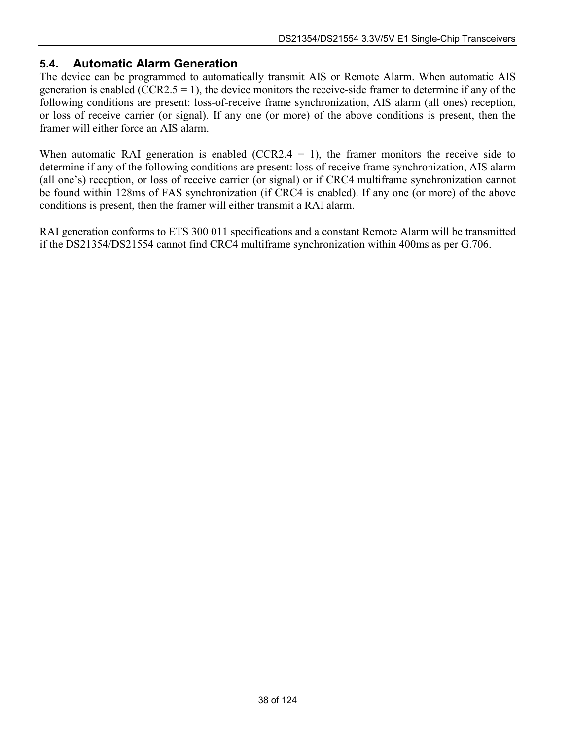#### **5.4. Automatic Alarm Generation**

The device can be programmed to automatically transmit AIS or Remote Alarm. When automatic AIS generation is enabled (CCR2.5 = 1), the device monitors the receive-side framer to determine if any of the following conditions are present: loss-of-receive frame synchronization, AIS alarm (all ones) reception, or loss of receive carrier (or signal). If any one (or more) of the above conditions is present, then the framer will either force an AIS alarm.

When automatic RAI generation is enabled  $(CCR2.4 = 1)$ , the framer monitors the receive side to determine if any of the following conditions are present: loss of receive frame synchronization, AIS alarm (all one's) reception, or loss of receive carrier (or signal) or if CRC4 multiframe synchronization cannot be found within 128ms of FAS synchronization (if CRC4 is enabled). If any one (or more) of the above conditions is present, then the framer will either transmit a RAI alarm.

RAI generation conforms to ETS 300 011 specifications and a constant Remote Alarm will be transmitted if the DS21354/DS21554 cannot find CRC4 multiframe synchronization within 400ms as per G.706.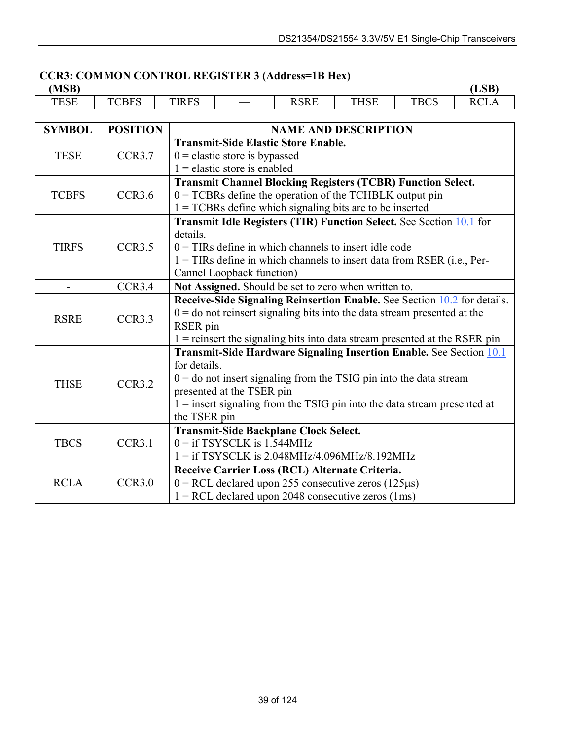# **CCR3: COMMON CONTROL REGISTER 3 (Address=1B Hex)**

**(MSB) (LSB)** 

TESE TCBFS TIRFS  $\vert$   $\vert$   $\vert$   $\vert$  RSRE THSE TBCS RCLA

| <b>SYMBOL</b> | <b>POSITION</b> | <b>NAME AND DESCRIPTION</b>                                                  |
|---------------|-----------------|------------------------------------------------------------------------------|
|               |                 | <b>Transmit-Side Elastic Store Enable.</b>                                   |
| <b>TESE</b>   | CCR3.7          | $0$ = elastic store is bypassed                                              |
|               |                 | $1 =$ elastic store is enabled                                               |
|               |                 | <b>Transmit Channel Blocking Registers (TCBR) Function Select.</b>           |
| <b>TCBFS</b>  | CCR3.6          | $0 = TCBRs$ define the operation of the TCHBLK output pin                    |
|               |                 | $1 = TCBRs$ define which signaling bits are to be inserted                   |
|               |                 | <b>Transmit Idle Registers (TIR) Function Select. See Section 10.1 for</b>   |
|               |                 | details.                                                                     |
| <b>TIRFS</b>  | CCR3.5          | $0 = TIRs$ define in which channels to insert idle code                      |
|               |                 | 1 = TIRs define in which channels to insert data from RSER (i.e., Per-       |
|               |                 | Cannel Loopback function)                                                    |
|               | CCR3.4          | Not Assigned. Should be set to zero when written to.                         |
|               | CCR3.3          | Receive-Side Signaling Reinsertion Enable. See Section 10.2 for details.     |
| <b>RSRE</b>   |                 | $0 =$ do not reinsert signaling bits into the data stream presented at the   |
|               |                 | RSER pin                                                                     |
|               |                 | $1$ = reinsert the signaling bits into data stream presented at the RSER pin |
|               |                 | Transmit-Side Hardware Signaling Insertion Enable. See Section 10.1          |
|               | CCR3.2          | for details.                                                                 |
| <b>THSE</b>   |                 | $0 =$ do not insert signaling from the TSIG pin into the data stream         |
|               |                 | presented at the TSER pin                                                    |
|               |                 | $1 =$ insert signaling from the TSIG pin into the data stream presented at   |
|               |                 | the TSER pin                                                                 |
|               |                 | Transmit-Side Backplane Clock Select.                                        |
| <b>TBCS</b>   | CCR3.1          | $0 = if TSYSCLK$ is 1.544MHz                                                 |
|               |                 | $1 = if TSYSCLK is 2.048 MHz/4.096 MHz/8.192 MHz$                            |
|               |                 | Receive Carrier Loss (RCL) Alternate Criteria.                               |
| <b>RCLA</b>   | CCR3.0          | $0 = RCL$ declared upon 255 consecutive zeros (125 $\mu$ s)                  |
|               |                 | $1 = RCL$ declared upon 2048 consecutive zeros (1ms)                         |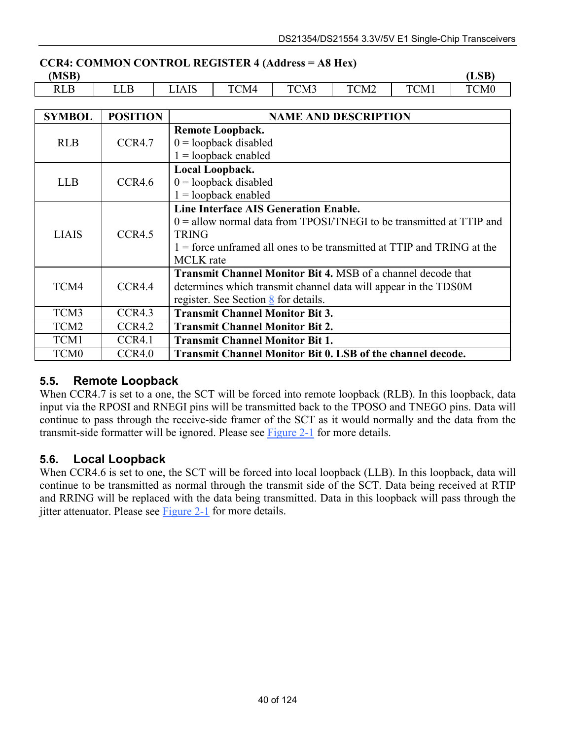#### **CCR4: COMMON CONTROL REGISTER 4 (Address = A8 Hex)**

**(MSB) (LSB)**  RLB | LLB | LIAIS | TCM4 | TCM3 | TCM2 | TCM1 | TCM0

| <b>SYMBOL</b> | <b>POSITION</b> | <b>NAME AND DESCRIPTION</b>                                            |
|---------------|-----------------|------------------------------------------------------------------------|
|               |                 | <b>Remote Loopback.</b>                                                |
| <b>RLB</b>    | CCR4.7          | $0 =$ loopback disabled                                                |
|               |                 | $1 =$ loopback enabled                                                 |
|               |                 | Local Loopback.                                                        |
| <b>LLB</b>    | CCR4.6          | $0 =$ loopback disabled                                                |
|               |                 | $1 =$ loopback enabled                                                 |
|               |                 | Line Interface AIS Generation Enable.                                  |
|               |                 | $0 =$ allow normal data from TPOSI/TNEGI to be transmitted at TTIP and |
| <b>LIAIS</b>  | CCR4.5          | <b>TRING</b>                                                           |
|               |                 | $=$ force unframed all ones to be transmitted at TTIP and TRING at the |

|                  |        | <b>MCLK</b> rate                                                    |
|------------------|--------|---------------------------------------------------------------------|
|                  | CCR4.4 | <b>Transmit Channel Monitor Bit 4. MSB of a channel decode that</b> |
| TCM4             |        | determines which transmit channel data will appear in the TDS0M     |
|                  |        | register. See Section 8 for details.                                |
| TCM3             | CCR4.3 | <b>Transmit Channel Monitor Bit 3.</b>                              |
| TCM <sub>2</sub> | CCR4.2 | <b>Transmit Channel Monitor Bit 2.</b>                              |
| TCM1             | CCR4.1 | <b>Transmit Channel Monitor Bit 1.</b>                              |
|                  |        |                                                                     |

#### TCM0 CCR4.0 Transmit Channel Monitor Bit 0. LSB of the channel decode.

#### **5.5. Remote Loopback**

When CCR4.7 is set to a one, the SCT will be forced into remote loopback (RLB). In this loopback, data input via the RPOSI and RNEGI pins will be transmitted back to the TPOSO and TNEGO pins. Data will continue to pass through the receive-side framer of the SCT as it would normally and the data from the transmit-side formatter will be ignored. Please see [Figure 2-1](#page-8-0) for more details.

#### **5.6. Local Loopback**

When CCR4.6 is set to one, the SCT will be forced into local loopback (LLB). In this loopback, data will continue to be transmitted as normal through the transmit side of the SCT. Data being received at RTIP and RRING will be replaced with the data being transmitted. Data in this loopback will pass through the jitter attenuator. Please see [Figure 2-1](#page-8-0) for more details.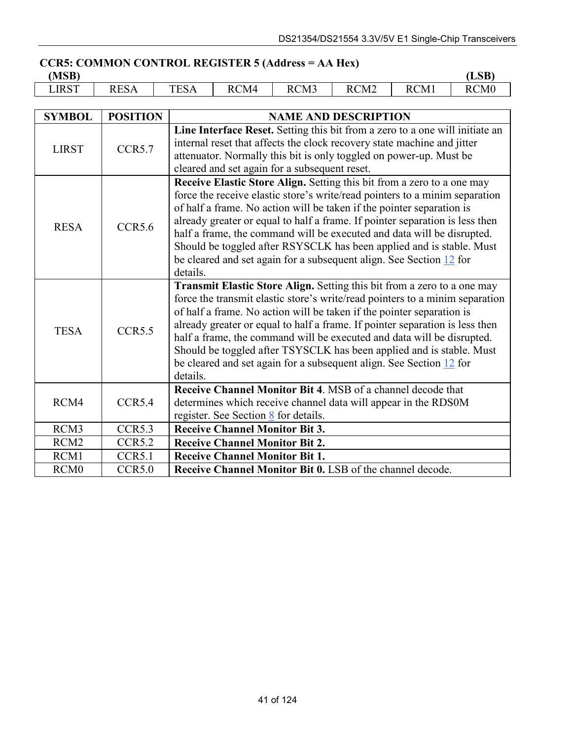# **CCR5: COMMON CONTROL REGISTER 5 (Address = AA Hex)**

| ,,<br>. . |
|-----------|
|-----------|

**(MSB) (LSB)**  LIRST | RESA | TESA | RCM4 | RCM3 | RCM2 | RCM1 | RCM0

| <b>SYMBOL</b>    | <b>POSITION</b> | <b>NAME AND DESCRIPTION</b>                                                                                                                                                                                                                                                                                                                                                                                                                                                                                                                           |
|------------------|-----------------|-------------------------------------------------------------------------------------------------------------------------------------------------------------------------------------------------------------------------------------------------------------------------------------------------------------------------------------------------------------------------------------------------------------------------------------------------------------------------------------------------------------------------------------------------------|
| <b>LIRST</b>     | CCR5.7          | Line Interface Reset. Setting this bit from a zero to a one will initiate an<br>internal reset that affects the clock recovery state machine and jitter<br>attenuator. Normally this bit is only toggled on power-up. Must be<br>cleared and set again for a subsequent reset.                                                                                                                                                                                                                                                                        |
| <b>RESA</b>      | CCR5.6          | Receive Elastic Store Align. Setting this bit from a zero to a one may<br>force the receive elastic store's write/read pointers to a minim separation<br>of half a frame. No action will be taken if the pointer separation is<br>already greater or equal to half a frame. If pointer separation is less then<br>half a frame, the command will be executed and data will be disrupted.<br>Should be toggled after RSYSCLK has been applied and is stable. Must<br>be cleared and set again for a subsequent align. See Section 12 for<br>details.   |
| <b>TESA</b>      | CCR5.5          | Transmit Elastic Store Align. Setting this bit from a zero to a one may<br>force the transmit elastic store's write/read pointers to a minim separation<br>of half a frame. No action will be taken if the pointer separation is<br>already greater or equal to half a frame. If pointer separation is less then<br>half a frame, the command will be executed and data will be disrupted.<br>Should be toggled after TSYSCLK has been applied and is stable. Must<br>be cleared and set again for a subsequent align. See Section 12 for<br>details. |
| RCM4             | CCR5.4          | <b>Receive Channel Monitor Bit 4. MSB of a channel decode that</b><br>determines which receive channel data will appear in the RDS0M<br>register. See Section $8$ for details.                                                                                                                                                                                                                                                                                                                                                                        |
| RCM3             | CCR5.3          | <b>Receive Channel Monitor Bit 3.</b>                                                                                                                                                                                                                                                                                                                                                                                                                                                                                                                 |
| RCM <sub>2</sub> | CCR5.2          | <b>Receive Channel Monitor Bit 2.</b>                                                                                                                                                                                                                                                                                                                                                                                                                                                                                                                 |
| RCM1             | CCR5.1          | <b>Receive Channel Monitor Bit 1.</b>                                                                                                                                                                                                                                                                                                                                                                                                                                                                                                                 |
| RCM <sub>0</sub> | CCR5.0          | Receive Channel Monitor Bit 0. LSB of the channel decode.                                                                                                                                                                                                                                                                                                                                                                                                                                                                                             |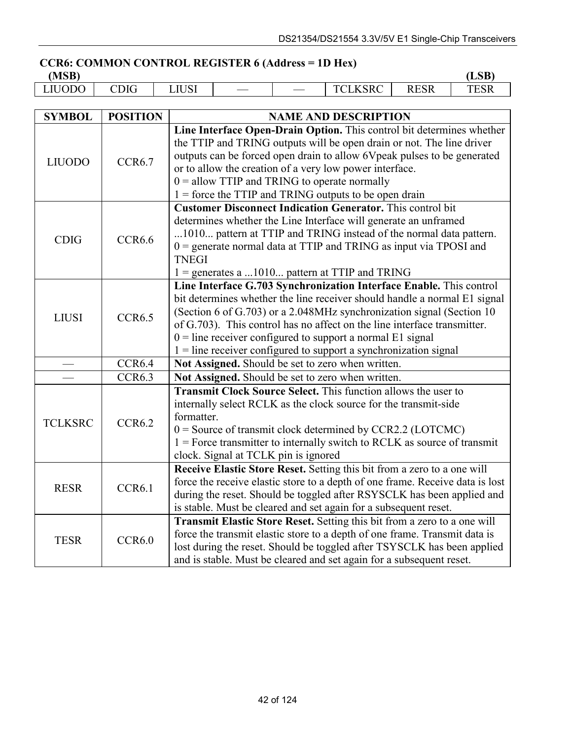## **CCR6: COMMON CONTROL REGISTER 6 (Address = 1D Hex)**

**(MSB) (LSB)**  LIUODO CDIG LIUSI – – TCLKSRC RESR TESR

| <b>SYMBOL</b>  | <b>POSITION</b>    | <b>NAME AND DESCRIPTION</b>                                                   |  |  |  |
|----------------|--------------------|-------------------------------------------------------------------------------|--|--|--|
|                |                    | Line Interface Open-Drain Option. This control bit determines whether         |  |  |  |
|                |                    | the TTIP and TRING outputs will be open drain or not. The line driver         |  |  |  |
| <b>LIUODO</b>  | CCR6.7             | outputs can be forced open drain to allow 6Vpeak pulses to be generated       |  |  |  |
|                |                    | or to allow the creation of a very low power interface.                       |  |  |  |
|                |                    | $0 =$ allow TTIP and TRING to operate normally                                |  |  |  |
|                |                    | $1 =$ force the TTIP and TRING outputs to be open drain                       |  |  |  |
|                |                    | <b>Customer Disconnect Indication Generator.</b> This control bit             |  |  |  |
|                |                    | determines whether the Line Interface will generate an unframed               |  |  |  |
| <b>CDIG</b>    | CCR <sub>6.6</sub> | 1010 pattern at TTIP and TRING instead of the normal data pattern.            |  |  |  |
|                |                    | $0 =$ generate normal data at TTIP and TRING as input via TPOSI and           |  |  |  |
|                |                    | <b>TNEGI</b>                                                                  |  |  |  |
|                |                    | $1 =$ generates a 1010 pattern at TTIP and TRING                              |  |  |  |
|                |                    | Line Interface G.703 Synchronization Interface Enable. This control           |  |  |  |
|                | CCR6.5             | bit determines whether the line receiver should handle a normal E1 signal     |  |  |  |
|                |                    | (Section 6 of G.703) or a 2.048MHz synchronization signal (Section 10)        |  |  |  |
| <b>LIUSI</b>   |                    | of G.703). This control has no affect on the line interface transmitter.      |  |  |  |
|                |                    | $0 =$ line receiver configured to support a normal E1 signal                  |  |  |  |
|                |                    | $1 =$ line receiver configured to support a synchronization signal            |  |  |  |
|                | CCR6.4             | Not Assigned. Should be set to zero when written.                             |  |  |  |
|                | CCR6.3             | Not Assigned. Should be set to zero when written.                             |  |  |  |
|                |                    | <b>Transmit Clock Source Select.</b> This function allows the user to         |  |  |  |
|                |                    | internally select RCLK as the clock source for the transmit-side              |  |  |  |
| <b>TCLKSRC</b> | CCR6.2             | formatter.                                                                    |  |  |  |
|                |                    | $0 =$ Source of transmit clock determined by CCR2.2 (LOTCMC)                  |  |  |  |
|                |                    | $1 =$ Force transmitter to internally switch to RCLK as source of transmit    |  |  |  |
|                |                    | clock. Signal at TCLK pin is ignored                                          |  |  |  |
|                |                    | Receive Elastic Store Reset. Setting this bit from a zero to a one will       |  |  |  |
| <b>RESR</b>    | CCR6.1             | force the receive elastic store to a depth of one frame. Receive data is lost |  |  |  |
|                |                    | during the reset. Should be toggled after RSYSCLK has been applied and        |  |  |  |
|                |                    | is stable. Must be cleared and set again for a subsequent reset.              |  |  |  |
|                |                    | Transmit Elastic Store Reset. Setting this bit from a zero to a one will      |  |  |  |
| <b>TESR</b>    | CCR6.0             | force the transmit elastic store to a depth of one frame. Transmit data is    |  |  |  |
|                |                    | lost during the reset. Should be toggled after TSYSCLK has been applied       |  |  |  |
|                |                    | and is stable. Must be cleared and set again for a subsequent reset.          |  |  |  |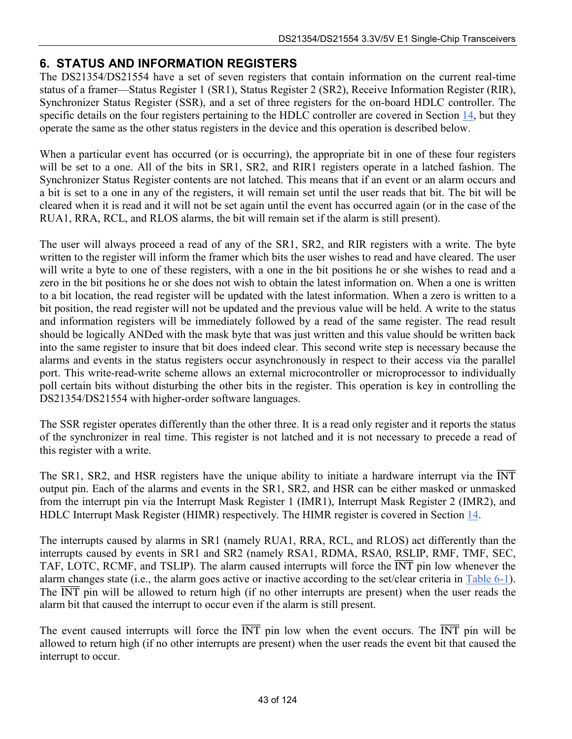# **6. STATUS AND INFORMATION REGISTERS**

The DS21354/DS21554 have a set of seven registers that contain information on the current real-time status of a framer—Status Register 1 (SR1), Status Register 2 (SR2), Receive Information Register (RIR), Synchronizer Status Register (SSR), and a set of three registers for the on-board HDLC controller. The specific details on the four registers pertaining to the HDLC controller are covered in Section [14,](#page-69-0) but they operate the same as the other status registers in the device and this operation is described below.

When a particular event has occurred (or is occurring), the appropriate bit in one of these four registers will be set to a one. All of the bits in SR1, SR2, and RIR1 registers operate in a latched fashion. The Synchronizer Status Register contents are not latched. This means that if an event or an alarm occurs and a bit is set to a one in any of the registers, it will remain set until the user reads that bit. The bit will be cleared when it is read and it will not be set again until the event has occurred again (or in the case of the RUA1, RRA, RCL, and RLOS alarms, the bit will remain set if the alarm is still present).

The user will always proceed a read of any of the SR1, SR2, and RIR registers with a write. The byte written to the register will inform the framer which bits the user wishes to read and have cleared. The user will write a byte to one of these registers, with a one in the bit positions he or she wishes to read and a zero in the bit positions he or she does not wish to obtain the latest information on. When a one is written to a bit location, the read register will be updated with the latest information. When a zero is written to a bit position, the read register will not be updated and the previous value will be held. A write to the status and information registers will be immediately followed by a read of the same register. The read result should be logically ANDed with the mask byte that was just written and this value should be written back into the same register to insure that bit does indeed clear. This second write step is necessary because the alarms and events in the status registers occur asynchronously in respect to their access via the parallel port. This write-read-write scheme allows an external microcontroller or microprocessor to individually poll certain bits without disturbing the other bits in the register. This operation is key in controlling the DS21354/DS21554 with higher-order software languages.

The SSR register operates differently than the other three. It is a read only register and it reports the status of the synchronizer in real time. This register is not latched and it is not necessary to precede a read of this register with a write.

The SR1, SR2, and HSR registers have the unique ability to initiate a hardware interrupt via the  $\overline{INT}$ output pin. Each of the alarms and events in the SR1, SR2, and HSR can be either masked or unmasked from the interrupt pin via the Interrupt Mask Register 1 (IMR1), Interrupt Mask Register 2 (IMR2), and HDLC Interrupt Mask Register (HIMR) respectively. The HIMR register is covered in Section [14.](#page-69-0)

The interrupts caused by alarms in SR1 (namely RUA1, RRA, RCL, and RLOS) act differently than the interrupts caused by events in SR1 and SR2 (namely RSA1, RDMA, RSA0, RSLIP, RMF, TMF, SEC, TAF, LOTC, RCMF, and TSLIP). The alarm caused interrupts will force the INT pin low whenever the alarm changes state (i.e., the alarm goes active or inactive according to the set/clear criteria in [Table 6-1\)](#page-45-0). The  $\overline{INT}$  pin will be allowed to return high (if no other interrupts are present) when the user reads the alarm bit that caused the interrupt to occur even if the alarm is still present.

The event caused interrupts will force the  $\overline{INT}$  pin low when the event occurs. The  $\overline{INT}$  pin will be allowed to return high (if no other interrupts are present) when the user reads the event bit that caused the interrupt to occur.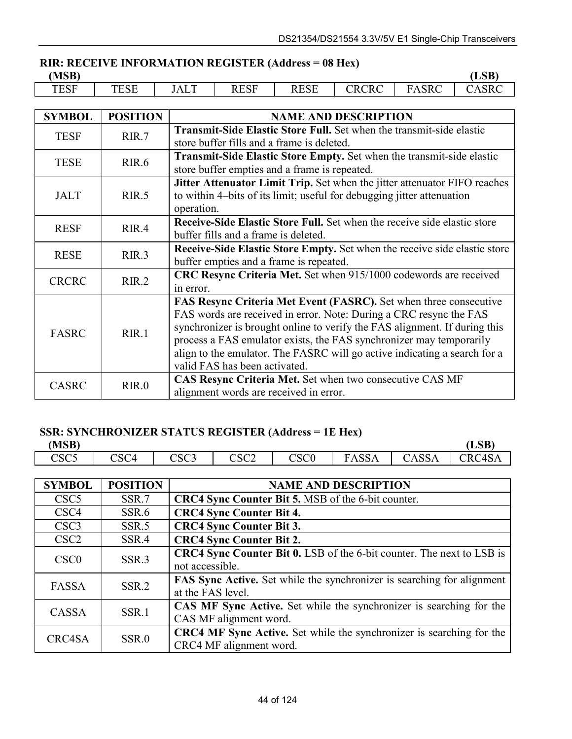# **RIR: RECEIVE INFORMATION REGISTER (Address = 08 Hex)**

| (MSB)                  |                    |                  |                                 |                                        |                                  | $\sigma$ and<br>שטש                      |                             |
|------------------------|--------------------|------------------|---------------------------------|----------------------------------------|----------------------------------|------------------------------------------|-----------------------------|
| <b>TESF</b><br>_______ | <b>TEAL</b><br>ESE | JAL <sub>1</sub> | $7^{\prime}$<br>KEDI<br>_______ | $\overline{\phantom{a}}$<br>DЕ<br>RESE | $\cap$ D $\cap$ D $\cap$<br>.UNC | $\Omega$<br>ISKC<br>$\ddot{\phantom{1}}$ | <b>ISRC</b><br>$\mathbf{A}$ |

| <b>SYMBOL</b> | <b>POSITION</b> | <b>NAME AND DESCRIPTION</b>                                                      |
|---------------|-----------------|----------------------------------------------------------------------------------|
| <b>TESF</b>   | RIR.7           | <b>Transmit-Side Elastic Store Full.</b> Set when the transmit-side elastic      |
|               |                 | store buffer fills and a frame is deleted.                                       |
| <b>TESE</b>   | RIR.6           | Transmit-Side Elastic Store Empty. Set when the transmit-side elastic            |
|               |                 | store buffer empties and a frame is repeated.                                    |
|               |                 | <b>Jitter Attenuator Limit Trip.</b> Set when the jitter attenuator FIFO reaches |
| <b>JALT</b>   | RIR.5           | to within 4–bits of its limit; useful for debugging jitter attenuation           |
|               |                 | operation.                                                                       |
| <b>RESF</b>   | RIR.4           | Receive-Side Elastic Store Full. Set when the receive side elastic store         |
|               |                 | buffer fills and a frame is deleted.                                             |
| <b>RESE</b>   | RIR.3           | Receive-Side Elastic Store Empty. Set when the receive side elastic store        |
|               |                 | buffer empties and a frame is repeated.                                          |
| <b>CRCRC</b>  | RIR.2           | CRC Resync Criteria Met. Set when 915/1000 codewords are received                |
|               |                 | in error.                                                                        |
|               |                 | FAS Resync Criteria Met Event (FASRC). Set when three consecutive                |
|               |                 | FAS words are received in error. Note: During a CRC resync the FAS               |
| <b>FASRC</b>  | RIR.1           | synchronizer is brought online to verify the FAS alignment. If during this       |
|               |                 | process a FAS emulator exists, the FAS synchronizer may temporarily              |
|               |                 | align to the emulator. The FASRC will go active indicating a search for a        |
|               |                 | valid FAS has been activated.                                                    |
| <b>CASRC</b>  | RIR.0           | <b>CAS Resync Criteria Met.</b> Set when two consecutive CAS MF                  |
|               |                 | alignment words are received in error.                                           |

## **SSR: SYNCHRONIZER STATUS REGISTER (Address = 1E Hex)**

| (MSB)        |                  |                |                |                |                       |             | $\cap$<br>T 2 D |
|--------------|------------------|----------------|----------------|----------------|-----------------------|-------------|-----------------|
| cccs<br>しつしつ | CSC <sub>4</sub> | $\sim$<br>しいしつ | $\sim$<br>しいしと | $\sim$<br>しいしい | $\cap$ $\cap$<br>ASSA | CC<br>`ASSA | CRC4SA          |
|              |                  |                |                |                |                       |             |                 |

| <b>SYMBOL</b>    | <b>POSITION</b>   | <b>NAME AND DESCRIPTION</b>                                                  |
|------------------|-------------------|------------------------------------------------------------------------------|
| CSC <sub>5</sub> | SSR.7             | <b>CRC4 Sync Counter Bit 5. MSB of the 6-bit counter.</b>                    |
| CSC <sub>4</sub> | SSR.6             | <b>CRC4 Sync Counter Bit 4.</b>                                              |
| CSC <sub>3</sub> | SSR.5             | <b>CRC4 Sync Counter Bit 3.</b>                                              |
| CSC <sub>2</sub> | SSR.4             | <b>CRC4 Sync Counter Bit 2.</b>                                              |
| CSC <sub>0</sub> | SSR <sub>3</sub>  | <b>CRC4 Sync Counter Bit 0.</b> LSB of the 6-bit counter. The next to LSB is |
|                  |                   | not accessible.                                                              |
| FASSA            | SSR <sub>2</sub>  | FAS Sync Active. Set while the synchronizer is searching for alignment       |
|                  |                   | at the FAS level.                                                            |
| CASSA            | SSR <sub>.1</sub> | CAS MF Sync Active. Set while the synchronizer is searching for the          |
|                  |                   | CAS MF alignment word.                                                       |
| CRC4SA           | SSR <sub>.0</sub> | CRC4 MF Sync Active. Set while the synchronizer is searching for the         |
|                  |                   | CRC4 MF alignment word.                                                      |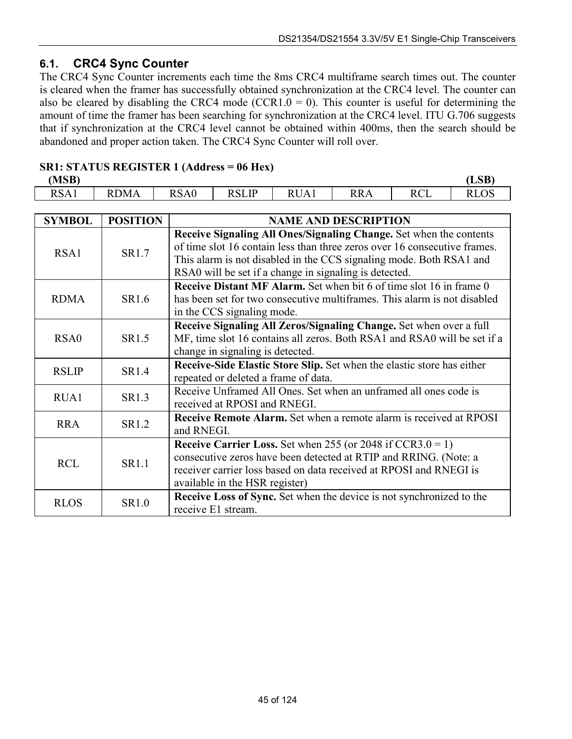# **6.1. CRC4 Sync Counter**

The CRC4 Sync Counter increments each time the 8ms CRC4 multiframe search times out. The counter is cleared when the framer has successfully obtained synchronization at the CRC4 level. The counter can also be cleared by disabling the CRC4 mode (CCR1.0 = 0). This counter is useful for determining the amount of time the framer has been searching for synchronization at the CRC4 level. ITU G.706 suggests that if synchronization at the CRC4 level cannot be obtained within 400ms, then the search should be abandoned and proper action taken. The CRC4 Sync Counter will roll over.

#### **SR1: STATUS REGISTER 1 (Address = 06 Hex)**

| (MSB)                                  |                 |                      |                                   |                                           |                                    |                          | (LSB)    |
|----------------------------------------|-----------------|----------------------|-----------------------------------|-------------------------------------------|------------------------------------|--------------------------|----------|
| $\mathbf{R}$ $\alpha$ $\alpha$<br>KSA1 | <b>DMA</b><br>к | <u>רא הד</u><br>RSAU | <b>TD</b><br>DCI<br><b>L'OLTI</b> | -- -<br>$^{\prime}$ $\overline{A_1}$<br>к | $\overline{R}$<br>ı,<br><b>NNA</b> | $\sim$<br>∽<br>к,<br>rce | $\cap$ c |

| <b>SYMBOL</b> | <b>POSITION</b> | <b>NAME AND DESCRIPTION</b>                                                                                                                                                                                                                      |
|---------------|-----------------|--------------------------------------------------------------------------------------------------------------------------------------------------------------------------------------------------------------------------------------------------|
| RSA1          | SR1.7           | Receive Signaling All Ones/Signaling Change. Set when the contents<br>of time slot 16 contain less than three zeros over 16 consecutive frames.                                                                                                  |
|               |                 | This alarm is not disabled in the CCS signaling mode. Both RSA1 and<br>RSA0 will be set if a change in signaling is detected.                                                                                                                    |
| <b>RDMA</b>   | SR1.6           | <b>Receive Distant MF Alarm.</b> Set when bit 6 of time slot 16 in frame 0<br>has been set for two consecutive multiframes. This alarm is not disabled<br>in the CCS signaling mode.                                                             |
| RSA0          | SR1.5           | Receive Signaling All Zeros/Signaling Change. Set when over a full<br>MF, time slot 16 contains all zeros. Both RSA1 and RSA0 will be set if a<br>change in signaling is detected.                                                               |
| <b>RSLIP</b>  | SR1.4           | Receive-Side Elastic Store Slip. Set when the elastic store has either<br>repeated or deleted a frame of data.                                                                                                                                   |
| RUA1          | SR1.3           | Receive Unframed All Ones. Set when an unframed all ones code is<br>received at RPOSI and RNEGI.                                                                                                                                                 |
| <b>RRA</b>    | SR1.2           | Receive Remote Alarm. Set when a remote alarm is received at RPOSI<br>and RNEGI.                                                                                                                                                                 |
| <b>RCL</b>    | SR1.1           | <b>Receive Carrier Loss.</b> Set when 255 (or 2048 if $CCR3.0 = 1$ )<br>consecutive zeros have been detected at RTIP and RRING. (Note: a<br>receiver carrier loss based on data received at RPOSI and RNEGI is<br>available in the HSR register) |
| <b>RLOS</b>   | <b>SR1.0</b>    | Receive Loss of Sync. Set when the device is not synchronized to the<br>receive E1 stream.                                                                                                                                                       |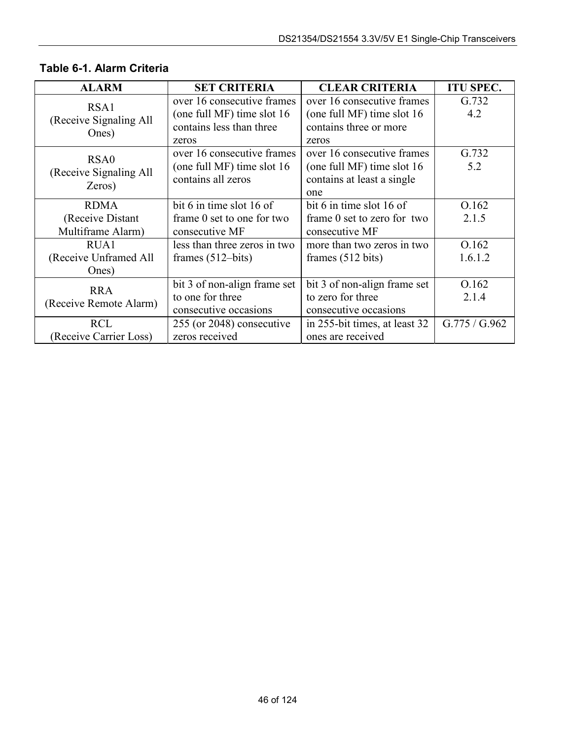| <b>ALARM</b>           | <b>SET CRITERIA</b>          | <b>CLEAR CRITERIA</b>         | <b>ITU SPEC.</b> |
|------------------------|------------------------------|-------------------------------|------------------|
| RSA1                   | over 16 consecutive frames   | over 16 consecutive frames    | G.732            |
| (Receive Signaling All | (one full MF) time slot 16   | (one full MF) time slot 16    | 4.2              |
| Ones)                  | contains less than three     | contains three or more        |                  |
|                        | zeros                        | zeros                         |                  |
| RSA0                   | over 16 consecutive frames   | over 16 consecutive frames    | G.732            |
| (Receive Signaling All | (one full MF) time slot 16   | (one full MF) time slot 16    | 5.2              |
| Zeros)                 | contains all zeros           | contains at least a single    |                  |
|                        |                              | one                           |                  |
| <b>RDMA</b>            | bit 6 in time slot 16 of     | bit 6 in time slot 16 of      | O.162            |
| (Receive Distant       | frame 0 set to one for two   | frame 0 set to zero for two   | 2.1.5            |
| Multiframe Alarm)      | consecutive MF               | consecutive MF                |                  |
| RUA1                   | less than three zeros in two | more than two zeros in two    | O.162            |
| (Receive Unframed All  | frames $(512 - bits)$        | frames (512 bits)             | 1.6.1.2          |
| Ones)                  |                              |                               |                  |
| <b>RRA</b>             | bit 3 of non-align frame set | bit 3 of non-align frame set  | 0.162            |
| (Receive Remote Alarm) | to one for three             | to zero for three             | 2.1.4            |
|                        | consecutive occasions        | consecutive occasions         |                  |
| <b>RCL</b>             | 255 (or 2048) consecutive    | in 255-bit times, at least 32 | G.775 / G.962    |
| (Receive Carrier Loss) | zeros received               | ones are received             |                  |

# <span id="page-45-0"></span>**Table 6-1. Alarm Criteria**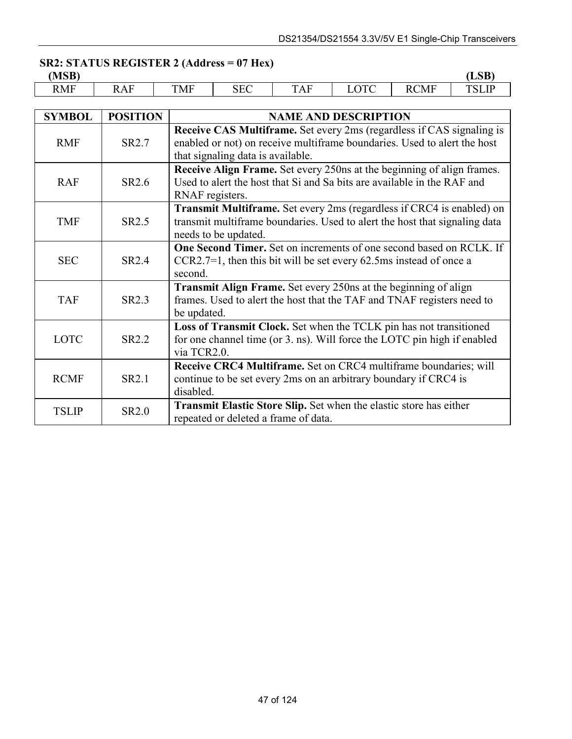# **SR2: STATUS REGISTER 2 (Address = 07 Hex)**

| (MSB)      |          |                  |           |                                     |  |                   |              |
|------------|----------|------------------|-----------|-------------------------------------|--|-------------------|--------------|
| <b>RMF</b> | 峦<br>RAF | m.<br><b>TMF</b> | oπ<br>-н. | $\mathbf{H}$<br>Δ<br><b>T T 7 T</b> |  | <b>:CMF</b><br>,, | $\mathbf{L}$ |

| <b>SYMBOL</b> | <b>POSITION</b>   | <b>NAME AND DESCRIPTION</b>                                                                                                                                                 |
|---------------|-------------------|-----------------------------------------------------------------------------------------------------------------------------------------------------------------------------|
| <b>RMF</b>    | SR2.7             | Receive CAS Multiframe. Set every 2ms (regardless if CAS signaling is<br>enabled or not) on receive multiframe boundaries. Used to alert the host                           |
|               |                   | that signaling data is available.                                                                                                                                           |
| <b>RAF</b>    | SR <sub>2.6</sub> | Receive Align Frame. Set every 250ns at the beginning of align frames.<br>Used to alert the host that Si and Sa bits are available in the RAF and<br>RNAF registers.        |
| <b>TMF</b>    | SR <sub>2.5</sub> | Transmit Multiframe. Set every 2ms (regardless if CRC4 is enabled) on<br>transmit multiframe boundaries. Used to alert the host that signaling data<br>needs to be updated. |
| <b>SEC</b>    | SR <sub>2.4</sub> | <b>One Second Timer.</b> Set on increments of one second based on RCLK. If<br>$CCR2.7=1$ , then this bit will be set every 62.5ms instead of once a<br>second.              |
| <b>TAF</b>    | SR2.3             | <b>Transmit Align Frame.</b> Set every 250ns at the beginning of align<br>frames. Used to alert the host that the TAF and TNAF registers need to<br>be updated.             |
| <b>LOTC</b>   | SR2.2             | Loss of Transmit Clock. Set when the TCLK pin has not transitioned<br>for one channel time (or 3. ns). Will force the LOTC pin high if enabled<br>via TCR2.0.               |
| <b>RCMF</b>   | SR2.1             | Receive CRC4 Multiframe. Set on CRC4 multiframe boundaries; will<br>continue to be set every 2ms on an arbitrary boundary if CRC4 is<br>disabled.                           |
| <b>TSLIP</b>  | SR2.0             | Transmit Elastic Store Slip. Set when the elastic store has either<br>repeated or deleted a frame of data.                                                                  |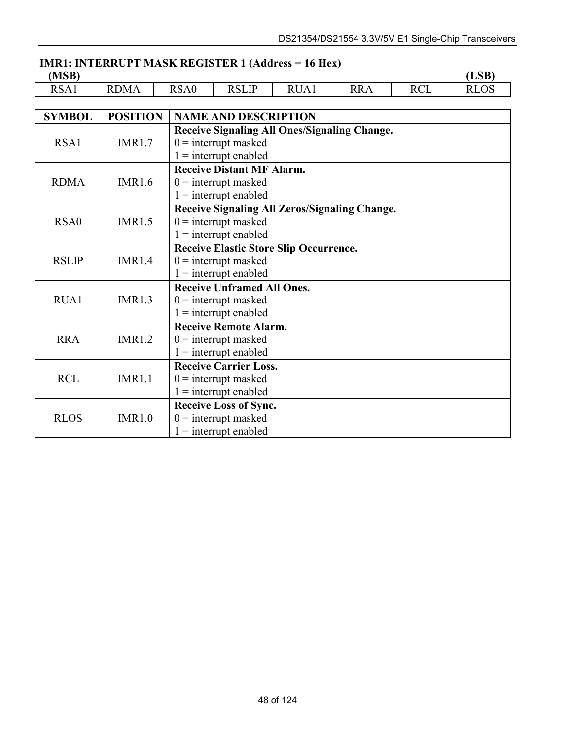## **IMR1: INTERRUPT MASK REGISTER 1 (Address = 16 Hex)**

| (MSB)                                   |            |                              |                          |                          |            |           | (T SR)<br>பலம      |
|-----------------------------------------|------------|------------------------------|--------------------------|--------------------------|------------|-----------|--------------------|
| $P^{\alpha}$<br><b>RSA</b> <sub>1</sub> | <b>DMA</b> | $\sim$ $\sim$<br><b>RSA0</b> | D CT ID<br><b>IVALIT</b> | $\Lambda$<br><b>NOVI</b> | <b>RRA</b> | DAT<br>nu | T.<br><b>IVEOT</b> |
|                                         |            |                              |                          |                          |            |           |                    |

| <b>SYMBOL</b> | <b>POSITION</b> | <b>NAME AND DESCRIPTION</b>                         |
|---------------|-----------------|-----------------------------------------------------|
|               |                 | <b>Receive Signaling All Ones/Signaling Change.</b> |
| RSA1          | IMR1.7          | $0 =$ interrupt masked                              |
|               |                 | $1 =$ interrupt enabled                             |
|               |                 | <b>Receive Distant MF Alarm.</b>                    |
| <b>RDMA</b>   | IMR1.6          | $0 =$ interrupt masked                              |
|               |                 | $1 =$ interrupt enabled                             |
|               |                 | Receive Signaling All Zeros/Signaling Change.       |
| RSA0          | IMR1.5          | $0 =$ interrupt masked                              |
|               |                 | $1 =$ interrupt enabled                             |
|               |                 | <b>Receive Elastic Store Slip Occurrence.</b>       |
| <b>RSLIP</b>  | IMR1.4          | $0 =$ interrupt masked                              |
|               |                 | $1 =$ interrupt enabled                             |
|               |                 | <b>Receive Unframed All Ones.</b>                   |
| RUA1          | IMR1.3          | $0 =$ interrupt masked                              |
|               |                 | $1 =$ interrupt enabled                             |
|               |                 | <b>Receive Remote Alarm.</b>                        |
| <b>RRA</b>    | <b>IMR1.2</b>   | $0 =$ interrupt masked                              |
|               |                 | $1 =$ interrupt enabled                             |
|               |                 | <b>Receive Carrier Loss.</b>                        |
| <b>RCL</b>    | IMR1.1          | $0 =$ interrupt masked                              |
|               |                 | $1 =$ interrupt enabled                             |
|               |                 | <b>Receive Loss of Sync.</b>                        |
| <b>RLOS</b>   | IMR1.0          | $0 =$ interrupt masked                              |
|               |                 | $1 =$ interrupt enabled                             |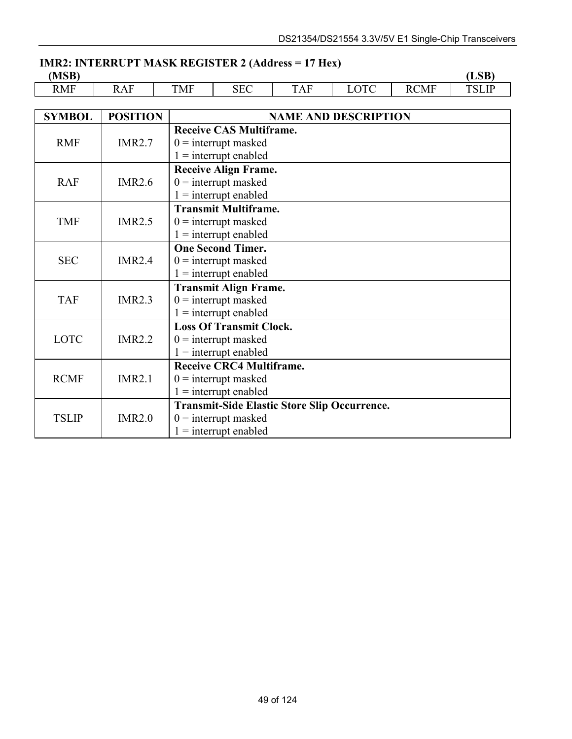## **IMR2: INTERRUPT MASK REGISTER 2 (Address = 17 Hex)**

**(MSB) (LSB)**  RMF | RAF | TMF | SEC | TAF | LOTC | RCMF | TSLIP

|               | <b>NAME AND DESCRIPTION</b>                         |
|---------------|-----------------------------------------------------|
|               | <b>Receive CAS Multiframe.</b>                      |
|               |                                                     |
|               | $0 =$ interrupt masked                              |
|               | $1 =$ interrupt enabled                             |
|               | <b>Receive Align Frame.</b>                         |
|               | $0 =$ interrupt masked                              |
|               | $1 =$ interrupt enabled                             |
|               | <b>Transmit Multiframe.</b>                         |
|               | $0 =$ interrupt masked                              |
|               | $1 =$ interrupt enabled                             |
|               | <b>One Second Timer.</b>                            |
| IMR2.4        | $0 =$ interrupt masked                              |
|               | $1 =$ interrupt enabled                             |
|               | <b>Transmit Align Frame.</b>                        |
| <b>IMR2.3</b> | $0 =$ interrupt masked                              |
|               | $1 =$ interrupt enabled                             |
|               | <b>Loss Of Transmit Clock.</b>                      |
| IMR2.2        | $0 =$ interrupt masked                              |
|               | $1 =$ interrupt enabled                             |
|               | <b>Receive CRC4 Multiframe.</b>                     |
| IMR2.1        | $0 =$ interrupt masked                              |
|               | $1 =$ interrupt enabled                             |
|               | <b>Transmit-Side Elastic Store Slip Occurrence.</b> |
| IMR2.0        | $0 =$ interrupt masked                              |
|               | $1 =$ interrupt enabled                             |
|               | <b>POSITION</b><br>IMR2.7<br>IMR2.6<br>IMR2.5       |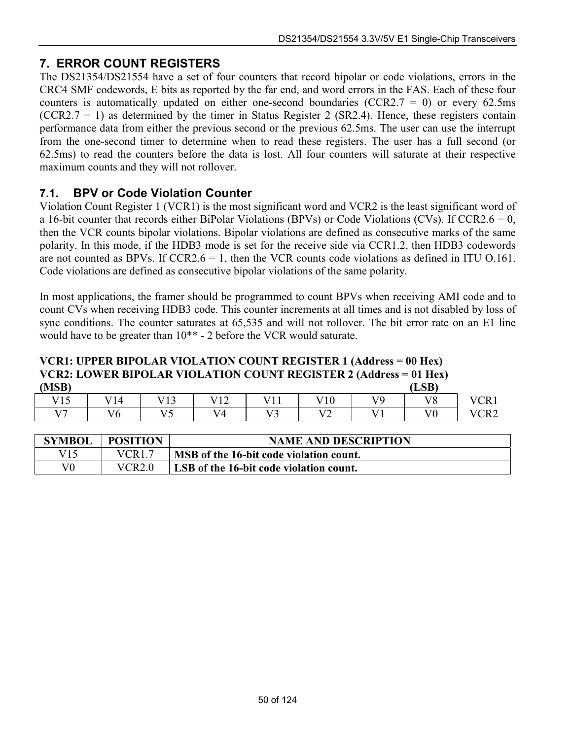# <span id="page-49-0"></span>**7. ERROR COUNT REGISTERS**

The DS21354/DS21554 have a set of four counters that record bipolar or code violations, errors in the CRC4 SMF codewords, E bits as reported by the far end, and word errors in the FAS. Each of these four counters is automatically updated on either one-second boundaries (CCR2.7 = 0) or every 62.5ms  $(CCR2.7 = 1)$  as determined by the timer in Status Register 2 (SR2.4). Hence, these registers contain performance data from either the previous second or the previous 62.5ms. The user can use the interrupt from the one-second timer to determine when to read these registers. The user has a full second (or 62.5ms) to read the counters before the data is lost. All four counters will saturate at their respective maximum counts and they will not rollover.

# <span id="page-49-1"></span>**7.1. BPV or Code Violation Counter**

Violation Count Register 1 (VCR1) is the most significant word and VCR2 is the least significant word of a 16-bit counter that records either BiPolar Violations (BPVs) or Code Violations (CVs). If CCR2.6 = 0, then the VCR counts bipolar violations. Bipolar violations are defined as consecutive marks of the same polarity. In this mode, if the HDB3 mode is set for the receive side via CCR1.2, then HDB3 codewords are not counted as BPVs. If  $CCR2.6 = 1$ , then the VCR counts code violations as defined in ITU O.161. Code violations are defined as consecutive bipolar violations of the same polarity.

In most applications, the framer should be programmed to count BPVs when receiving AMI code and to count CVs when receiving HDB3 code. This counter increments at all times and is not disabled by loss of sync conditions. The counter saturates at 65,535 and will not rollover. The bit error rate on an E1 line would have to be greater than 10\*\* - 2 before the VCR would saturate.

# **VCR1: UPPER BIPOLAR VIOLATION COUNT REGISTER 1 (Address = 00 Hex) VCR2: LOWER BIPOLAR VIOLATION COUNT REGISTER 2 (Address = 01 Hex)**

| (MSB)                                      |     |                                 |                                |                     |                          |                             | LSB)                  |                  |
|--------------------------------------------|-----|---------------------------------|--------------------------------|---------------------|--------------------------|-----------------------------|-----------------------|------------------|
| $\bf \bar{v}$ $\bf 1$ $\bf \bar{c}$<br>1 J | V14 | <b>1712</b><br><u>ل ا</u>       | $T$ $T$ 1 $\bigcap$<br>$\perp$ | T 7 1 1<br>$\pm$ 1  | V10                      | V0                          | <b>170</b><br>$\circ$ | VCR <sub>1</sub> |
| T/T                                        | V6  | T/L<br>$\overline{\phantom{0}}$ | $\mathbf{V}$                   | V <sub>2</sub><br>ر | 770<br>$\prime$ $\prime$ | $T$ $T$ $T$<br>$\mathbf{r}$ | $V \cap$              | $7CR2$           |

| <b>SYMBOL</b> | <b>POSITION</b> | <b>NAME AND DESCRIPTION</b>             |
|---------------|-----------------|-----------------------------------------|
| V15           | VCR1.7          | MSB of the 16-bit code violation count. |
| ${\rm V0}$    | <b>VCR2.0</b>   | LSB of the 16-bit code violation count. |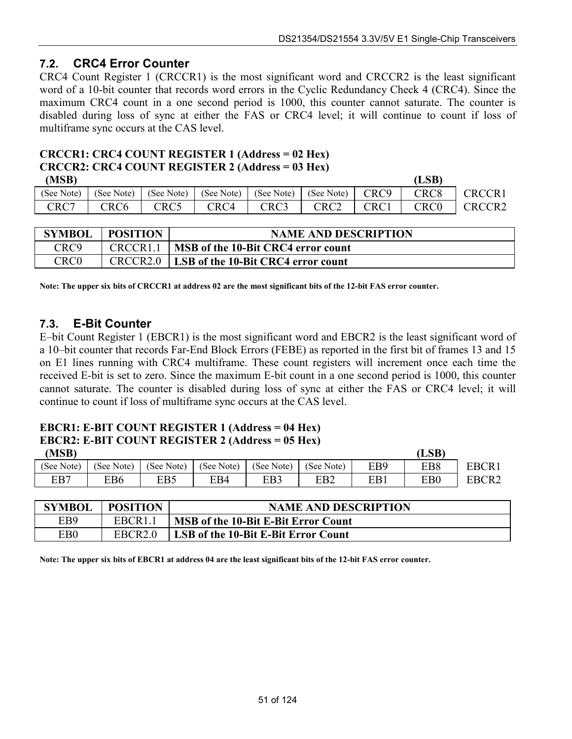# **7.2. CRC4 Error Counter**

CRC4 Count Register 1 (CRCCR1) is the most significant word and CRCCR2 is the least significant word of a 10-bit counter that records word errors in the Cyclic Redundancy Check 4 (CRC4). Since the maximum CRC4 count in a one second period is 1000, this counter cannot saturate. The counter is disabled during loss of sync at either the FAS or CRC4 level; it will continue to count if loss of multiframe sync occurs at the CAS level.

# **CRCCR1: CRC4 COUNT REGISTER 1 (Address = 02 Hex) CRCCR2: CRC4 COUNT REGISTER 2 (Address = 03 Hex)**

| (MSB)      |            |                  |                                      |      |                  |                  | (LSB) |                    |
|------------|------------|------------------|--------------------------------------|------|------------------|------------------|-------|--------------------|
| (See Note) | (See Note) |                  | (See Note)   (See Note)   (See Note) |      | (See Note)       | CRC <sub>9</sub> | CRC8  | <b>CRCCR1</b>      |
| CRC7       | CRC6       | CRC <sub>5</sub> | CRC4                                 | CRC3 | CRC <sub>2</sub> | CRC1             | CRC0  | CRCCR <sub>2</sub> |

| <b>SYMBOL</b> | <b>POSITION</b> | <b>NAME AND DESCRIPTION</b>        |
|---------------|-----------------|------------------------------------|
| CRC9          | CRCCR1.1        | MSB of the 10-Bit CRC4 error count |
| CRCO          | CRCCR2.0        | LSB of the 10-Bit CRC4 error count |

**Note: The upper six bits of CRCCR1 at address 02 are the most significant bits of the 12-bit FAS error counter.** 

#### **7.3. E-Bit Counter**

E-bit Count Register 1 (EBCR1) is the most significant word and EBCR2 is the least significant word of a 10-bit counter that records Far-End Block Errors (FEBE) as reported in the first bit of frames 13 and 15 on E1 lines running with CRC4 multiframe. These count registers will increment once each time the received E-bit is set to zero. Since the maximum E-bit count in a one second period is 1000, this counter cannot saturate. The counter is disabled during loss of sync at either the FAS or CRC4 level; it will continue to count if loss of multiframe sync occurs at the CAS level.

# **EBCR1: E-BIT COUNT REGISTER 1 (Address = 04 Hex) EBCR2: E-BIT COUNT REGISTER 2 (Address = 05 Hex)**

| (MSB)      |            |            |            |            |            |     | (LSB` |                   |
|------------|------------|------------|------------|------------|------------|-----|-------|-------------------|
| (See Note) | (See Note) | (See Note) | (See Note) | (See Note) | (See Note) | EB9 | EB8   | <b>EBCR</b>       |
| EB7        | EB6        | EB5        | EB4        | EB3        | EB2        | EB1 | EB0   | EBCR <sub>2</sub> |

| <b>SYMBOL</b> | <b>POSITION</b>     | <b>NAME AND DESCRIPTION</b>                |
|---------------|---------------------|--------------------------------------------|
| EB9           | EBCR1.1             | <b>MSB of the 10-Bit E-Bit Error Count</b> |
| EB0           | EBCR <sub>2.0</sub> | LSB of the 10-Bit E-Bit Error Count        |

**Note: The upper six bits of EBCR1 at address 04 are the least significant bits of the 12-bit FAS error counter.**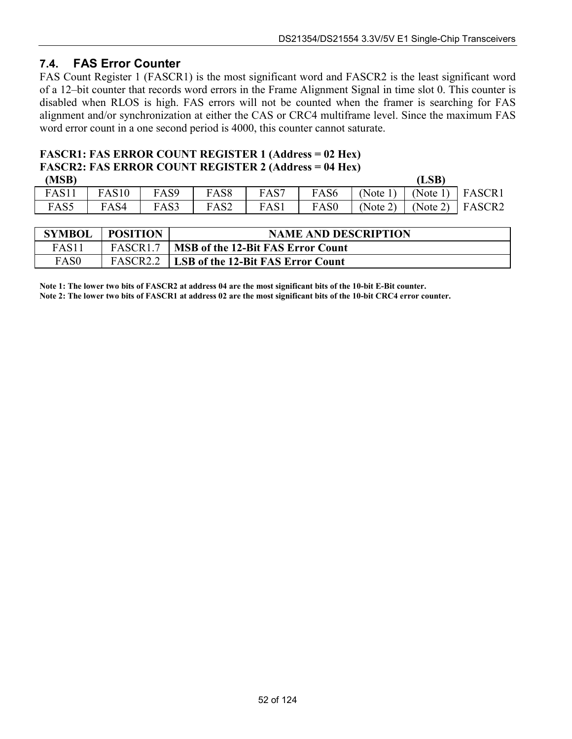# **7.4. FAS Error Counter**

FAS Count Register 1 (FASCR1) is the most significant word and FASCR2 is the least significant word of a 12-bit counter that records word errors in the Frame Alignment Signal in time slot 0. This counter is disabled when RLOS is high. FAS errors will not be counted when the framer is searching for FAS alignment and/or synchronization at either the CAS or CRC4 multiframe level. Since the maximum FAS word error count in a one second period is 4000, this counter cannot saturate.

#### **FASCR1: FAS ERROR COUNT REGISTER 1 (Address = 02 Hex) FASCR2: FAS ERROR COUNT REGISTER 2 (Address = 04 Hex)**

| (MSB) |              |      |                  |      |                  |          | (LSB)            |                    |
|-------|--------------|------|------------------|------|------------------|----------|------------------|--------------------|
| FAS11 | <b>FAS10</b> | FAS9 | FAS <sub>8</sub> | FAS7 | FAS <sub>6</sub> | (Note 1) | (Note 1)         | FASCR1             |
| FAS5  | FAS4         | FAS3 | FAS2             | FAS1 | FAS <sub>0</sub> | (Note 2) | (Note 2) $\vert$ | FASCR <sub>2</sub> |

| <b>SYMBOL</b> | <b>POSITION</b>      | <b>NAME AND DESCRIPTION</b>              |
|---------------|----------------------|------------------------------------------|
| FAS11         | FASCR1.7             | <b>MSB of the 12-Bit FAS Error Count</b> |
| FAS0          | FASCR <sub>2.2</sub> | LSB of the 12-Bit FAS Error Count        |

**Note 1: The lower two bits of FASCR2 at address 04 are the most significant bits of the 10-bit E-Bit counter. Note 2: The lower two bits of FASCR1 at address 02 are the most significant bits of the 10-bit CRC4 error counter.**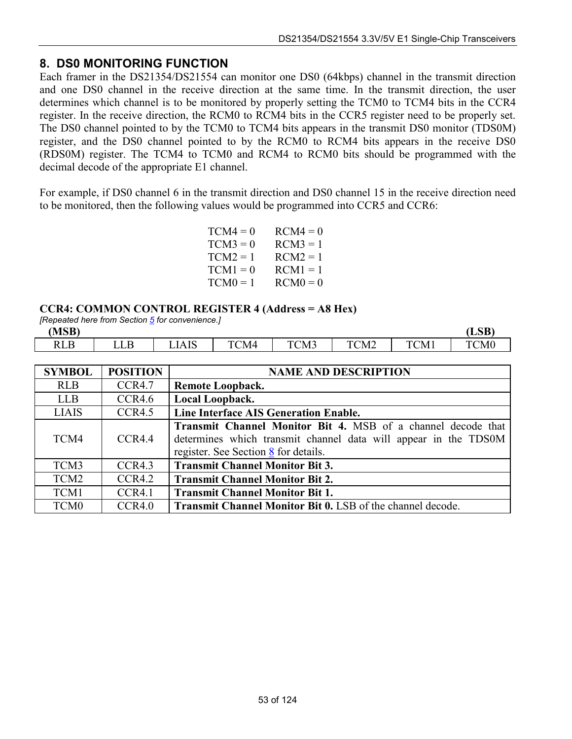# <span id="page-52-0"></span>**8. DS0 MONITORING FUNCTION**

Each framer in the DS21354/DS21554 can monitor one DS0 (64kbps) channel in the transmit direction and one DS0 channel in the receive direction at the same time. In the transmit direction, the user determines which channel is to be monitored by properly setting the TCM0 to TCM4 bits in the CCR4 register. In the receive direction, the RCM0 to RCM4 bits in the CCR5 register need to be properly set. The DS0 channel pointed to by the TCM0 to TCM4 bits appears in the transmit DS0 monitor (TDS0M) register, and the DS0 channel pointed to by the RCM0 to RCM4 bits appears in the receive DS0 (RDS0M) register. The TCM4 to TCM0 and RCM4 to RCM0 bits should be programmed with the decimal decode of the appropriate E1 channel.

For example, if DS0 channel 6 in the transmit direction and DS0 channel 15 in the receive direction need to be monitored, then the following values would be programmed into CCR5 and CCR6:

| $TCM4 = 0$ | $RCM4 = 0$ |
|------------|------------|
| $TCM3 = 0$ | $RCM3 = 1$ |
| $TCM2 = 1$ | $RCM2 = 1$ |
| $TCM1 = 0$ | $RCM1 = 1$ |
| $TCM0 = 1$ | $RCM0 = 0$ |

#### **CCR4: COMMON CONTROL REGISTER 4 (Address = A8 Hex)**

| [Repeated here from Section 5 for convenience.]<br>CD |    |  |               |      |      |                  |       |  |
|-------------------------------------------------------|----|--|---------------|------|------|------------------|-------|--|
| (MSB)                                                 |    |  |               |      |      |                  | (LDD- |  |
| R I R                                                 | பப |  | $^{\circ}$ M4 | TCM3 | TCM2 | TCM <sup>1</sup> | TCM0  |  |

| <b>SYMBOL</b>    | <b>POSITION</b> | <b>NAME AND DESCRIPTION</b>                                                                                                                                                    |
|------------------|-----------------|--------------------------------------------------------------------------------------------------------------------------------------------------------------------------------|
| <b>RLB</b>       | CCR4.7          | Remote Loopback.                                                                                                                                                               |
| <b>LLB</b>       | CCR4.6          | Local Loopback.                                                                                                                                                                |
| <b>LIAIS</b>     | CCR4.5          | Line Interface AIS Generation Enable.                                                                                                                                          |
| TCM4             | CCR4.4          | <b>Transmit Channel Monitor Bit 4. MSB of a channel decode that</b><br>determines which transmit channel data will appear in the TDS0M<br>register. See Section 8 for details. |
| TCM3             | CCR4.3          | <b>Transmit Channel Monitor Bit 3.</b>                                                                                                                                         |
| TCM <sub>2</sub> | CCR4.2          | <b>Transmit Channel Monitor Bit 2.</b>                                                                                                                                         |
| TCM1             | CCR4.1          | <b>Transmit Channel Monitor Bit 1.</b>                                                                                                                                         |
| TCM <sub>0</sub> | CCR4.0          | Transmit Channel Monitor Bit 0. LSB of the channel decode.                                                                                                                     |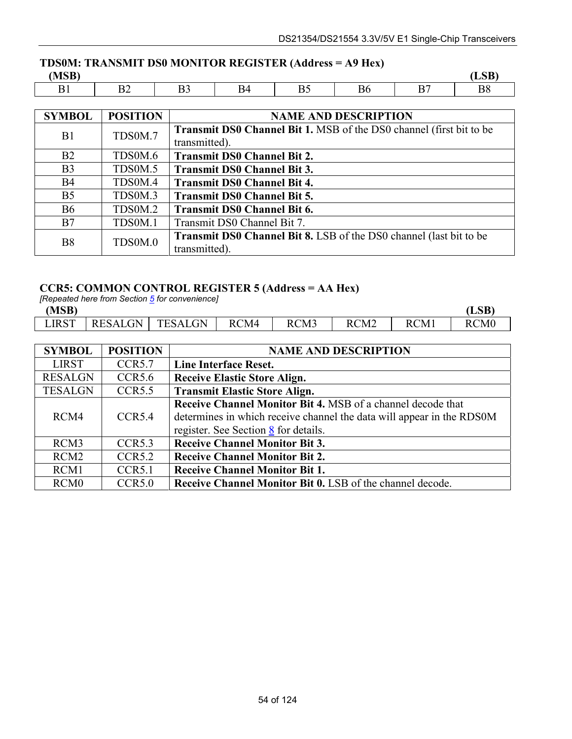## **TDS0M: TRANSMIT DS0 MONITOR REGISTER (Address = A9 Hex)**

#### **(MSB) (LSB)**  B1 | B2 | B3 | B4 | B5 | B6 | B7 | B8

| <b>SYMBOL</b>  | <b>POSITION</b> | <b>NAME AND DESCRIPTION</b>                                                                |
|----------------|-----------------|--------------------------------------------------------------------------------------------|
| B1             | TDS0M.7         | Transmit DS0 Channel Bit 1. MSB of the DS0 channel (first bit to be<br>transmitted).       |
| B2             | TDS0M.6         | <b>Transmit DS0 Channel Bit 2.</b>                                                         |
| B <sub>3</sub> | TDS0M.5         | <b>Transmit DS0 Channel Bit 3.</b>                                                         |
| B <sub>4</sub> | TDS0M.4         | <b>Transmit DS0 Channel Bit 4.</b>                                                         |
| B <sub>5</sub> | TDS0M.3         | <b>Transmit DS0 Channel Bit 5.</b>                                                         |
| <b>B6</b>      | TDS0M.2         | <b>Transmit DS0 Channel Bit 6.</b>                                                         |
| B7             | TDS0M.1         | Transmit DS0 Channel Bit 7.                                                                |
| <b>B8</b>      | TDS0M.0         | <b>Transmit DS0 Channel Bit 8.</b> LSB of the DS0 channel (last bit to be<br>transmitted). |

#### **CCR5: COMMON CONTROL REGISTER 5 (Address = AA Hex)**

| [Repeated here from Section 5 for convenience] |         |         |      |      |                  |      |                  |  |  |
|------------------------------------------------|---------|---------|------|------|------------------|------|------------------|--|--|
| (MSB)                                          |         |         |      |      |                  |      | (LSB)            |  |  |
| <b>LIRST</b>                                   | RESALGN | TESALGN | RCM4 | RCM3 | RCM <sub>2</sub> | RCM1 | RCM <sub>0</sub> |  |  |

| <b>SYMBOL</b>    | <b>POSITION</b>    | <b>NAME AND DESCRIPTION</b>                                                                                                                                                  |
|------------------|--------------------|------------------------------------------------------------------------------------------------------------------------------------------------------------------------------|
| <b>LIRST</b>     | CCR5.7             | Line Interface Reset.                                                                                                                                                        |
| <b>RESALGN</b>   | CCR5.6             | Receive Elastic Store Align.                                                                                                                                                 |
| <b>TESALGN</b>   | CCR5.5             | <b>Transmit Elastic Store Align.</b>                                                                                                                                         |
| RCM4             | CCR <sub>5.4</sub> | Receive Channel Monitor Bit 4. MSB of a channel decode that<br>determines in which receive channel the data will appear in the RDS0M<br>register. See Section 8 for details. |
| RCM <sub>3</sub> | CCR5.3             | <b>Receive Channel Monitor Bit 3.</b>                                                                                                                                        |
| RCM <sub>2</sub> | CCR5.2             | <b>Receive Channel Monitor Bit 2.</b>                                                                                                                                        |
| RCM1             | CCR5.1             | <b>Receive Channel Monitor Bit 1.</b>                                                                                                                                        |
| RCM <sub>0</sub> | CCR5.0             | Receive Channel Monitor Bit 0. LSB of the channel decode.                                                                                                                    |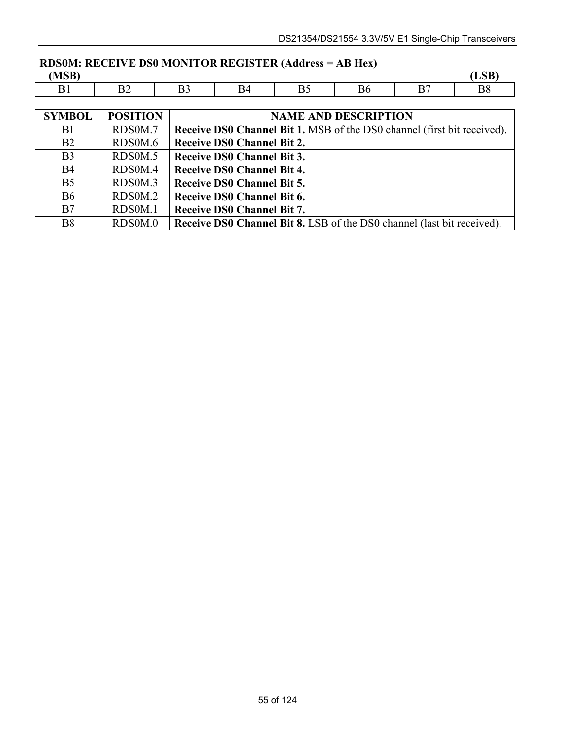## **RDS0M: RECEIVE DS0 MONITOR REGISTER (Address = AB Hex)**

| (MSB)<br>$\sim$ |  |  |  |  |
|-----------------|--|--|--|--|
|                 |  |  |  |  |

| <b>SYMBOL</b>  | <b>POSITION</b> | <b>NAME AND DESCRIPTION</b>                                                    |
|----------------|-----------------|--------------------------------------------------------------------------------|
| B1             | RDS0M.7         | <b>Receive DS0 Channel Bit 1.</b> MSB of the DS0 channel (first bit received). |
| B2             | RDS0M.6         | <b>Receive DS0 Channel Bit 2.</b>                                              |
| B <sub>3</sub> | RDS0M.5         | <b>Receive DS0 Channel Bit 3.</b>                                              |
| <b>B4</b>      | RDS0M.4         | <b>Receive DS0 Channel Bit 4.</b>                                              |
| B <sub>5</sub> | RDS0M.3         | <b>Receive DS0 Channel Bit 5.</b>                                              |
| <b>B6</b>      | RDS0M.2         | <b>Receive DS0 Channel Bit 6.</b>                                              |
| B7             | RDS0M.1         | <b>Receive DS0 Channel Bit 7.</b>                                              |
| <b>B8</b>      | RDS0M.0         | Receive DS0 Channel Bit 8. LSB of the DS0 channel (last bit received).         |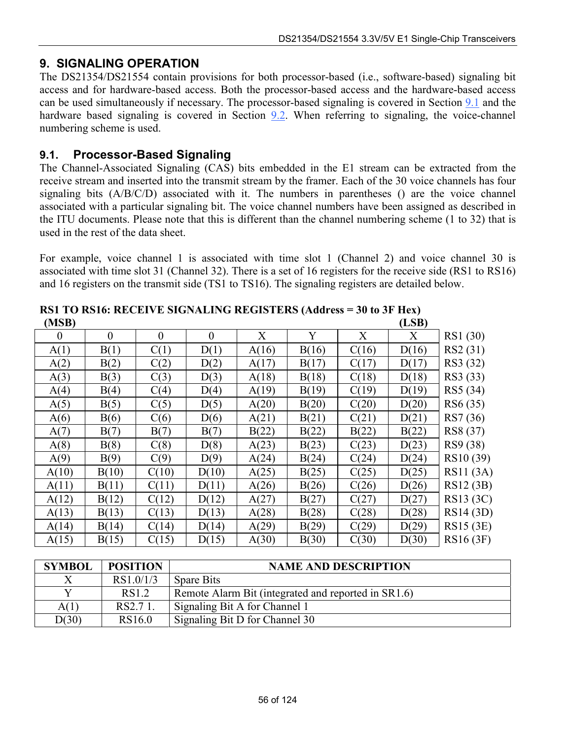# <span id="page-55-0"></span>**9. SIGNALING OPERATION**

The DS21354/DS21554 contain provisions for both processor-based (i.e., software-based) signaling bit access and for hardware-based access. Both the processor-based access and the hardware-based access can be used simultaneously if necessary. The processor-based signaling is covered in Section [9.1](#page-55-1) and the hardware based signaling is covered in Section [9.2.](#page-57-0) When referring to signaling, the voice-channel numbering scheme is used.

# <span id="page-55-1"></span>**9.1. Processor-Based Signaling**

The Channel-Associated Signaling (CAS) bits embedded in the E1 stream can be extracted from the receive stream and inserted into the transmit stream by the framer. Each of the 30 voice channels has four signaling bits (A/B/C/D) associated with it. The numbers in parentheses () are the voice channel associated with a particular signaling bit. The voice channel numbers have been assigned as described in the ITU documents. Please note that this is different than the channel numbering scheme (1 to 32) that is used in the rest of the data sheet.

For example, voice channel 1 is associated with time slot 1 (Channel 2) and voice channel 30 is associated with time slot 31 (Channel 32). There is a set of 16 registers for the receive side (RS1 to RS16) and 16 registers on the transmit side (TS1 to TS16). The signaling registers are detailed below.

| (MSB)    |                  |                  |          |       |       |       | (LSB) |           |
|----------|------------------|------------------|----------|-------|-------|-------|-------|-----------|
| $\theta$ | $\boldsymbol{0}$ | $\boldsymbol{0}$ | $\theta$ | X     | Y     | X     | X     | RS1 (30)  |
| A(1)     | B(1)             | C(1)             | D(1)     | A(16) | B(16) | C(16) | D(16) | RS2 (31)  |
| A(2)     | B(2)             | C(2)             | D(2)     | A(17) | B(17) | C(17) | D(17) | RS3 (32)  |
| A(3)     | B(3)             | C(3)             | D(3)     | A(18) | B(18) | C(18) | D(18) | RS3 (33)  |
| A(4)     | B(4)             | C(4)             | D(4)     | A(19) | B(19) | C(19) | D(19) | RS5 (34)  |
| A(5)     | B(5)             | C(5)             | D(5)     | A(20) | B(20) | C(20) | D(20) | RS6 (35)  |
| A(6)     | B(6)             | C(6)             | D(6)     | A(21) | B(21) | C(21) | D(21) | RS7 (36)  |
| A(7)     | B(7)             | B(7)             | B(7)     | B(22) | B(22) | B(22) | B(22) | RS8 (37)  |
| A(8)     | B(8)             | C(8)             | D(8)     | A(23) | B(23) | C(23) | D(23) | RS9 (38)  |
| A(9)     | B(9)             | C(9)             | D(9)     | A(24) | B(24) | C(24) | D(24) | RS10 (39) |
| A(10)    | B(10)            | C(10)            | D(10)    | A(25) | B(25) | C(25) | D(25) | RS11 (3A) |
| A(11)    | B(11)            | C(11)            | D(11)    | A(26) | B(26) | C(26) | D(26) | RS12 (3B) |
| A(12)    | B(12)            | C(12)            | D(12)    | A(27) | B(27) | C(27) | D(27) | RS13 (3C) |
| A(13)    | B(13)            | C(13)            | D(13)    | A(28) | B(28) | C(28) | D(28) | RS14 (3D) |
| A(14)    | B(14)            | C(14)            | D(14)    | A(29) | B(29) | C(29) | D(29) | RS15 (3E) |
| A(15)    | B(15)            | C(15)            | D(15)    | A(30) | B(30) | C(30) | D(30) | RS16 (3F) |

**RS1 TO RS16: RECEIVE SIGNALING REGISTERS (Address = 30 to 3F Hex)** 

| <b>SYMBOL</b> | <b>POSITION</b> | <b>NAME AND DESCRIPTION</b>                         |
|---------------|-----------------|-----------------------------------------------------|
|               | RS1.0/1/3       | <b>Spare Bits</b>                                   |
|               | RS1.2           | Remote Alarm Bit (integrated and reported in SR1.6) |
| A(1)          | RS2.7 1.        | Signaling Bit A for Channel 1                       |
| D(30)         | RS16.0          | Signaling Bit D for Channel 30                      |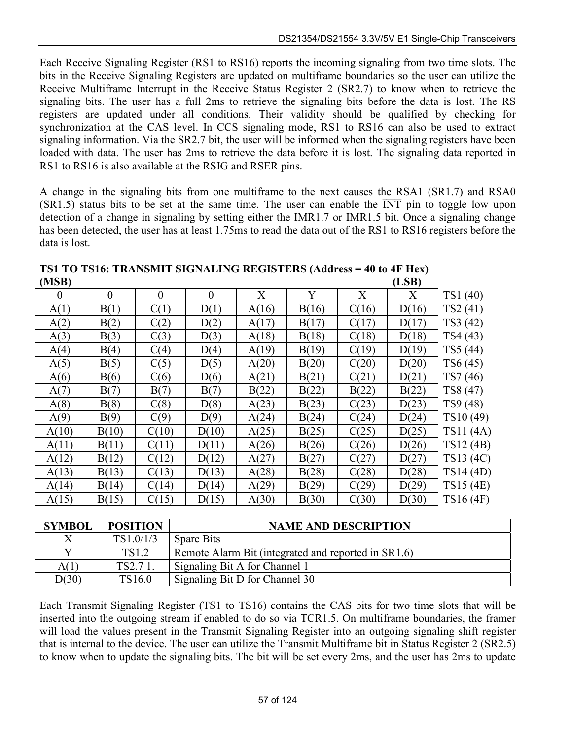Each Receive Signaling Register (RS1 to RS16) reports the incoming signaling from two time slots. The bits in the Receive Signaling Registers are updated on multiframe boundaries so the user can utilize the Receive Multiframe Interrupt in the Receive Status Register 2 (SR2.7) to know when to retrieve the signaling bits. The user has a full 2ms to retrieve the signaling bits before the data is lost. The RS registers are updated under all conditions. Their validity should be qualified by checking for synchronization at the CAS level. In CCS signaling mode, RS1 to RS16 can also be used to extract signaling information. Via the SR2.7 bit, the user will be informed when the signaling registers have been loaded with data. The user has 2ms to retrieve the data before it is lost. The signaling data reported in RS1 to RS16 is also available at the RSIG and RSER pins.

A change in the signaling bits from one multiframe to the next causes the RSA1 (SR1.7) and RSA0  $(SR1.5)$  status bits to be set at the same time. The user can enable the  $\overline{INT}$  pin to toggle low upon detection of a change in signaling by setting either the IMR1.7 or IMR1.5 bit. Once a signaling change has been detected, the user has at least 1.75ms to read the data out of the RS1 to RS16 registers before the data is lost.

**TS1 TO TS16: TRANSMIT SIGNALING REGISTERS (Address = 40 to 4F Hex) (MSB) (LSB)** 

| ן עכוויון |                |          |          |       |       |       | ו טכובו |           |
|-----------|----------------|----------|----------|-------|-------|-------|---------|-----------|
| $\theta$  | $\overline{0}$ | $\theta$ | $\theta$ | X     | Y     | X     | X       | TS1 (40)  |
| A(1)      | B(1)           | C(1)     | D(1)     | A(16) | B(16) | C(16) | D(16)   | TS2 (41)  |
| A(2)      | B(2)           | C(2)     | D(2)     | A(17) | B(17) | C(17) | D(17)   | TS3 (42)  |
| A(3)      | B(3)           | C(3)     | D(3)     | A(18) | B(18) | C(18) | D(18)   | TS4 (43)  |
| A(4)      | B(4)           | C(4)     | D(4)     | A(19) | B(19) | C(19) | D(19)   | TS5 (44)  |
| A(5)      | B(5)           | C(5)     | D(5)     | A(20) | B(20) | C(20) | D(20)   | TS6 (45)  |
| A(6)      | B(6)           | C(6)     | D(6)     | A(21) | B(21) | C(21) | D(21)   | TS7 (46)  |
| A(7)      | B(7)           | B(7)     | B(7)     | B(22) | B(22) | B(22) | B(22)   | TS8 (47)  |
| A(8)      | B(8)           | C(8)     | D(8)     | A(23) | B(23) | C(23) | D(23)   | TS9 (48)  |
| A(9)      | B(9)           | C(9)     | D(9)     | A(24) | B(24) | C(24) | D(24)   | TS10 (49) |
| A(10)     | B(10)          | C(10)    | D(10)    | A(25) | B(25) | C(25) | D(25)   | TS11 (4A) |
| A(11)     | B(11)          | C(11)    | D(11)    | A(26) | B(26) | C(26) | D(26)   | TS12 (4B) |
| A(12)     | B(12)          | C(12)    | D(12)    | A(27) | B(27) | C(27) | D(27)   | TS13 (4C) |
| A(13)     | B(13)          | C(13)    | D(13)    | A(28) | B(28) | C(28) | D(28)   | TS14 (4D) |
| A(14)     | B(14)          | C(14)    | D(14)    | A(29) | B(29) | C(29) | D(29)   | TS15 (4E) |
| A(15)     | B(15)          | C(15)    | D(15)    | A(30) | B(30) | C(30) | D(30)   | TS16 (4F) |

| <b>SYMBOL</b> | <b>POSITION</b> | <b>NAME AND DESCRIPTION</b>                         |
|---------------|-----------------|-----------------------------------------------------|
|               | TS1.0/1/3       | Spare Bits                                          |
|               | TS1.2           | Remote Alarm Bit (integrated and reported in SR1.6) |
| A(1)          | TS2.7 1.        | Signaling Bit A for Channel 1                       |
| D(30)         | TS16.0          | Signaling Bit D for Channel 30                      |

Each Transmit Signaling Register (TS1 to TS16) contains the CAS bits for two time slots that will be inserted into the outgoing stream if enabled to do so via TCR1.5. On multiframe boundaries, the framer will load the values present in the Transmit Signaling Register into an outgoing signaling shift register that is internal to the device. The user can utilize the Transmit Multiframe bit in Status Register 2 (SR2.5) to know when to update the signaling bits. The bit will be set every 2ms, and the user has 2ms to update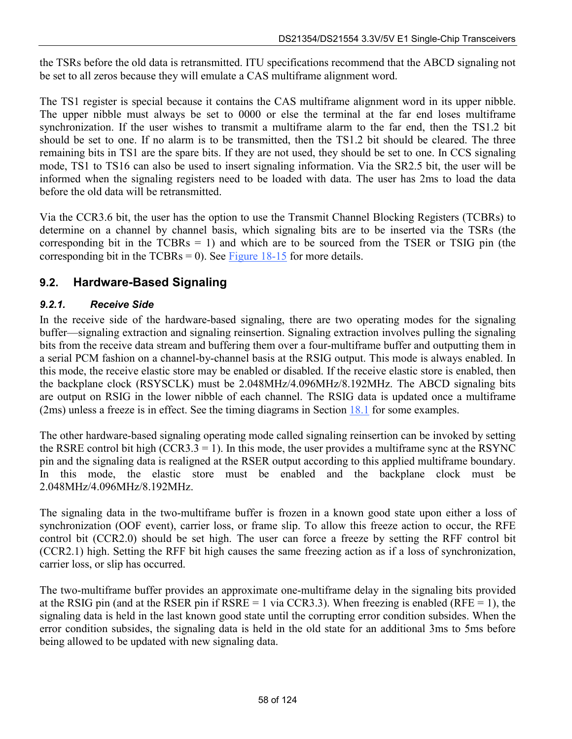the TSRs before the old data is retransmitted. ITU specifications recommend that the ABCD signaling not be set to all zeros because they will emulate a CAS multiframe alignment word.

The TS1 register is special because it contains the CAS multiframe alignment word in its upper nibble. The upper nibble must always be set to 0000 or else the terminal at the far end loses multiframe synchronization. If the user wishes to transmit a multiframe alarm to the far end, then the TS1.2 bit should be set to one. If no alarm is to be transmitted, then the TS1.2 bit should be cleared. The three remaining bits in TS1 are the spare bits. If they are not used, they should be set to one. In CCS signaling mode, TS1 to TS16 can also be used to insert signaling information. Via the SR2.5 bit, the user will be informed when the signaling registers need to be loaded with data. The user has 2ms to load the data before the old data will be retransmitted.

Via the CCR3.6 bit, the user has the option to use the Transmit Channel Blocking Registers (TCBRs) to determine on a channel by channel basis, which signaling bits are to be inserted via the TSRs (the corresponding bit in the  $TCBRs = 1$ ) and which are to be sourced from the TSER or TSIG pin (the corresponding bit in the TCBRs = 0). See Figure  $18-15$  for more details.

# <span id="page-57-0"></span>**9.2. Hardware-Based Signaling**

#### *9.2.1. Receive Side*

In the receive side of the hardware-based signaling, there are two operating modes for the signaling buffer—signaling extraction and signaling reinsertion. Signaling extraction involves pulling the signaling bits from the receive data stream and buffering them over a four-multiframe buffer and outputting them in a serial PCM fashion on a channel-by-channel basis at the RSIG output. This mode is always enabled. In this mode, the receive elastic store may be enabled or disabled. If the receive elastic store is enabled, then the backplane clock (RSYSCLK) must be 2.048MHz/4.096MHz/8.192MHz. The ABCD signaling bits are output on RSIG in the lower nibble of each channel. The RSIG data is updated once a multiframe (2ms) unless a freeze is in effect. See the timing diagrams in Section [18.1](#page-99-0) for some examples.

The other hardware-based signaling operating mode called signaling reinsertion can be invoked by setting the RSRE control bit high (CCR3.3 = 1). In this mode, the user provides a multiframe sync at the RSYNC pin and the signaling data is realigned at the RSER output according to this applied multiframe boundary. In this mode, the elastic store must be enabled and the backplane clock must be 2.048MHz/4.096MHz/8.192MHz.

The signaling data in the two-multiframe buffer is frozen in a known good state upon either a loss of synchronization (OOF event), carrier loss, or frame slip. To allow this freeze action to occur, the RFE control bit (CCR2.0) should be set high. The user can force a freeze by setting the RFF control bit (CCR2.1) high. Setting the RFF bit high causes the same freezing action as if a loss of synchronization, carrier loss, or slip has occurred.

The two-multiframe buffer provides an approximate one-multiframe delay in the signaling bits provided at the RSIG pin (and at the RSER pin if  $RSRE = 1$  via CCR3.3). When freezing is enabled (RFE = 1), the signaling data is held in the last known good state until the corrupting error condition subsides. When the error condition subsides, the signaling data is held in the old state for an additional 3ms to 5ms before being allowed to be updated with new signaling data.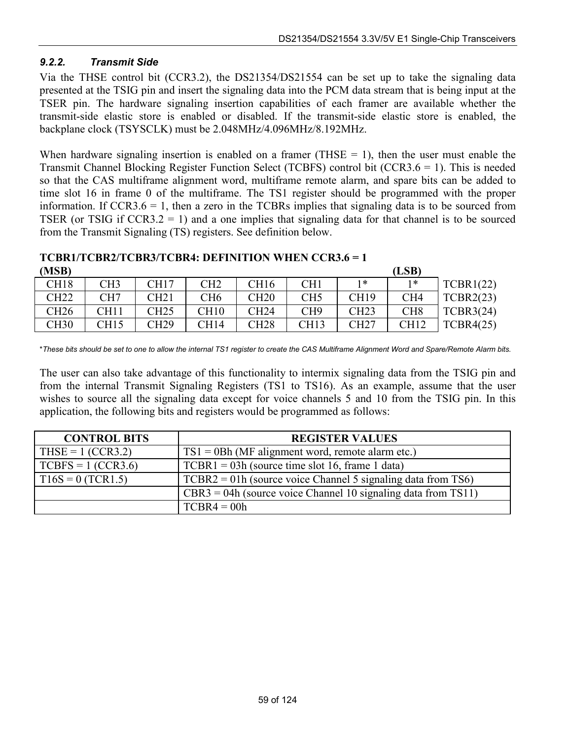#### *9.2.2. Transmit Side*

Via the THSE control bit (CCR3.2), the DS21354/DS21554 can be set up to take the signaling data presented at the TSIG pin and insert the signaling data into the PCM data stream that is being input at the TSER pin. The hardware signaling insertion capabilities of each framer are available whether the transmit-side elastic store is enabled or disabled. If the transmit-side elastic store is enabled, the backplane clock (TSYSCLK) must be 2.048MHz/4.096MHz/8.192MHz.

When hardware signaling insertion is enabled on a framer (THSE  $= 1$ ), then the user must enable the Transmit Channel Blocking Register Function Select (TCBFS) control bit (CCR3.6 = 1). This is needed so that the CAS multiframe alignment word, multiframe remote alarm, and spare bits can be added to time slot 16 in frame 0 of the multiframe. The TS1 register should be programmed with the proper information. If  $CCR3.6 = 1$ , then a zero in the TCBRs implies that signaling data is to be sourced from TSER (or TSIG if  $CCR3.2 = 1$ ) and a one implies that signaling data for that channel is to be sourced from the Transmit Signaling (TS) registers. See definition below.

#### **TCBR1/TCBR2/TCBR3/TCBR4: DEFINITION WHEN CCR3.6 = 1**

| (MSB)            |      |             |                 |                  |                 |             | (LSB)           |           |
|------------------|------|-------------|-----------------|------------------|-----------------|-------------|-----------------|-----------|
| CH <sub>18</sub> | CH3  | <b>CH17</b> | CH <sub>2</sub> | CH <sub>16</sub> | CH <sub>1</sub> | 1*          | *               | TCBR1(22) |
| <b>CH22</b>      | CH7  | CH21        | CH6             | <b>CH20</b>      | CH <sub>5</sub> | <b>CH19</b> | CH <sub>4</sub> | TCBR2(23) |
| <b>CH26</b>      | CH11 | CH25        | CH10            | CH24             | CH <sub>9</sub> | CH23        | CH <sub>8</sub> | TCBR3(24) |
| <b>CH30</b>      | CH15 | CH29        | CH14            | <b>CH28</b>      | <b>CH13</b>     | <b>CH27</b> | <b>CH12</b>     | TCBR4(25) |

\**These bits should be set to one to allow the internal TS1 register to create the CAS Multiframe Alignment Word and Spare/Remote Alarm bits.*

The user can also take advantage of this functionality to intermix signaling data from the TSIG pin and from the internal Transmit Signaling Registers (TS1 to TS16). As an example, assume that the user wishes to source all the signaling data except for voice channels 5 and 10 from the TSIG pin. In this application, the following bits and registers would be programmed as follows:

| <b>CONTROL BITS</b>                         | <b>REGISTER VALUES</b>                                          |
|---------------------------------------------|-----------------------------------------------------------------|
| $\text{THSE} = 1 \text{ (CCR3.2)}$          | $TS1 = 0Bh$ (MF alignment word, remote alarm etc.)              |
| $\boxed{\text{TCBFS} = 1 \text{ (CCR3.6)}}$ | $TCBR1 = 03h$ (source time slot 16, frame 1 data)               |
| $T16S = 0 (TCR1.5)$                         | $TCBR2 = 01h$ (source voice Channel 5 signaling data from TS6)  |
|                                             | $CBR3 = 04h$ (source voice Channel 10 signaling data from TS11) |
|                                             | $TCBR4 = 00h$                                                   |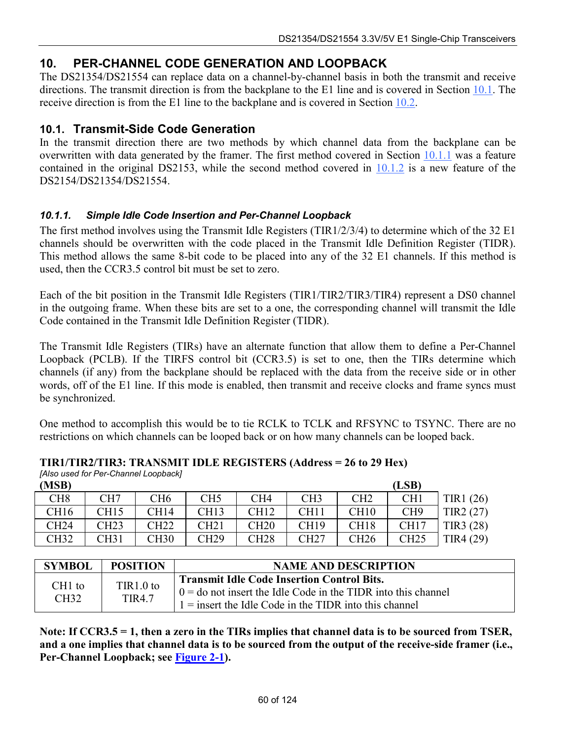# **10. PER-CHANNEL CODE GENERATION AND LOOPBACK**

The DS21354/DS21554 can replace data on a channel-by-channel basis in both the transmit and receive directions. The transmit direction is from the backplane to the E1 line and is covered in Section [10.1.](#page-59-0) The receive direction is from the E1 line to the backplane and is covered in Section [10.2.](#page-61-0)

# <span id="page-59-0"></span>**10.1. Transmit-Side Code Generation**

In the transmit direction there are two methods by which channel data from the backplane can be overwritten with data generated by the framer. The first method covered in Section [10.1.1](#page-59-1) was a feature contained in the original DS2153, while the second method covered in [10.1.2](#page-60-0) is a new feature of the DS2154/DS21354/DS21554.

#### <span id="page-59-1"></span>*10.1.1. Simple Idle Code Insertion and Per-Channel Loopback*

The first method involves using the Transmit Idle Registers (TIR1/2/3/4) to determine which of the 32 E1 channels should be overwritten with the code placed in the Transmit Idle Definition Register (TIDR). This method allows the same 8-bit code to be placed into any of the 32 E1 channels. If this method is used, then the CCR3.5 control bit must be set to zero.

Each of the bit position in the Transmit Idle Registers (TIR1/TIR2/TIR3/TIR4) represent a DS0 channel in the outgoing frame. When these bits are set to a one, the corresponding channel will transmit the Idle Code contained in the Transmit Idle Definition Register (TIDR).

The Transmit Idle Registers (TIRs) have an alternate function that allow them to define a Per-Channel Loopback (PCLB). If the TIRFS control bit (CCR3.5) is set to one, then the TIRs determine which channels (if any) from the backplane should be replaced with the data from the receive side or in other words, off of the E1 line. If this mode is enabled, then transmit and receive clocks and frame syncs must be synchronized.

One method to accomplish this would be to tie RCLK to TCLK and RFSYNC to TSYNC. There are no restrictions on which channels can be looped back or on how many channels can be looped back.

|                  | [Also used for Per-Channel Loopback] |                 |                 |                  |                 |                 |                 |           |
|------------------|--------------------------------------|-----------------|-----------------|------------------|-----------------|-----------------|-----------------|-----------|
| (MSB)            |                                      |                 |                 |                  |                 |                 | (LSB)           |           |
| CH <sub>8</sub>  | CH <sub>7</sub>                      | CH <sub>6</sub> | CH <sub>5</sub> | CH4              | CH <sub>3</sub> | CH <sub>2</sub> | CH <sub>1</sub> | TR1(26)   |
| CH <sub>16</sub> | CH15                                 | CH14            | <b>CH13</b>     | CH12             | CH1.            | CH10            | CH <sub>9</sub> | TIR2(27)  |
| <b>CH24</b>      | CH <sub>23</sub>                     | CH22            | CH21            | CH <sub>20</sub> | CH19            | CH18            | CH17            | TIR3 (28) |
| <b>CH32</b>      | CH31                                 | CH30            | <b>CH29</b>     | <b>CH28</b>      | CH27            | CH26            | CH25            | TIR4 (29) |

#### **TIR1/TIR2/TIR3: TRANSMIT IDLE REGISTERS (Address = 26 to 29 Hex)**

| <b>SYMBOL</b>  | <b>POSITION</b>             | <b>NAME AND DESCRIPTION</b>                                                                                                                                                                  |
|----------------|-----------------------------|----------------------------------------------------------------------------------------------------------------------------------------------------------------------------------------------|
| CH1 to<br>CH32 | $TR1.0$ to<br><b>TIR4.7</b> | <b>Transmit Idle Code Insertion Control Bits.</b><br>$\vert 0 \vert =$ do not insert the Idle Code in the TIDR into this channel<br>$1 =$ insert the Idle Code in the TIDR into this channel |

**Note: If CCR3.5 = 1, then a zero in the TIRs implies that channel data is to be sourced from TSER, and a one implies that channel data is to be sourced from the output of the receive-side framer (i.e., Per-Channel Loopback; see [Figure 2-1\)](#page-8-0).**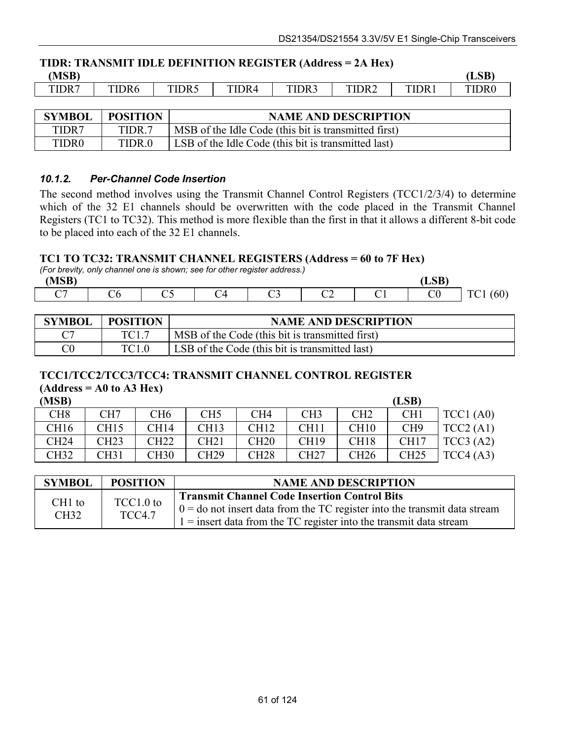|               | THEN TRUE WALLET HELD BELLITTING IN REGISTER (TRUE COS) FOR THE REAL |       |                                                      |                             |                   |       |                   |
|---------------|----------------------------------------------------------------------|-------|------------------------------------------------------|-----------------------------|-------------------|-------|-------------------|
| (MSB)         |                                                                      |       |                                                      |                             |                   |       | (LSB)             |
| TIDR7         | TIDR <sub>6</sub>                                                    | TIDR5 | TIDR4                                                | TIDR3                       | TIDR <sub>2</sub> | TIDR1 | TIDR <sub>0</sub> |
|               |                                                                      |       |                                                      |                             |                   |       |                   |
| <b>SYMBOL</b> | <b>POSITION</b>                                                      |       |                                                      | <b>NAME AND DESCRIPTION</b> |                   |       |                   |
| TIDR7         | TIDR 7                                                               |       | MSB of the Idle Code (this bit is transmitted first) |                             |                   |       |                   |

#### **TIDR: TRANSMIT IDLE DEFINITION REGISTER (Address = 2A Hex)**

TIDR0 TIDR.0 LSB of the Idle Code (this bit is transmitted last)

#### <span id="page-60-0"></span>*10.1.2. Per-Channel Code Insertion*

The second method involves using the Transmit Channel Control Registers (TCC1/2/3/4) to determine which of the 32 E1 channels should be overwritten with the code placed in the Transmit Channel Registers (TC1 to TC32). This method is more flexible than the first in that it allows a different 8-bit code to be placed into each of the 32 E1 channels.

#### **TC1 TO TC32: TRANSMIT CHANNEL REGISTERS (Address = 60 to 7F Hex)**

*(For brevity, only channel one is shown; see for other register address.)* 

| (MSB)         |                |                              |             |                        |        | (LSB)        |                                       |
|---------------|----------------|------------------------------|-------------|------------------------|--------|--------------|---------------------------------------|
| $\sim$ $\sim$ | <b>'</b><br>◡◡ | $\sim$ $\sim$<br>$\check{ }$ | $\sim$<br>∽ | $\sim$<br>$\checkmark$ | $\sim$ | $\sim$<br>◡◡ | $60^\circ$<br>$\sim$<br><b>.</b><br>- |

| <b>SYMBOL</b> | <b>POSITION</b> | <b>NAME AND DESCRIPTION</b>                           |
|---------------|-----------------|-------------------------------------------------------|
|               |                 | MSB of the Code (this bit is transmitted first)       |
| C0            | <b>TC1.0</b>    | <b>LSB</b> of the Code (this bit is transmitted last) |

#### **TCC1/TCC2/TCC3/TCC4: TRANSMIT CHANNEL CONTROL REGISTER (Address = A0 to A3 Hex)**

| (MSB)            |                 |                 |                  |                 |                  |                  | (LSB)            |          |
|------------------|-----------------|-----------------|------------------|-----------------|------------------|------------------|------------------|----------|
| CH <sub>8</sub>  | CH <sub>7</sub> | CH <sub>6</sub> | CH <sub>5</sub>  | CH <sub>4</sub> | CH <sub>3</sub>  | CH <sub>2</sub>  | CH <sub>1</sub>  | TCC1(A0) |
| CH <sub>16</sub> | <b>CH15</b>     | CH14            | CH13             | <b>CH12</b>     | CH <sub>11</sub> | CH10             | CH <sub>9</sub>  | TCC2(A1) |
| <b>CH24</b>      | CH23            | CH22            | CH21             | <b>CH20</b>     | <b>CH19</b>      | CH <sub>18</sub> | CH <sub>17</sub> | TCC3(A2) |
| <b>CH32</b>      | CH31            | <b>CH30</b>     | CH <sub>29</sub> | <b>CH28</b>     | <b>CH27</b>      | <b>CH26</b>      | CH25             | TCC4(A3) |

| <b>SYMBOL</b>              | <b>POSITION</b>            | <b>NAME AND DESCRIPTION</b>                                                                                                                                                                                            |
|----------------------------|----------------------------|------------------------------------------------------------------------------------------------------------------------------------------------------------------------------------------------------------------------|
| CH <sub>1</sub> to<br>CH32 | TCC1.0 to<br><b>TCC4.7</b> | <b>Transmit Channel Code Insertion Control Bits</b><br>$\vert 0 \vert$ = do not insert data from the TC register into the transmit data stream<br>$1 =$ insert data from the TC register into the transmit data stream |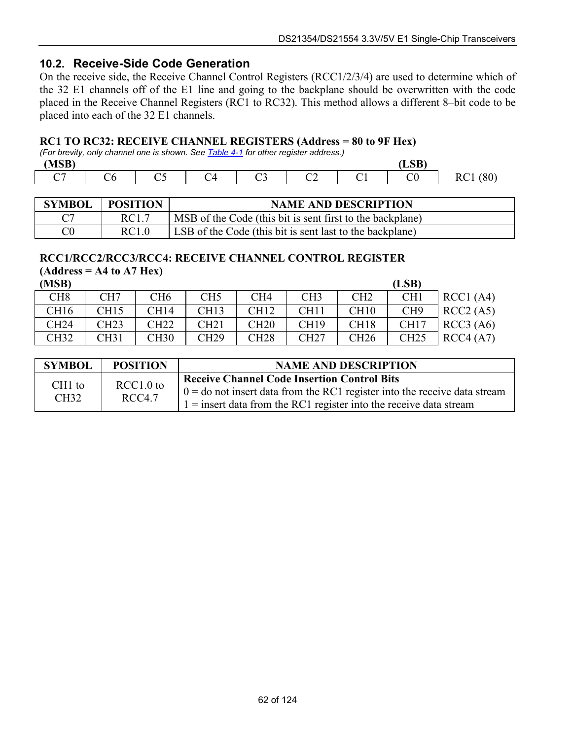#### <span id="page-61-0"></span>**10.2. Receive-Side Code Generation**

On the receive side, the Receive Channel Control Registers (RCC1/2/3/4) are used to determine which of the 32 E1 channels off of the E1 line and going to the backplane should be overwritten with the code placed in the Receive Channel Registers (RC1 to RC32). This method allows a different 8-bit code to be placed into each of the 32 E1 channels.

#### **RC1 TO RC32: RECEIVE CHANNEL REGISTERS (Address = 80 to 9F Hex)**

*(For brevity, only channel one is shown. See [Table 4-1 f](#page-24-0)or other register address.)*  **(MSB) (LSB)** 

| $\sim$ | È | . . | $\cap$<br>◡▵ | $\sim$ $\sim$<br>◡<br>- - | (80)<br>$\sim$ |
|--------|---|-----|--------------|---------------------------|----------------|

| <b>SYMBOL</b>  | <b>POSITION</b> | <b>NAME AND DESCRIPTION</b>                               |
|----------------|-----------------|-----------------------------------------------------------|
|                | RC1.7           | MSB of the Code (this bit is sent first to the backplane) |
| C <sub>0</sub> | RC1.0           | LSB of the Code (this bit is sent last to the backplane)  |

#### **RCC1/RCC2/RCC3/RCC4: RECEIVE CHANNEL CONTROL REGISTER**

**(Address = A4 to A7 Hex)** 

| (MSB)            |                 |                 |                  |                 |                  |                  | (LSB)            |             |
|------------------|-----------------|-----------------|------------------|-----------------|------------------|------------------|------------------|-------------|
| CH <sub>8</sub>  | CH <sub>7</sub> | CH <sub>6</sub> | CH <sub>5</sub>  | CH <sub>4</sub> | CH <sub>3</sub>  | CH <sub>2</sub>  | CH <sub>1</sub>  | RCC1(A4)    |
| CH <sub>16</sub> | CH15            | CH14            | <b>CH13</b>      | <b>CH12</b>     | CH <sub>11</sub> | CH10             | CH <sub>9</sub>  | RCC2(A5)    |
| <b>CH24</b>      | CH23            | CH22            | CH21             | <b>CH20</b>     | <b>CH19</b>      | CH <sub>18</sub> | CH <sub>17</sub> | $RCC3$ (A6) |
| <b>CH32</b>      | CH31            | <b>CH30</b>     | CH <sub>29</sub> | <b>CH28</b>     | CH27             | <b>CH26</b>      | CH25             | RCC4 (A7)   |

| <b>SYMBOL</b>    | <b>POSITION</b>     | <b>NAME AND DESCRIPTION</b>                                                                                                                                                                               |
|------------------|---------------------|-----------------------------------------------------------------------------------------------------------------------------------------------------------------------------------------------------------|
| $CH1$ to<br>CH32 | RCC1.0 to<br>RCC4.7 | <b>Receive Channel Code Insertion Control Bits</b><br>$0 =$ do not insert data from the RC1 register into the receive data stream<br>$1 =$ insert data from the RC1 register into the receive data stream |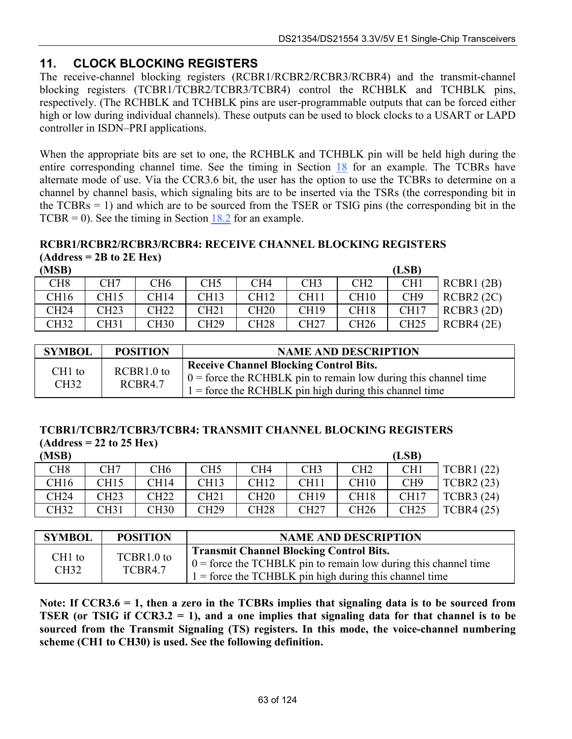# **11. CLOCK BLOCKING REGISTERS**

The receive-channel blocking registers (RCBR1/RCBR2/RCBR3/RCBR4) and the transmit-channel blocking registers (TCBR1/TCBR2/TCBR3/TCBR4) control the RCHBLK and TCHBLK pins, respectively. (The RCHBLK and TCHBLK pins are user-programmable outputs that can be forced either high or low during individual channels). These outputs can be used to block clocks to a USART or LAPD controller in ISDN-PRI applications.

When the appropriate bits are set to one, the RCHBLK and TCHBLK pin will be held high during the entire corresponding channel time. See the timing in Section [18](#page-99-1) for an example. The TCBRs have alternate mode of use. Via the CCR3.6 bit, the user has the option to use the TCBRs to determine on a channel by channel basis, which signaling bits are to be inserted via the TSRs (the corresponding bit in the TCBRs = 1) and which are to be sourced from the TSER or TSIG pins (the corresponding bit in the TCBR = 0). See the timing in Section  $18.2$  for an example.

#### **RCBR1/RCBR2/RCBR3/RCBR4: RECEIVE CHANNEL BLOCKING REGISTERS (Address = 2B to 2E Hex)**

| (MSB)            |      |      |      |                  |                  |                  | (LSB)           |            |
|------------------|------|------|------|------------------|------------------|------------------|-----------------|------------|
| CH8              | CH7  | CH6  | CH5  | CH4              | CH <sub>3</sub>  | CH <sub>2</sub>  | CH <sub>1</sub> | RCBR1 (2B) |
| CH <sub>16</sub> | CH15 | CH14 | CH13 | CH12             | CH11             | CH10             | CH <sub>9</sub> | RCBR2 (2C) |
| <b>CH24</b>      | CH23 | CH22 | CH21 | CH20             | CH19             | CH <sub>18</sub> | <b>CH17</b>     | RCBR3 (2D) |
| <b>CH32</b>      | CH31 | CH30 | CH29 | CH <sub>28</sub> | CH <sub>27</sub> | <b>CH26</b>      | CH25            | RCBR4 (2E) |

| <b>SYMBOL</b>              | <b>POSITION</b>       | <b>NAME AND DESCRIPTION</b>                                                                                                                                                    |
|----------------------------|-----------------------|--------------------------------------------------------------------------------------------------------------------------------------------------------------------------------|
| CH <sub>1</sub> to<br>CH32 | RCBR1.0 to<br>RCBR4.7 | <b>Receive Channel Blocking Control Bits.</b><br>$0 =$ force the RCHBLK pin to remain low during this channel time<br>$1 =$ force the RCHBLK pin high during this channel time |

#### **TCBR1/TCBR2/TCBR3/TCBR4: TRANSMIT CHANNEL BLOCKING REGISTERS (Address = 22 to 25 Hex)**

| (MSB)            |                 |             |      |                 |                 |                 | (LSB)            |                   |
|------------------|-----------------|-------------|------|-----------------|-----------------|-----------------|------------------|-------------------|
| CH <sub>8</sub>  | CH <sub>7</sub> | CH6         | CH5  | CH <sub>4</sub> | CH <sub>3</sub> | CH <sub>2</sub> | CH <sub>1</sub>  | <b>TCBR1</b> (22) |
| CH <sub>16</sub> | <b>CH15</b>     | CH14        | CH13 | <b>CH12</b>     | CH11            | CH10            | CH <sub>9</sub>  | <b>TCBR2</b> (23) |
| <b>CH24</b>      | CH23            | CH22        | TH21 | <b>CH20</b>     | CH19            | <b>CH18</b>     | <b>CH17</b>      | <b>TCBR3</b> (24) |
| CH32             | CH31            | <b>CH30</b> | CH29 | <b>CH28</b>     | CH27            | <b>CH26</b>     | CH <sub>25</sub> | TCBR4(25)         |

| <b>SYMBOL</b>  | <b>POSITION</b>       | <b>NAME AND DESCRIPTION</b>                                                                                                                                                                 |
|----------------|-----------------------|---------------------------------------------------------------------------------------------------------------------------------------------------------------------------------------------|
| CH1 to<br>CH32 | TCBR1.0 to<br>TCBR4.7 | <b>Transmit Channel Blocking Control Bits.</b><br>$\vert 0 \vert$ = force the TCHBLK pin to remain low during this channel time<br>$1 =$ force the TCHBLK pin high during this channel time |

**Note: If CCR3.6 = 1, then a zero in the TCBRs implies that signaling data is to be sourced from TSER (or TSIG if CCR3.2 = 1), and a one implies that signaling data for that channel is to be sourced from the Transmit Signaling (TS) registers. In this mode, the voice-channel numbering scheme (CH1 to CH30) is used. See the following definition.**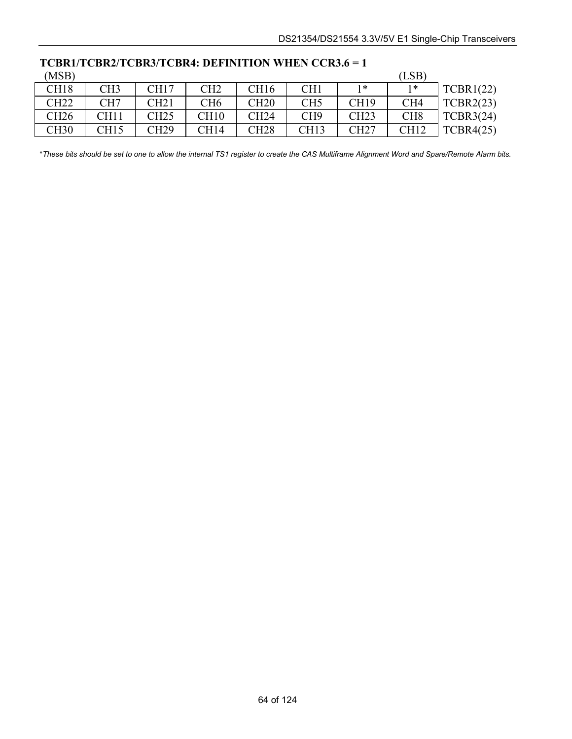|                  | 1 UDIM I UDIM I UDIM I UDIM DELIMITUM TILLUM UUMMU |             |                 |                  |                 |             |                 |           |
|------------------|----------------------------------------------------|-------------|-----------------|------------------|-----------------|-------------|-----------------|-----------|
| (MSB)            |                                                    |             |                 |                  |                 |             | 'LSB`           |           |
| CH <sub>18</sub> | CH3                                                | <b>CH17</b> | CH <sub>2</sub> | CH <sub>16</sub> | CH <sub>1</sub> | $1*$        | ∗               | TCBR1(22) |
| <b>CH22</b>      | CH7                                                | CH21        | CH <sub>6</sub> | <b>CH20</b>      | CH <sub>5</sub> | <b>CH19</b> | CH <sub>4</sub> | TCBR2(23) |
| <b>CH26</b>      | CH11                                               | CH25        | CH10            | <b>CH24</b>      | CH <sub>9</sub> | CH23        | CH <sub>8</sub> | TCBR3(24) |
| <b>CH30</b>      | CH15                                               | CH29        | CH14            | CH28             | CH13            | CH27        | CH12            | TCBR4(25) |

**TCBR1/TCBR2/TCBR3/TCBR4: DEFINITION WHEN CCR3.6 = 1** 

\**These bits should be set to one to allow the internal TS1 register to create the CAS Multiframe Alignment Word and Spare/Remote Alarm bits.*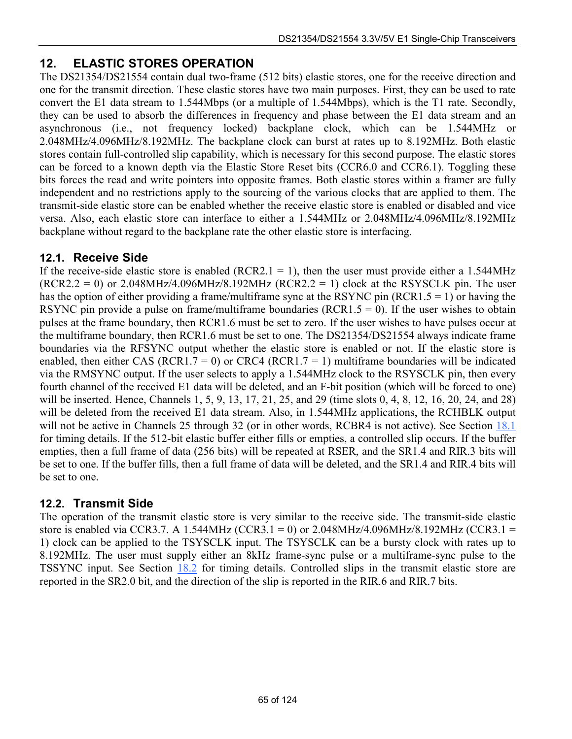# <span id="page-64-0"></span>**12. ELASTIC STORES OPERATION**

The DS21354/DS21554 contain dual two-frame (512 bits) elastic stores, one for the receive direction and one for the transmit direction. These elastic stores have two main purposes. First, they can be used to rate convert the E1 data stream to 1.544Mbps (or a multiple of 1.544Mbps), which is the T1 rate. Secondly, they can be used to absorb the differences in frequency and phase between the E1 data stream and an asynchronous (i.e., not frequency locked) backplane clock, which can be 1.544MHz or 2.048MHz/4.096MHz/8.192MHz. The backplane clock can burst at rates up to 8.192MHz. Both elastic stores contain full-controlled slip capability, which is necessary for this second purpose. The elastic stores can be forced to a known depth via the Elastic Store Reset bits (CCR6.0 and CCR6.1). Toggling these bits forces the read and write pointers into opposite frames. Both elastic stores within a framer are fully independent and no restrictions apply to the sourcing of the various clocks that are applied to them. The transmit-side elastic store can be enabled whether the receive elastic store is enabled or disabled and vice versa. Also, each elastic store can interface to either a 1.544MHz or 2.048MHz/4.096MHz/8.192MHz backplane without regard to the backplane rate the other elastic store is interfacing.

# **12.1. Receive Side**

If the receive-side elastic store is enabled (RCR2.1 = 1), then the user must provide either a 1.544MHz  $(RCR2.2 = 0)$  or 2.048MHz/4.096MHz/8.192MHz  $(RCR2.2 = 1)$  clock at the RSYSCLK pin. The user has the option of either providing a frame/multiframe sync at the RSYNC pin (RCR1.5 = 1) or having the RSYNC pin provide a pulse on frame/multiframe boundaries (RCR1.5 = 0). If the user wishes to obtain pulses at the frame boundary, then RCR1.6 must be set to zero. If the user wishes to have pulses occur at the multiframe boundary, then RCR1.6 must be set to one. The DS21354/DS21554 always indicate frame boundaries via the RFSYNC output whether the elastic store is enabled or not. If the elastic store is enabled, then either CAS (RCR1.7 = 0) or CRC4 (RCR1.7 = 1) multiframe boundaries will be indicated via the RMSYNC output. If the user selects to apply a 1.544MHz clock to the RSYSCLK pin, then every fourth channel of the received E1 data will be deleted, and an F-bit position (which will be forced to one) will be inserted. Hence, Channels 1, 5, 9, 13, 17, 21, 25, and 29 (time slots 0, 4, 8, 12, 16, 20, 24, and 28) will be deleted from the received E1 data stream. Also, in 1.544MHz applications, the RCHBLK output will not be active in Channels 25 through 32 (or in other words, RCBR4 is not active). See Section [18.1](#page-99-0) for timing details. If the 512-bit elastic buffer either fills or empties, a controlled slip occurs. If the buffer empties, then a full frame of data (256 bits) will be repeated at RSER, and the SR1.4 and RIR.3 bits will be set to one. If the buffer fills, then a full frame of data will be deleted, and the SR1.4 and RIR.4 bits will be set to one.

# **12.2. Transmit Side**

The operation of the transmit elastic store is very similar to the receive side. The transmit-side elastic store is enabled via CCR3.7. A 1.544MHz (CCR3.1 = 0) or 2.048MHz/4.096MHz/8.192MHz (CCR3.1 = 1) clock can be applied to the TSYSCLK input. The TSYSCLK can be a bursty clock with rates up to 8.192MHz. The user must supply either an 8kHz frame-sync pulse or a multiframe-sync pulse to the TSSYNC input. See Section [18.2](#page-103-0) for timing details. Controlled slips in the transmit elastic store are reported in the SR2.0 bit, and the direction of the slip is reported in the RIR.6 and RIR.7 bits.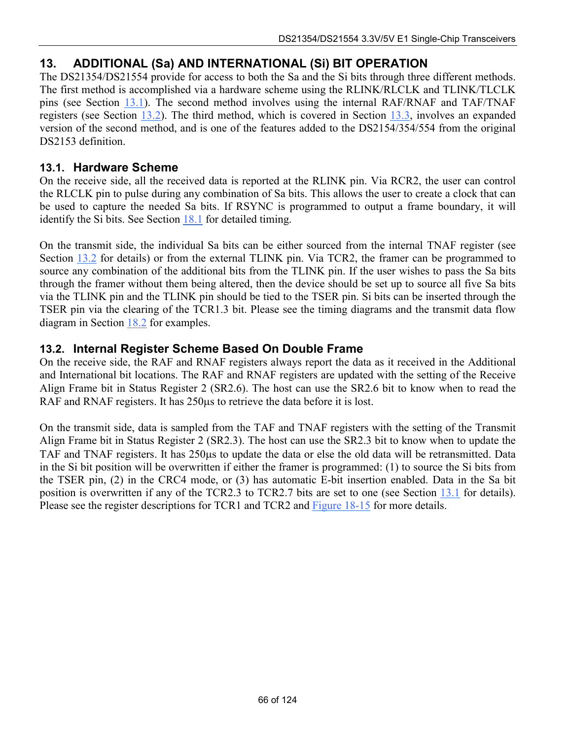# **13. ADDITIONAL (Sa) AND INTERNATIONAL (Si) BIT OPERATION**

The DS21354/DS21554 provide for access to both the Sa and the Si bits through three different methods. The first method is accomplished via a hardware scheme using the RLINK/RLCLK and TLINK/TLCLK pins (see Section [13.1\)](#page-65-0). The second method involves using the internal RAF/RNAF and TAF/TNAF registers (see Section [13.2\)](#page-65-1). The third method, which is covered in Section [13.3,](#page-67-0) involves an expanded version of the second method, and is one of the features added to the DS2154/354/554 from the original DS2153 definition.

#### <span id="page-65-0"></span>**13.1. Hardware Scheme**

On the receive side, all the received data is reported at the RLINK pin. Via RCR2, the user can control the RLCLK pin to pulse during any combination of Sa bits. This allows the user to create a clock that can be used to capture the needed Sa bits. If RSYNC is programmed to output a frame boundary, it will identify the Si bits. See Section [18.1](#page-99-0) for detailed timing.

On the transmit side, the individual Sa bits can be either sourced from the internal TNAF register (see Section [13.2](#page-65-1) for details) or from the external TLINK pin. Via TCR2, the framer can be programmed to source any combination of the additional bits from the TLINK pin. If the user wishes to pass the Sa bits through the framer without them being altered, then the device should be set up to source all five Sa bits via the TLINK pin and the TLINK pin should be tied to the TSER pin. Si bits can be inserted through the TSER pin via the clearing of the TCR1.3 bit. Please see the timing diagrams and the transmit data flow diagram in Section [18.2](#page-103-0) for examples.

# <span id="page-65-1"></span>**13.2. Internal Register Scheme Based On Double Frame**

On the receive side, the RAF and RNAF registers always report the data as it received in the Additional and International bit locations. The RAF and RNAF registers are updated with the setting of the Receive Align Frame bit in Status Register 2 (SR2.6). The host can use the SR2.6 bit to know when to read the RAF and RNAF registers. It has 250 us to retrieve the data before it is lost.

On the transmit side, data is sampled from the TAF and TNAF registers with the setting of the Transmit Align Frame bit in Status Register 2 (SR2.3). The host can use the SR2.3 bit to know when to update the TAF and TNAF registers. It has 250 µs to update the data or else the old data will be retransmitted. Data in the Si bit position will be overwritten if either the framer is programmed: (1) to source the Si bits from the TSER pin, (2) in the CRC4 mode, or (3) has automatic E-bit insertion enabled. Data in the Sa bit position is overwritten if any of the TCR2.3 to TCR2.7 bits are set to one (see Section [13.1](#page-65-0) for details). Please see the register descriptions for TCR1 and TCR2 and [Figure 18-15](#page-109-0) for more details.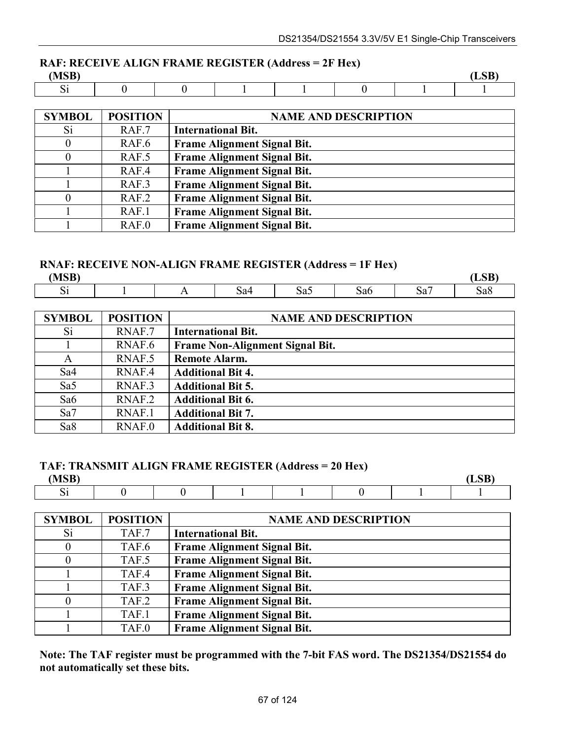# **RAF: RECEIVE ALIGN FRAME REGISTER (Address = 2F Hex)**

| (MSB)                       |  |  |  | $\sigma$ and<br>பலப |
|-----------------------------|--|--|--|---------------------|
| $\tilde{\phantom{a}}$<br>ΜI |  |  |  |                     |

| <b>SYMBOL</b> | <b>POSITION</b> | <b>NAME AND DESCRIPTION</b>        |
|---------------|-----------------|------------------------------------|
| Si.           | RAF.7           | <b>International Bit.</b>          |
|               | RAF.6           | <b>Frame Alignment Signal Bit.</b> |
|               | RAF.5           | <b>Frame Alignment Signal Bit.</b> |
|               | RAF.4           | <b>Frame Alignment Signal Bit.</b> |
|               | RAF.3           | <b>Frame Alignment Signal Bit.</b> |
| 0             | RAF.2           | <b>Frame Alignment Signal Bit.</b> |
|               | RAF.1           | <b>Frame Alignment Signal Bit.</b> |
|               | RAF.0           | <b>Frame Alignment Signal Bit.</b> |

#### **RNAF: RECEIVE NON-ALIGN FRAME REGISTER (Address = 1F Hex)**

| (MSB)<br>பலப      |     |                 |               |     |     | CD<br>≖ |
|-------------------|-----|-----------------|---------------|-----|-----|---------|
| $\sim\cdot$<br>ΜI | . . | S <sub>34</sub> | $\sim$<br>Sa5 | sab | Sd. | Sa8     |

| <b>SYMBOL</b>   | <b>POSITION</b> | <b>NAME AND DESCRIPTION</b>     |
|-----------------|-----------------|---------------------------------|
| Si              | RNAF.7          | <b>International Bit.</b>       |
|                 | RNAF.6          | Frame Non-Alignment Signal Bit. |
| A               | RNAF.5          | <b>Remote Alarm.</b>            |
| Sa4             | RNAF.4          | <b>Additional Bit 4.</b>        |
| Sa5             | RNAF.3          | <b>Additional Bit 5.</b>        |
| Sa <sub>6</sub> | RNAF.2          | <b>Additional Bit 6.</b>        |
| Sa7             | RNAF.1          | <b>Additional Bit 7.</b>        |
| Sa8             | RNAF.0          | <b>Additional Bit 8.</b>        |

#### **TAF: TRANSMIT ALIGN FRAME REGISTER (Address = 20 Hex)**

| $\Lambda$ (CD)<br>-- |  |  |  |  |
|----------------------|--|--|--|--|
| $\sim$               |  |  |  |  |

| <b>SYMBOL</b> | <b>POSITION</b>  | <b>NAME AND DESCRIPTION</b>        |
|---------------|------------------|------------------------------------|
| Si            | TAF.7            | <b>International Bit.</b>          |
|               | TAF.6            | <b>Frame Alignment Signal Bit.</b> |
|               | TAF.5            | <b>Frame Alignment Signal Bit.</b> |
|               | TAF.4            | <b>Frame Alignment Signal Bit.</b> |
|               | TAF <sub>3</sub> | <b>Frame Alignment Signal Bit.</b> |
|               | TAF.2            | <b>Frame Alignment Signal Bit.</b> |
|               | TAF.1            | <b>Frame Alignment Signal Bit.</b> |
|               | TAF.0            | <b>Frame Alignment Signal Bit.</b> |

**Note: The TAF register must be programmed with the 7-bit FAS word. The DS21354/DS21554 do not automatically set these bits.**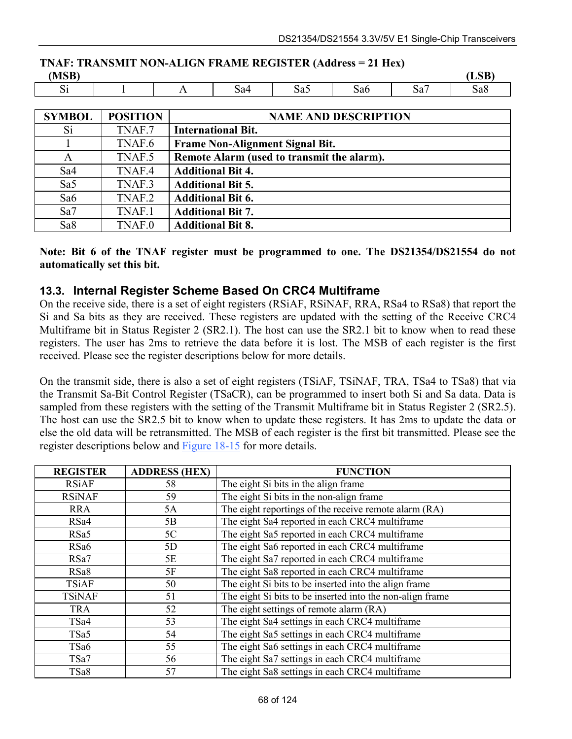| TNAP, TKANSMITT NON-ALIGN FKAME KEGISTEK (A001688 – 21 HEX) |                 |   |                                            |                 |                 |                 |       |
|-------------------------------------------------------------|-----------------|---|--------------------------------------------|-----------------|-----------------|-----------------|-------|
| (MSB)                                                       |                 |   |                                            |                 |                 |                 | (LSB) |
| Si                                                          |                 | A | Sa4                                        | Sa <sub>5</sub> | Sa <sub>6</sub> | Sa <sub>7</sub> | Sa8   |
|                                                             |                 |   |                                            |                 |                 |                 |       |
| <b>SYMBOL</b>                                               | <b>POSITION</b> |   | <b>NAME AND DESCRIPTION</b>                |                 |                 |                 |       |
| Si                                                          | TNAF.7          |   | <b>International Bit.</b>                  |                 |                 |                 |       |
|                                                             | TNAF.6          |   | <b>Frame Non-Alignment Signal Bit.</b>     |                 |                 |                 |       |
| A                                                           | TNAF.5          |   | Remote Alarm (used to transmit the alarm). |                 |                 |                 |       |
| Sa4                                                         | TNAF.4          |   | <b>Additional Bit 4.</b>                   |                 |                 |                 |       |

# **TNAF: TRANSMIT NON-ALIGN FRAME REGISTER (Address = 21 Hex)**

**Note: Bit 6 of the TNAF register must be programmed to one. The DS21354/DS21554 do not automatically set this bit.** 

#### <span id="page-67-0"></span>**13.3. Internal Register Scheme Based On CRC4 Multiframe**

Sa5 TNAF.3 **Additional Bit 5.**  Sa6 TNAF.2 **Additional Bit 6.**  Sa7 TNAF.1 **Additional Bit 7.**  Sa8 TNAF.0 **Additional Bit 8.** 

On the receive side, there is a set of eight registers (RSiAF, RSiNAF, RRA, RSa4 to RSa8) that report the Si and Sa bits as they are received. These registers are updated with the setting of the Receive CRC4 Multiframe bit in Status Register 2 (SR2.1). The host can use the SR2.1 bit to know when to read these registers. The user has 2ms to retrieve the data before it is lost. The MSB of each register is the first received. Please see the register descriptions below for more details.

On the transmit side, there is also a set of eight registers (TSiAF, TSiNAF, TRA, TSa4 to TSa8) that via the Transmit Sa-Bit Control Register (TSaCR), can be programmed to insert both Si and Sa data. Data is sampled from these registers with the setting of the Transmit Multiframe bit in Status Register 2 (SR2.5). The host can use the SR2.5 bit to know when to update these registers. It has 2ms to update the data or else the old data will be retransmitted. The MSB of each register is the first bit transmitted. Please see the register descriptions below and [Figure 18-15](#page-109-0) for more details.

| <b>REGISTER</b> | <b>ADDRESS (HEX)</b> | <b>FUNCTION</b>                                           |
|-----------------|----------------------|-----------------------------------------------------------|
| <b>RSiAF</b>    | 58                   | The eight Si bits in the align frame                      |
| <b>RSiNAF</b>   | 59                   | The eight Si bits in the non-align frame                  |
| <b>RRA</b>      | 5A                   | The eight reportings of the receive remote alarm (RA)     |
| RSa4            | 5B                   | The eight Sa4 reported in each CRC4 multiframe            |
| RSa5            | 5C                   | The eight Sa5 reported in each CRC4 multiframe            |
| RSa6            | 5D                   | The eight Sa6 reported in each CRC4 multiframe            |
| RSa7            | 5E                   | The eight Sa7 reported in each CRC4 multiframe            |
| RSa8            | 5F                   | The eight Sa8 reported in each CRC4 multiframe            |
| <b>TSiAF</b>    | 50                   | The eight Si bits to be inserted into the align frame     |
| <b>TSiNAF</b>   | 51                   | The eight Si bits to be inserted into the non-align frame |
| <b>TRA</b>      | 52                   | The eight settings of remote alarm (RA)                   |
| TSa4            | 53                   | The eight Sa4 settings in each CRC4 multiframe            |
| TSa5            | 54                   | The eight Sa5 settings in each CRC4 multiframe            |
| TSa6            | 55                   | The eight Sa6 settings in each CRC4 multiframe            |
| TSa7            | 56                   | The eight Sa7 settings in each CRC4 multiframe            |
| TSa8            | 57                   | The eight Sa8 settings in each CRC4 multiframe            |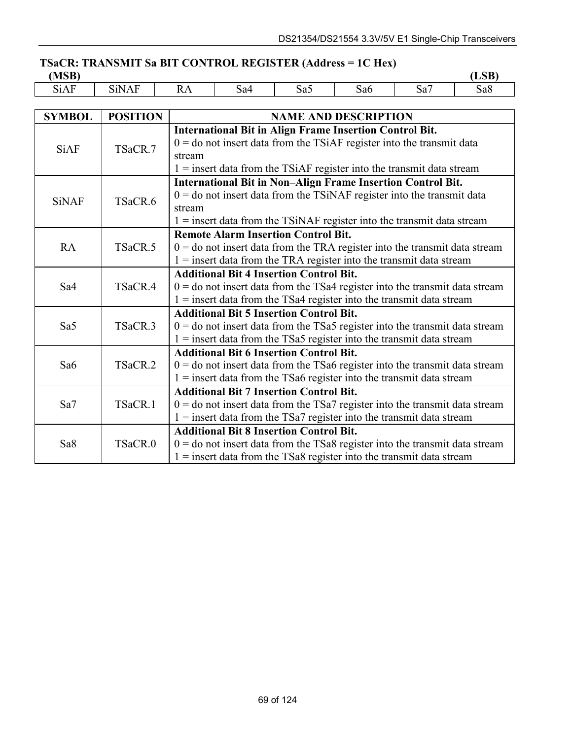# **TSaCR: TRANSMIT Sa BIT CONTROL REGISTER (Address = 1C Hex)**

| $\alpha$ <i>for</i><br>ATO D |                                                               |       |                                          |               |     |     | $\sim$ $\blacksquare$ |
|------------------------------|---------------------------------------------------------------|-------|------------------------------------------|---------------|-----|-----|-----------------------|
| S1AF                         | n<br>A<br><br>the contract of the contract of the contract of | 177 T | $\tilde{\phantom{a}}$<br>Sa <sub>4</sub> | $\sim$<br>Sa5 | Sab | Sa. | Sa8                   |

| <b>SYMBOL</b>   | <b>POSITION</b> | <b>NAME AND DESCRIPTION</b>                                                   |
|-----------------|-----------------|-------------------------------------------------------------------------------|
|                 |                 | <b>International Bit in Align Frame Insertion Control Bit.</b>                |
|                 | TSaCR.7         | $0 =$ do not insert data from the TSiAF register into the transmit data       |
| <b>SiAF</b>     |                 | stream                                                                        |
|                 |                 | $1 =$ insert data from the TSiAF register into the transmit data stream       |
|                 |                 | <b>International Bit in Non-Align Frame Insertion Control Bit.</b>            |
| <b>SiNAF</b>    | TSaCR.6         | $0 =$ do not insert data from the TSiNAF register into the transmit data      |
|                 |                 | stream                                                                        |
|                 |                 | $1 =$ insert data from the TSiNAF register into the transmit data stream      |
|                 |                 | <b>Remote Alarm Insertion Control Bit.</b>                                    |
| <b>RA</b>       | TSaCR.5         | $0 =$ do not insert data from the TRA register into the transmit data stream  |
|                 |                 | $1 =$ insert data from the TRA register into the transmit data stream         |
|                 | TSaCR.4         | <b>Additional Bit 4 Insertion Control Bit.</b>                                |
| Sa4             |                 | $0 =$ do not insert data from the TSa4 register into the transmit data stream |
|                 |                 | $1 =$ insert data from the TSa4 register into the transmit data stream        |
|                 | TSaCR.3         | <b>Additional Bit 5 Insertion Control Bit.</b>                                |
| Sa5             |                 | $0 =$ do not insert data from the TSa5 register into the transmit data stream |
|                 |                 | $1 =$ insert data from the TSa5 register into the transmit data stream        |
|                 |                 | <b>Additional Bit 6 Insertion Control Bit.</b>                                |
| Sa <sub>6</sub> | TSaCR.2         | $0 =$ do not insert data from the TSa6 register into the transmit data stream |
|                 |                 | $1 =$ insert data from the TSa6 register into the transmit data stream        |
|                 |                 | <b>Additional Bit 7 Insertion Control Bit.</b>                                |
| Sa7             | TSaCR.1         | $0 =$ do not insert data from the TSa7 register into the transmit data stream |
|                 |                 | $1 =$ insert data from the TSa7 register into the transmit data stream        |
|                 |                 | <b>Additional Bit 8 Insertion Control Bit.</b>                                |
| Sa8             | TSaCR.0         | $0 =$ do not insert data from the TSa8 register into the transmit data stream |
|                 |                 | $1 =$ insert data from the TSa8 register into the transmit data stream        |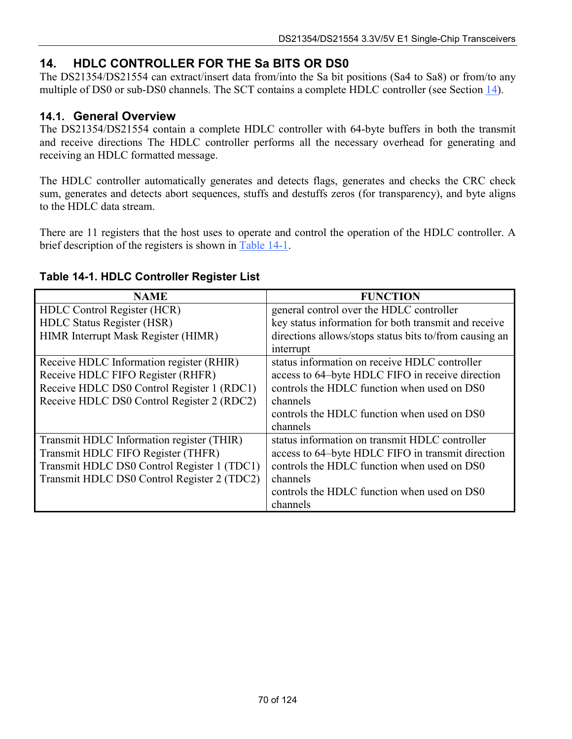# <span id="page-69-0"></span>**14. HDLC CONTROLLER FOR THE Sa BITS OR DS0**

The DS21354/DS21554 can extract/insert data from/into the Sa bit positions (Sa4 to Sa8) or from/to any multiple of DS0 or sub-DS0 channels. The SCT contains a complete HDLC controller (see Section [14\)](#page-69-0).

#### **14.1. General Overview**

The DS21354/DS21554 contain a complete HDLC controller with 64-byte buffers in both the transmit and receive directions The HDLC controller performs all the necessary overhead for generating and receiving an HDLC formatted message.

The HDLC controller automatically generates and detects flags, generates and checks the CRC check sum, generates and detects abort sequences, stuffs and destuffs zeros (for transparency), and byte aligns to the HDLC data stream.

There are 11 registers that the host uses to operate and control the operation of the HDLC controller. A brief description of the registers is shown in [Table 14-1.](#page-69-1)

| NAME                                        | <b>FUNCTION</b>                                        |
|---------------------------------------------|--------------------------------------------------------|
| HDLC Control Register (HCR)                 | general control over the HDLC controller               |
| <b>HDLC</b> Status Register (HSR)           | key status information for both transmit and receive   |
| HIMR Interrupt Mask Register (HIMR)         | directions allows/stops status bits to/from causing an |
|                                             | interrupt                                              |
| Receive HDLC Information register (RHIR)    | status information on receive HDLC controller          |
| Receive HDLC FIFO Register (RHFR)           | access to 64–byte HDLC FIFO in receive direction       |
| Receive HDLC DS0 Control Register 1 (RDC1)  | controls the HDLC function when used on DS0            |
| Receive HDLC DS0 Control Register 2 (RDC2)  | channels                                               |
|                                             | controls the HDLC function when used on DS0            |
|                                             | channels                                               |
| Transmit HDLC Information register (THIR)   | status information on transmit HDLC controller         |
| Transmit HDLC FIFO Register (THFR)          | access to 64–byte HDLC FIFO in transmit direction      |
| Transmit HDLC DS0 Control Register 1 (TDC1) | controls the HDLC function when used on DS0            |
| Transmit HDLC DS0 Control Register 2 (TDC2) | channels                                               |
|                                             | controls the HDLC function when used on DS0            |
|                                             | channels                                               |

#### <span id="page-69-1"></span>**Table 14-1. HDLC Controller Register List**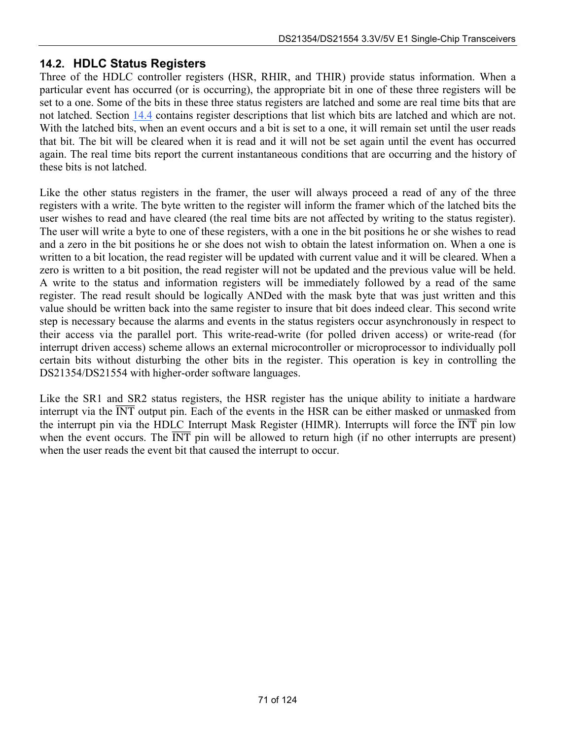# **14.2. HDLC Status Registers**

Three of the HDLC controller registers (HSR, RHIR, and THIR) provide status information. When a particular event has occurred (or is occurring), the appropriate bit in one of these three registers will be set to a one. Some of the bits in these three status registers are latched and some are real time bits that are not latched. Section [14.4](#page-72-0) contains register descriptions that list which bits are latched and which are not. With the latched bits, when an event occurs and a bit is set to a one, it will remain set until the user reads that bit. The bit will be cleared when it is read and it will not be set again until the event has occurred again. The real time bits report the current instantaneous conditions that are occurring and the history of these bits is not latched.

Like the other status registers in the framer, the user will always proceed a read of any of the three registers with a write. The byte written to the register will inform the framer which of the latched bits the user wishes to read and have cleared (the real time bits are not affected by writing to the status register). The user will write a byte to one of these registers, with a one in the bit positions he or she wishes to read and a zero in the bit positions he or she does not wish to obtain the latest information on. When a one is written to a bit location, the read register will be updated with current value and it will be cleared. When a zero is written to a bit position, the read register will not be updated and the previous value will be held. A write to the status and information registers will be immediately followed by a read of the same register. The read result should be logically ANDed with the mask byte that was just written and this value should be written back into the same register to insure that bit does indeed clear. This second write step is necessary because the alarms and events in the status registers occur asynchronously in respect to their access via the parallel port. This write-read-write (for polled driven access) or write-read (for interrupt driven access) scheme allows an external microcontroller or microprocessor to individually poll certain bits without disturbing the other bits in the register. This operation is key in controlling the DS21354/DS21554 with higher-order software languages.

Like the SR1 and SR2 status registers, the HSR register has the unique ability to initiate a hardware interrupt via the INT output pin. Each of the events in the HSR can be either masked or unmasked from the interrupt pin via the HDLC Interrupt Mask Register (HIMR). Interrupts will force the  $\overline{INT}$  pin low when the event occurs. The  $\overline{INT}$  pin will be allowed to return high (if no other interrupts are present) when the user reads the event bit that caused the interrupt to occur.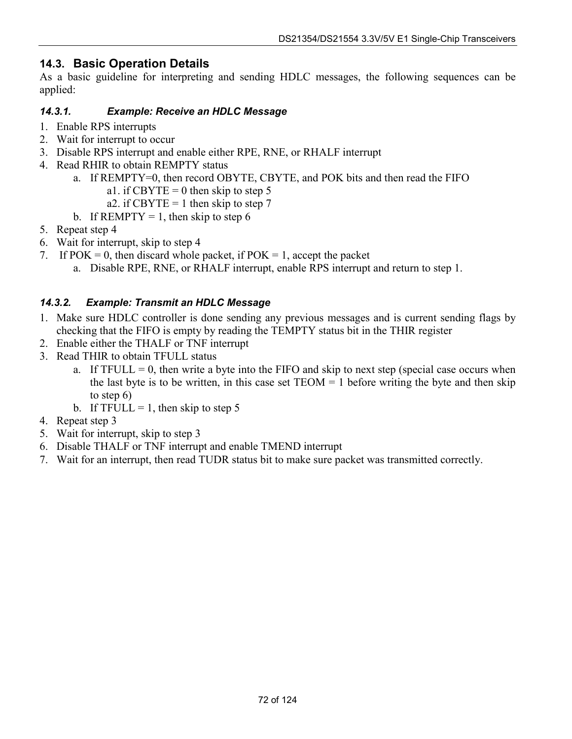#### **14.3. Basic Operation Details**

As a basic guideline for interpreting and sending HDLC messages, the following sequences can be applied:

#### *14.3.1. Example: Receive an HDLC Message*

- 1. Enable RPS interrupts
- 2. Wait for interrupt to occur
- 3. Disable RPS interrupt and enable either RPE, RNE, or RHALF interrupt
- 4. Read RHIR to obtain REMPTY status
	- a. If REMPTY=0, then record OBYTE, CBYTE, and POK bits and then read the FIFO a1. if CBYTE = 0 then skip to step 5
		- a2. if CBYTE = 1 then skip to step 7
	- b. If REMPTY = 1, then skip to step 6
- 5. Repeat step 4
- 6. Wait for interrupt, skip to step 4
- 7. If  $POK = 0$ , then discard whole packet, if  $POK = 1$ , accept the packet
	- a. Disable RPE, RNE, or RHALF interrupt, enable RPS interrupt and return to step 1.

#### *14.3.2. Example: Transmit an HDLC Message*

- 1. Make sure HDLC controller is done sending any previous messages and is current sending flags by checking that the FIFO is empty by reading the TEMPTY status bit in the THIR register
- 2. Enable either the THALF or TNF interrupt
- 3. Read THIR to obtain TFULL status
	- a. If  $TFULL = 0$ , then write a byte into the FIFO and skip to next step (special case occurs when the last byte is to be written, in this case set  $TEOM = 1$  before writing the byte and then skip to step 6)
	- b. If TFULL = 1, then skip to step 5
- 4. Repeat step 3
- 5. Wait for interrupt, skip to step 3
- 6. Disable THALF or TNF interrupt and enable TMEND interrupt
- 7. Wait for an interrupt, then read TUDR status bit to make sure packet was transmitted correctly.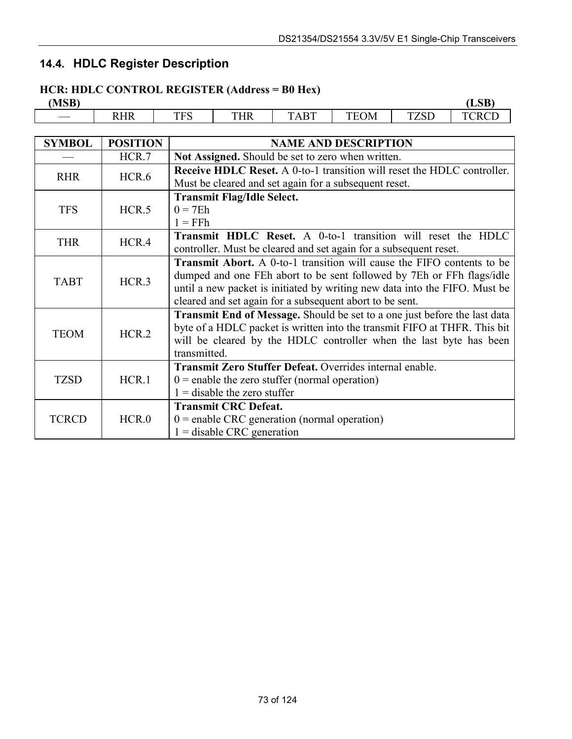# **14.4. HDLC Register Description**

# **HCR: HDLC CONTROL REGISTER (Address = B0 Hex)**

| (MSB)                                                                                                                 |                         |                   |          |                       |                           |                                           | <b>LSB</b> |
|-----------------------------------------------------------------------------------------------------------------------|-------------------------|-------------------|----------|-----------------------|---------------------------|-------------------------------------------|------------|
| <u> Termin a shekara ta 1989 a Tanzania a Tanzania a Tanzania a Tanzania a Tanzania a Tanzania a Tanzania a Tanza</u> | $\overline{\mathbf{u}}$ | <b>TTC</b><br>11V | ΉR<br>TП | $\sqrt{2}$<br>А<br>н. | $\Omega$<br>$\sim$ $\sim$ | $\sigma$ or<br>$\overline{L}$<br>________ |            |

| <b>SYMBOL</b> | <b>POSITION</b> | <b>NAME AND DESCRIPTION</b>                                                    |
|---------------|-----------------|--------------------------------------------------------------------------------|
|               | HCR.7           | Not Assigned. Should be set to zero when written.                              |
| <b>RHR</b>    | HCR.6           | <b>Receive HDLC Reset.</b> A 0-to-1 transition will reset the HDLC controller. |
|               |                 | Must be cleared and set again for a subsequent reset.                          |
|               |                 | <b>Transmit Flag/Idle Select.</b>                                              |
| <b>TFS</b>    | HCR.5           | $0 = 7Eh$                                                                      |
|               |                 | $1 = FFh$                                                                      |
| <b>THR</b>    | HCR.4           | Transmit HDLC Reset. A 0-to-1 transition will reset the HDLC                   |
|               |                 | controller. Must be cleared and set again for a subsequent reset.              |
|               | HCR.3           | <b>Transmit Abort.</b> A 0-to-1 transition will cause the FIFO contents to be  |
| <b>TABT</b>   |                 | dumped and one FEh abort to be sent followed by 7Eh or FFh flags/idle          |
|               |                 | until a new packet is initiated by writing new data into the FIFO. Must be     |
|               |                 | cleared and set again for a subsequent abort to be sent.                       |
|               |                 | Transmit End of Message. Should be set to a one just before the last data      |
| <b>TEOM</b>   | HCR.2           | byte of a HDLC packet is written into the transmit FIFO at THFR. This bit      |
|               |                 | will be cleared by the HDLC controller when the last byte has been             |
|               |                 | transmitted.                                                                   |
|               |                 | Transmit Zero Stuffer Defeat. Overrides internal enable.                       |
| <b>TZSD</b>   | HCR.1           | $0$ = enable the zero stuffer (normal operation)                               |
|               |                 | $1 =$ disable the zero stuffer                                                 |
|               |                 | <b>Transmit CRC Defeat.</b>                                                    |
| <b>TCRCD</b>  | HCR.0           | $0$ = enable CRC generation (normal operation)                                 |
|               |                 | $1 =$ disable CRC generation                                                   |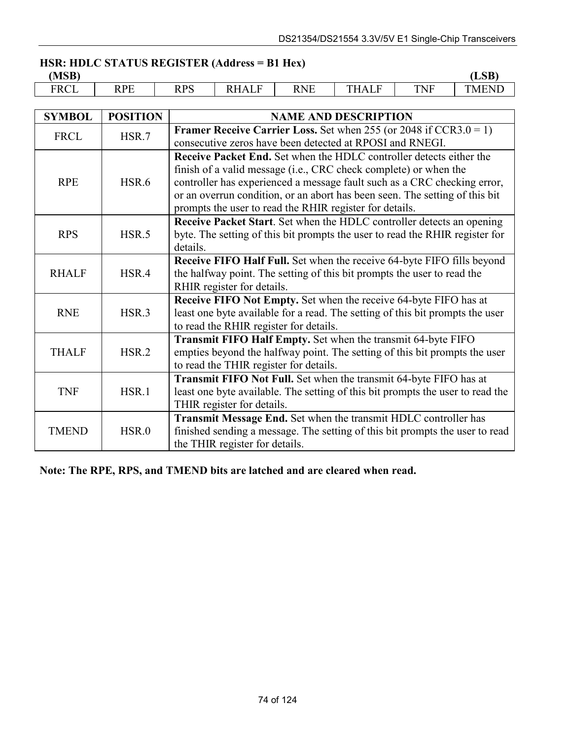# **HSR: HDLC STATUS REGISTER (Address = B1 Hex)**

FRCL RPE RPS RHALF RNE THALF TNF TMEND

**(MSB) (LSB)** 

| <b>SYMBOL</b> | <b>POSITION</b>   | <b>NAME AND DESCRIPTION</b>                                                    |
|---------------|-------------------|--------------------------------------------------------------------------------|
| <b>FRCL</b>   | HSR.7             | <b>Framer Receive Carrier Loss.</b> Set when 255 (or 2048 if $CCR3.0 = 1$ )    |
|               |                   | consecutive zeros have been detected at RPOSI and RNEGI.                       |
|               |                   | <b>Receive Packet End.</b> Set when the HDLC controller detects either the     |
|               |                   | finish of a valid message (i.e., CRC check complete) or when the               |
| <b>RPE</b>    | HSR.6             | controller has experienced a message fault such as a CRC checking error,       |
|               |                   | or an overrun condition, or an abort has been seen. The setting of this bit    |
|               |                   | prompts the user to read the RHIR register for details.                        |
|               |                   | Receive Packet Start. Set when the HDLC controller detects an opening          |
| <b>RPS</b>    | HSR.5             | byte. The setting of this bit prompts the user to read the RHIR register for   |
|               |                   | details.                                                                       |
|               |                   | Receive FIFO Half Full. Set when the receive 64-byte FIFO fills beyond         |
| <b>RHALF</b>  | HSR.4             | the halfway point. The setting of this bit prompts the user to read the        |
|               |                   | RHIR register for details.                                                     |
|               |                   | Receive FIFO Not Empty. Set when the receive 64-byte FIFO has at               |
| <b>RNE</b>    | HSR <sub>3</sub>  | least one byte available for a read. The setting of this bit prompts the user  |
|               |                   | to read the RHIR register for details.                                         |
|               |                   | Transmit FIFO Half Empty. Set when the transmit 64-byte FIFO                   |
| <b>THALF</b>  | HSR.2             | empties beyond the halfway point. The setting of this bit prompts the user     |
|               |                   | to read the THIR register for details.                                         |
|               |                   | <b>Transmit FIFO Not Full.</b> Set when the transmit 64-byte FIFO has at       |
| <b>TNF</b>    | HSR <sub>.1</sub> | least one byte available. The setting of this bit prompts the user to read the |
|               |                   | THIR register for details.                                                     |
|               |                   | Transmit Message End. Set when the transmit HDLC controller has                |
| <b>TMEND</b>  | HSR.0             | finished sending a message. The setting of this bit prompts the user to read   |
|               |                   | the THIR register for details.                                                 |

**Note: The RPE, RPS, and TMEND bits are latched and are cleared when read.**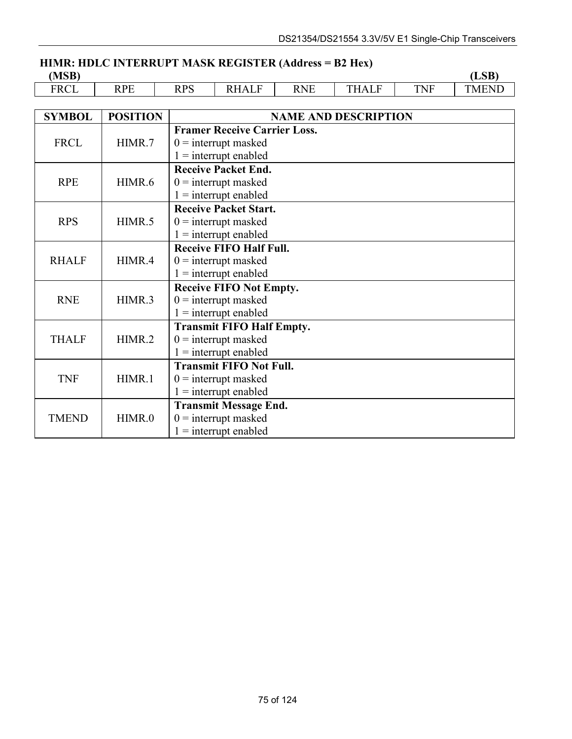# **HIMR: HDLC INTERRUPT MASK REGISTER (Address = B2 Hex)**

**(MSB) (LSB)**  FRCL RPE RPS RHALF RNE THALF TNF TMEND

| <b>SYMBOL</b> |                   |                                     |
|---------------|-------------------|-------------------------------------|
|               | <b>POSITION</b>   | <b>NAME AND DESCRIPTION</b>         |
|               |                   | <b>Framer Receive Carrier Loss.</b> |
| <b>FRCL</b>   | HIMR.7            | $0 =$ interrupt masked              |
|               |                   | $1 =$ interrupt enabled             |
|               |                   | <b>Receive Packet End.</b>          |
| <b>RPE</b>    | HIMR.6            | $0 =$ interrupt masked              |
|               |                   | $1 =$ interrupt enabled             |
|               |                   | <b>Receive Packet Start.</b>        |
| <b>RPS</b>    | HIMR.5            | $0 =$ interrupt masked              |
|               |                   | $1 =$ interrupt enabled             |
|               |                   | <b>Receive FIFO Half Full.</b>      |
| <b>RHALF</b>  | HIMR.4            | $0 =$ interrupt masked              |
|               |                   | $1 =$ interrupt enabled             |
|               |                   | <b>Receive FIFO Not Empty.</b>      |
| <b>RNE</b>    | HIMR <sub>3</sub> | $0 =$ interrupt masked              |
|               |                   | $1 =$ interrupt enabled             |
|               |                   | <b>Transmit FIFO Half Empty.</b>    |
| <b>THALF</b>  | HIMR.2            | $0 =$ interrupt masked              |
|               |                   | $1 =$ interrupt enabled             |
|               |                   | <b>Transmit FIFO Not Full.</b>      |
| <b>TNF</b>    | HIMR.1            | $0 =$ interrupt masked              |
|               |                   | $1 =$ interrupt enabled             |
|               |                   | <b>Transmit Message End.</b>        |
| <b>TMEND</b>  | HIMR.0            | $0 =$ interrupt masked              |
|               |                   | $1 =$ interrupt enabled             |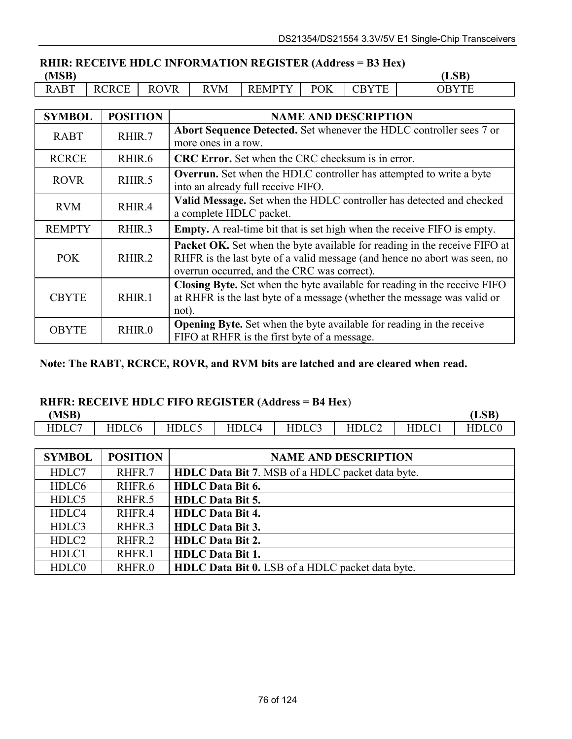# **RHIR: RECEIVE HDLC INFORMATION REGISTER (Address = B3 Hex) (MSB) (LSB)**

RABT | RCRCE | ROVR | RVM | REMPTY | POK | CBYTE | OBYTE

| <b>SYMBOL</b> | <b>POSITION</b>    | <b>NAME AND DESCRIPTION</b>                                                                                                                                                                           |
|---------------|--------------------|-------------------------------------------------------------------------------------------------------------------------------------------------------------------------------------------------------|
| <b>RABT</b>   | RHIR.7             | <b>Abort Sequence Detected.</b> Set whenever the HDLC controller sees 7 or<br>more ones in a row.                                                                                                     |
| <b>RCRCE</b>  | RHIR.6             | <b>CRC Error.</b> Set when the CRC checksum is in error.                                                                                                                                              |
| <b>ROVR</b>   | RHIR.5             | <b>Overrun.</b> Set when the HDLC controller has attempted to write a byte<br>into an already full receive FIFO.                                                                                      |
| <b>RVM</b>    | RHIR.4             | Valid Message. Set when the HDLC controller has detected and checked<br>a complete HDLC packet.                                                                                                       |
| <b>REMPTY</b> | RHIR <sub>.3</sub> | <b>Empty.</b> A real-time bit that is set high when the receive FIFO is empty.                                                                                                                        |
| <b>POK</b>    | RHIR <sub>.2</sub> | Packet OK. Set when the byte available for reading in the receive FIFO at<br>RHFR is the last byte of a valid message (and hence no abort was seen, no<br>overrun occurred, and the CRC was correct). |
| <b>CBYTE</b>  | RHIR <sub>.1</sub> | Closing Byte. Set when the byte available for reading in the receive FIFO<br>at RHFR is the last byte of a message (whether the message was valid or<br>not).                                         |
| <b>OBYTE</b>  | RHIR.0             | Opening Byte. Set when the byte available for reading in the receive<br>FIFO at RHFR is the first byte of a message.                                                                                  |

**Note: The RABT, RCRCE, ROVR, and RVM bits are latched and are cleared when read.** 

#### **RHFR: RECEIVE HDLC FIFO REGISTER (Address = B4 Hex**)

**(MSB) (LSB)** 

HDLC7 HDLC6 HDLC5 HDLC4 HDLC3 HDLC2 HDLC1 HDLC0

| <b>SYMBOL</b>     | <b>POSITION</b>    | <b>NAME AND DESCRIPTION</b>                             |
|-------------------|--------------------|---------------------------------------------------------|
| HDLC7             | RHFR.7             | <b>HDLC Data Bit 7.</b> MSB of a HDLC packet data byte. |
| HDLC6             | RHFR.6             | <b>HDLC</b> Data Bit 6.                                 |
| HDLC5             | RHFR <sub>.5</sub> | <b>HDLC</b> Data Bit 5.                                 |
| HDLC4             | RHFR <sub>.4</sub> | <b>HDLC</b> Data Bit 4.                                 |
| HDLC3             | RHFR <sub>.3</sub> | <b>HDLC</b> Data Bit 3.                                 |
| HDLC <sub>2</sub> | RHFR <sub>.2</sub> | <b>HDLC</b> Data Bit 2.                                 |
| HDLC1             | RHFR.1             | <b>HDLC</b> Data Bit 1.                                 |
| HDLC0             | RHFR.0             | <b>HDLC Data Bit 0.</b> LSB of a HDLC packet data byte. |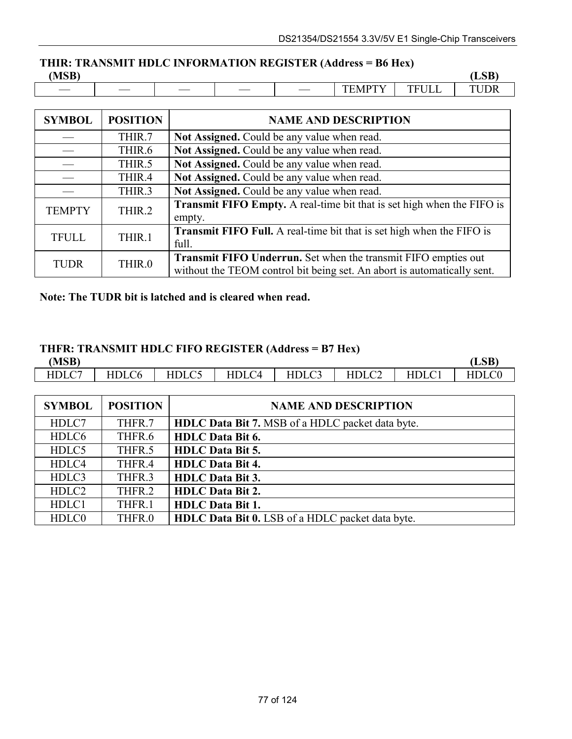#### **THIR: TRANSMIT HDLC INFORMATION REGISTER (Address = B6 Hex)** *(MSR)* **(MSB) (LSB)**

| ועטויו                   |       |    |    |                          |                                                        |          | .<br>______ |
|--------------------------|-------|----|----|--------------------------|--------------------------------------------------------|----------|-------------|
| $\overline{\phantom{a}}$ | _____ | __ | __ | $\overline{\phantom{a}}$ | $F_{\rm D}T_{\rm F}$<br>9711<br>$v_{\rm H}$<br>-<br>-- | --<br>-- | TU.         |

| <b>SYMBOL</b> | <b>POSITION</b>    | <b>NAME AND DESCRIPTION</b>                                                                                                                      |  |  |
|---------------|--------------------|--------------------------------------------------------------------------------------------------------------------------------------------------|--|--|
|               | THIR.7             | Not Assigned. Could be any value when read.                                                                                                      |  |  |
|               | THIR.6             | Not Assigned. Could be any value when read.                                                                                                      |  |  |
|               | THIR.5             | Not Assigned. Could be any value when read.                                                                                                      |  |  |
|               | THIR.4             | Not Assigned. Could be any value when read.                                                                                                      |  |  |
|               | THIR.3             | Not Assigned. Could be any value when read.                                                                                                      |  |  |
| <b>TEMPTY</b> | THIR <sub>.2</sub> | <b>Transmit FIFO Empty.</b> A real-time bit that is set high when the FIFO is<br>empty.                                                          |  |  |
| <b>TFULL</b>  | THIR.1             | <b>Transmit FIFO Full.</b> A real-time bit that is set high when the FIFO is<br>full.                                                            |  |  |
| <b>TUDR</b>   | THIR.0             | <b>Transmit FIFO Underrun.</b> Set when the transmit FIFO empties out<br>without the TEOM control bit being set. An abort is automatically sent. |  |  |

**Note: The TUDR bit is latched and is cleared when read.** 

#### **THFR: TRANSMIT HDLC FIFO REGISTER (Address = B7 Hex)**

| (MSB)                    |                 |       |                         |                      |                                       |              | CD<br>(LSB) |
|--------------------------|-----------------|-------|-------------------------|----------------------|---------------------------------------|--------------|-------------|
| $\sim$<br>HDI<br>11DLC / | $\sim$<br>HDLC6 | HDLC5 | $\alpha$<br>HDI (<br>ルマ | $\cap$<br>HDI<br>ハレコ | $\sim$<br>ПU<br>LVZ.<br>$\sim$ $\sim$ | <b>HDLCi</b> | $\cap$      |

| <b>SYMBOL</b>     | <b>POSITION</b>    | <b>NAME AND DESCRIPTION</b>                             |
|-------------------|--------------------|---------------------------------------------------------|
| HDLC7             | THFR.7             | HDLC Data Bit 7. MSB of a HDLC packet data byte.        |
| HDLC6             | THFR.6             | <b>HDLC</b> Data Bit 6.                                 |
| HDLC5             | THFR.5             | <b>HDLC Data Bit 5.</b>                                 |
| HDLC4             | THFR.4             | <b>HDLC Data Bit 4.</b>                                 |
| HDLC3             | THFR <sub>.3</sub> | <b>HDLC Data Bit 3.</b>                                 |
| HDLC <sub>2</sub> | THFR.2             | <b>HDLC Data Bit 2.</b>                                 |
| HDLC1             | THFR.1             | <b>HDLC Data Bit 1.</b>                                 |
| HDLC0             | THFR.0             | <b>HDLC Data Bit 0.</b> LSB of a HDLC packet data byte. |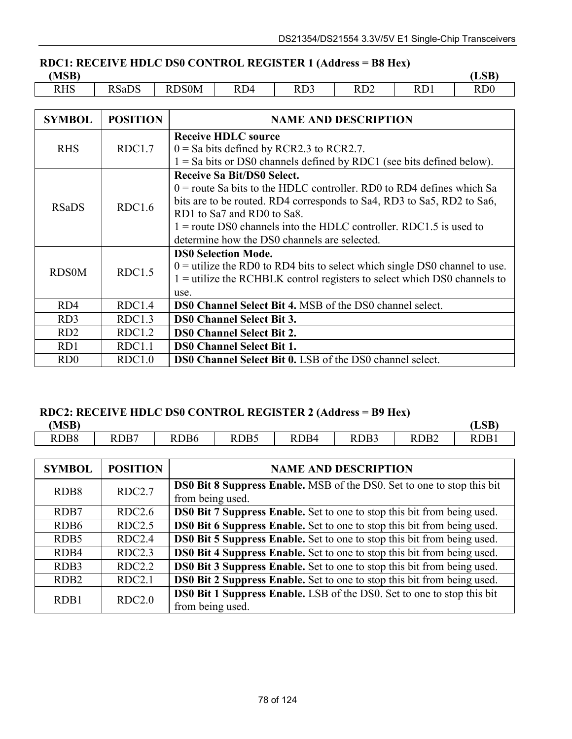# **RDC1: RECEIVE HDLC DS0 CONTROL REGISTER 1 (Address = B8 Hex)**

**(MSB) (LSB)**  RHS | RSaDS | RDS0M | RD4 | RD3 | RD2 | RD1 | RD0

| <b>SYMBOL</b>   | <b>POSITION</b> | <b>NAME AND DESCRIPTION</b>                                                                                                                                                                                                                                                                                                                  |
|-----------------|-----------------|----------------------------------------------------------------------------------------------------------------------------------------------------------------------------------------------------------------------------------------------------------------------------------------------------------------------------------------------|
| <b>RHS</b>      | RDC1.7          | <b>Receive HDLC source</b><br>$0 =$ Sa bits defined by RCR2.3 to RCR2.7.                                                                                                                                                                                                                                                                     |
|                 |                 | $1 =$ Sa bits or DS0 channels defined by RDC1 (see bits defined below).                                                                                                                                                                                                                                                                      |
| <b>RSaDS</b>    | RDC1.6          | <b>Receive Sa Bit/DS0 Select.</b><br>$0$ = route Sa bits to the HDLC controller. RD0 to RD4 defines which Sa<br>bits are to be routed. RD4 corresponds to Sa4, RD3 to Sa5, RD2 to Sa6,<br>RD1 to Sa7 and RD0 to Sa8.<br>$1 =$ route DS0 channels into the HDLC controller. RDC1.5 is used to<br>determine how the DS0 channels are selected. |
| <b>RDS0M</b>    | RDC1.5          | <b>DS0 Selection Mode.</b><br>$0 =$ utilize the RD0 to RD4 bits to select which single DS0 channel to use.<br>$1 =$ utilize the RCHBLK control registers to select which DS0 channels to<br>use.                                                                                                                                             |
| RD4             | RDC1.4          | <b>DS0 Channel Select Bit 4. MSB of the DS0 channel select.</b>                                                                                                                                                                                                                                                                              |
| RD <sub>3</sub> | RDC1.3          | <b>DS0 Channel Select Bit 3.</b>                                                                                                                                                                                                                                                                                                             |
| RD2             | RDC1.2          | <b>DS0 Channel Select Bit 2.</b>                                                                                                                                                                                                                                                                                                             |
| RD1             | RDC1.1          | <b>DS0 Channel Select Bit 1.</b>                                                                                                                                                                                                                                                                                                             |
| RD <sub>0</sub> | RDC1.0          | <b>DS0 Channel Select Bit 0.</b> LSB of the DS0 channel select.                                                                                                                                                                                                                                                                              |

# **RDC2: RECEIVE HDLC DS0 CONTROL REGISTER 2 (Address = B9 Hex)**

| (MSB)            |      |              |                  |      |      |                  | (LSB)                    |
|------------------|------|--------------|------------------|------|------|------------------|--------------------------|
| RDB <sub>8</sub> | RDB7 | $\text{DB}6$ | RDB <sub>5</sub> | RDB4 | RDB3 | RDB <sub>2</sub> | $\overline{\phantom{a}}$ |

| <b>SYMBOL</b>    | <b>POSITION</b> | <b>NAME AND DESCRIPTION</b>                                                                       |
|------------------|-----------------|---------------------------------------------------------------------------------------------------|
| RDB <sub>8</sub> | RDC2.7          | <b>DS0 Bit 8 Suppress Enable.</b> MSB of the DS0. Set to one to stop this bit<br>from being used. |
| RDB7             | RDC2.6          | <b>DS0 Bit 7 Suppress Enable.</b> Set to one to stop this bit from being used.                    |
| RDB <sub>6</sub> | RDC2.5          | <b>DS0 Bit 6 Suppress Enable.</b> Set to one to stop this bit from being used.                    |
| RDB <sub>5</sub> | RDC2.4          | <b>DS0 Bit 5 Suppress Enable.</b> Set to one to stop this bit from being used.                    |
| RDB4             | RDC2.3          | <b>DS0 Bit 4 Suppress Enable.</b> Set to one to stop this bit from being used.                    |
| RDB3             | RDC2.2          | <b>DS0 Bit 3 Suppress Enable.</b> Set to one to stop this bit from being used.                    |
| RDB <sub>2</sub> | RDC2.1          | <b>DS0 Bit 2 Suppress Enable.</b> Set to one to stop this bit from being used.                    |
| RDB1             | RDC2.0          | <b>DS0 Bit 1 Suppress Enable.</b> LSB of the DS0. Set to one to stop this bit<br>from being used. |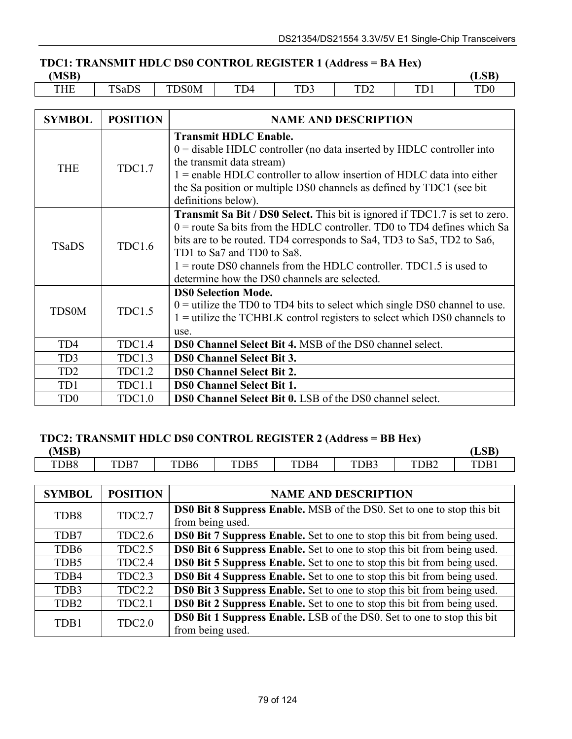# **TDC1: TRANSMIT HDLC DS0 CONTROL REGISTER 1 (Address = BA Hex)**

| (MSB)      |                                               |                  |                      |            |              |    | LSB       |
|------------|-----------------------------------------------|------------------|----------------------|------------|--------------|----|-----------|
| <b>THE</b> | $\mathbf{D}$<br>$\mathbf{m}$ $\alpha$<br>SaDS | <b>DSOM</b><br>— | $\mathbf{m}$<br>. D4 | TD O<br>ັບ | TD-<br>$  -$ | mr | $\rm TD0$ |

| <b>SYMBOL</b>               | <b>POSITION</b> | <b>NAME AND DESCRIPTION</b>                                                                                                                                                                                                                                                                                                                                                                     |
|-----------------------------|-----------------|-------------------------------------------------------------------------------------------------------------------------------------------------------------------------------------------------------------------------------------------------------------------------------------------------------------------------------------------------------------------------------------------------|
| <b>THE</b>                  | <b>TDC1.7</b>   | <b>Transmit HDLC Enable.</b><br>$0 =$ disable HDLC controller (no data inserted by HDLC controller into<br>the transmit data stream)<br>$1 =$ enable HDLC controller to allow insertion of HDLC data into either<br>the Sa position or multiple DS0 channels as defined by TDC1 (see bit)<br>definitions below).                                                                                |
| <b>TSaDS</b>                | <b>TDC1.6</b>   | <b>Transmit Sa Bit / DS0 Select.</b> This bit is ignored if TDC1.7 is set to zero.<br>$0$ = route Sa bits from the HDLC controller. TD0 to TD4 defines which Sa<br>bits are to be routed. TD4 corresponds to Sa4, TD3 to Sa5, TD2 to Sa6,<br>TD1 to Sa7 and TD0 to Sa8.<br>$1 =$ route DS0 channels from the HDLC controller. TDC1.5 is used to<br>determine how the DS0 channels are selected. |
| <b>TDS0M</b>                | <b>TDC1.5</b>   | <b>DS0 Selection Mode.</b><br>$0 =$ utilize the TD0 to TD4 bits to select which single DS0 channel to use.<br>$1 =$ utilize the TCHBLK control registers to select which DS0 channels to<br>use.                                                                                                                                                                                                |
| TD4                         | TDC1.4          | DS0 Channel Select Bit 4. MSB of the DS0 channel select.                                                                                                                                                                                                                                                                                                                                        |
| TD <sub>3</sub>             | TDC1.3          | <b>DS0 Channel Select Bit 3.</b>                                                                                                                                                                                                                                                                                                                                                                |
| TD <sub>2</sub>             | <b>TDC1.2</b>   | <b>DS0 Channel Select Bit 2.</b>                                                                                                                                                                                                                                                                                                                                                                |
| TD1                         | TDC1.1          | <b>DS0 Channel Select Bit 1.</b>                                                                                                                                                                                                                                                                                                                                                                |
| T <sub>D</sub> <sub>0</sub> | <b>TDC1.0</b>   | DS0 Channel Select Bit 0. LSB of the DS0 channel select.                                                                                                                                                                                                                                                                                                                                        |

# **TDC2: TRANSMIT HDLC DS0 CONTROL REGISTER 2 (Address = BB Hex)**

| (MSB)            |      |          |      |      |      |                  | CD<br>بريزين |
|------------------|------|----------|------|------|------|------------------|--------------|
| TDB <sub>8</sub> | TDB7 | D.<br>ÞЮ | TDB5 | TDB4 | TDB3 | TDB <sub>2</sub> | TDB.         |

| <b>SYMBOL</b>    | <b>POSITION</b>    | <b>NAME AND DESCRIPTION</b>                                                                       |
|------------------|--------------------|---------------------------------------------------------------------------------------------------|
| TDB <sub>8</sub> | TDC <sub>2.7</sub> | <b>DS0 Bit 8 Suppress Enable.</b> MSB of the DS0. Set to one to stop this bit<br>from being used. |
| TDB7             | TDC2.6             | <b>DS0 Bit 7 Suppress Enable.</b> Set to one to stop this bit from being used.                    |
| TDB <sub>6</sub> | TDC2.5             | <b>DS0 Bit 6 Suppress Enable.</b> Set to one to stop this bit from being used.                    |
| TDB <sub>5</sub> | TDC <sub>2.4</sub> | <b>DS0 Bit 5 Suppress Enable.</b> Set to one to stop this bit from being used.                    |
| TDB4             | TDC2.3             | <b>DS0 Bit 4 Suppress Enable.</b> Set to one to stop this bit from being used.                    |
| TDB3             | TDC <sub>2.2</sub> | <b>DS0 Bit 3 Suppress Enable.</b> Set to one to stop this bit from being used.                    |
| TDB <sub>2</sub> | TDC <sub>2.1</sub> | <b>DS0 Bit 2 Suppress Enable.</b> Set to one to stop this bit from being used.                    |
| TDB1             | TDC2.0             | <b>DS0 Bit 1 Suppress Enable.</b> LSB of the DS0. Set to one to stop this bit<br>from being used. |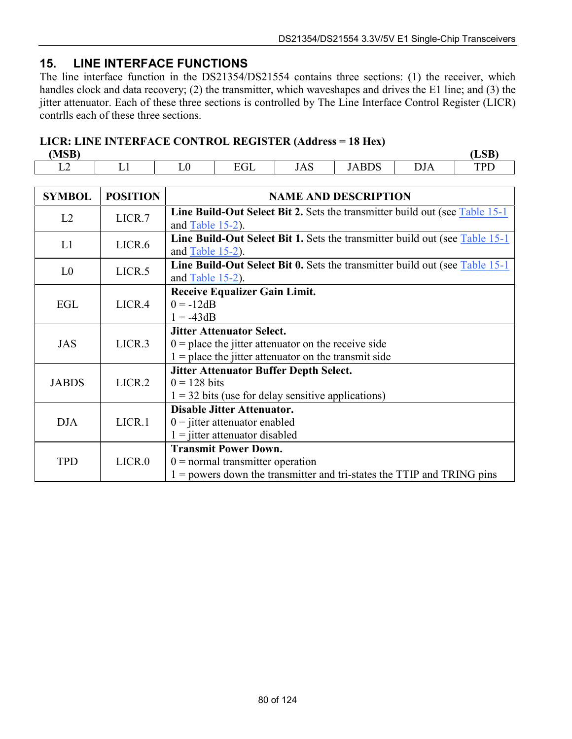# **15. LINE INTERFACE FUNCTIONS**

The line interface function in the DS21354/DS21554 contains three sections: (1) the receiver, which handles clock and data recovery; (2) the transmitter, which waveshapes and drives the E1 line; and (3) the jitter attenuator. Each of these three sections is controlled by The Line Interface Control Register (LICR) contrlls each of these three sections.

# **LICR: LINE INTERFACE CONTROL REGISTER (Address = 18 Hex)**

| (MCR)<br><b>TATO D</b> |    |                                           |                            |                                 |            | CD<br>്ധ്യ        |
|------------------------|----|-------------------------------------------|----------------------------|---------------------------------|------------|-------------------|
| ┸                      | ື້ | $\Gamma$ $\cap$ $\Gamma$<br>ີ<br><u>.</u> | $\sim$<br>$\Lambda$<br>JAN | $\sim$ $\sim$<br><b>JI LUDU</b> | <b>DJA</b> | TDI<br><b>TTT</b> |

| <b>SYMBOL</b>  | <b>POSITION</b>    | <b>NAME AND DESCRIPTION</b>                                                                                 |
|----------------|--------------------|-------------------------------------------------------------------------------------------------------------|
| L2             | LICR.7             | <b>Line Build-Out Select Bit 2.</b> Sets the transmitter build out (see $Table 15-1$                        |
|                |                    | and Table $15-2$ ).                                                                                         |
| L1             | LICR <sub>.6</sub> | <b>Line Build-Out Select Bit 1.</b> Sets the transmitter build out (see $Table 15-1$<br>and $Table 15-2$ ). |
|                |                    | Line Build-Out Select Bit 0. Sets the transmitter build out (see Table 15-1)                                |
| L <sub>0</sub> | LICR <sub>.5</sub> | and Table 15-2).                                                                                            |
|                |                    | <b>Receive Equalizer Gain Limit.</b>                                                                        |
| EGL            | LICR <sub>.4</sub> | $0 = -12dB$                                                                                                 |
|                |                    | $1 = -43dB$                                                                                                 |
|                |                    | <b>Jitter Attenuator Select.</b>                                                                            |
| <b>JAS</b>     | LICR <sub>3</sub>  | $0$ = place the jitter attenuator on the receive side                                                       |
|                |                    | $1 =$ place the jitter attenuator on the transmit side                                                      |
|                |                    | <b>Jitter Attenuator Buffer Depth Select.</b>                                                               |
| <b>JABDS</b>   | LICR <sub>.2</sub> | $0 = 128$ bits                                                                                              |
|                |                    | $1 = 32$ bits (use for delay sensitive applications)                                                        |
|                |                    | <b>Disable Jitter Attenuator.</b>                                                                           |
| <b>DJA</b>     | LICR <sub>.1</sub> | $0 =$ jitter attenuator enabled                                                                             |
|                |                    | $1 =$ jitter attenuator disabled                                                                            |
|                |                    | <b>Transmit Power Down.</b>                                                                                 |
| <b>TPD</b>     | LICR <sub>.0</sub> | $0 =$ normal transmitter operation                                                                          |
|                |                    | $1 =$ powers down the transmitter and tri-states the TTIP and TRING pins                                    |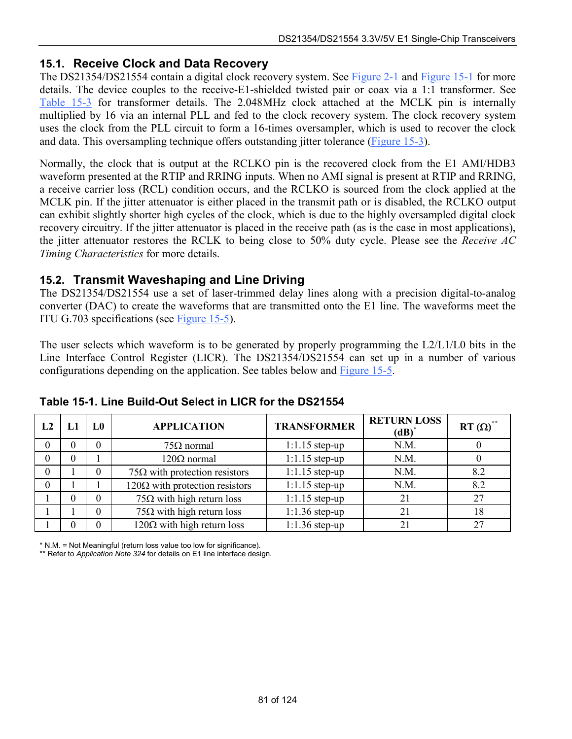# **15.1. Receive Clock and Data Recovery**

The DS21354/DS21554 contain a digital clock recovery system. See [Figure 2-1](#page-8-0) and [Figure 15-1](#page-82-0) for more details. The device couples to the receive-E1-shielded twisted pair or coax via a 1:1 transformer. See [Table 15-3](#page-81-1) for transformer details. The 2.048MHz clock attached at the MCLK pin is internally multiplied by 16 via an internal PLL and fed to the clock recovery system. The clock recovery system uses the clock from the PLL circuit to form a 16-times oversampler, which is used to recover the clock and data. This oversampling technique offers outstanding jitter tolerance ([Figure 15-3\)](#page-83-0).

Normally, the clock that is output at the RCLKO pin is the recovered clock from the E1 AMI/HDB3 waveform presented at the RTIP and RRING inputs. When no AMI signal is present at RTIP and RRING, a receive carrier loss (RCL) condition occurs, and the RCLKO is sourced from the clock applied at the MCLK pin. If the jitter attenuator is either placed in the transmit path or is disabled, the RCLKO output can exhibit slightly shorter high cycles of the clock, which is due to the highly oversampled digital clock recovery circuitry. If the jitter attenuator is placed in the receive path (as is the case in most applications), the jitter attenuator restores the RCLK to being close to 50% duty cycle. Please see the *Receive AC Timing Characteristics* for more details.

# **15.2. Transmit Waveshaping and Line Driving**

The DS21354/DS21554 use a set of laser-trimmed delay lines along with a precision digital-to-analog converter (DAC) to create the waveforms that are transmitted onto the E1 line. The waveforms meet the ITU G.703 specifications (see [Figure 15-5\)](#page-84-0).

The user selects which waveform is to be generated by properly programming the L2/L1/L0 bits in the Line Interface Control Register (LICR). The DS21354/DS21554 can set up in a number of various configurations depending on the application. See tables below and [Figure 15-5.](#page-84-0)

| L2 | L 1      | LO | <b>APPLICATION</b>                    | <b>TRANSFORMER</b> | <b>RETURN LOSS</b><br>(dB) | $RT(\Omega)^{**}$ |
|----|----------|----|---------------------------------------|--------------------|----------------------------|-------------------|
| 0  | 0        | 0  | $75\Omega$ normal                     | $1:1.15$ step-up   | N.M.                       |                   |
| 0  | 0        |    | $120\Omega$ normal                    | $1:1.15$ step-up   | N.M.                       |                   |
| 0  |          | 0  | $75\Omega$ with protection resistors  | $1:1.15$ step-up   | N.M.                       | 8.2               |
| 0  |          |    | $120\Omega$ with protection resistors | $1:1.15$ step-up   | N.M.                       | 8.2               |
|    | $\Omega$ | 0  | $75\Omega$ with high return loss      | $1:1.15$ step-up   | 21                         | 27                |
|    |          | 0  | $75\Omega$ with high return loss      | $1:1.36$ step-up   | 21                         | 18                |
|    |          | 0  | $120\Omega$ with high return loss     | $1:1.36$ step-up   | 21                         | 27                |

# <span id="page-80-0"></span>**Table 15-1. Line Build-Out Select in LICR for the DS21554**

\* N.M. = Not Meaningful (return loss value too low for significance).

\*\* Refer to *Application Note 324* for details on E1 line interface design.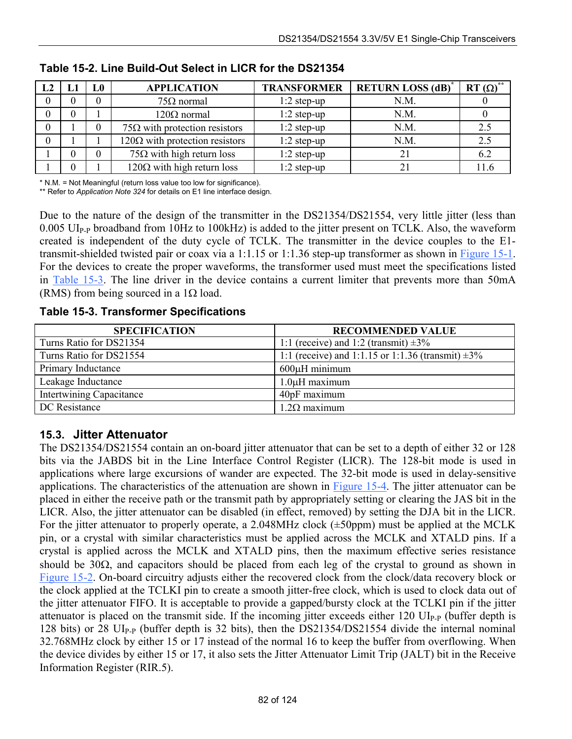|  | LO- | <b>APPLICATION</b>                    | <b>TRANSFORMER</b> | <b>RETURN LOSS (dB)</b> | $RT(\Omega)$ |
|--|-----|---------------------------------------|--------------------|-------------------------|--------------|
|  |     | $75\Omega$ normal                     | $1:2$ step-up      | N.M.                    |              |
|  |     | $120\Omega$ normal                    | $1:2$ step-up      | N.M.                    |              |
|  |     | $75\Omega$ with protection resistors  | $1:2$ step-up      | N.M.                    | 2.5          |
|  |     | $120\Omega$ with protection resistors | $1:2$ step-up      | N.M.                    | 2.5          |
|  |     | $75\Omega$ with high return loss      | $1:2$ step-up      |                         | 6.2          |
|  |     | $120\Omega$ with high return loss     | $1:2$ step-up      |                         | 11.6         |

#### <span id="page-81-0"></span>**Table 15-2. Line Build-Out Select in LICR for the DS21354**

\* N.M. = Not Meaningful (return loss value too low for significance).

\*\* Refer to *Application Note 324* for details on E1 line interface design.

Due to the nature of the design of the transmitter in the DS21354/DS21554, very little jitter (less than 0.005 UI<sub>P-P</sub> broadband from 10Hz to 100kHz) is added to the jitter present on TCLK. Also, the waveform created is independent of the duty cycle of TCLK. The transmitter in the device couples to the E1 transmit-shielded twisted pair or coax via a 1:1.15 or 1:1.36 step-up transformer as shown in [Figure 15-1.](#page-82-0) For the devices to create the proper waveforms, the transformer used must meet the specifications listed in [Table 15-3.](#page-81-1) The line driver in the device contains a current limiter that prevents more than 50mA (RMS) from being sourced in a  $1\Omega$  load.

<span id="page-81-1"></span>**Table 15-3. Transformer Specifications** 

| <b>SPECIFICATION</b>            | <b>RECOMMENDED VALUE</b>                                |
|---------------------------------|---------------------------------------------------------|
| Turns Ratio for DS21354         | 1:1 (receive) and 1:2 (transmit) $\pm 3\%$              |
| Turns Ratio for DS21554         | 1:1 (receive) and 1:1.15 or 1:1.36 (transmit) $\pm 3\%$ |
| Primary Inductance              | $600\mu$ H minimum                                      |
| Leakage Inductance              | $1.0\mu$ H maximum                                      |
| <b>Intertwining Capacitance</b> | 40pF maximum                                            |
| DC Resistance                   | $1.2\Omega$ maximum                                     |

# **15.3. Jitter Attenuator**

The DS21354/DS21554 contain an on-board jitter attenuator that can be set to a depth of either 32 or 128 bits via the JABDS bit in the Line Interface Control Register (LICR). The 128-bit mode is used in applications where large excursions of wander are expected. The 32-bit mode is used in delay-sensitive applications. The characteristics of the attenuation are shown in [Figure 15-4.](#page-83-1) The jitter attenuator can be placed in either the receive path or the transmit path by appropriately setting or clearing the JAS bit in the LICR. Also, the jitter attenuator can be disabled (in effect, removed) by setting the DJA bit in the LICR. For the jitter attenuator to properly operate, a 2.048MHz clock ( $\pm$ 50ppm) must be applied at the MCLK pin, or a crystal with similar characteristics must be applied across the MCLK and XTALD pins. If a crystal is applied across the MCLK and XTALD pins, then the maximum effective series resistance should be 30 $\Omega$ , and capacitors should be placed from each leg of the crystal to ground as shown in [Figure 15-2.](#page-82-1) On-board circuitry adjusts either the recovered clock from the clock/data recovery block or the clock applied at the TCLKI pin to create a smooth jitter-free clock, which is used to clock data out of the jitter attenuator FIFO. It is acceptable to provide a gapped/bursty clock at the TCLKI pin if the jitter attenuator is placed on the transmit side. If the incoming jitter exceeds either 120  $UI_{P-P}$  (buffer depth is 128 bits) or 28  $UI_{P-P}$  (buffer depth is 32 bits), then the DS21354/DS21554 divide the internal nominal 32.768MHz clock by either 15 or 17 instead of the normal 16 to keep the buffer from overflowing. When the device divides by either 15 or 17, it also sets the Jitter Attenuator Limit Trip (JALT) bit in the Receive Information Register (RIR.5).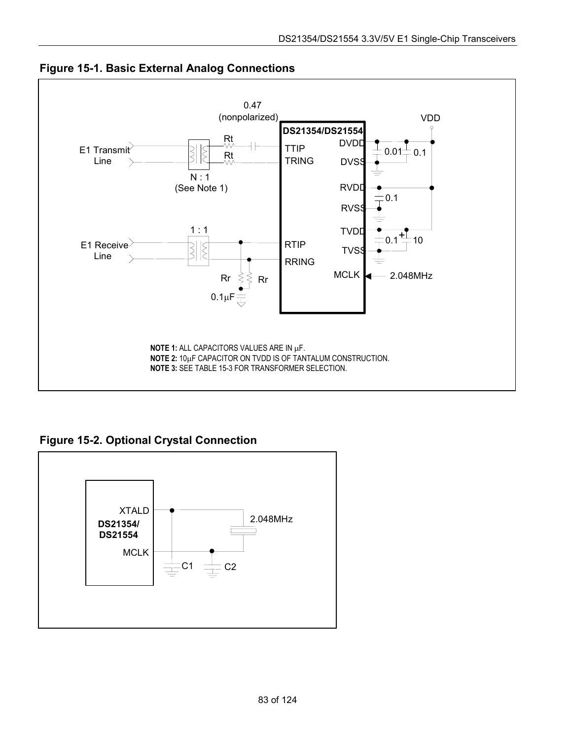

<span id="page-82-0"></span>**Figure 15-1. Basic External Analog Connections** 

<span id="page-82-1"></span>**Figure 15-2. Optional Crystal Connection** 

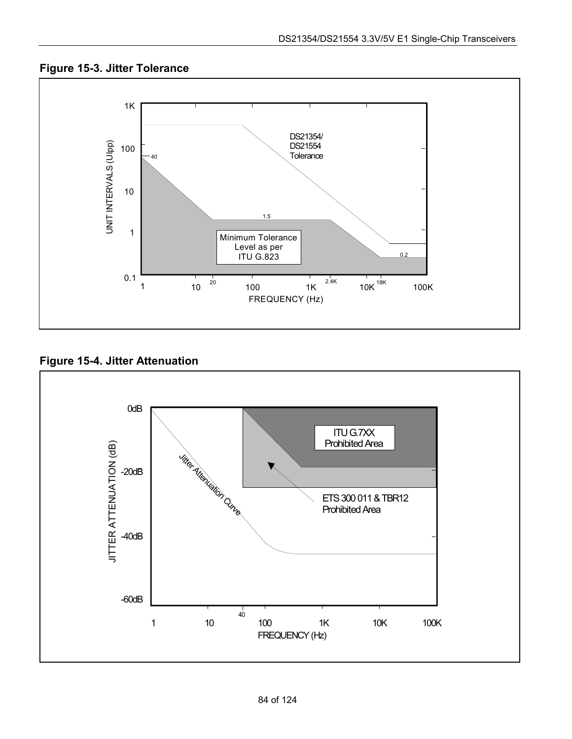<span id="page-83-0"></span>



# <span id="page-83-1"></span>**Figure 15-4. Jitter Attenuation**

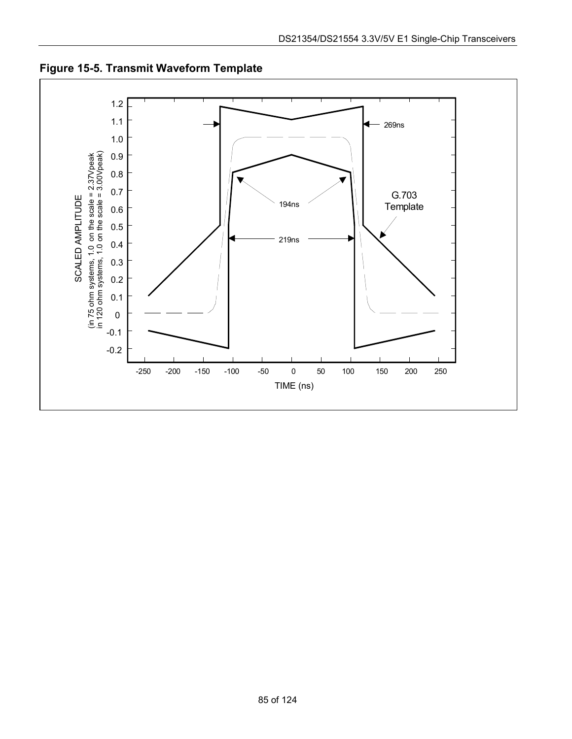

<span id="page-84-0"></span>**Figure 15-5. Transmit Waveform Template**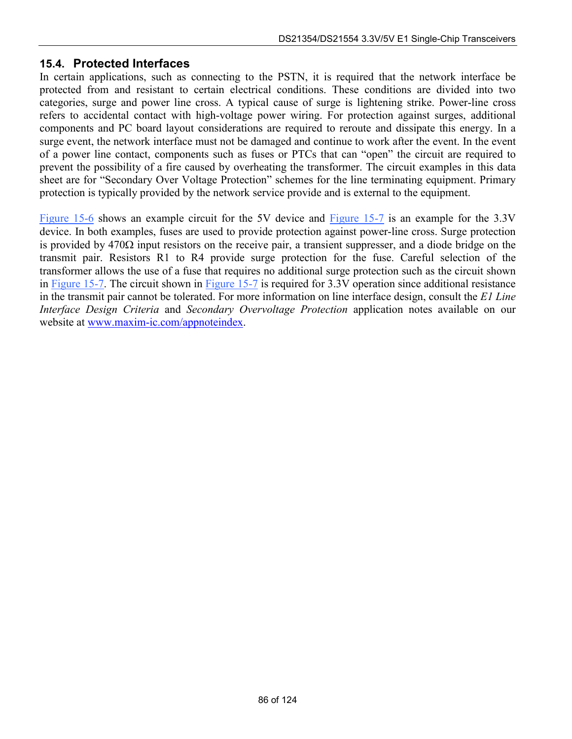# **15.4. Protected Interfaces**

In certain applications, such as connecting to the PSTN, it is required that the network interface be protected from and resistant to certain electrical conditions. These conditions are divided into two categories, surge and power line cross. A typical cause of surge is lightening strike. Power-line cross refers to accidental contact with high-voltage power wiring. For protection against surges, additional components and PC board layout considerations are required to reroute and dissipate this energy. In a surge event, the network interface must not be damaged and continue to work after the event. In the event of a power line contact, components such as fuses or PTCs that can "open" the circuit are required to prevent the possibility of a fire caused by overheating the transformer. The circuit examples in this data sheet are for "Secondary Over Voltage Protection" schemes for the line terminating equipment. Primary protection is typically provided by the network service provide and is external to the equipment.

[Figure 15-6](#page-86-0) shows an example circuit for the 5V device and [Figure 15-7](#page-87-0) is an example for the 3.3V device. In both examples, fuses are used to provide protection against power-line cross. Surge protection is provided by  $470\Omega$  input resistors on the receive pair, a transient suppresser, and a diode bridge on the transmit pair. Resistors R1 to R4 provide surge protection for the fuse. Careful selection of the transformer allows the use of a fuse that requires no additional surge protection such as the circuit shown in [Figure 15-7.](#page-87-0) The circuit shown in [Figure 15-7](#page-87-0) is required for 3.3V operation since additional resistance in the transmit pair cannot be tolerated. For more information on line interface design, consult the *E1 Line Interface Design Criteria* and *Secondary Overvoltage Protection* application notes available on our website at [www.maxim-ic.com/appnoteindex.](http://www.maxim-ic.com/appnoteindex)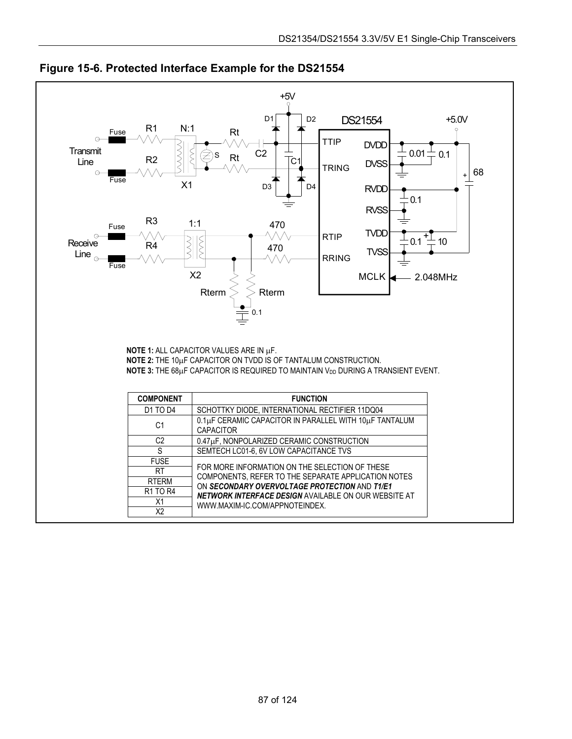

<span id="page-86-0"></span>**Figure 15-6. Protected Interface Example for the DS21554**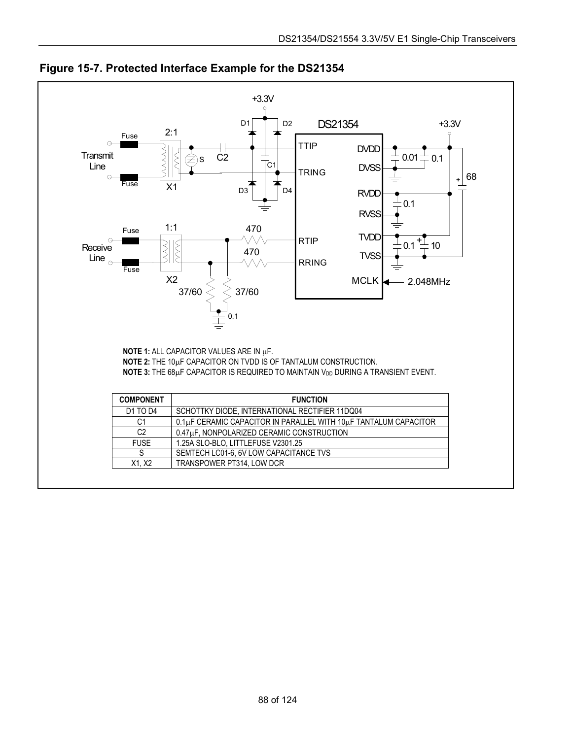

<span id="page-87-0"></span>**Figure 15-7. Protected Interface Example for the DS21354**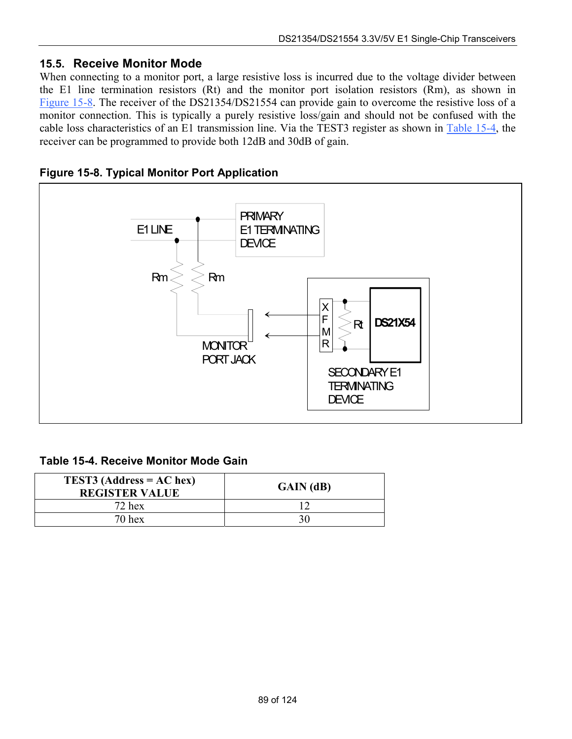# **15.5. Receive Monitor Mode**

When connecting to a monitor port, a large resistive loss is incurred due to the voltage divider between the E1 line termination resistors (Rt) and the monitor port isolation resistors (Rm), as shown in [Figure 15-8.](#page-88-0) The receiver of the DS21354/DS21554 can provide gain to overcome the resistive loss of a monitor connection. This is typically a purely resistive loss/gain and should not be confused with the cable loss characteristics of an E1 transmission line. Via the TEST3 register as shown in [Table 15-4,](#page-88-1) the receiver can be programmed to provide both 12dB and 30dB of gain.

<span id="page-88-0"></span>



# <span id="page-88-1"></span>**Table 15-4. Receive Monitor Mode Gain**

| <b>TEST3</b> (Address = $AC$ hex)<br><b>REGISTER VALUE</b> | GAIN (dB) |
|------------------------------------------------------------|-----------|
| $72$ hex                                                   |           |
| 70 hex                                                     |           |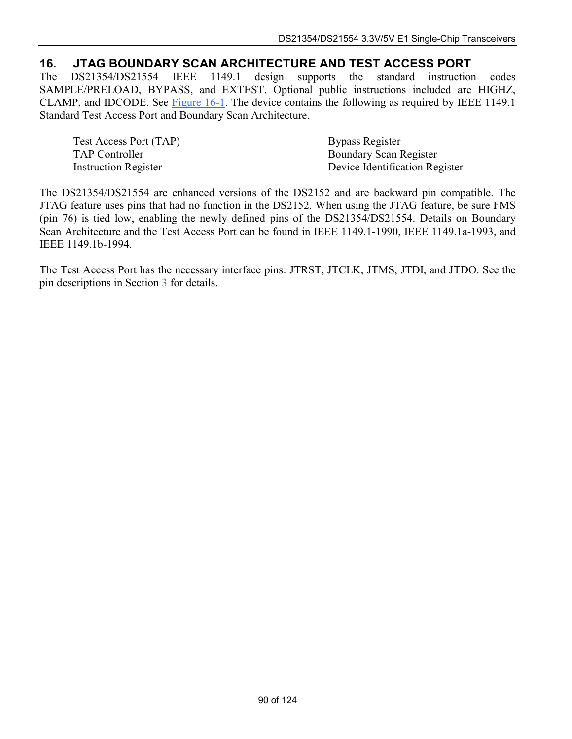# **16. JTAG BOUNDARY SCAN ARCHITECTURE AND TEST ACCESS PORT**

The DS21354/DS21554 IEEE 1149.1 design supports the standard instruction codes SAMPLE/PRELOAD, BYPASS, and EXTEST. Optional public instructions included are HIGHZ, CLAMP, and IDCODE. See [Figure 16-1.](#page-90-0) The device contains the following as required by IEEE 1149.1 Standard Test Access Port and Boundary Scan Architecture.

Test Access Port (TAP) TAP Controller Instruction Register

Bypass Register Boundary Scan Register Device Identification Register

The DS21354/DS21554 are enhanced versions of the DS2152 and are backward pin compatible. The JTAG feature uses pins that had no function in the DS2152. When using the JTAG feature, be sure FMS (pin 76) is tied low, enabling the newly defined pins of the DS21354/DS21554. Details on Boundary Scan Architecture and the Test Access Port can be found in IEEE 1149.1-1990, IEEE 1149.1a-1993, and IEEE 1149.1b-1994.

The Test Access Port has the necessary interface pins: JTRST, JTCLK, JTMS, JTDI, and JTDO. See the pin descriptions in Section [3](#page-9-0) for details.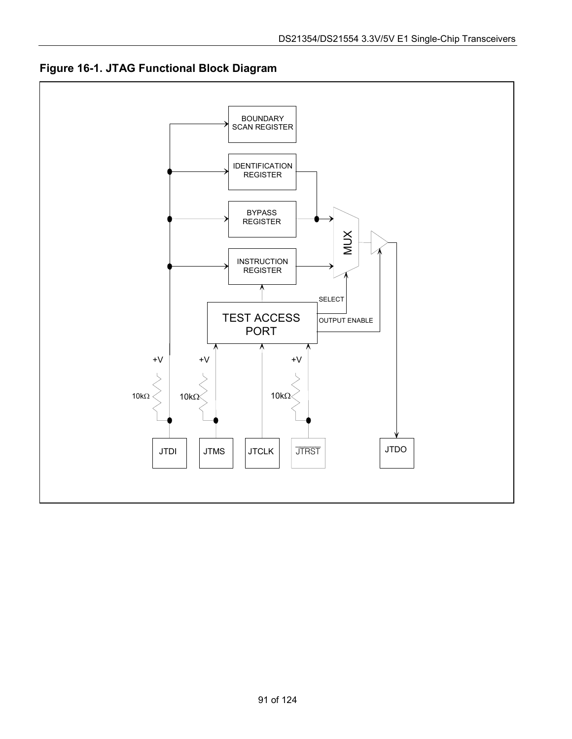<span id="page-90-0"></span>**Figure 16-1. JTAG Functional Block Diagram** 

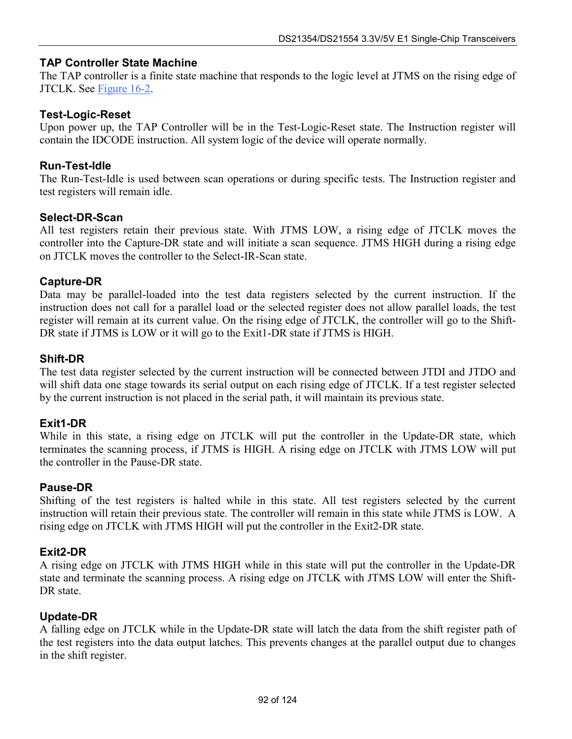#### **TAP Controller State Machine**

The TAP controller is a finite state machine that responds to the logic level at JTMS on the rising edge of JTCLK. See [Figure 16-2.](#page-93-0)

#### **Test-Logic-Reset**

Upon power up, the TAP Controller will be in the Test-Logic-Reset state. The Instruction register will contain the IDCODE instruction. All system logic of the device will operate normally.

#### **Run-Test-Idle**

The Run-Test-Idle is used between scan operations or during specific tests. The Instruction register and test registers will remain idle.

#### **Select-DR-Scan**

All test registers retain their previous state. With JTMS LOW, a rising edge of JTCLK moves the controller into the Capture-DR state and will initiate a scan sequence. JTMS HIGH during a rising edge on JTCLK moves the controller to the Select-IR-Scan state.

#### **Capture-DR**

Data may be parallel-loaded into the test data registers selected by the current instruction. If the instruction does not call for a parallel load or the selected register does not allow parallel loads, the test register will remain at its current value. On the rising edge of JTCLK, the controller will go to the Shift-DR state if JTMS is LOW or it will go to the Exit1-DR state if JTMS is HIGH.

#### **Shift-DR**

The test data register selected by the current instruction will be connected between JTDI and JTDO and will shift data one stage towards its serial output on each rising edge of JTCLK. If a test register selected by the current instruction is not placed in the serial path, it will maintain its previous state.

#### **Exit1-DR**

While in this state, a rising edge on JTCLK will put the controller in the Update-DR state, which terminates the scanning process, if JTMS is HIGH. A rising edge on JTCLK with JTMS LOW will put the controller in the Pause-DR state.

#### **Pause-DR**

Shifting of the test registers is halted while in this state. All test registers selected by the current instruction will retain their previous state. The controller will remain in this state while JTMS is LOW. A rising edge on JTCLK with JTMS HIGH will put the controller in the Exit2-DR state.

#### **Exit2-DR**

A rising edge on JTCLK with JTMS HIGH while in this state will put the controller in the Update-DR state and terminate the scanning process. A rising edge on JTCLK with JTMS LOW will enter the Shift-DR state.

#### **Update-DR**

A falling edge on JTCLK while in the Update-DR state will latch the data from the shift register path of the test registers into the data output latches. This prevents changes at the parallel output due to changes in the shift register.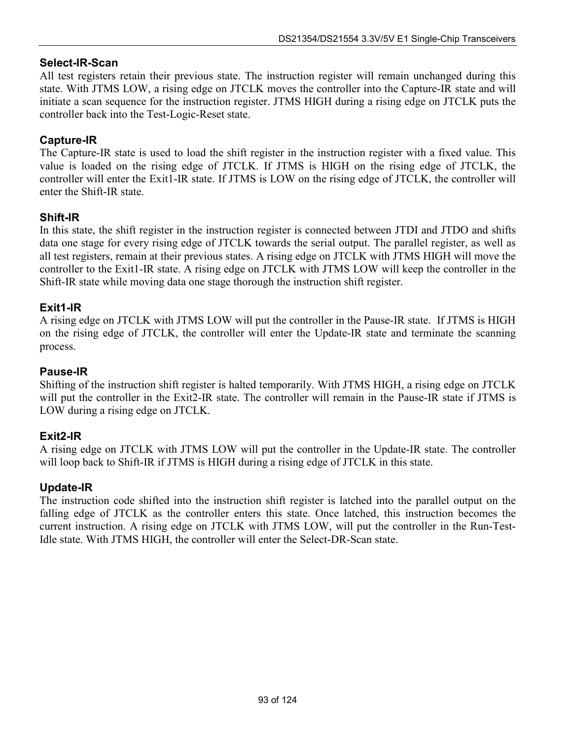#### **Select-IR-Scan**

All test registers retain their previous state. The instruction register will remain unchanged during this state. With JTMS LOW, a rising edge on JTCLK moves the controller into the Capture-IR state and will initiate a scan sequence for the instruction register. JTMS HIGH during a rising edge on JTCLK puts the controller back into the Test-Logic-Reset state.

# **Capture-IR**

The Capture-IR state is used to load the shift register in the instruction register with a fixed value. This value is loaded on the rising edge of JTCLK. If JTMS is HIGH on the rising edge of JTCLK, the controller will enter the Exit1-IR state. If JTMS is LOW on the rising edge of JTCLK, the controller will enter the Shift-IR state.

# **Shift-IR**

In this state, the shift register in the instruction register is connected between JTDI and JTDO and shifts data one stage for every rising edge of JTCLK towards the serial output. The parallel register, as well as all test registers, remain at their previous states. A rising edge on JTCLK with JTMS HIGH will move the controller to the Exit1-IR state. A rising edge on JTCLK with JTMS LOW will keep the controller in the Shift-IR state while moving data one stage thorough the instruction shift register.

#### **Exit1-IR**

A rising edge on JTCLK with JTMS LOW will put the controller in the Pause-IR state. If JTMS is HIGH on the rising edge of JTCLK, the controller will enter the Update-IR state and terminate the scanning process.

#### **Pause-IR**

Shifting of the instruction shift register is halted temporarily. With JTMS HIGH, a rising edge on JTCLK will put the controller in the Exit2-IR state. The controller will remain in the Pause-IR state if JTMS is LOW during a rising edge on JTCLK.

#### **Exit2-IR**

A rising edge on JTCLK with JTMS LOW will put the controller in the Update-IR state. The controller will loop back to Shift-IR if JTMS is HIGH during a rising edge of JTCLK in this state.

#### **Update-IR**

The instruction code shifted into the instruction shift register is latched into the parallel output on the falling edge of JTCLK as the controller enters this state. Once latched, this instruction becomes the current instruction. A rising edge on JTCLK with JTMS LOW, will put the controller in the Run-Test-Idle state. With JTMS HIGH, the controller will enter the Select-DR-Scan state.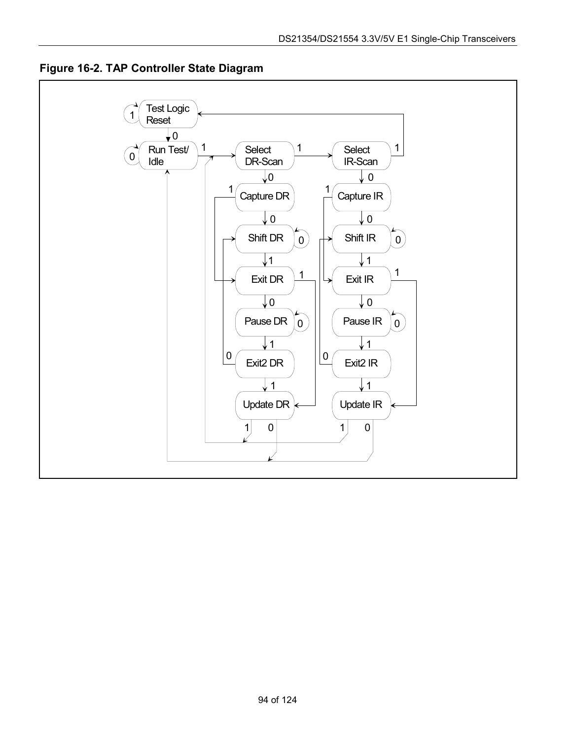<span id="page-93-0"></span>

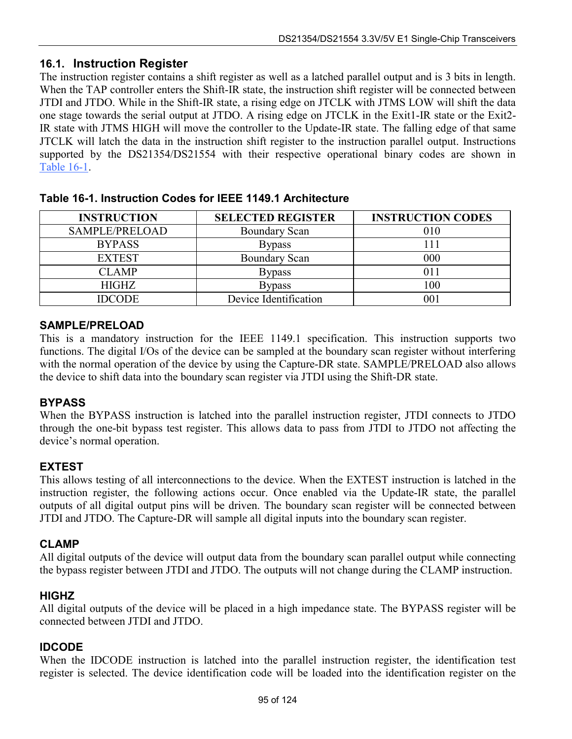# **16.1. Instruction Register**

The instruction register contains a shift register as well as a latched parallel output and is 3 bits in length. When the TAP controller enters the Shift-IR state, the instruction shift register will be connected between JTDI and JTDO. While in the Shift-IR state, a rising edge on JTCLK with JTMS LOW will shift the data one stage towards the serial output at JTDO. A rising edge on JTCLK in the Exit1-IR state or the Exit2- IR state with JTMS HIGH will move the controller to the Update-IR state. The falling edge of that same JTCLK will latch the data in the instruction shift register to the instruction parallel output. Instructions supported by the DS21354/DS21554 with their respective operational binary codes are shown in [Table 16-1.](#page-94-0)

| <b>INSTRUCTION</b> | <b>SELECTED REGISTER</b> | <b>INSTRUCTION CODES</b> |
|--------------------|--------------------------|--------------------------|
| SAMPLE/PRELOAD     | <b>Boundary Scan</b>     | 010                      |
| <b>BYPASS</b>      | <b>Bypass</b>            |                          |
| <b>EXTEST</b>      | <b>Boundary Scan</b>     | 000                      |
| <b>CLAMP</b>       | <b>Bypass</b>            | 011                      |
| <b>HIGHZ</b>       | <b>Bypass</b>            | 100                      |
| <b>IDCODE</b>      | Device Identification    | 001                      |

<span id="page-94-0"></span>**Table 16-1. Instruction Codes for IEEE 1149.1 Architecture** 

#### **SAMPLE/PRELOAD**

This is a mandatory instruction for the IEEE 1149.1 specification. This instruction supports two functions. The digital I/Os of the device can be sampled at the boundary scan register without interfering with the normal operation of the device by using the Capture-DR state. SAMPLE/PRELOAD also allows the device to shift data into the boundary scan register via JTDI using the Shift-DR state.

#### **BYPASS**

When the BYPASS instruction is latched into the parallel instruction register, JTDI connects to JTDO through the one-bit bypass test register. This allows data to pass from JTDI to JTDO not affecting the device's normal operation.

# **EXTEST**

This allows testing of all interconnections to the device. When the EXTEST instruction is latched in the instruction register, the following actions occur. Once enabled via the Update-IR state, the parallel outputs of all digital output pins will be driven. The boundary scan register will be connected between JTDI and JTDO. The Capture-DR will sample all digital inputs into the boundary scan register.

#### **CLAMP**

All digital outputs of the device will output data from the boundary scan parallel output while connecting the bypass register between JTDI and JTDO. The outputs will not change during the CLAMP instruction.

#### **HIGHZ**

All digital outputs of the device will be placed in a high impedance state. The BYPASS register will be connected between JTDI and JTDO.

#### **IDCODE**

When the IDCODE instruction is latched into the parallel instruction register, the identification test register is selected. The device identification code will be loaded into the identification register on the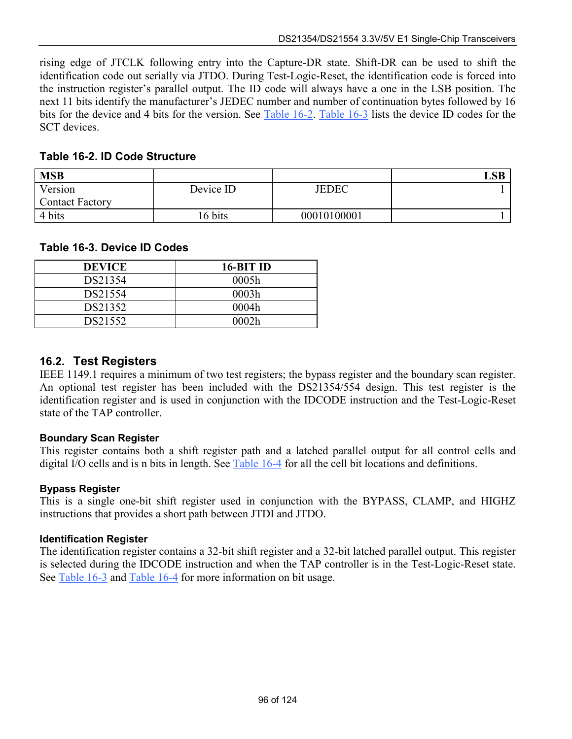rising edge of JTCLK following entry into the Capture-DR state. Shift-DR can be used to shift the identification code out serially via JTDO. During Test-Logic-Reset, the identification code is forced into the instruction register's parallel output. The ID code will always have a one in the LSB position. The next 11 bits identify the manufacturer's JEDEC number and number of continuation bytes followed by 16 bits for the device and 4 bits for the version. See [Table 16-2.](#page-95-0) [Table 16-3](#page-95-1) lists the device ID codes for the SCT devices.

<span id="page-95-0"></span>**Table 16-2. ID Code Structure** 

| <b>MSB</b>             |           |              | LSB |
|------------------------|-----------|--------------|-----|
| Version                | Device ID | <b>JEDEC</b> |     |
| <b>Contact Factory</b> |           |              |     |
| 4 bits                 | 16 bits   | 00010100001  |     |

# <span id="page-95-1"></span>**Table 16-3. Device ID Codes**

| <b>DEVICE</b> | 16-BIT ID |
|---------------|-----------|
| DS21354       | 0005h     |
| DS21554       | 0003h     |
| DS21352       | 0004h     |
| DS21552       | 0002h     |

# **16.2. Test Registers**

IEEE 1149.1 requires a minimum of two test registers; the bypass register and the boundary scan register. An optional test register has been included with the DS21354/554 design. This test register is the identification register and is used in conjunction with the IDCODE instruction and the Test-Logic-Reset state of the TAP controller.

# **Boundary Scan Register**

This register contains both a shift register path and a latched parallel output for all control cells and digital I/O cells and is n bits in length. See [Table 16-4](#page-96-0) for all the cell bit locations and definitions.

# **Bypass Register**

This is a single one-bit shift register used in conjunction with the BYPASS, CLAMP, and HIGHZ instructions that provides a short path between JTDI and JTDO.

#### **Identification Register**

The identification register contains a 32-bit shift register and a 32-bit latched parallel output. This register is selected during the IDCODE instruction and when the TAP controller is in the Test-Logic-Reset state. See [Table 16-3](#page-95-1) and [Table 16-4](#page-96-0) for more information on bit usage.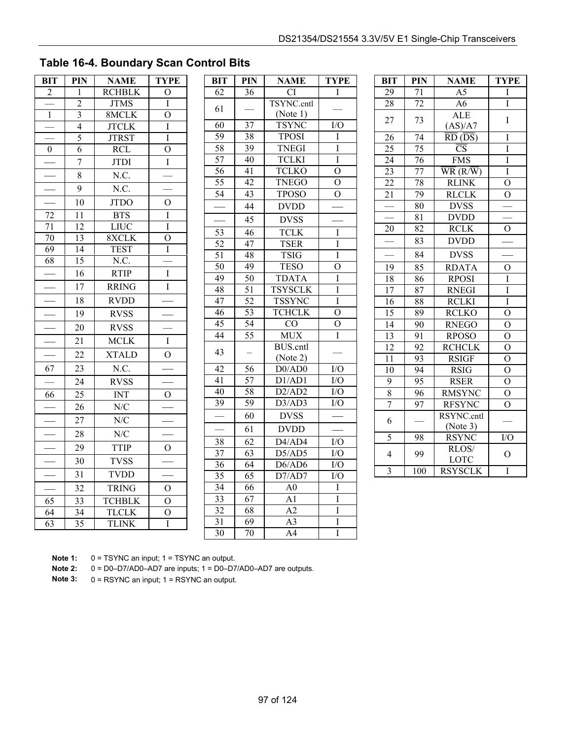| BIT              | PIN             | <b>NAME</b>   | <b>TYPE</b>    | BIT                   | PIN             | <b>NAME</b>                           | <b>TYPE</b>     |
|------------------|-----------------|---------------|----------------|-----------------------|-----------------|---------------------------------------|-----------------|
| $\overline{2}$   | 1               | <b>RCHBLK</b> | О              | 62                    | 36              | CI                                    | I               |
|                  | $\overline{c}$  | <b>JTMS</b>   | I              | 61                    |                 | TSYNC.cntl                            |                 |
| $\mathbf{1}$     | $\overline{3}$  | 8MCLK         | $\overline{O}$ |                       |                 | (Note 1)                              |                 |
|                  | $\overline{4}$  | <b>JTCLK</b>  | $\mathbf I$    | 60                    | 37              | <b>TSYNC</b>                          | I/O             |
|                  | $\overline{5}$  | <b>JTRST</b>  | $\overline{I}$ | 59                    | 38              | <b>TPOSI</b>                          | I               |
| $\boldsymbol{0}$ | 6               | <b>RCL</b>    | $\overline{O}$ | 58                    | 39              | <b>TNEGI</b>                          | I               |
|                  | $\overline{7}$  | <b>JTDI</b>   | $\rm I$        | 57                    | 40              | <b>TCLKI</b>                          | I               |
|                  | 8               | N.C.          |                | 56                    | 41              | <b>TCLKO</b>                          | $\overline{O}$  |
|                  | 9               | N.C.          |                | 55                    | 42              | <b>TNEGO</b>                          | $\Omega$        |
|                  | 10              | <b>JTDO</b>   | $\overline{O}$ | 54                    | 43              | <b>TPOSO</b>                          | $\overline{O}$  |
| 72               | 11              | <b>BTS</b>    | $\rm I$        |                       | 44              | <b>DVDD</b>                           |                 |
| 71               | 12              | <b>LIUC</b>   | I              |                       | 45              | <b>DVSS</b>                           |                 |
| 70               | 13              | 8XCLK         | $\overline{O}$ | 53                    | 46              | <b>TCLK</b>                           | $\mathbf I$     |
| 69               | 14              | <b>TEST</b>   | $\rm I$        | 52                    | 47              | <b>TSER</b>                           | $\mathbf I$     |
| 68               | 15              | N.C.          |                | $\overline{51}$       | 48              | <b>TSIG</b>                           | I               |
|                  | 16              | <b>RTIP</b>   | $\bf I$        | $\overline{50}$<br>49 | 49<br>50        | <b>TESO</b><br><b>TDATA</b>           | $\overline{O}$  |
|                  | 17              | <b>RRING</b>  | $\mathbf I$    | 48                    | 51              | <b>TSYSCLK</b>                        | I<br>I          |
|                  | 18              | <b>RVDD</b>   |                | 47                    | 52              | <b>TSSYNC</b>                         | $\overline{I}$  |
|                  | 19              | <b>RVSS</b>   |                | 46                    | 53              | <b>TCHCLK</b>                         | $\overline{O}$  |
|                  | 20              | <b>RVSS</b>   |                | 45                    | 54              | CO                                    | $\overline{O}$  |
|                  | 21              | <b>MCLK</b>   | I              | 44                    | 55              | <b>MUX</b>                            | $\rm I$         |
|                  |                 |               |                | 43                    |                 | <b>BUS.cntl</b>                       |                 |
|                  | 22              | <b>XTALD</b>  | $\overline{O}$ |                       |                 | (Note 2)                              |                 |
| 67               | 23              | N.C.          |                | 42                    | 56              | D0/AD0                                | I/O             |
|                  | 24              | <b>RVSS</b>   |                | 41                    | 57              | D1/AD1                                | ${\rm I/O}$     |
| 66               | 25              | <b>INT</b>    | $\mathbf{O}$   | 40                    | 58              | D2/AD2                                | I/O             |
|                  | 26              | N/C           |                | 39                    | $\overline{59}$ | D3/AD3                                | $\overline{IO}$ |
|                  | 27              | N/C           |                |                       | 60              | <b>DVSS</b>                           |                 |
|                  | 28              | N/C           |                |                       | 61              | <b>DVDD</b>                           |                 |
|                  | 29              | <b>TTIP</b>   | $\Omega$       | 38                    | 62              | D4/AD4                                | ${\rm I/O}$     |
|                  | 30              | <b>TVSS</b>   |                | 37                    | 63              | D5/AD5                                | I/O             |
|                  |                 |               |                | 36                    | 64              | D6/AD6                                | I/O             |
|                  | 31              | <b>TVDD</b>   |                | 35                    | 65              | D7/AD7                                | I/O             |
|                  | 32              | <b>TRING</b>  | O              | 34                    | 66              | A0                                    | $\rm I$         |
| 65               | $\overline{33}$ | <b>TCHBLK</b> | $\overline{O}$ | 33                    | 67              | Al                                    | I               |
| 64               | 34              | <b>TLCLK</b>  | $\mathcal{O}$  | 32<br>31              | 68<br>69        | A2                                    | I               |
| 63               | 35              | <b>TLINK</b>  | $\rm I$        | 20                    | 70              | A <sub>3</sub><br>$\Lambda$ $\Lambda$ | I<br>T          |

# <span id="page-96-0"></span>**Table 16-4. Boundary Scan Control Bits**

| 62              | 36       | <b>CI</b>                    | Ι              |
|-----------------|----------|------------------------------|----------------|
| 61              |          | TSYNC.cntl                   |                |
| 60              |          | (Note 1)                     |                |
| 59              | 37<br>38 | <b>TSYNC</b><br><b>TPOSI</b> | I/O<br>I       |
|                 |          |                              |                |
| 58              | 39       | <b>TNEGI</b><br><b>TCLKI</b> | I              |
| 57              | 40       |                              | $\overline{I}$ |
| 56              | 41       | <b>TCLKO</b>                 | $\overline{O}$ |
| 55<br>54        | 42       | <b>TNEGO</b>                 | O              |
|                 | 43       | <b>TPOSO</b>                 | O              |
|                 | 44       | <b>DVDD</b>                  |                |
|                 | 45       | <b>DVSS</b>                  |                |
| $\overline{53}$ | 46       | <b>TCLK</b>                  | I              |
| 52              | 47       | <b>TSER</b>                  | I              |
| 51              | 48       | <b>TSIG</b>                  | $\bf I$        |
| 50              | 49       | <b>TESO</b>                  | $\overline{O}$ |
| 49              | 50       | <b>TDATA</b>                 | I              |
| 48              | 51       | <b>TSYSCLK</b>               | I              |
| 47              | 52       | <b>TSSYNC</b>                | I              |
| 46              | 53       | <b>TCHCLK</b>                | $\overline{O}$ |
| 45              | 54       | CO                           | $\overline{O}$ |
| 44              | 55       | <b>MUX</b>                   | I              |
| 43              |          | <b>BUS.cntl</b>              |                |
|                 |          | (Note 2)                     |                |
| $\overline{42}$ | 56       | D0/AD0                       | I/O            |
| 41              | 57       | D1/AD1                       | I/O            |
| 40              | 58       | D2/AD2                       | I/O            |
| 39              | 59       | D3/AD3                       | I/O            |
|                 | 60       | <b>DVSS</b>                  |                |
|                 | 61       | <b>DVDD</b>                  |                |
| 38              | 62       | D4/AD4                       | I/O            |
| 37              | 63       | D5/AD5                       | I/O            |
| 36              | 64       | D6/AD6                       | I/O            |
| $\overline{35}$ | 65       | D7/AD7                       | I/O            |
| 34              | 66       | A <sub>0</sub>               | I              |
| 33              | 67       | A1                           | I              |
| 32              | 68       | A2                           | I              |
| 31              | 69       | I<br>A <sub>3</sub>          |                |
| 30              | 70       | A <sub>4</sub>               | I              |
|                 |          |                              |                |

| <b>BIT</b>      | PIN             | <b>NAME</b>                         | <b>TYPE</b>    |
|-----------------|-----------------|-------------------------------------|----------------|
| 29              | 71              | A <sub>5</sub>                      | I              |
| 28              | $\overline{72}$ | A6                                  | I              |
| 27              | 73              | <b>ALE</b>                          | I              |
|                 |                 | (AS)/A7                             |                |
| 26              | 74              | $\overline{RD}$ ( $\overline{DS}$ ) | I              |
| $2\overline{5}$ | 75              | $\overline{\text{CS}}$              | $\overline{I}$ |
| 24              | 76              | <b>FMS</b>                          | I              |
| 23              | 77              | WR(R/W)                             | I              |
| 22              | 78              | <b>RLINK</b>                        | $\overline{O}$ |
| 21              | 79              | <b>RLCLK</b>                        | $\overline{O}$ |
|                 | 80              | <b>DVSS</b>                         |                |
|                 | 81              | <b>DVDD</b>                         |                |
| $\overline{20}$ | 82              | <b>RCLK</b>                         | $\overline{O}$ |
|                 | 83              | <b>DVDD</b>                         |                |
|                 | 84              | <b>DVSS</b>                         |                |
| 19              | 85              | <b>RDATA</b>                        | O              |
| 18              | 86              | <b>RPOSI</b>                        | I              |
| $\overline{17}$ | $8\overline{7}$ | <b>RNEGI</b>                        | $\overline{I}$ |
| 16              | 88              | <b>RCLKI</b>                        | Ī              |
| $\overline{15}$ | 89              | <b>RCLKO</b>                        | $\overline{O}$ |
| 14              | 90              | <b>RNEGO</b>                        | $\overline{O}$ |
| 13              | 91              | <b>RPOSO</b>                        | $\overline{O}$ |
| $\overline{12}$ | 92              | <b>RCHCLK</b>                       | $\overline{O}$ |
| 11              | 93              | <b>RSIGF</b>                        | $\overline{O}$ |
| 10              | 94              | <b>RSIG</b>                         | $\overline{O}$ |
| 9               | 95              | <b>RSER</b>                         | $\overline{O}$ |
| $\overline{8}$  | 96              | <b>RMSYNC</b>                       | $\overline{0}$ |
| 7               | 97              | <b>RFSYNC</b>                       | $\overline{O}$ |
| 6               |                 | RSYNC.cntl                          |                |
|                 |                 | (Note 3)                            |                |
| 5               | 98              | <b>RSYNC</b>                        | I/O            |
| $\overline{4}$  | 99              | RLOS/                               | $\overline{O}$ |
|                 |                 | LOTC                                |                |
| $\overline{3}$  | 100             | <b>RSYSCLK</b>                      | $\overline{I}$ |

**Note 1:** 0 = TSYNC an input; 1 = TSYNC an output.

**Note 2:** 0 = D0-D7/AD0-AD7 are inputs; 1 = D0-D7/AD0-AD7 are outputs.

**Note 3:** 0 = RSYNC an input; 1 = RSYNC an output.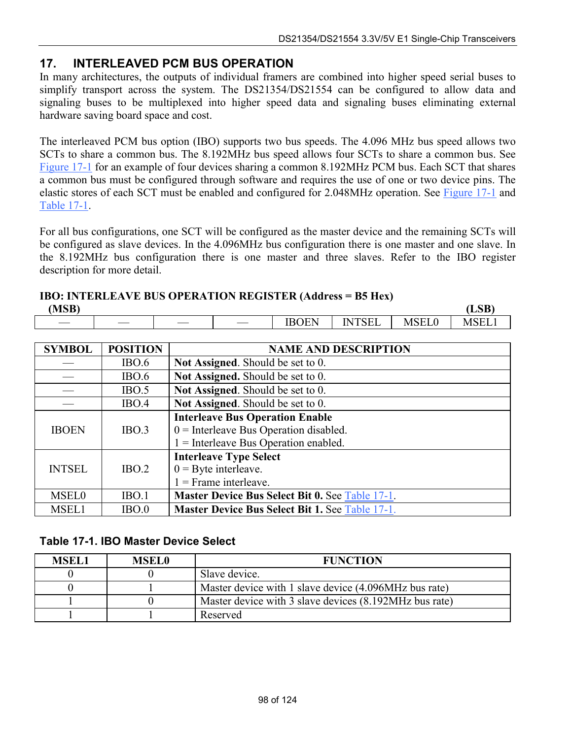# **17. INTERLEAVED PCM BUS OPERATION**

In many architectures, the outputs of individual framers are combined into higher speed serial buses to simplify transport across the system. The DS21354/DS21554 can be configured to allow data and signaling buses to be multiplexed into higher speed data and signaling buses eliminating external hardware saving board space and cost.

The interleaved PCM bus option (IBO) supports two bus speeds. The 4.096 MHz bus speed allows two SCTs to share a common bus. The 8.192MHz bus speed allows four SCTs to share a common bus. See [Figure 17-1](#page-98-0) for an example of four devices sharing a common 8.192MHz PCM bus. Each SCT that shares a common bus must be configured through software and requires the use of one or two device pins. The elastic stores of each SCT must be enabled and configured for 2.048MHz operation. See [Figure 17-1](#page-98-0) and [Table 17-1.](#page-97-0)

For all bus configurations, one SCT will be configured as the master device and the remaining SCTs will be configured as slave devices. In the 4.096MHz bus configuration there is one master and one slave. In the 8.192MHz bus configuration there is one master and three slaves. Refer to the IBO register description for more detail.

| (MSB)                    |                               |                   |                                    |                                  |                     | CD<br>עטען                       |
|--------------------------|-------------------------------|-------------------|------------------------------------|----------------------------------|---------------------|----------------------------------|
| $\overline{\phantom{m}}$ | $\overbrace{\phantom{aaaaa}}$ | $\hspace{0.05cm}$ | $\bigcap_{\tau}$<br>N<br>,н<br>. . | $\sim$ $\sim$ $\sim$<br>'N<br>பட | $-1$<br>$\sim$<br>M | $\sim$ $\sim$ $\sim$<br>. н<br>v |
|                          |                               |                   |                                    |                                  |                     |                                  |

**IBO: INTERLEAVE BUS OPERATION REGISTER (Address = B5 Hex)** 

| <b>SYMBOL</b> | <b>POSITION</b> | <b>NAME AND DESCRIPTION</b>                                                                                                   |
|---------------|-----------------|-------------------------------------------------------------------------------------------------------------------------------|
|               | IBO.6           | Not Assigned. Should be set to 0.                                                                                             |
|               | IBO.6           | Not Assigned. Should be set to 0.                                                                                             |
|               | IBO.5           | Not Assigned. Should be set to 0.                                                                                             |
|               | IBO.4           | Not Assigned. Should be set to 0.                                                                                             |
| <b>IBOEN</b>  | IBO.3           | <b>Interleave Bus Operation Enable</b><br>$0$ = Interleave Bus Operation disabled.                                            |
| <b>INTSEL</b> | IBO.2           | $1$ = Interleave Bus Operation enabled.<br><b>Interleave Type Select</b><br>$0 =$ Byte interleave.<br>$1 =$ Frame interleave. |
| <b>MSEL0</b>  | IBO.1           | Master Device Bus Select Bit 0. See Table 17-1.                                                                               |
| <b>MSEL1</b>  | IBO.0           | <b>Master Device Bus Select Bit 1. See Table 17-1.</b>                                                                        |

#### <span id="page-97-0"></span>**Table 17-1. IBO Master Device Select**

| <b>MSEL1</b> | <b>MSEL0</b> | <b>FUNCTION</b>                                        |
|--------------|--------------|--------------------------------------------------------|
|              |              | Slave device.                                          |
|              |              | Master device with 1 slave device (4.096MHz bus rate)  |
|              |              | Master device with 3 slave devices (8.192MHz bus rate) |
|              |              | Reserved                                               |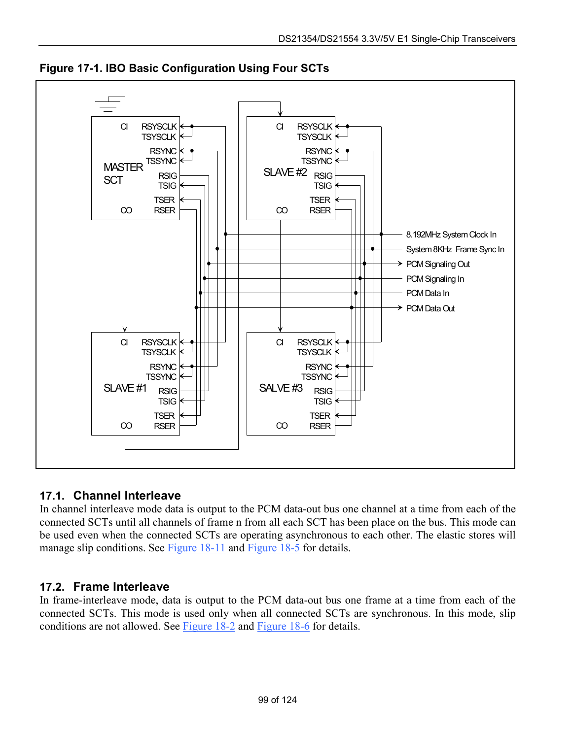

<span id="page-98-0"></span>**Figure 17-1. IBO Basic Configuration Using Four SCTs** 

# **17.1. Channel Interleave**

In channel interleave mode data is output to the PCM data-out bus one channel at a time from each of the connected SCTs until all channels of frame n from all each SCT has been place on the bus. This mode can be used even when the connected SCTs are operating asynchronous to each other. The elastic stores will manage slip conditions. See [Figure 18-11](#page-105-0) and [Figure 18-5](#page-101-0) for details.

# **17.2. Frame Interleave**

In frame-interleave mode, data is output to the PCM data-out bus one frame at a time from each of the connected SCTs. This mode is used only when all connected SCTs are synchronous. In this mode, slip conditions are not allowed. See [Figure 18-2](#page-99-0) and [Figure 18-6](#page-102-0) for details.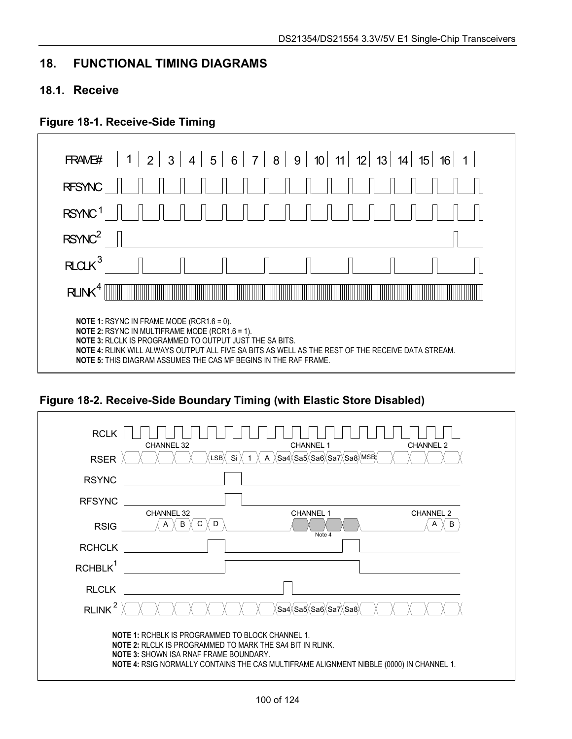# **18. FUNCTIONAL TIMING DIAGRAMS**

# **18.1. Receive**

# **Figure 18-1. Receive-Side Timing**



<span id="page-99-0"></span>**Figure 18-2. Receive-Side Boundary Timing (with Elastic Store Disabled)** 

| <b>RCLK</b><br><b>CHANNEL 32</b><br><b>CHANNEL 1</b><br><b>CHANNEL 2</b><br><b>RSER</b><br>{Sa4χSa5χSa6χSa7χSa8χмsв}<br>LSB,<br>Si                                                                                                                               |
|------------------------------------------------------------------------------------------------------------------------------------------------------------------------------------------------------------------------------------------------------------------|
| <b>RSYNC</b>                                                                                                                                                                                                                                                     |
| <b>RFSYNC</b>                                                                                                                                                                                                                                                    |
| CHANNEL 32<br><b>CHANNEL 2</b><br><b>CHANNEL 1</b><br>B<br>A<br>D<br>B<br><b>RSIG</b><br>Note 4                                                                                                                                                                  |
| <b>RCHCLK</b>                                                                                                                                                                                                                                                    |
| RCHBLK <sup>1</sup>                                                                                                                                                                                                                                              |
| <b>RLCLK</b>                                                                                                                                                                                                                                                     |
| RLINK <sup>2</sup><br>(Sa4)(Sa5){Sa6){Sa7){Sa8)                                                                                                                                                                                                                  |
| <b>NOTE 1: RCHBLK IS PROGRAMMED TO BLOCK CHANNEL 1.</b><br>NOTE 2: RLCLK IS PROGRAMMED TO MARK THE SA4 BIT IN RLINK.<br><b>NOTE 3: SHOWN ISA RNAF FRAME BOUNDARY.</b><br>NOTE 4: RSIG NORMALLY CONTAINS THE CAS MULTIFRAME ALIGNMENT NIBBLE (0000) IN CHANNEL 1. |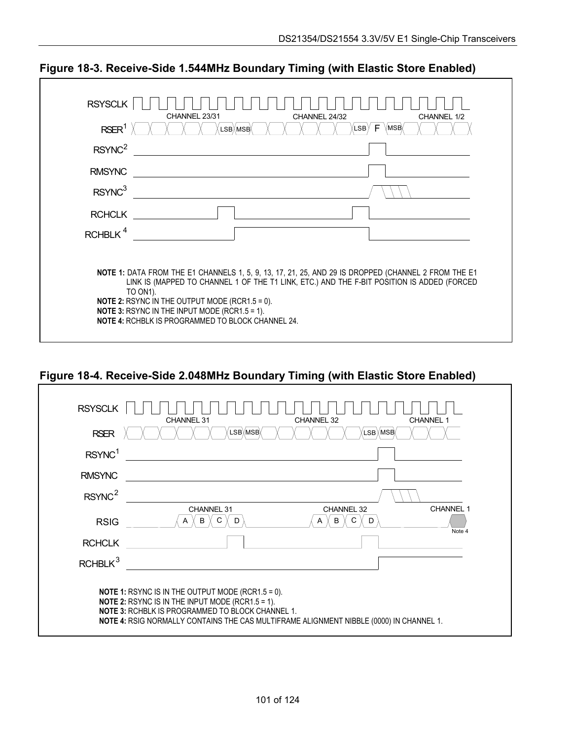

#### **Figure 18-3. Receive-Side 1.544MHz Boundary Timing (with Elastic Store Enabled)**

#### **Figure 18-4. Receive-Side 2.048MHz Boundary Timing (with Elastic Store Enabled)**

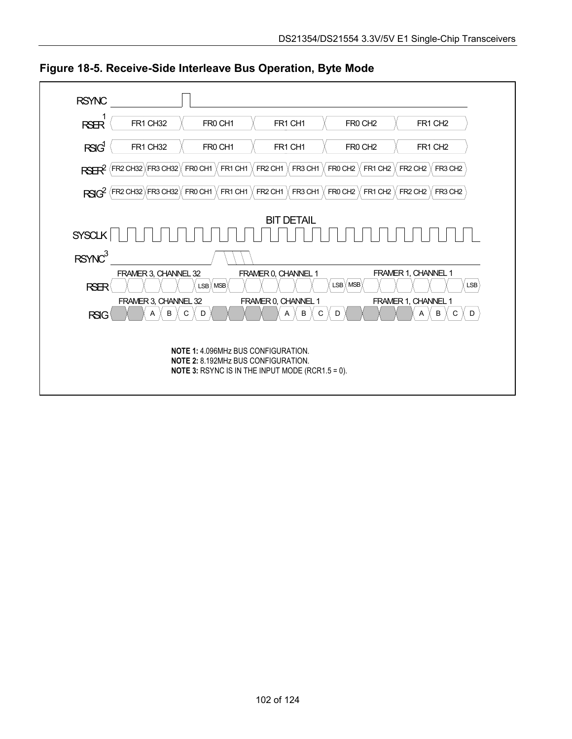<span id="page-101-0"></span>

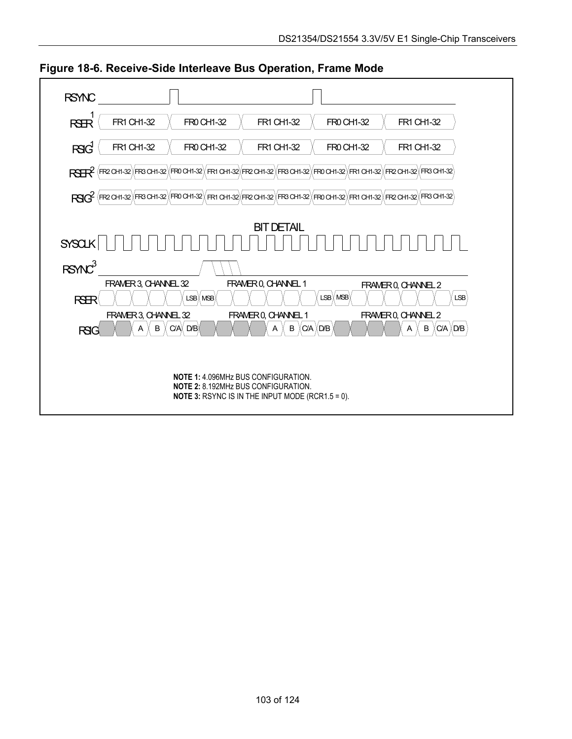<span id="page-102-0"></span>

| <b>RSYNC</b>                                                                                                                                                                                                        |
|---------------------------------------------------------------------------------------------------------------------------------------------------------------------------------------------------------------------|
| FR1 CH1-32<br>FR0 CH1-32<br>FR1 CH1-32<br>FR0 CH1-32<br>FR1 CH1-32<br><b>RSHR</b>                                                                                                                                   |
| <b>RSG</b><br>FR1 CH1-32<br>FR0 CH1-32<br>FR1 CH1-32<br>FR0 CH1-32<br>FR1 CH1-32                                                                                                                                    |
| RELLER (FR2 CH1-32)(FR3 CH1-32)(FR0 CH1-32)(FR1 CH1-32)(FR2 CH1-32)(FR3 CH1-32)(FR0 CH1-32)(FR1 CH1-32)(FR2 CH1-32)(FR3 CH1-32)                                                                                     |
| $\overline{\rm {RG}}{}'$ (FR2 CH1-32)(FR3 CH1-32)(FR0 CH1-32)(FR1 CH1-32)(FR2 CH1-32)(FR3 CH1-32)(FR0 CH1-32)(FR2 CH1-32)(FR3 CH1-32)                                                                               |
| <b>BIT DETAIL</b><br><b>SYSCLK</b>                                                                                                                                                                                  |
| RSMC <sup>3</sup>                                                                                                                                                                                                   |
| FRAMER 3, CHANNEL 32<br>FRAMER 0, CHANNEL 1<br>FRAMER 0, CHANNEL 2<br>$LSB$ MSB<br>LSB<br>LSB <sup>Y</sup> MSB<br>RSER                                                                                              |
| FRAMER 3, CHANNEL 32<br>FRAMER 0, CHANNEL 1<br>FRAMER 0, CHANNEL 2<br>$\langle$ C/A $\langle$ D/B $\rangle$<br>$B \ XCA \ D/B$<br>$\sf B$<br>$C A \times D B \times D$<br>$\, {\bf B}$<br>A<br>Α<br>А<br><b>RSG</b> |
|                                                                                                                                                                                                                     |
| <b>NOTE 1: 4.096MHz BUS CONFIGURATION.</b><br>NOTE 2: 8.192MHz BUS CONFIGURATION.<br><b>NOTE 3: RSYNC IS IN THE INPUT MODE (RCR1.5 = 0).</b>                                                                        |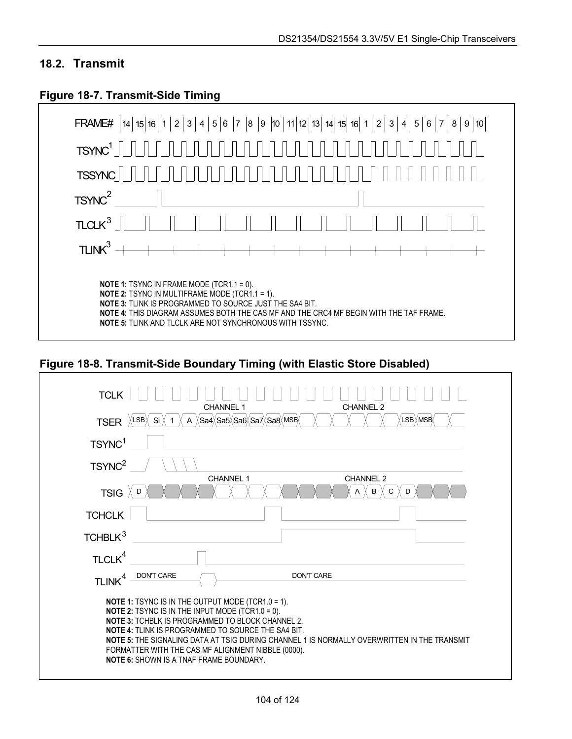# **18.2. Transmit**

# **Figure 18-7. Transmit-Side Timing**



# **Figure 18-8. Transmit-Side Boundary Timing (with Elastic Store Disabled)**

| <b>TCLK</b><br><b>CHANNEL 1</b><br><b>CHANNEL 2</b><br>Sa4XSa5XSa6XSa7XSa8XMSB<br>LSB\/MSB<br>TSER $X$ LSB<br>Si                                                                                                                                                                                                                                                                                                                            |
|---------------------------------------------------------------------------------------------------------------------------------------------------------------------------------------------------------------------------------------------------------------------------------------------------------------------------------------------------------------------------------------------------------------------------------------------|
| TSYNC <sup>1</sup>                                                                                                                                                                                                                                                                                                                                                                                                                          |
| TSYNC <sup>2</sup>                                                                                                                                                                                                                                                                                                                                                                                                                          |
| <b>CHANNEL 1</b><br><b>CHANNEL 2</b><br><b>TSIG</b><br>B                                                                                                                                                                                                                                                                                                                                                                                    |
| <b>TCHCLK</b>                                                                                                                                                                                                                                                                                                                                                                                                                               |
| TCHBLK <sup>3</sup>                                                                                                                                                                                                                                                                                                                                                                                                                         |
| TLCLK <sup>4</sup>                                                                                                                                                                                                                                                                                                                                                                                                                          |
| <b>DON'T CARE</b><br><b>DON'T CARE</b><br><b>TLINK</b>                                                                                                                                                                                                                                                                                                                                                                                      |
| <b>NOTE 1: TSYNC IS IN THE OUTPUT MODE (TCR1.0 = 1).</b><br><b>NOTE 2: TSYNC IS IN THE INPUT MODE (TCR1.0 = 0).</b><br>NOTE 3: TCHBLK IS PROGRAMMED TO BLOCK CHANNEL 2.<br>NOTE 4: TLINK IS PROGRAMMED TO SOURCE THE SA4 BIT.<br><b>NOTE 5: THE SIGNALING DATA AT TSIG DURING CHANNEL 1 IS NORMALLY OVERWRITTEN IN THE TRANSMIT</b><br>FORMATTER WITH THE CAS MF ALIGNMENT NIBBLE (0000).<br><b>NOTE 6:</b> SHOWN IS A TNAF FRAME BOUNDARY. |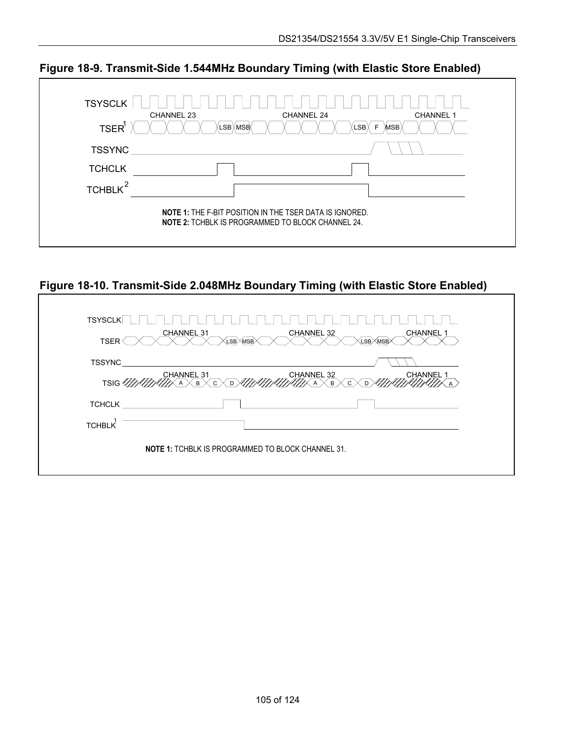

**Figure 18-9. Transmit-Side 1.544MHz Boundary Timing (with Elastic Store Enabled)** 

**Figure 18-10. Transmit-Side 2.048MHz Boundary Timing (with Elastic Store Enabled)** 

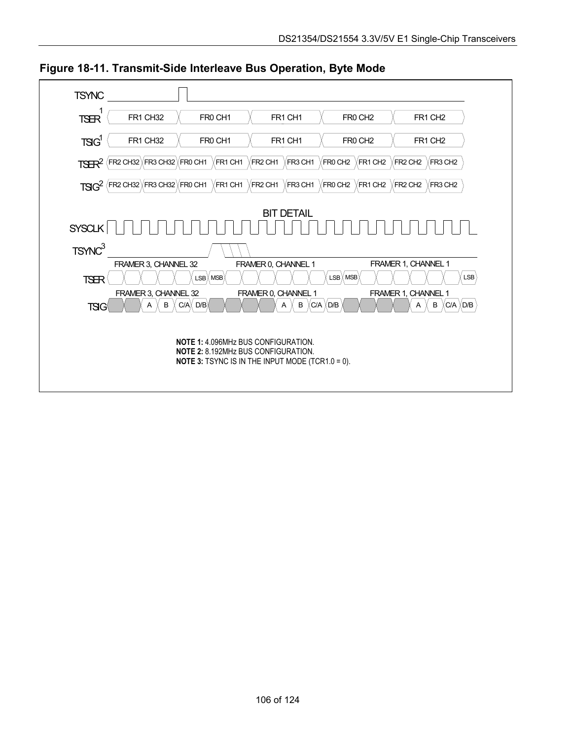<span id="page-105-0"></span>

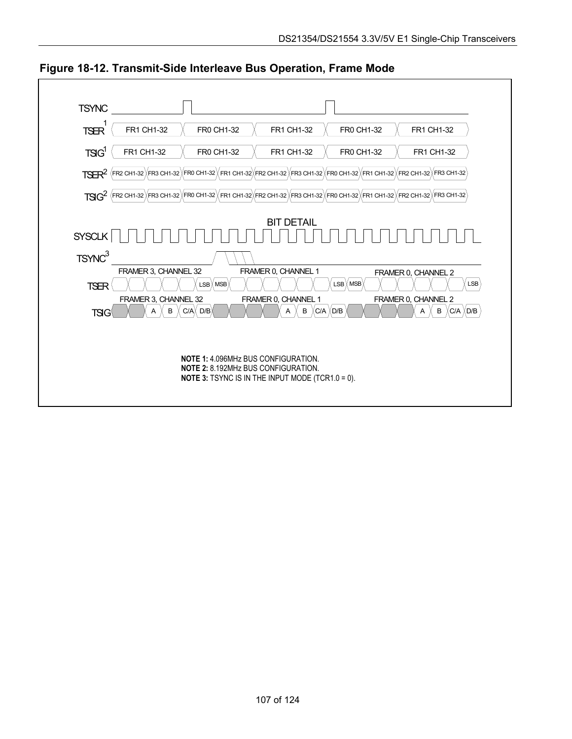

**Figure 18-12. Transmit-Side Interleave Bus Operation, Frame Mode**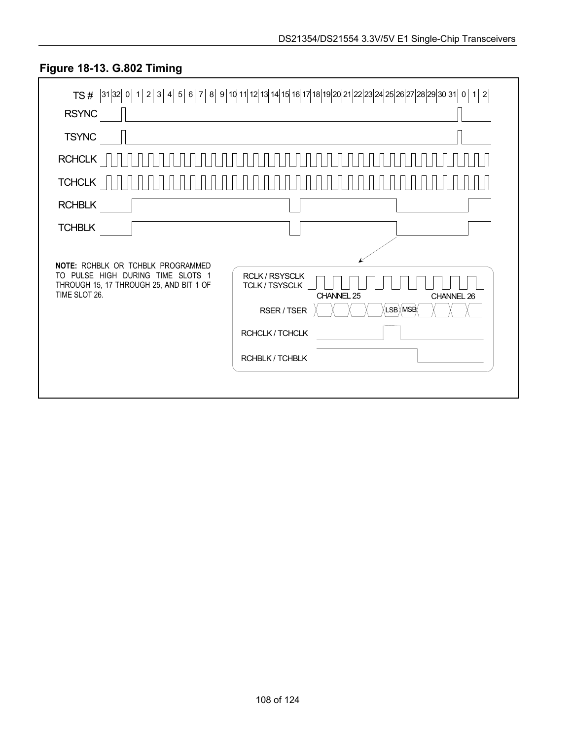

# **Figure 18-13. G.802 Timing**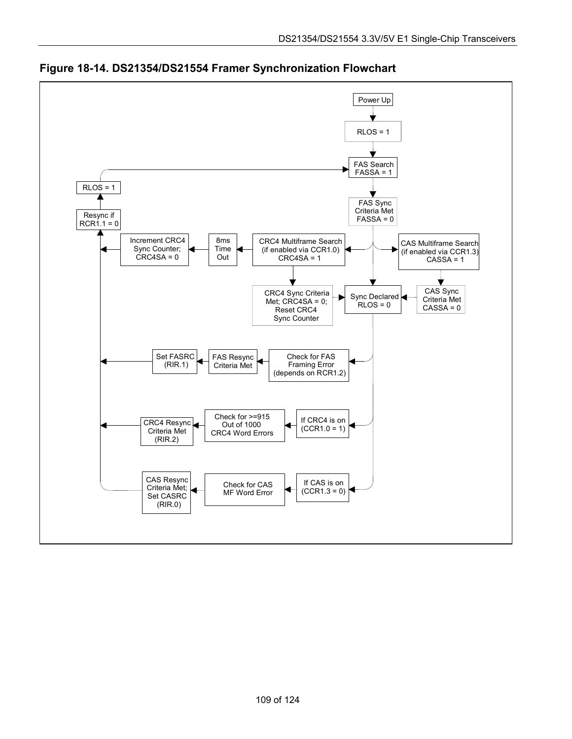

**Figure 18-14. DS21354/DS21554 Framer Synchronization Flowchart**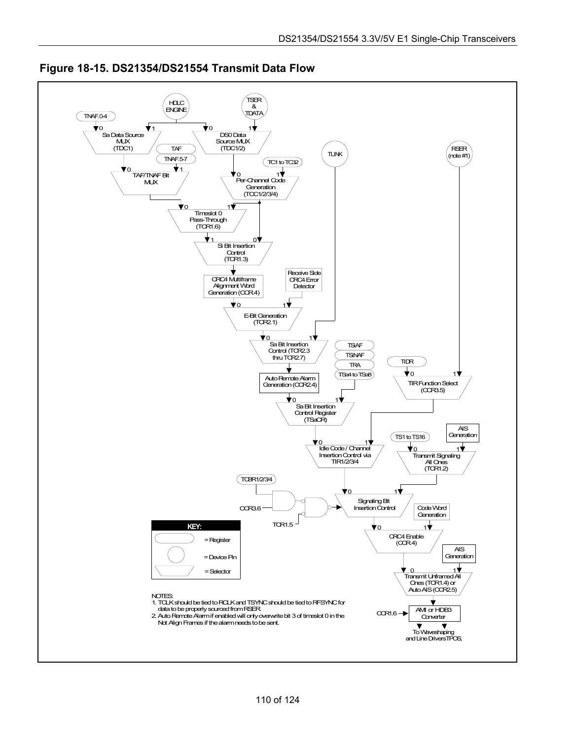

**Figure 18-15. DS21354/DS21554 Transmit Data Flow**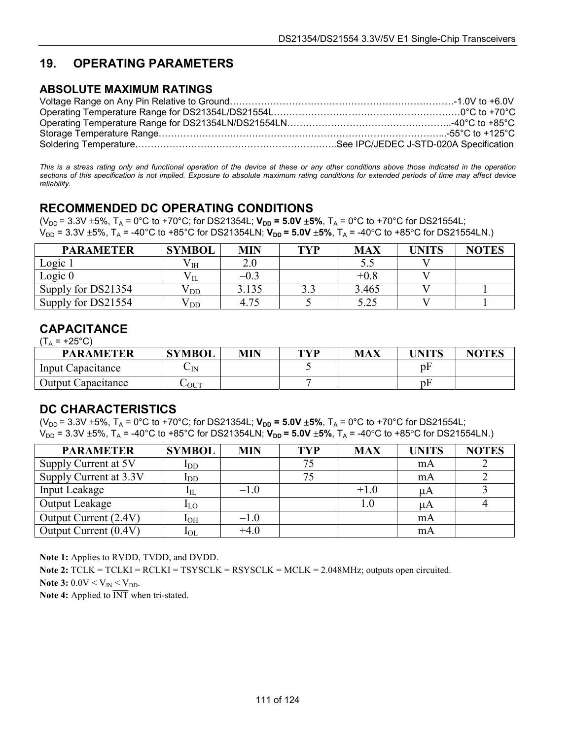# **19. OPERATING PARAMETERS**

#### **ABSOLUTE MAXIMUM RATINGS**

*This is a stress rating only and functional operation of the device at these or any other conditions above those indicated in the operation*  sections of this specification is not implied. Exposure to absolute maximum rating conditions for extended periods of time may affect device *reliability.* 

# **RECOMMENDED DC OPERATING CONDITIONS**

 $(V_{DD} = 3.3V \pm 5\%, T_A = 0^{\circ}C$  to +70°C; for DS21354L;  $V_{DD} = 5.0V \pm 5\%, T_A = 0^{\circ}C$  to +70°C for DS21554L;  $V_{DD}$  = 3.3V  $\pm$ 5%, T<sub>A</sub> = -40°C to +85°C for DS21354LN;  $V_{DD}$  = 5.0V  $\pm$ 5%, T<sub>A</sub> = -40°C to +85°C for DS21554LN.)

| <b>PARAMETER</b>   | <b>SYMBOL</b> | <b>MIN</b> | <b>TYP</b> | <b>MAX</b> | <b>UNITS</b> | <b>NOTES</b> |
|--------------------|---------------|------------|------------|------------|--------------|--------------|
| Logic 1            | $\rm V_{IH}$  |            |            |            |              |              |
| Logic $0$          | ۷IL           | $-0.3$     |            | $+0.8$     |              |              |
| Supply for DS21354 | √ DD          | 3.135      | 3.3        | 3.465      |              |              |
| Supply for DS21554 | V DD          | 4.75       |            | 5.25       |              |              |

## **CAPACITANCE**

 $(T_A = +25^{\circ}C)$ 

| <b>PARAMETER</b>          | <b>SYMBOL</b>            | <b>MIN</b> | TVP | <b>MAX</b> | <b>UNITS</b> | <b>NOTES</b> |
|---------------------------|--------------------------|------------|-----|------------|--------------|--------------|
| Input Capacitance         | $\mathsf{U}_{\text{IN}}$ |            |     |            | υł           |              |
| <b>Output Capacitance</b> | $\sim$ OUT               |            |     |            | DI           |              |

## **DC CHARACTERISTICS**

 $(V_{DD} = 3.3V \pm 5\%, T_A = 0\degree C$  to +70°C; for DS21354L;  $V_{DD} = 5.0V \pm 5\%, T_A = 0\degree C$  to +70°C for DS21554L;  $V_{DD}$  = 3.3V  $\pm$ 5%, T<sub>A</sub> = -40°C to +85°C for DS21354LN;  $V_{DD}$  = 5.0V  $\pm$ 5%, T<sub>A</sub> = -40°C to +85°C for DS21554LN.)

| <b>PARAMETER</b>       | <b>SYMBOL</b> | <b>MIN</b> | <b>TYP</b> | <b>MAX</b> | <b>UNITS</b> | <b>NOTES</b> |
|------------------------|---------------|------------|------------|------------|--------------|--------------|
| Supply Current at 5V   | $I_{DD}$      |            | 75         |            | mA           |              |
| Supply Current at 3.3V | $I_{DD}$      |            | 75         |            | mA           |              |
| Input Leakage          | $1_{\rm IL}$  | $-1.0$     |            | $+1.0$     | μA           |              |
| <b>Output Leakage</b>  | $I_{LO}$      |            |            | 1.0        | $\mu A$      |              |
| Output Current (2.4V)  | $I_{OH}$      | $-1.0$     |            |            | mA           |              |
| Output Current (0.4V)  | $I_{OL}$      | $+4.0$     |            |            | mA           |              |

**Note 1:** Applies to RVDD, TVDD, and DVDD.

Note 2: TCLK = TCLKI = RCLKI = TSYSCLK = RSYSCLK = MCLK = 2.048MHz; outputs open circuited.

**Note 3:**  $0.0V \le V_{IN} \le V_{DD}$ .

**Note 4:** Applied to INT when tri-stated.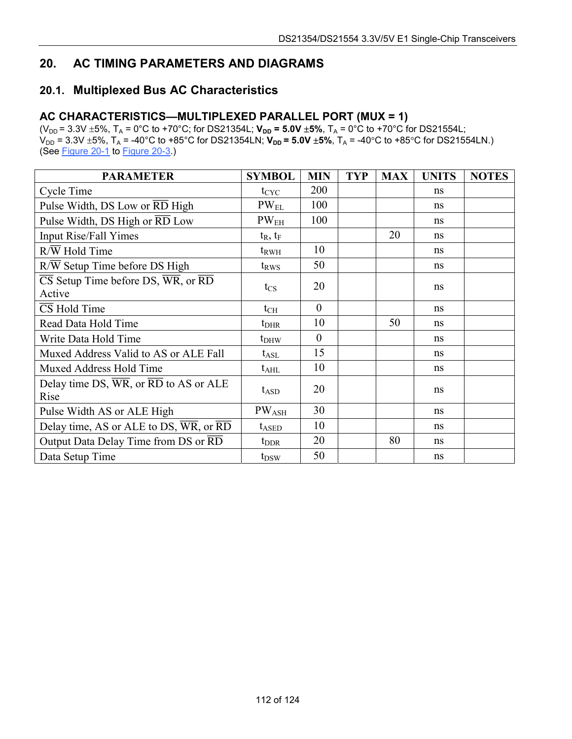# **20. AC TIMING PARAMETERS AND DIAGRAMS**

## **20.1. Multiplexed Bus AC Characteristics**

#### AC CHARACTERISTICS—MULTIPLEXED PARALLEL PORT (MUX = 1)

 $(V_{DD} = 3.3V \pm 5\%, T_A = 0^{\circ}C$  to +70°C; for DS21354L;  $V_{DD} = 5.0V \pm 5\%, T_A = 0^{\circ}C$  to +70°C for DS21554L;  $V_{DD}$  = 3.3V  $\pm$ 5%, T<sub>A</sub> = -40°C to +85°C for DS21354LN;  $V_{DD}$  = 5.0V  $\pm$ 5%, T<sub>A</sub> = -40°C to +85°C for DS21554LN.) (See [Figure 20-1](#page-112-0) to [Figure 20-3.](#page-113-0))

| <b>PARAMETER</b>                                                                                | <b>SYMBOL</b>    | <b>MIN</b>     | <b>TYP</b> | <b>MAX</b> | <b>UNITS</b> | <b>NOTES</b> |
|-------------------------------------------------------------------------------------------------|------------------|----------------|------------|------------|--------------|--------------|
| Cycle Time                                                                                      | $t_{CYC}$        | 200            |            |            | ns           |              |
| Pulse Width, DS Low or $\overline{RD}$ High                                                     | $PW_{EL}$        | 100            |            |            | ns           |              |
| Pulse Width, DS High or $\overline{RD}$ Low                                                     | PW <sub>EH</sub> | 100            |            |            | ns           |              |
| <b>Input Rise/Fall Yimes</b>                                                                    | $t_R$ , $t_F$    |                |            | 20         | ns           |              |
| $R/\overline{W}$ Hold Time                                                                      | $t_{\rm RWH}$    | 10             |            |            | ns           |              |
| $R/\overline{W}$ Setup Time before DS High                                                      | $t_{RWS}$        | 50             |            |            | ns           |              |
| $\overline{\text{CS}}$ Setup Time before DS, $\overline{\text{WR}}$ , or $\overline{\text{RD}}$ | $t_{\rm CS}$     | 20             |            |            | ns           |              |
| Active                                                                                          |                  |                |            |            |              |              |
| $\overline{\text{CS}}$ Hold Time                                                                | $t_{\rm CH}$     | $\theta$       |            |            | ns           |              |
| Read Data Hold Time                                                                             | $t_{\rm DHR}$    | 10             |            | 50         | ns           |              |
| Write Data Hold Time                                                                            | $t_{DHW}$        | $\overline{0}$ |            |            | ns           |              |
| Muxed Address Valid to AS or ALE Fall                                                           | $t_{\rm ASL}$    | 15             |            |            | ns           |              |
| Muxed Address Hold Time                                                                         | $t_{\rm AHL}$    | 10             |            |            | ns           |              |
| Delay time DS, $\overline{WR}$ , or $\overline{RD}$ to AS or ALE                                | $t_{ASD}$        | 20             |            |            | ns           |              |
| Rise                                                                                            |                  |                |            |            |              |              |
| Pulse Width AS or ALE High                                                                      | <b>PWASH</b>     | 30             |            |            | ns           |              |
| Delay time, AS or ALE to DS, $\overline{WR}$ , or $\overline{RD}$                               | $t_{ASED}$       | 10             |            |            | ns           |              |
| Output Data Delay Time from DS or RD                                                            | $t_{\rm DDR}$    | 20             |            | 80         | ns           |              |
| Data Setup Time                                                                                 | $t_{DSW}$        | 50             |            |            | ns           |              |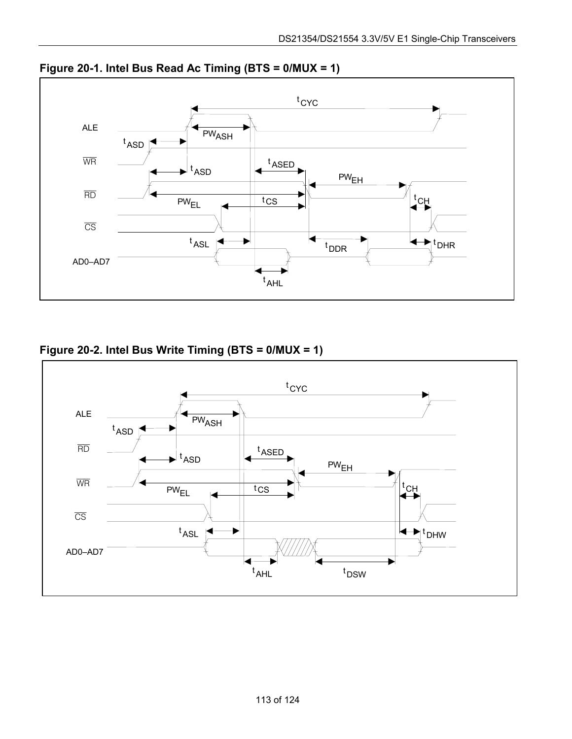

<span id="page-112-0"></span>**Figure 20-1. Intel Bus Read Ac Timing (BTS = 0/MUX = 1)** 

## **Figure 20-2. Intel Bus Write Timing (BTS = 0/MUX = 1)**

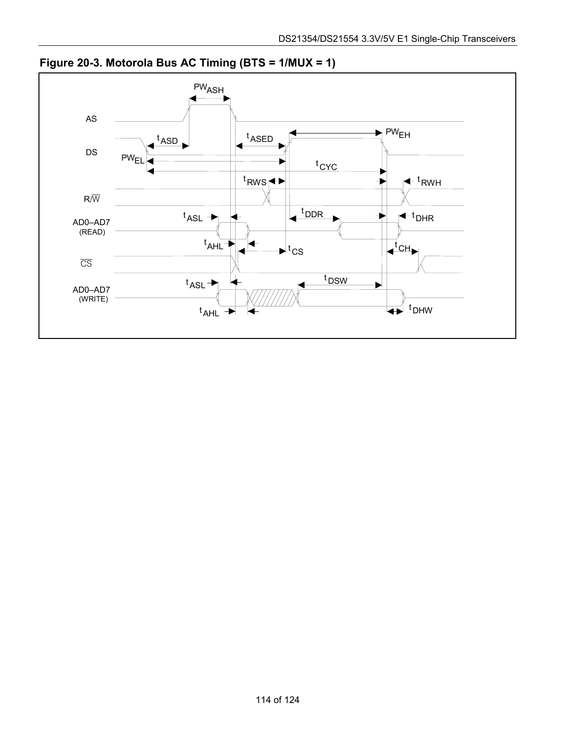

<span id="page-113-0"></span>**Figure 20-3. Motorola Bus AC Timing (BTS = 1/MUX = 1)**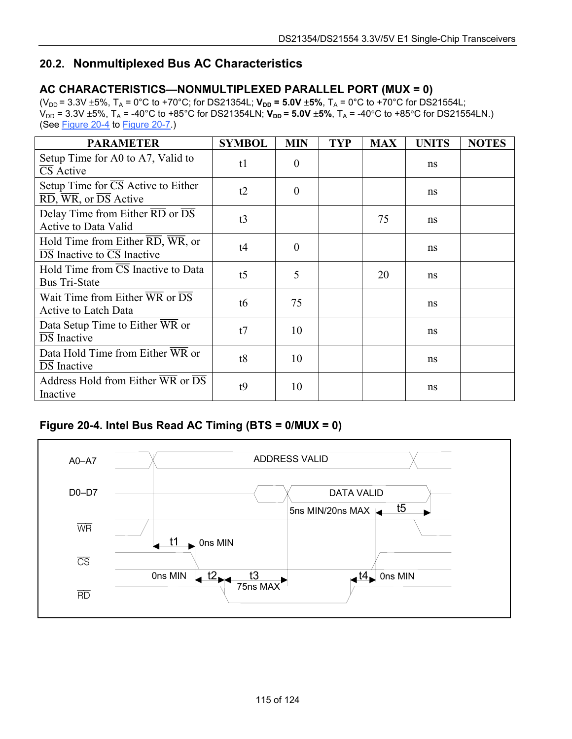# **20.2. Nonmultiplexed Bus AC Characteristics**

## AC CHARACTERISTICS—NONMULTIPLEXED PARALLEL PORT (MUX = 0)

 $(V_{DD} = 3.3V \pm 5\%, T_A = 0^{\circ}C$  to +70°C; for DS21354L;  $V_{DD} = 5.0V \pm 5\%, T_A = 0^{\circ}C$  to +70°C for DS21554L;  $V_{DD}$  = 3.3V  $\pm$ 5%, T<sub>A</sub> = -40°C to +85°C for DS21354LN;  $V_{DD}$  = 5.0V  $\pm$ 5%, T<sub>A</sub> = -40°C to +85°C for DS21554LN.) (See [Figure 20-4](#page-114-0) to [Figure 20-7.](#page-115-0))

| <b>PARAMETER</b>                                                                                                                      | <b>SYMBOL</b>  | <b>MIN</b>       | <b>TYP</b> | <b>MAX</b> | <b>UNITS</b> | <b>NOTES</b> |
|---------------------------------------------------------------------------------------------------------------------------------------|----------------|------------------|------------|------------|--------------|--------------|
| Setup Time for A0 to A7, Valid to<br>CS Active                                                                                        | t1             | $\boldsymbol{0}$ |            |            | ns           |              |
| Setup Time for $\overline{CS}$ Active to Either<br>$\overline{\text{RD}}$ , $\overline{\text{WR}}$ , or $\overline{\text{DS}}$ Active | t2             | $\theta$         |            |            | ns           |              |
| Delay Time from Either $\overline{RD}$ or $\overline{DS}$<br>Active to Data Valid                                                     | t3             |                  |            | 75         | ns           |              |
| Hold Time from Either $\overline{RD}$ , $\overline{WR}$ , or<br>$\overline{DS}$ Inactive to $\overline{CS}$ Inactive                  | t4             | $\theta$         |            |            | ns           |              |
| Hold Time from CS Inactive to Data<br><b>Bus Tri-State</b>                                                                            | t <sub>5</sub> | 5                |            | 20         | ns           |              |
| Wait Time from Either WR or $\overline{DS}$<br>Active to Latch Data                                                                   | t6             | 75               |            |            | ns           |              |
| Data Setup Time to Either WR or<br>DS Inactive                                                                                        | t7             | 10               |            |            | ns           |              |
| Data Hold Time from Either WR or<br>DS Inactive                                                                                       | t8             | 10               |            |            | ns           |              |
| Address Hold from Either $\overline{WR}$ or $\overline{DS}$<br>Inactive                                                               | t9             | 10               |            |            | ns           |              |

## <span id="page-114-0"></span>**Figure 20-4. Intel Bus Read AC Timing (BTS = 0/MUX = 0)**

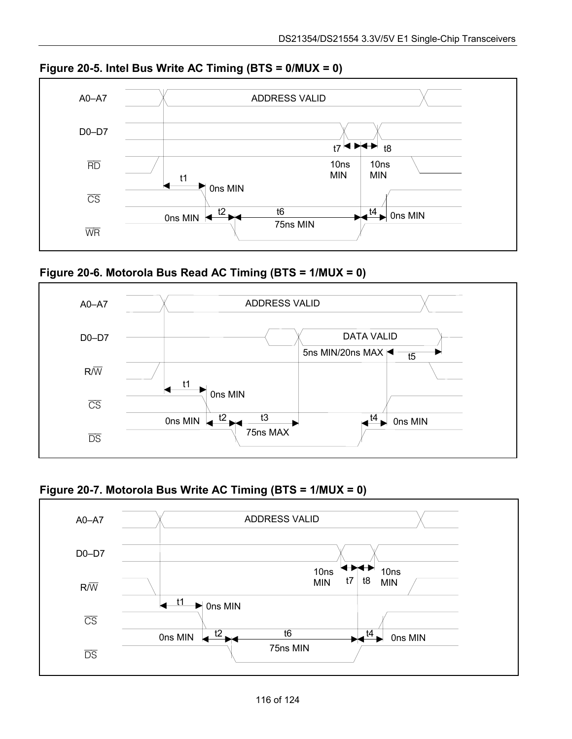

**Figure 20-5. Intel Bus Write AC Timing (BTS = 0/MUX = 0)** 

**Figure 20-6. Motorola Bus Read AC Timing (BTS = 1/MUX = 0)** 



<span id="page-115-0"></span>

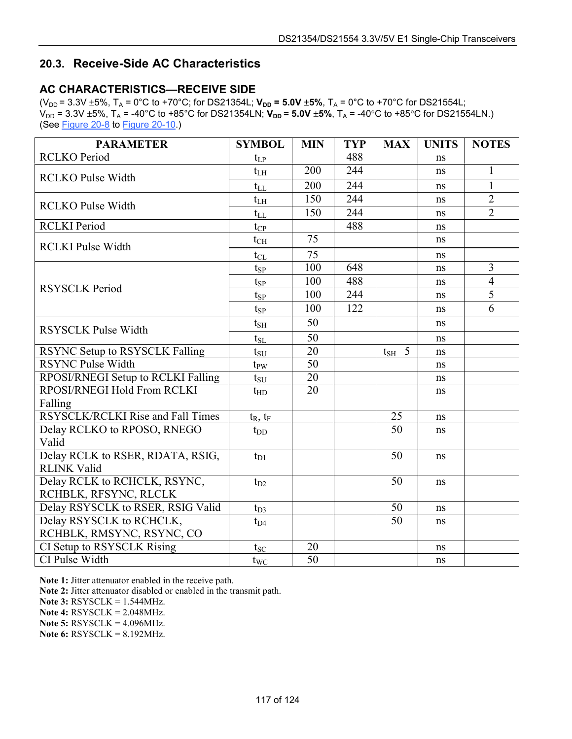## **20.3. Receive-Side AC Characteristics**

#### **AC CHARACTERISTICS-RECEIVE SIDE**

 $(V_{DD} = 3.3V \pm 5\%, T_A = 0^{\circ}C$  to +70°C; for DS21354L;  $V_{DD} = 5.0V \pm 5\%, T_A = 0^{\circ}C$  to +70°C for DS21554L;  $V_{DD}$  = 3.3V  $\pm$ 5%, T<sub>A</sub> = -40°C to +85°C for DS21354LN;  $V_{DD}$  = 5.0V  $\pm$ 5%, T<sub>A</sub> = -40°C to +85°C for DS21554LN.) (See [Figure 20-8](#page-117-0) to [Figure 20-10.](#page-119-0))

| <b>PARAMETER</b>                   | <b>SYMBOL</b>   | <b>MIN</b> | <b>TYP</b> | <b>MAX</b>          | <b>UNITS</b> | <b>NOTES</b>   |
|------------------------------------|-----------------|------------|------------|---------------------|--------------|----------------|
| <b>RCLKO</b> Period                | $t_{LP}$        |            | 488        |                     | ns           |                |
| <b>RCLKO Pulse Width</b>           | $t_{LH}$        | 200        | 244        |                     | ns           | 1              |
|                                    | $t_{LL}$        | 200        | 244        |                     | ns           | $\mathbf{1}$   |
| <b>RCLKO</b> Pulse Width           | $t_{LH}$        | 150        | 244        |                     | ns           | $\overline{2}$ |
|                                    | $t_{LL}$        | 150        | 244        |                     | ns           | $\overline{2}$ |
| <b>RCLKI</b> Period                | $t_{CP}$        |            | 488        |                     | ns           |                |
| <b>RCLKI</b> Pulse Width           | $t_{CH}$        | 75         |            |                     | ns           |                |
|                                    | $t_{CL}$        | 75         |            |                     | ns           |                |
|                                    | $t_{SP}$        | 100        | 648        |                     | ns           | 3              |
|                                    | $t_{SP}$        | 100        | 488        |                     | ns           | $\overline{4}$ |
| <b>RSYSCLK Period</b>              | $t_{SP}$        | 100        | 244        |                     | ns           | $\overline{5}$ |
|                                    | $t_{SP}$        | 100        | 122        |                     | ns           | 6              |
| <b>RSYSCLK Pulse Width</b>         | $t_{\rm SH}$    | 50         |            |                     | ns           |                |
|                                    | $t_{\rm SL}$    | 50         |            |                     | ns           |                |
| RSYNC Setup to RSYSCLK Falling     | $t_{\rm SU}$    | 20         |            | $t_{\text{SH}} - 5$ | ns           |                |
| <b>RSYNC Pulse Width</b>           | $t_{PW}$        | 50         |            |                     | ns           |                |
| RPOSI/RNEGI Setup to RCLKI Falling | $t_{\rm SU}$    | 20         |            |                     | ns           |                |
| RPOSI/RNEGI Hold From RCLKI        | $t_{HD}$        | 20         |            |                     | ns           |                |
| Falling                            |                 |            |            |                     |              |                |
| RSYSCLK/RCLKI Rise and Fall Times  | $t_R$ , $t_F$   |            |            | 25                  | ns           |                |
| Delay RCLKO to RPOSO, RNEGO        | $t_{DD}$        |            |            | 50                  | ns           |                |
| Valid                              |                 |            |            |                     |              |                |
| Delay RCLK to RSER, RDATA, RSIG,   | $t_{D1}$        |            |            | 50                  | ns           |                |
| <b>RLINK Valid</b>                 |                 |            |            |                     |              |                |
| Delay RCLK to RCHCLK, RSYNC,       | $t_{D2}$        |            |            | 50                  | ns           |                |
| RCHBLK, RFSYNC, RLCLK              |                 |            |            |                     |              |                |
| Delay RSYSCLK to RSER, RSIG Valid  | $t_{D3}$        |            |            | 50                  | ns           |                |
| Delay RSYSCLK to RCHCLK,           | $t_{D4}$        |            |            | 50                  | ns           |                |
| RCHBLK, RMSYNC, RSYNC, CO          |                 |            |            |                     |              |                |
| CI Setup to RSYSCLK Rising         | $t_{SC}$        | 20         |            |                     | ns           |                |
| CI Pulse Width                     | $t_{\text{WC}}$ | 50         |            |                     | ns           |                |

**Note 1:** Jitter attenuator enabled in the receive path.

**Note 2:** Jitter attenuator disabled or enabled in the transmit path.

**Note 3:** RSYSCLK = 1.544MHz.

**Note 4:** RSYSCLK = 2.048MHz.

**Note 5:** RSYSCLK = 4.096MHz.

**Note 6:** RSYSCLK = 8.192MHz.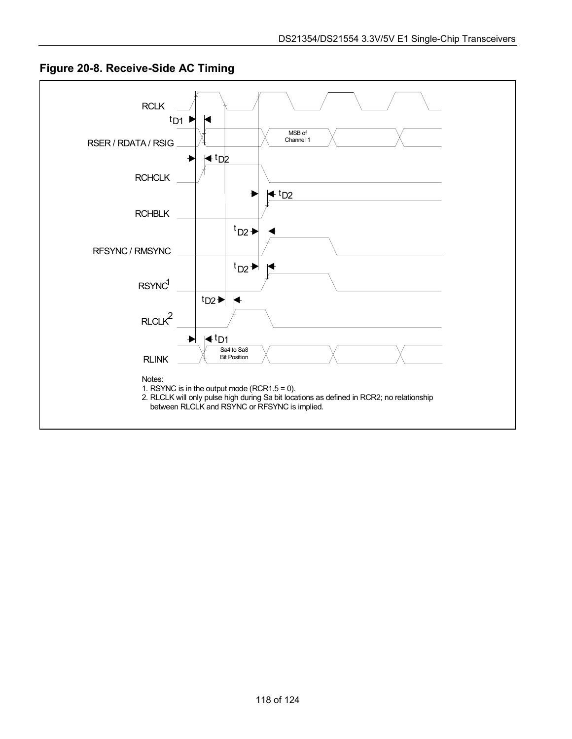<span id="page-117-0"></span>

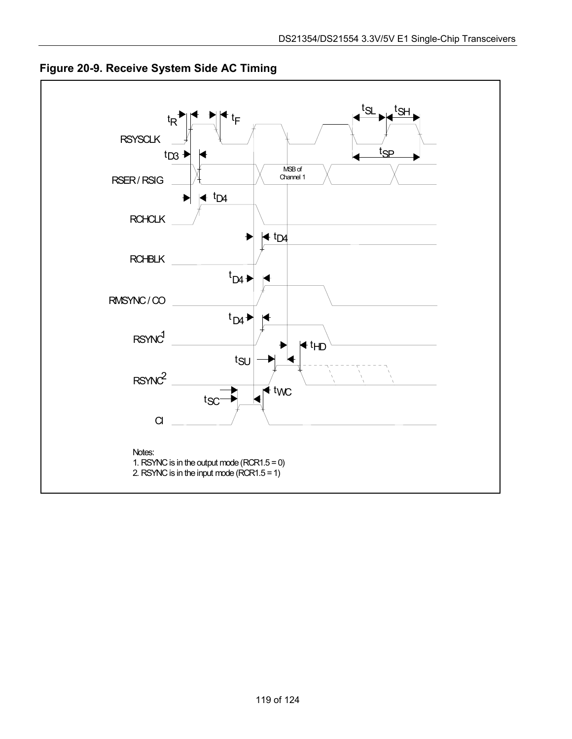

**Figure 20-9. Receive System Side AC Timing**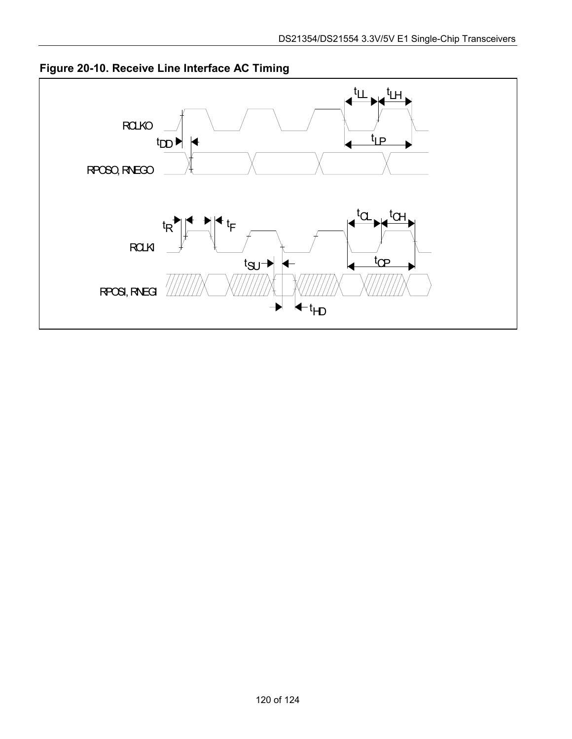

<span id="page-119-0"></span>**Figure 20-10. Receive Line Interface AC Timing**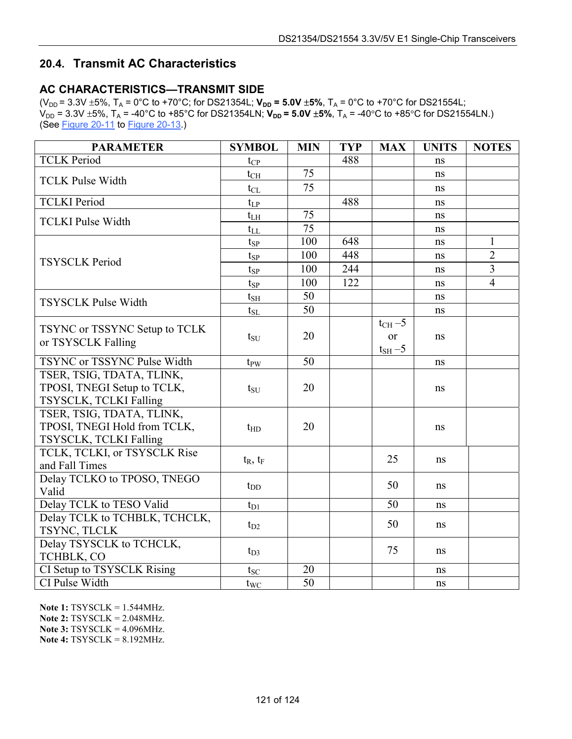## **20.4. Transmit AC Characteristics**

### **AC CHARACTERISTICS—TRANSMIT SIDE**

 $(V_{DD} = 3.3V \pm 5\%, T_A = 0^{\circ}C$  to +70°C; for DS21354L;  $V_{DD} = 5.0V \pm 5\%, T_A = 0^{\circ}C$  to +70°C for DS21554L;  $V_{DD}$  = 3.3V  $\pm$ 5%, T<sub>A</sub> = -40°C to +85°C for DS21354LN;  $V_{DD}$  = 5.0V  $\pm$ 5%, T<sub>A</sub> = -40°C to +85°C for DS21554LN.) (See [Figure 20-11](#page-121-0) to [Figure 20-13.](#page-122-0))

| <b>PARAMETER</b>              | <b>SYMBOL</b> | <b>MIN</b>      | <b>TYP</b> | <b>MAX</b>      | <b>UNITS</b> | <b>NOTES</b>            |
|-------------------------------|---------------|-----------------|------------|-----------------|--------------|-------------------------|
| <b>TCLK Period</b>            | $t_{CP}$      |                 | 488        |                 | ns           |                         |
| <b>TCLK Pulse Width</b>       | $t_{\rm CH}$  | 75              |            |                 | ns           |                         |
|                               | $t_{CL}$      | 75              |            |                 | ns           |                         |
| <b>TCLKI</b> Period           | $t_{LP}$      |                 | 488        |                 | ns           |                         |
| <b>TCLKI</b> Pulse Width      | $t_{LH}$      | 75              |            |                 | ns           |                         |
|                               | $t_{LL}$      | $\overline{75}$ |            |                 | ns           |                         |
|                               | $t_{SP}$      | 100             | 648        |                 | ns           | $\mathbf{1}$            |
| <b>TSYSCLK Period</b>         | $t_{SP}$      | 100             | 448        |                 | ns           | $\overline{2}$          |
|                               | $t_{SP}$      | 100             | 244        |                 | ns           | $\overline{\mathbf{3}}$ |
|                               | $t_{SP}$      | 100             | 122        |                 | ns           | $\overline{4}$          |
| <b>TSYSCLK Pulse Width</b>    | $t_{\rm SH}$  | 50              |            |                 | ns           |                         |
|                               | $t_{\rm SL}$  | 50              |            |                 | ns           |                         |
| TSYNC or TSSYNC Setup to TCLK |               |                 |            | $t_{CH}$ -5     |              |                         |
| or TSYSCLK Falling            | $t_{\rm SU}$  | 20              |            | <sub>or</sub>   | ns           |                         |
|                               |               |                 |            | $t_{\rm SH}$ -5 |              |                         |
| TSYNC or TSSYNC Pulse Width   | $t_{PW}$      | 50              |            |                 | ns           |                         |
| TSER, TSIG, TDATA, TLINK,     |               |                 |            |                 |              |                         |
| TPOSI, TNEGI Setup to TCLK,   | $t_{\rm SU}$  | 20              |            |                 | ns           |                         |
| <b>TSYSCLK, TCLKI Falling</b> |               |                 |            |                 |              |                         |
| TSER, TSIG, TDATA, TLINK,     |               |                 |            |                 |              |                         |
| TPOSI, TNEGI Hold from TCLK,  | $t_{HD}$      | 20              |            |                 | ns           |                         |
| TSYSCLK, TCLKI Falling        |               |                 |            |                 |              |                         |
| TCLK, TCLKI, or TSYSCLK Rise  | $t_R$ , $t_F$ |                 |            | 25              | ns           |                         |
| and Fall Times                |               |                 |            |                 |              |                         |
| Delay TCLKO to TPOSO, TNEGO   | $t_{DD}$      |                 |            | 50              | ns           |                         |
| Valid                         |               |                 |            |                 |              |                         |
| Delay TCLK to TESO Valid      | $t_{D1}$      |                 |            | 50              | ns           |                         |
| Delay TCLK to TCHBLK, TCHCLK, | $t_{D2}$      |                 |            | 50              | ns           |                         |
| TSYNC, TLCLK                  |               |                 |            |                 |              |                         |
| Delay TSYSCLK to TCHCLK,      | $t_{D3}$      |                 |            | 75              | ns           |                         |
| TCHBLK, CO                    |               |                 |            |                 |              |                         |
| CI Setup to TSYSCLK Rising    | $t_{SC}$      | 20              |            |                 | ns           |                         |
| CI Pulse Width                | $t_{WC}$      | 50              |            |                 | ns           |                         |

**Note 1:** TSYSCLK = 1.544MHz. **Note 2:** TSYSCLK = 2.048MHz. **Note 3:** TSYSCLK = 4.096MHz.

**Note 4:** TSYSCLK = 8.192MHz.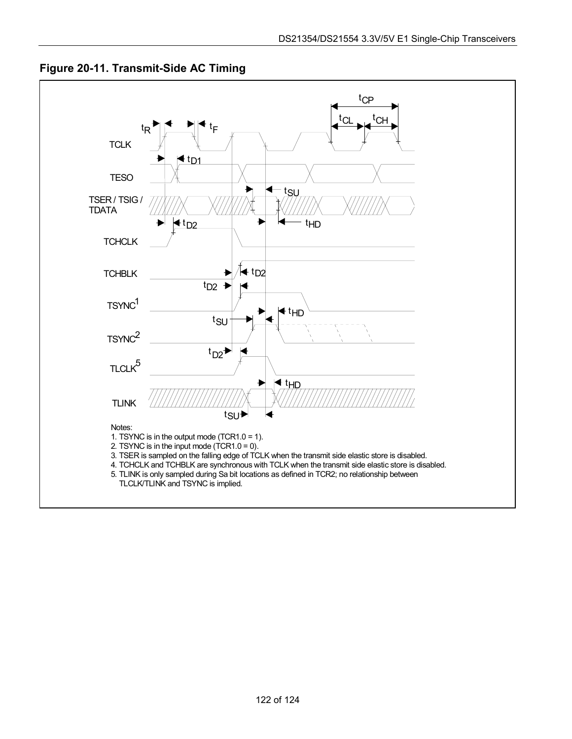

<span id="page-121-0"></span>**Figure 20-11. Transmit-Side AC Timing**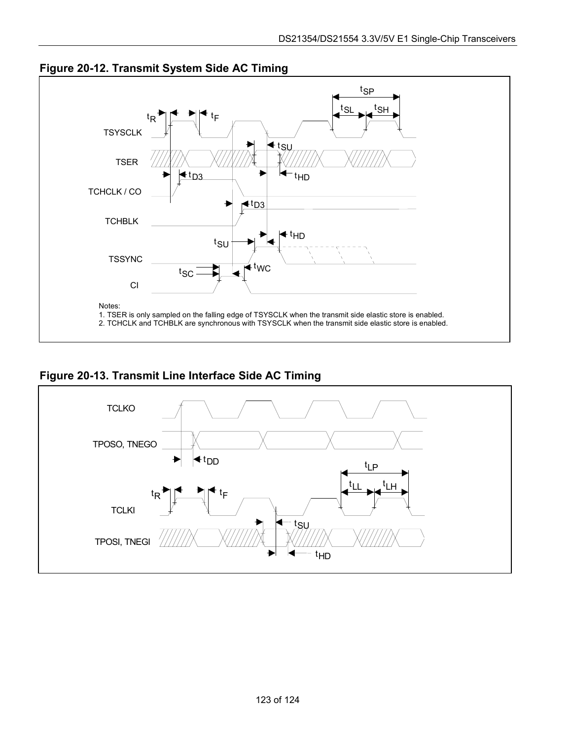

**Figure 20-12. Transmit System Side AC Timing** 

<span id="page-122-0"></span>**Figure 20-13. Transmit Line Interface Side AC Timing**